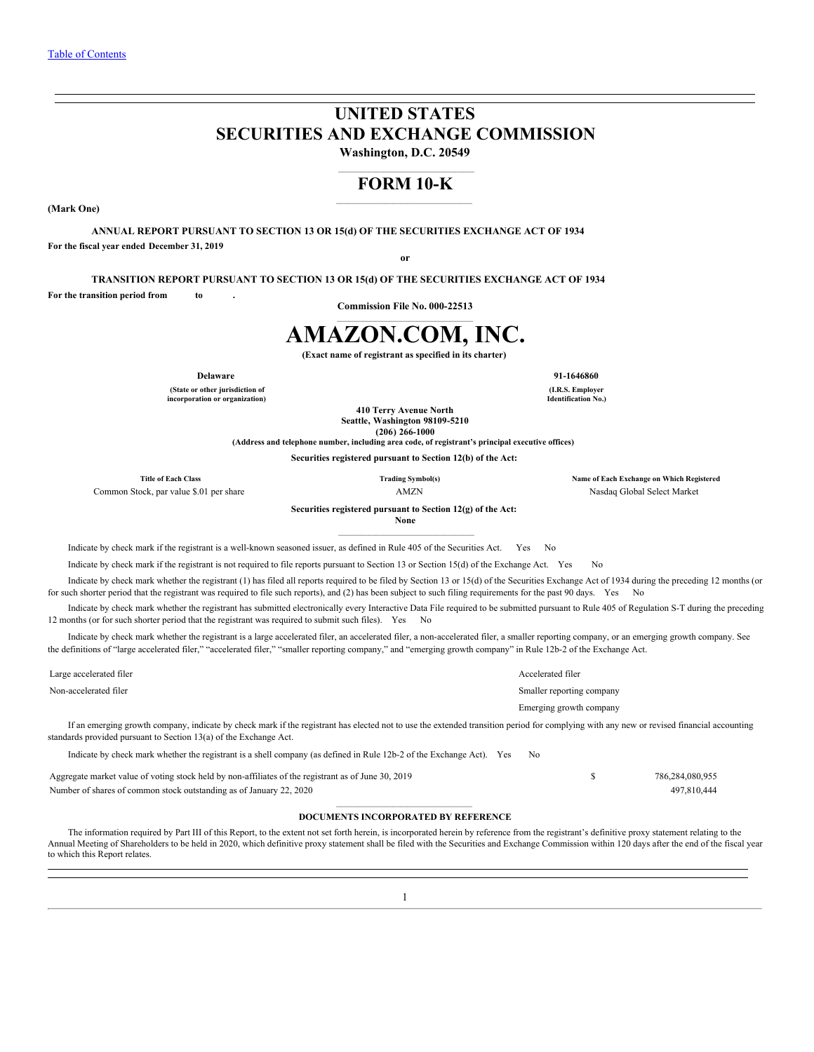## **UNITED STATES SECURITIES AND EXCHANGE COMMISSION**

**Washington, D.C. 20549** \_\_\_\_\_\_\_\_\_\_\_\_\_\_\_\_\_\_\_\_\_\_\_\_\_\_\_\_\_\_\_\_\_\_\_\_

### **FORM 10-K** \_\_\_\_\_\_\_\_\_\_\_\_\_\_\_\_\_\_\_\_\_\_\_\_\_\_\_\_\_\_\_\_\_\_\_\_

**(Mark One)**

**ANNUAL REPORT PURSUANT TO SECTION 13 OR 15(d) OF THE SECURITIES EXCHANGE ACT OF 1934 For the fiscal year ended December 31, 2019**

**or**

**TRANSITION REPORT PURSUANT TO SECTION 13 OR 15(d) OF THE SECURITIES EXCHANGE ACT OF 1934**

**For the transition period from to .**

**Commission File No. 000-22513**  $\mathcal{L}_\text{max}$  and  $\mathcal{L}_\text{max}$  and  $\mathcal{L}_\text{max}$  and  $\mathcal{L}_\text{max}$ 

# **AMAZON.COM, INC.**

**(Exact name of registrant as specified in its charter)**

**Delaware 91-1646860**

**(I.R.S. Employer Identification No.)**

**410 Terry Avenue North Seattle, Washington 98109-5210 (206) 266-1000**

**(Address and telephone number, including area code, of registrant's principal executive offices)**

**Securities registered pursuant to Section 12(b) of the Act:**

**(State or other jurisdiction of incorporation or organization)**

**Title of Each Class Trading Symbol(s) Name of Each Exchange on Which Registered** Common Stock, par value \$.01 per share AMZN AMZN Nasdaq Global Select Market

**Securities registered pursuant to Section 12(g) of the Act:**

**None**  $\mathcal{L}_\text{max}$ 

Indicate by check mark if the registrant is a well-known seasoned issuer, as defined in Rule 405 of the Securities Act. Yes No

Indicate by check mark if the registrant is not required to file reports pursuant to Section 13 or Section 15(d) of the Exchange Act. Yes No

Indicate by check mark whether the registrant (1) has filed all reports required to be filed by Section 13 or 15(d) of the Securities Exchange Act of 1934 during the preceding 12 months (or for such shorter period that the registrant was required to file such reports), and (2) has been subject to such filing requirements for the past 90 days. Yes No

Indicate by check mark whether the registrant has submitted electronically every Interactive Data File required to be submitted pursuant to Rule 405 of Regulation S-T during the preceding 12 months (or for such shorter period that the registrant was required to submit such files). Yes No

Indicate by check mark whether the registrant is a large accelerated filer, an accelerated filer, a non-accelerated filer, a smaller reporting company, or an emerging growth company. See the definitions of "large accelerated filer," "accelerated filer," "smaller reporting company," and "emerging growth company" in Rule 12b-2 of the Exchange Act.

Large accelerated filer and the state of the contract of the Accelerated filer and the Accelerated filer and  $\alpha$ Non-accelerated filer Smaller reporting company Emerging growth company If an emerging growth company, indicate by check mark if the registrant has elected not to use the extended transition period for complying with any new or revised financial accounting standards provided pursuant to Section 13(a) of the Exchange Act. Indicate by check mark whether the registrant is a shell company (as defined in Rule 12b-2 of the Exchange Act). Yes No

Aggregate market value of voting stock held by non-affiliates of the registrant as of June 30, 2019 \$ 786,284,080,955 Number of shares of common stock outstanding as of January 22, 2020 497,810,444

### **DOCUMENTS INCORPORATED BY REFERENCE**

The information required by Part III of this Report, to the extent not set forth herein, is incorporated herein by reference from the registrant's definitive proxy statement relating to the Annual Meeting of Shareholders to be held in 2020, which definitive proxy statement shall be filed with the Securities and Exchange Commission within 120 days after the end of the fiscal year to which this Report relates.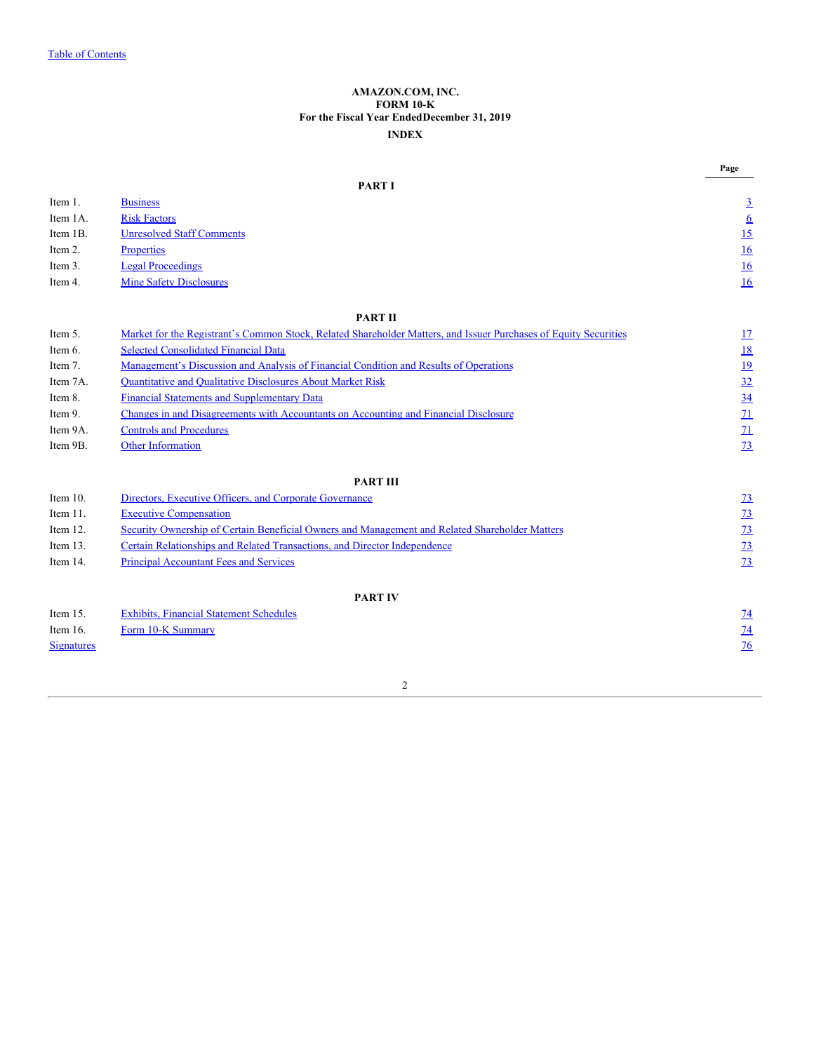### **AMAZON.COM, INC. FORM 10-K For the Fiscal Year EndedDecember 31, 2019 INDEX**

**Page**

<span id="page-1-0"></span>

|                   | <b>PART I</b>                                                                                                    |                 |
|-------------------|------------------------------------------------------------------------------------------------------------------|-----------------|
| Item 1.           | <b>Business</b>                                                                                                  | $\overline{3}$  |
| Item 1A.          | <b>Risk Factors</b>                                                                                              | $\underline{6}$ |
| Item 1B.          | <b>Unresolved Staff Comments</b>                                                                                 | 15              |
| Item 2.           | Properties                                                                                                       | 16              |
| Item 3.           | <b>Legal Proceedings</b>                                                                                         | 16              |
| Item 4.           | <b>Mine Safety Disclosures</b>                                                                                   | 16              |
|                   | <b>PART II</b>                                                                                                   |                 |
| Item 5.           | Market for the Registrant's Common Stock, Related Shareholder Matters, and Issuer Purchases of Equity Securities | <u>17</u>       |
| Item 6.           | <b>Selected Consolidated Financial Data</b>                                                                      | <u>18</u>       |
| Item 7.           | Management's Discussion and Analysis of Financial Condition and Results of Operations                            | $\overline{19}$ |
| Item 7A.          | Quantitative and Qualitative Disclosures About Market Risk                                                       | $\overline{32}$ |
| Item 8.           | <b>Financial Statements and Supplementary Data</b>                                                               | $\frac{34}{5}$  |
| Item 9.           | Changes in and Disagreements with Accountants on Accounting and Financial Disclosure                             | $\overline{11}$ |
| Item 9A.          | <b>Controls and Procedures</b>                                                                                   | $\overline{11}$ |
| Item 9B.          | <b>Other Information</b>                                                                                         | 73              |
|                   | <b>PART III</b>                                                                                                  |                 |
| Item 10.          | Directors, Executive Officers, and Corporate Governance                                                          | <u>73</u>       |
| Item 11.          | <b>Executive Compensation</b>                                                                                    | <u>73</u>       |
| Item 12.          | Security Ownership of Certain Beneficial Owners and Management and Related Shareholder Matters                   | <u>73</u>       |
| Item 13.          | Certain Relationships and Related Transactions, and Director Independence                                        | $\overline{23}$ |
| Item 14.          | <b>Principal Accountant Fees and Services</b>                                                                    | 73              |
|                   | <b>PART IV</b>                                                                                                   |                 |
| Item 15.          | <b>Exhibits, Financial Statement Schedules</b>                                                                   | <u>74</u>       |
| Item 16.          | Form 10-K Summary                                                                                                | $\overline{14}$ |
| <b>Signatures</b> |                                                                                                                  | $\overline{76}$ |
|                   |                                                                                                                  |                 |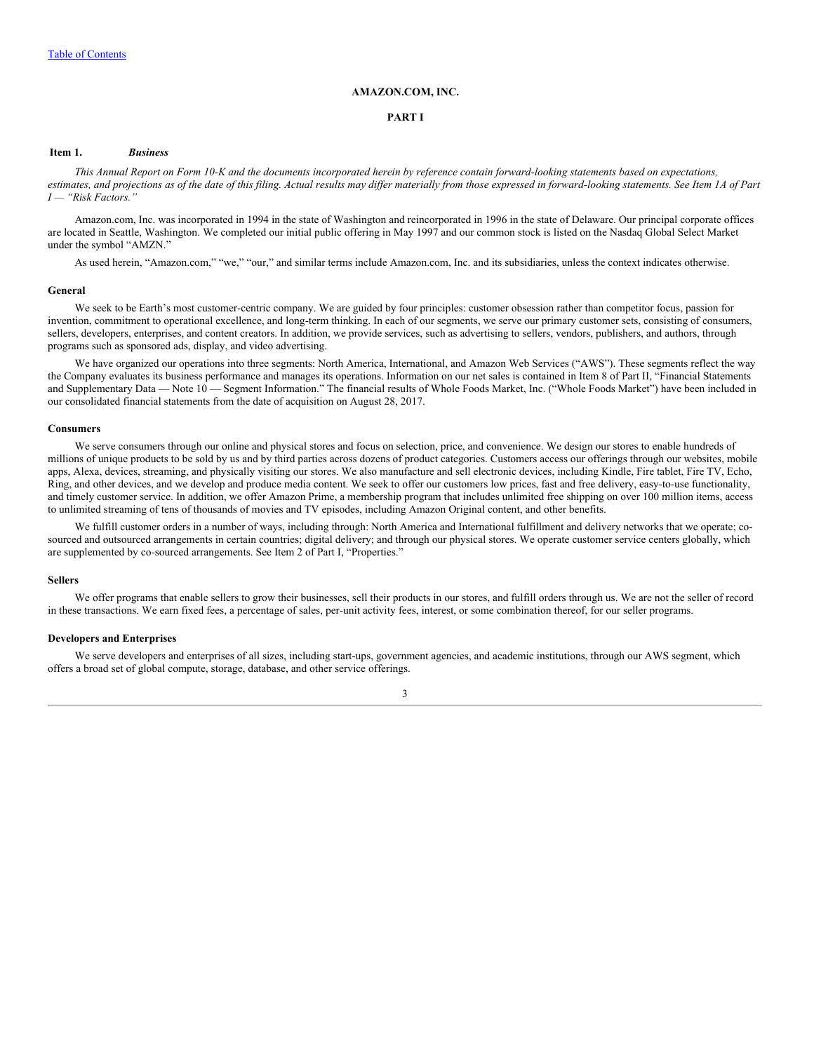### **AMAZON.COM, INC.**

### **PART I**

### <span id="page-2-0"></span>**Item 1.** *Business*

This Annual Report on Form 10-K and the documents incorporated herein by reference contain forward-looking statements based on expectations, estimates, and projections as of the date of this filing. Actual results may differ materially from those expressed in forward-looking statements. See Item 1A of Part *I — "Risk Factors."*

Amazon.com, Inc. was incorporated in 1994 in the state of Washington and reincorporated in 1996 in the state of Delaware. Our principal corporate offices are located in Seattle, Washington. We completed our initial public offering in May 1997 and our common stock is listed on the Nasdaq Global Select Market under the symbol "AMZN."

As used herein, "Amazon.com," "we," "our," and similar terms include Amazon.com, Inc. and its subsidiaries, unless the context indicates otherwise.

### **General**

We seek to be Earth's most customer-centric company. We are guided by four principles: customer obsession rather than competitor focus, passion for invention, commitment to operational excellence, and long-term thinking. In each of our segments, we serve our primary customer sets, consisting of consumers, sellers, developers, enterprises, and content creators. In addition, we provide services, such as advertising to sellers, vendors, publishers, and authors, through programs such as sponsored ads, display, and video advertising.

We have organized our operations into three segments: North America, International, and Amazon Web Services ("AWS"). These segments reflect the way the Company evaluates its business performance and manages its operations. Information on our net sales is contained in Item 8 of Part II, "Financial Statements and Supplementary Data — Note 10 — Segment Information." The financial results of Whole Foods Market, Inc. ("Whole Foods Market") have been included in our consolidated financial statements from the date of acquisition on August 28, 2017.

### **Consumers**

We serve consumers through our online and physical stores and focus on selection, price, and convenience. We design our stores to enable hundreds of millions of unique products to be sold by us and by third parties across dozens of product categories. Customers access our offerings through our websites, mobile apps, Alexa, devices, streaming, and physically visiting our stores. We also manufacture and sell electronic devices, including Kindle, Fire tablet, Fire TV, Echo, Ring, and other devices, and we develop and produce media content. We seek to offer our customers low prices, fast and free delivery, easy-to-use functionality, and timely customer service. In addition, we offer Amazon Prime, a membership program that includes unlimited free shipping on over 100 million items, access to unlimited streaming of tens of thousands of movies and TV episodes, including Amazon Original content, and other benefits.

We fulfill customer orders in a number of ways, including through: North America and International fulfillment and delivery networks that we operate; cosourced and outsourced arrangements in certain countries; digital delivery; and through our physical stores. We operate customer service centers globally, which are supplemented by co-sourced arrangements. See Item 2 of Part I, "Properties."

#### **Sellers**

We offer programs that enable sellers to grow their businesses, sell their products in our stores, and fulfill orders through us. We are not the seller of record in these transactions. We earn fixed fees, a percentage of sales, per-unit activity fees, interest, or some combination thereof, for our seller programs.

#### **Developers and Enterprises**

We serve developers and enterprises of all sizes, including start-ups, government agencies, and academic institutions, through our AWS segment, which offers a broad set of global compute, storage, database, and other service offerings.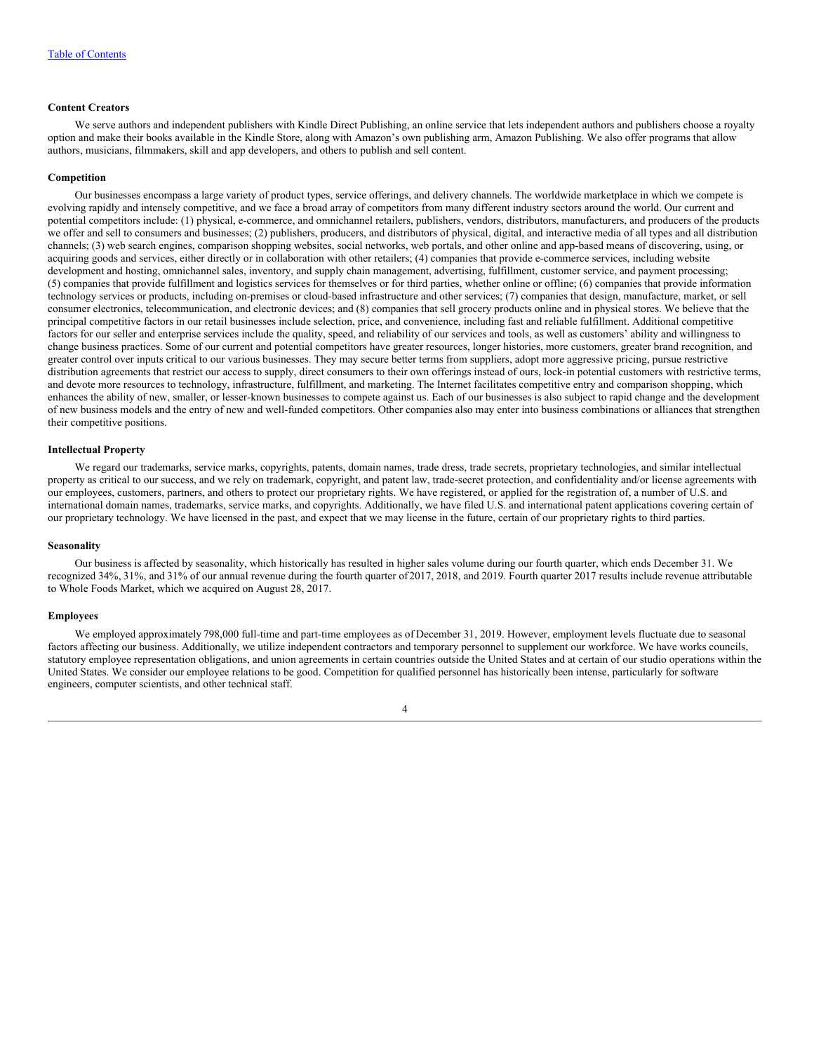### **Content Creators**

We serve authors and independent publishers with Kindle Direct Publishing, an online service that lets independent authors and publishers choose a royalty option and make their books available in the Kindle Store, along with Amazon's own publishing arm, Amazon Publishing. We also offer programs that allow authors, musicians, filmmakers, skill and app developers, and others to publish and sell content.

#### **Competition**

Our businesses encompass a large variety of product types, service offerings, and delivery channels. The worldwide marketplace in which we compete is evolving rapidly and intensely competitive, and we face a broad array of competitors from many different industry sectors around the world. Our current and potential competitors include: (1) physical, e-commerce, and omnichannel retailers, publishers, vendors, distributors, manufacturers, and producers of the products we offer and sell to consumers and businesses; (2) publishers, producers, and distributors of physical, digital, and interactive media of all types and all distribution channels; (3) web search engines, comparison shopping websites, social networks, web portals, and other online and app-based means of discovering, using, or acquiring goods and services, either directly or in collaboration with other retailers; (4) companies that provide e-commerce services, including website development and hosting, omnichannel sales, inventory, and supply chain management, advertising, fulfillment, customer service, and payment processing; (5) companies that provide fulfillment and logistics services for themselves or for third parties, whether online or offline; (6) companies that provide information technology services or products, including on-premises or cloud-based infrastructure and other services; (7) companies that design, manufacture, market, or sell consumer electronics, telecommunication, and electronic devices; and (8) companies that sell grocery products online and in physical stores. We believe that the principal competitive factors in our retail businesses include selection, price, and convenience, including fast and reliable fulfillment. Additional competitive factors for our seller and enterprise services include the quality, speed, and reliability of our services and tools, as well as customers' ability and willingness to change business practices. Some of our current and potential competitors have greater resources, longer histories, more customers, greater brand recognition, and greater control over inputs critical to our various businesses. They may secure better terms from suppliers, adopt more aggressive pricing, pursue restrictive distribution agreements that restrict our access to supply, direct consumers to their own offerings instead of ours, lock-in potential customers with restrictive terms, and devote more resources to technology, infrastructure, fulfillment, and marketing. The Internet facilitates competitive entry and comparison shopping, which enhances the ability of new, smaller, or lesser-known businesses to compete against us. Each of our businesses is also subject to rapid change and the development of new business models and the entry of new and well-funded competitors. Other companies also may enter into business combinations or alliances that strengthen their competitive positions.

#### **Intellectual Property**

We regard our trademarks, service marks, copyrights, patents, domain names, trade dress, trade secrets, proprietary technologies, and similar intellectual property as critical to our success, and we rely on trademark, copyright, and patent law, trade-secret protection, and confidentiality and/or license agreements with our employees, customers, partners, and others to protect our proprietary rights. We have registered, or applied for the registration of, a number of U.S. and international domain names, trademarks, service marks, and copyrights. Additionally, we have filed U.S. and international patent applications covering certain of our proprietary technology. We have licensed in the past, and expect that we may license in the future, certain of our proprietary rights to third parties.

### **Seasonality**

Our business is affected by seasonality, which historically has resulted in higher sales volume during our fourth quarter, which ends December 31. We recognized 34%, 31%, and 31% of our annual revenue during the fourth quarter of 2017, 2018, and 2019. Fourth quarter 2017 results include revenue attributable to Whole Foods Market, which we acquired on August 28, 2017.

#### **Employees**

We employed approximately 798,000 full-time and part-time employees as of December 31, 2019. However, employment levels fluctuate due to seasonal factors affecting our business. Additionally, we utilize independent contractors and temporary personnel to supplement our workforce. We have works councils, statutory employee representation obligations, and union agreements in certain countries outside the United States and at certain of our studio operations within the United States. We consider our employee relations to be good. Competition for qualified personnel has historically been intense, particularly for software engineers, computer scientists, and other technical staff.

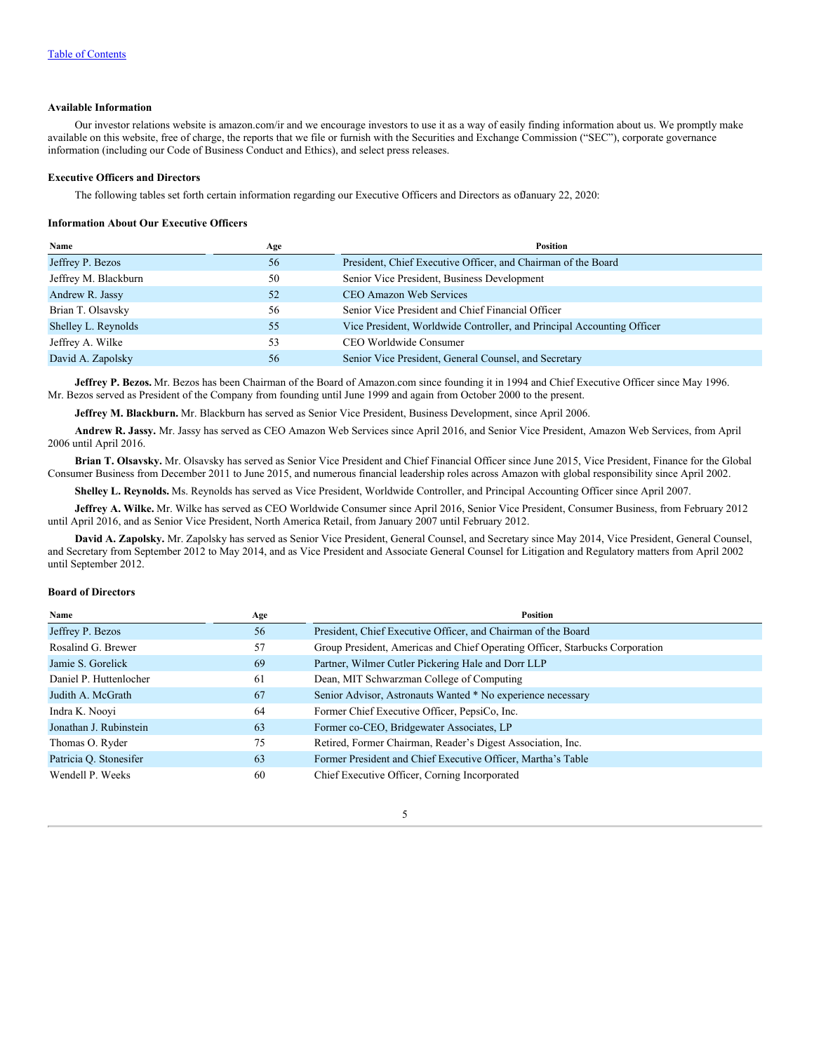### **Available Information**

Our investor relations website is amazon.com/ir and we encourage investors to use it as a way of easily finding information about us. We promptly make available on this website, free of charge, the reports that we file or furnish with the Securities and Exchange Commission ("SEC"), corporate governance information (including our Code of Business Conduct and Ethics), and select press releases.

#### **Executive Officers and Directors**

The following tables set forth certain information regarding our Executive Officers and Directors as of anuary 22, 2020:

#### **Information About Our Executive Officers**

| Name                 | Age | Position                                                               |
|----------------------|-----|------------------------------------------------------------------------|
| Jeffrey P. Bezos     | 56  | President, Chief Executive Officer, and Chairman of the Board          |
| Jeffrey M. Blackburn | 50  | Senior Vice President, Business Development                            |
| Andrew R. Jassy      | 52  | CEO Amazon Web Services                                                |
| Brian T. Olsavsky    | 56  | Senior Vice President and Chief Financial Officer                      |
| Shelley L. Reynolds  | 55  | Vice President, Worldwide Controller, and Principal Accounting Officer |
| Jeffrey A. Wilke     | 53  | CEO Worldwide Consumer                                                 |
| David A. Zapolsky    | 56  | Senior Vice President, General Counsel, and Secretary                  |

**Jeffrey P. Bezos.** Mr. Bezos has been Chairman of the Board of Amazon.com since founding it in 1994 and Chief Executive Officer since May 1996. Mr. Bezos served as President of the Company from founding until June 1999 and again from October 2000 to the present.

**Jeffrey M. Blackburn.** Mr. Blackburn has served as Senior Vice President, Business Development, since April 2006.

**Andrew R. Jassy.** Mr. Jassy has served as CEO Amazon Web Services since April 2016, and Senior Vice President, Amazon Web Services, from April 2006 until April 2016.

**Brian T. Olsavsky.** Mr. Olsavsky has served as Senior Vice President and Chief Financial Officer since June 2015, Vice President, Finance for the Global Consumer Business from December 2011 to June 2015, and numerous financial leadership roles across Amazon with global responsibility since April 2002.

**Shelley L. Reynolds.** Ms. Reynolds has served as Vice President, Worldwide Controller, and Principal Accounting Officer since April 2007.

**Jeffrey A. Wilke.** Mr. Wilke has served as CEO Worldwide Consumer since April 2016, Senior Vice President, Consumer Business, from February 2012 until April 2016, and as Senior Vice President, North America Retail, from January 2007 until February 2012.

**David A. Zapolsky.** Mr. Zapolsky has served as Senior Vice President, General Counsel, and Secretary since May 2014, Vice President, General Counsel, and Secretary from September 2012 to May 2014, and as Vice President and Associate General Counsel for Litigation and Regulatory matters from April 2002 until September 2012.

### **Board of Directors**

| Name                   | Age | <b>Position</b>                                                              |
|------------------------|-----|------------------------------------------------------------------------------|
| Jeffrey P. Bezos       | 56  | President, Chief Executive Officer, and Chairman of the Board                |
| Rosalind G. Brewer     | 57  | Group President, Americas and Chief Operating Officer, Starbucks Corporation |
| Jamie S. Gorelick      | 69  | Partner, Wilmer Cutler Pickering Hale and Dorr LLP                           |
| Daniel P. Huttenlocher | 61  | Dean, MIT Schwarzman College of Computing                                    |
| Judith A. McGrath      | 67  | Senior Advisor, Astronauts Wanted * No experience necessary                  |
| Indra K. Nooyi         | 64  | Former Chief Executive Officer, PepsiCo, Inc.                                |
| Jonathan J. Rubinstein | 63  | Former co-CEO, Bridgewater Associates, LP                                    |
| Thomas O. Ryder        | 75  | Retired, Former Chairman, Reader's Digest Association, Inc.                  |
| Patricia O. Stonesifer | 63  | Former President and Chief Executive Officer, Martha's Table                 |
| Wendell P. Weeks       | 60  | Chief Executive Officer, Corning Incorporated                                |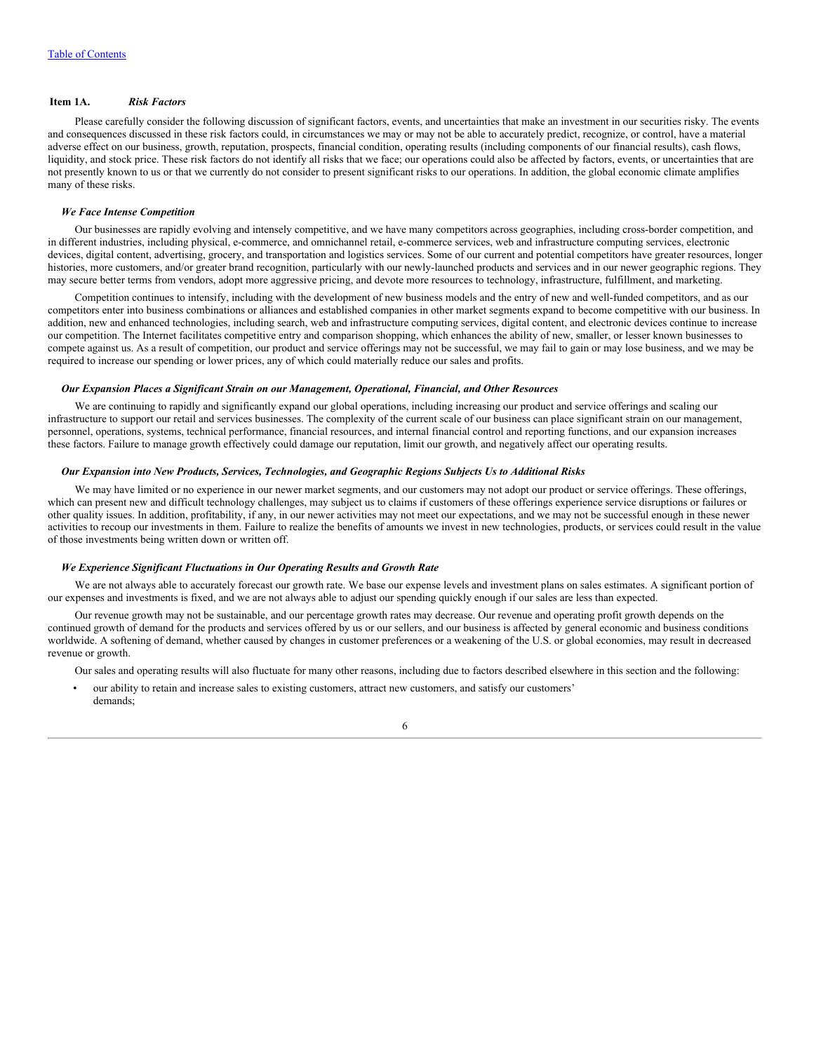### <span id="page-5-0"></span>**Item 1A.** *Risk Factors*

Please carefully consider the following discussion of significant factors, events, and uncertainties that make an investment in our securities risky. The events and consequences discussed in these risk factors could, in circumstances we may or may not be able to accurately predict, recognize, or control, have a material adverse effect on our business, growth, reputation, prospects, financial condition, operating results (including components of our financial results), cash flows, liquidity, and stock price. These risk factors do not identify all risks that we face; our operations could also be affected by factors, events, or uncertainties that are not presently known to us or that we currently do not consider to present significant risks to our operations. In addition, the global economic climate amplifies many of these risks.

#### *We Face Intense Competition*

Our businesses are rapidly evolving and intensely competitive, and we have many competitors across geographies, including cross-border competition, and in different industries, including physical, e-commerce, and omnichannel retail, e-commerce services, web and infrastructure computing services, electronic devices, digital content, advertising, grocery, and transportation and logistics services. Some of our current and potential competitors have greater resources, longer histories, more customers, and/or greater brand recognition, particularly with our newly-launched products and services and in our newer geographic regions. They may secure better terms from vendors, adopt more aggressive pricing, and devote more resources to technology, infrastructure, fulfillment, and marketing.

Competition continues to intensify, including with the development of new business models and the entry of new and well-funded competitors, and as our competitors enter into business combinations or alliances and established companies in other market segments expand to become competitive with our business. In addition, new and enhanced technologies, including search, web and infrastructure computing services, digital content, and electronic devices continue to increase our competition. The Internet facilitates competitive entry and comparison shopping, which enhances the ability of new, smaller, or lesser known businesses to compete against us. As a result of competition, our product and service offerings may not be successful, we may fail to gain or may lose business, and we may be required to increase our spending or lower prices, any of which could materially reduce our sales and profits.

#### *Our Expansion Places a Significant Strain on our Management, Operational, Financial, and Other Resources*

We are continuing to rapidly and significantly expand our global operations, including increasing our product and service offerings and scaling our infrastructure to support our retail and services businesses. The complexity of the current scale of our business can place significant strain on our management, personnel, operations, systems, technical performance, financial resources, and internal financial control and reporting functions, and our expansion increases these factors. Failure to manage growth effectively could damage our reputation, limit our growth, and negatively affect our operating results.

### *Our Expansion into New Products, Services, Technologies, and Geographic Regions Subjects Us to Additional Risks*

We may have limited or no experience in our newer market segments, and our customers may not adopt our product or service offerings. These offerings, which can present new and difficult technology challenges, may subject us to claims if customers of these offerings experience service disruptions or failures or other quality issues. In addition, profitability, if any, in our newer activities may not meet our expectations, and we may not be successful enough in these newer activities to recoup our investments in them. Failure to realize the benefits of amounts we invest in new technologies, products, or services could result in the value of those investments being written down or written off.

#### *We Experience Significant Fluctuations in Our Operating Results and Growth Rate*

We are not always able to accurately forecast our growth rate. We base our expense levels and investment plans on sales estimates. A significant portion of our expenses and investments is fixed, and we are not always able to adjust our spending quickly enough if our sales are less than expected.

Our revenue growth may not be sustainable, and our percentage growth rates may decrease. Our revenue and operating profit growth depends on the continued growth of demand for the products and services offered by us or our sellers, and our business is affected by general economic and business conditions worldwide. A softening of demand, whether caused by changes in customer preferences or a weakening of the U.S. or global economies, may result in decreased revenue or growth.

Our sales and operating results will also fluctuate for many other reasons, including due to factors described elsewhere in this section and the following:

• our ability to retain and increase sales to existing customers, attract new customers, and satisfy our customers' demands;

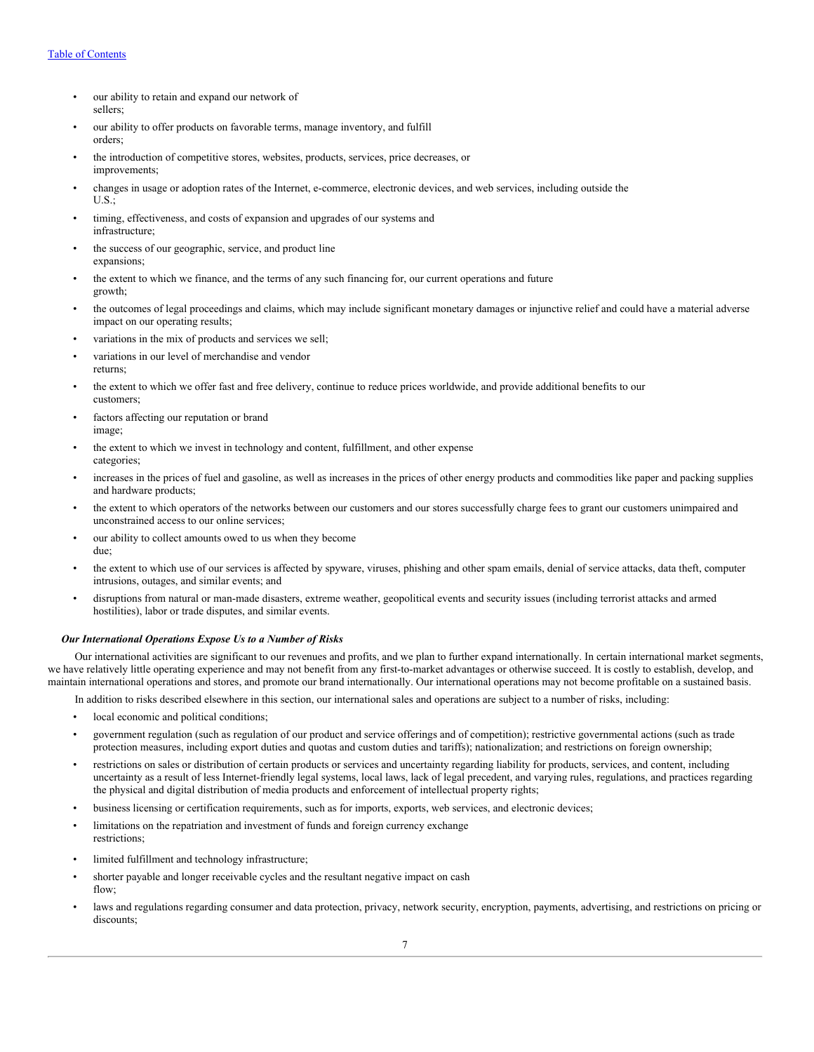- our ability to retain and expand our network of sellers;
- our ability to offer products on favorable terms, manage inventory, and fulfill orders;
- the introduction of competitive stores, websites, products, services, price decreases, or improvements;
- changes in usage or adoption rates of the Internet, e-commerce, electronic devices, and web services, including outside the U.S.;
- timing, effectiveness, and costs of expansion and upgrades of our systems and infrastructure;
- the success of our geographic, service, and product line expansions;
- the extent to which we finance, and the terms of any such financing for, our current operations and future growth;
- the outcomes of legal proceedings and claims, which may include significant monetary damages or injunctive relief and could have a material adverse impact on our operating results;
- variations in the mix of products and services we sell;
- variations in our level of merchandise and vendor returns;
- the extent to which we offer fast and free delivery, continue to reduce prices worldwide, and provide additional benefits to our customers;
- factors affecting our reputation or brand image;
- the extent to which we invest in technology and content, fulfillment, and other expense categories;
- increases in the prices of fuel and gasoline, as well as increases in the prices of other energy products and commodities like paper and packing supplies and hardware products;
- the extent to which operators of the networks between our customers and our stores successfully charge fees to grant our customers unimpaired and unconstrained access to our online services;
- our ability to collect amounts owed to us when they become due;
- the extent to which use of our services is affected by spyware, viruses, phishing and other spam emails, denial of service attacks, data theft, computer intrusions, outages, and similar events; and
- disruptions from natural or man-made disasters, extreme weather, geopolitical events and security issues (including terrorist attacks and armed hostilities), labor or trade disputes, and similar events.

### *Our International Operations Expose Us to a Number of Risks*

Our international activities are significant to our revenues and profits, and we plan to further expand internationally. In certain international market segments, we have relatively little operating experience and may not benefit from any first-to-market advantages or otherwise succeed. It is costly to establish, develop, and maintain international operations and stores, and promote our brand internationally. Our international operations may not become profitable on a sustained basis.

In addition to risks described elsewhere in this section, our international sales and operations are subject to a number of risks, including:

- local economic and political conditions;
- government regulation (such as regulation of our product and service offerings and of competition); restrictive governmental actions (such as trade protection measures, including export duties and quotas and custom duties and tariffs); nationalization; and restrictions on foreign ownership;
- restrictions on sales or distribution of certain products or services and uncertainty regarding liability for products, services, and content, including uncertainty as a result of less Internet-friendly legal systems, local laws, lack of legal precedent, and varying rules, regulations, and practices regarding the physical and digital distribution of media products and enforcement of intellectual property rights;
- business licensing or certification requirements, such as for imports, exports, web services, and electronic devices;
- limitations on the repatriation and investment of funds and foreign currency exchange restrictions;
- limited fulfillment and technology infrastructure;
- shorter payable and longer receivable cycles and the resultant negative impact on cash flow;
- laws and regulations regarding consumer and data protection, privacy, network security, encryption, payments, advertising, and restrictions on pricing or discounts;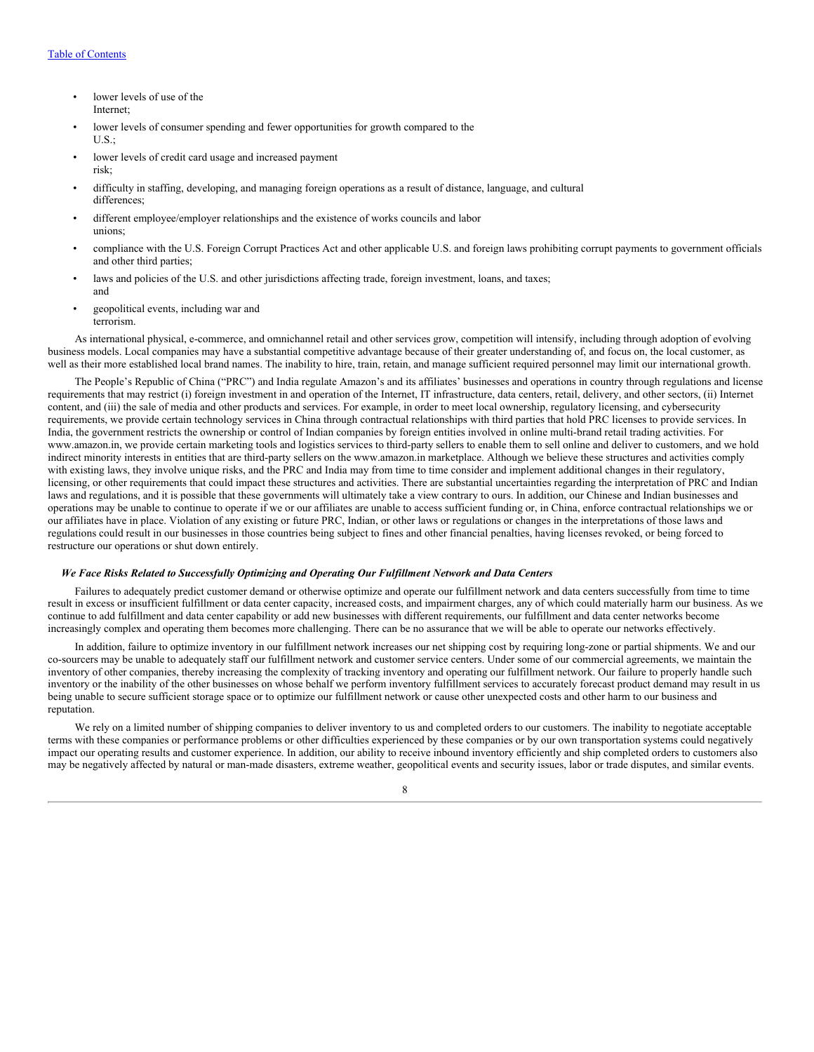- lower levels of use of the Internet;
- lower levels of consumer spending and fewer opportunities for growth compared to the U.S.;
- lower levels of credit card usage and increased payment risk;
- difficulty in staffing, developing, and managing foreign operations as a result of distance, language, and cultural differences;
- different employee/employer relationships and the existence of works councils and labor unions;
- compliance with the U.S. Foreign Corrupt Practices Act and other applicable U.S. and foreign laws prohibiting corrupt payments to government officials and other third parties;
- laws and policies of the U.S. and other jurisdictions affecting trade, foreign investment, loans, and taxes; and
- geopolitical events, including war and terrorism.

As international physical, e-commerce, and omnichannel retail and other services grow, competition will intensify, including through adoption of evolving business models. Local companies may have a substantial competitive advantage because of their greater understanding of, and focus on, the local customer, as well as their more established local brand names. The inability to hire, train, retain, and manage sufficient required personnel may limit our international growth.

The People's Republic of China ("PRC") and India regulate Amazon's and its affiliates' businesses and operations in country through regulations and license requirements that may restrict (i) foreign investment in and operation of the Internet, IT infrastructure, data centers, retail, delivery, and other sectors, (ii) Internet content, and (iii) the sale of media and other products and services. For example, in order to meet local ownership, regulatory licensing, and cybersecurity requirements, we provide certain technology services in China through contractual relationships with third parties that hold PRC licenses to provide services. In India, the government restricts the ownership or control of Indian companies by foreign entities involved in online multi-brand retail trading activities. For www.amazon.in, we provide certain marketing tools and logistics services to third-party sellers to enable them to sell online and deliver to customers, and we hold indirect minority interests in entities that are third-party sellers on the www.amazon.in marketplace. Although we believe these structures and activities comply with existing laws, they involve unique risks, and the PRC and India may from time to time consider and implement additional changes in their regulatory, licensing, or other requirements that could impact these structures and activities. There are substantial uncertainties regarding the interpretation of PRC and Indian laws and regulations, and it is possible that these governments will ultimately take a view contrary to ours. In addition, our Chinese and Indian businesses and operations may be unable to continue to operate if we or our affiliates are unable to access sufficient funding or, in China, enforce contractual relationships we or our affiliates have in place. Violation of any existing or future PRC, Indian, or other laws or regulations or changes in the interpretations of those laws and regulations could result in our businesses in those countries being subject to fines and other financial penalties, having licenses revoked, or being forced to restructure our operations or shut down entirely.

### *We Face Risks Related to Successfully Optimizing and Operating Our Fulfillment Network and Data Centers*

Failures to adequately predict customer demand or otherwise optimize and operate our fulfillment network and data centers successfully from time to time result in excess or insufficient fulfillment or data center capacity, increased costs, and impairment charges, any of which could materially harm our business. As we continue to add fulfillment and data center capability or add new businesses with different requirements, our fulfillment and data center networks become increasingly complex and operating them becomes more challenging. There can be no assurance that we will be able to operate our networks effectively.

In addition, failure to optimize inventory in our fulfillment network increases our net shipping cost by requiring long-zone or partial shipments. We and our co-sourcers may be unable to adequately staff our fulfillment network and customer service centers. Under some of our commercial agreements, we maintain the inventory of other companies, thereby increasing the complexity of tracking inventory and operating our fulfillment network. Our failure to properly handle such inventory or the inability of the other businesses on whose behalf we perform inventory fulfillment services to accurately forecast product demand may result in us being unable to secure sufficient storage space or to optimize our fulfillment network or cause other unexpected costs and other harm to our business and reputation.

We rely on a limited number of shipping companies to deliver inventory to us and completed orders to our customers. The inability to negotiate acceptable terms with these companies or performance problems or other difficulties experienced by these companies or by our own transportation systems could negatively impact our operating results and customer experience. In addition, our ability to receive inbound inventory efficiently and ship completed orders to customers also may be negatively affected by natural or man-made disasters, extreme weather, geopolitical events and security issues, labor or trade disputes, and similar events.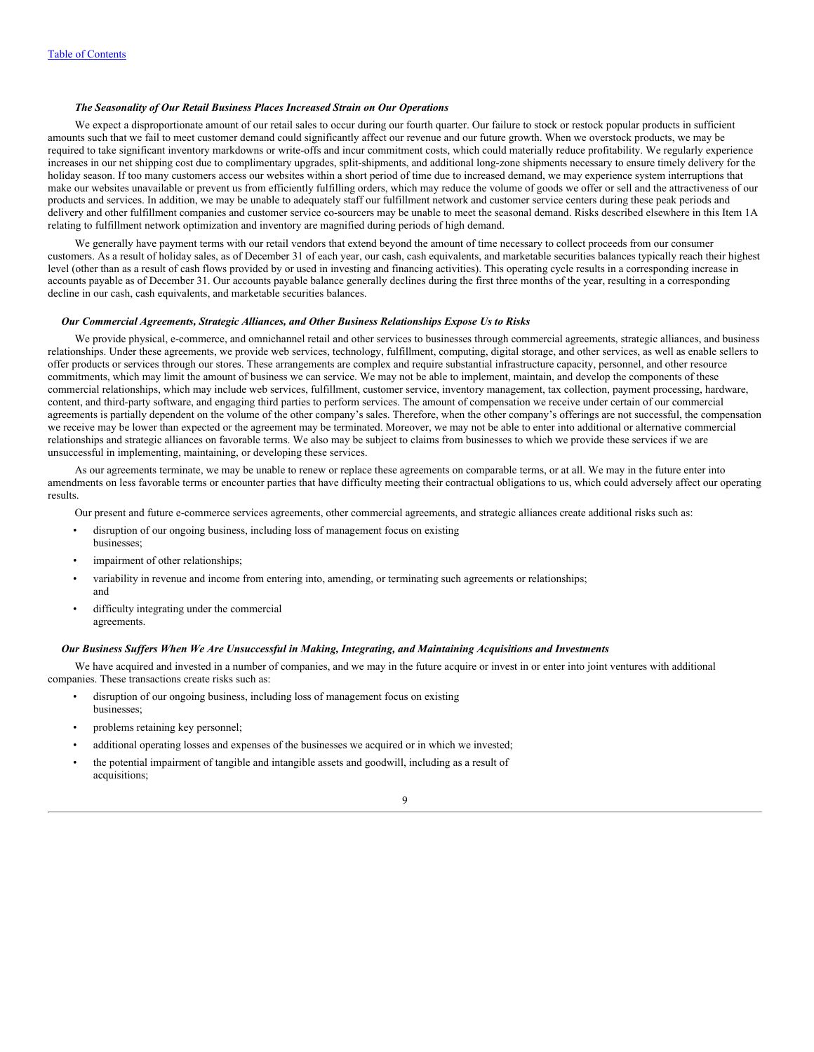### *The Seasonality of Our Retail Business Places Increased Strain on Our Operations*

We expect a disproportionate amount of our retail sales to occur during our fourth quarter. Our failure to stock or restock popular products in sufficient amounts such that we fail to meet customer demand could significantly affect our revenue and our future growth. When we overstock products, we may be required to take significant inventory markdowns or write-offs and incur commitment costs, which could materially reduce profitability. We regularly experience increases in our net shipping cost due to complimentary upgrades, split-shipments, and additional long-zone shipments necessary to ensure timely delivery for the holiday season. If too many customers access our websites within a short period of time due to increased demand, we may experience system interruptions that make our websites unavailable or prevent us from efficiently fulfilling orders, which may reduce the volume of goods we offer or sell and the attractiveness of our products and services. In addition, we may be unable to adequately staff our fulfillment network and customer service centers during these peak periods and delivery and other fulfillment companies and customer service co-sourcers may be unable to meet the seasonal demand. Risks described elsewhere in this Item 1A relating to fulfillment network optimization and inventory are magnified during periods of high demand.

We generally have payment terms with our retail vendors that extend beyond the amount of time necessary to collect proceeds from our consumer customers. As a result of holiday sales, as of December 31 of each year, our cash, cash equivalents, and marketable securities balances typically reach their highest level (other than as a result of cash flows provided by or used in investing and financing activities). This operating cycle results in a corresponding increase in accounts payable as of December 31. Our accounts payable balance generally declines during the first three months of the year, resulting in a corresponding decline in our cash, cash equivalents, and marketable securities balances.

#### *Our Commercial Agreements, Strategic Alliances, and Other Business Relationships Expose Us to Risks*

We provide physical, e-commerce, and omnichannel retail and other services to businesses through commercial agreements, strategic alliances, and business relationships. Under these agreements, we provide web services, technology, fulfillment, computing, digital storage, and other services, as well as enable sellers to offer products or services through our stores. These arrangements are complex and require substantial infrastructure capacity, personnel, and other resource commitments, which may limit the amount of business we can service. We may not be able to implement, maintain, and develop the components of these commercial relationships, which may include web services, fulfillment, customer service, inventory management, tax collection, payment processing, hardware, content, and third-party software, and engaging third parties to perform services. The amount of compensation we receive under certain of our commercial agreements is partially dependent on the volume of the other company's sales. Therefore, when the other company's offerings are not successful, the compensation we receive may be lower than expected or the agreement may be terminated. Moreover, we may not be able to enter into additional or alternative commercial relationships and strategic alliances on favorable terms. We also may be subject to claims from businesses to which we provide these services if we are unsuccessful in implementing, maintaining, or developing these services.

As our agreements terminate, we may be unable to renew or replace these agreements on comparable terms, or at all. We may in the future enter into amendments on less favorable terms or encounter parties that have difficulty meeting their contractual obligations to us, which could adversely affect our operating results.

Our present and future e-commerce services agreements, other commercial agreements, and strategic alliances create additional risks such as:

- disruption of our ongoing business, including loss of management focus on existing businesses;
- impairment of other relationships;
- variability in revenue and income from entering into, amending, or terminating such agreements or relationships; and
- difficulty integrating under the commercial agreements.

### Our Business Suffers When We Are Unsuccessful in Making, Integrating, and Maintaining Acquisitions and Investments

We have acquired and invested in a number of companies, and we may in the future acquire or invest in or enter into joint ventures with additional companies. These transactions create risks such as:

- disruption of our ongoing business, including loss of management focus on existing businesses;
- problems retaining key personnel;
- additional operating losses and expenses of the businesses we acquired or in which we invested;
- the potential impairment of tangible and intangible assets and goodwill, including as a result of acquisitions;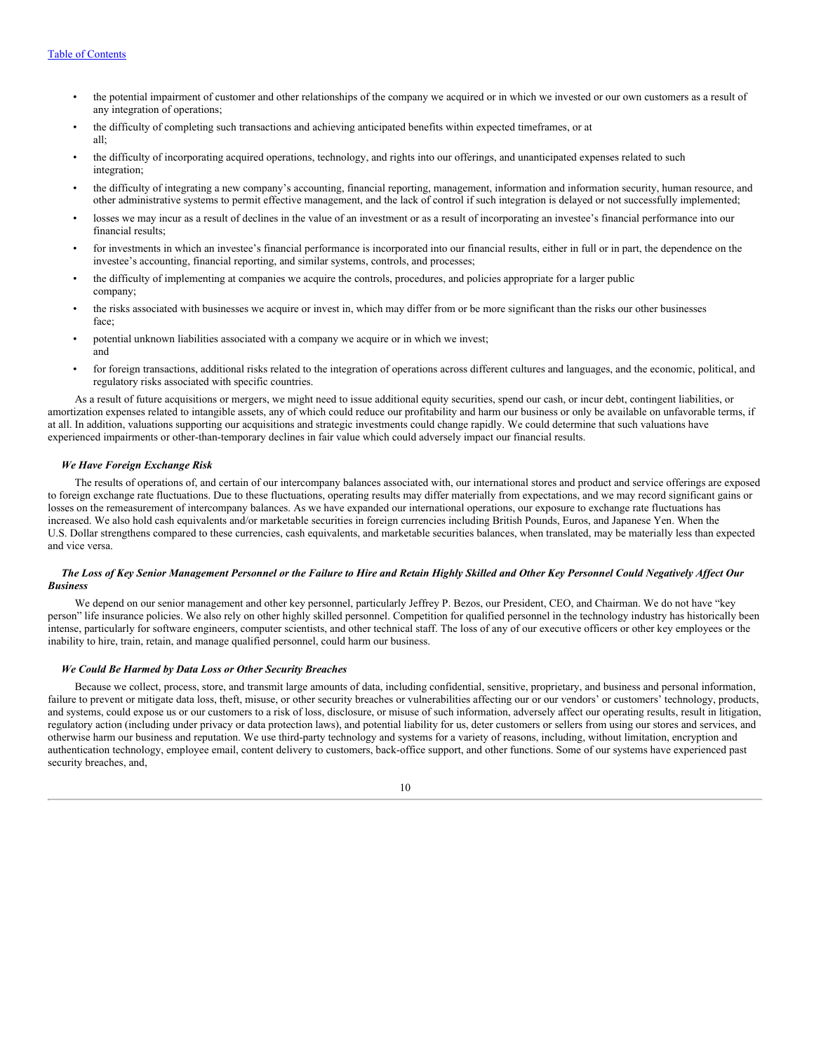- the potential impairment of customer and other relationships of the company we acquired or in which we invested or our own customers as a result of any integration of operations;
- the difficulty of completing such transactions and achieving anticipated benefits within expected timeframes, or at all;
- the difficulty of incorporating acquired operations, technology, and rights into our offerings, and unanticipated expenses related to such integration;
- the difficulty of integrating a new company's accounting, financial reporting, management, information and information security, human resource, and other administrative systems to permit effective management, and the lack of control if such integration is delayed or not successfully implemented;
- losses we may incur as a result of declines in the value of an investment or as a result of incorporating an investee's financial performance into our financial results;
- for investments in which an investee's financial performance is incorporated into our financial results, either in full or in part, the dependence on the investee's accounting, financial reporting, and similar systems, controls, and processes;
- the difficulty of implementing at companies we acquire the controls, procedures, and policies appropriate for a larger public company;
- the risks associated with businesses we acquire or invest in, which may differ from or be more significant than the risks our other businesses face;
- potential unknown liabilities associated with a company we acquire or in which we invest; and
- for foreign transactions, additional risks related to the integration of operations across different cultures and languages, and the economic, political, and regulatory risks associated with specific countries.

As a result of future acquisitions or mergers, we might need to issue additional equity securities, spend our cash, or incur debt, contingent liabilities, or amortization expenses related to intangible assets, any of which could reduce our profitability and harm our business or only be available on unfavorable terms, if at all. In addition, valuations supporting our acquisitions and strategic investments could change rapidly. We could determine that such valuations have experienced impairments or other-than-temporary declines in fair value which could adversely impact our financial results.

### *We Have Foreign Exchange Risk*

The results of operations of, and certain of our intercompany balances associated with, our international stores and product and service offerings are exposed to foreign exchange rate fluctuations. Due to these fluctuations, operating results may differ materially from expectations, and we may record significant gains or losses on the remeasurement of intercompany balances. As we have expanded our international operations, our exposure to exchange rate fluctuations has increased. We also hold cash equivalents and/or marketable securities in foreign currencies including British Pounds, Euros, and Japanese Yen. When the U.S. Dollar strengthens compared to these currencies, cash equivalents, and marketable securities balances, when translated, may be materially less than expected and vice versa.

### The Loss of Key Senior Management Personnel or the Failure to Hire and Retain Highly Skilled and Other Key Personnel Could Negatively Affect Our *Business*

We depend on our senior management and other key personnel, particularly Jeffrey P. Bezos, our President, CEO, and Chairman. We do not have "key person" life insurance policies. We also rely on other highly skilled personnel. Competition for qualified personnel in the technology industry has historically been intense, particularly for software engineers, computer scientists, and other technical staff. The loss of any of our executive officers or other key employees or the inability to hire, train, retain, and manage qualified personnel, could harm our business.

### *We Could Be Harmed by Data Loss or Other Security Breaches*

Because we collect, process, store, and transmit large amounts of data, including confidential, sensitive, proprietary, and business and personal information, failure to prevent or mitigate data loss, theft, misuse, or other security breaches or vulnerabilities affecting our or our vendors' or customers' technology, products, and systems, could expose us or our customers to a risk of loss, disclosure, or misuse of such information, adversely affect our operating results, result in litigation, regulatory action (including under privacy or data protection laws), and potential liability for us, deter customers or sellers from using our stores and services, and otherwise harm our business and reputation. We use third-party technology and systems for a variety of reasons, including, without limitation, encryption and authentication technology, employee email, content delivery to customers, back-office support, and other functions. Some of our systems have experienced past security breaches, and,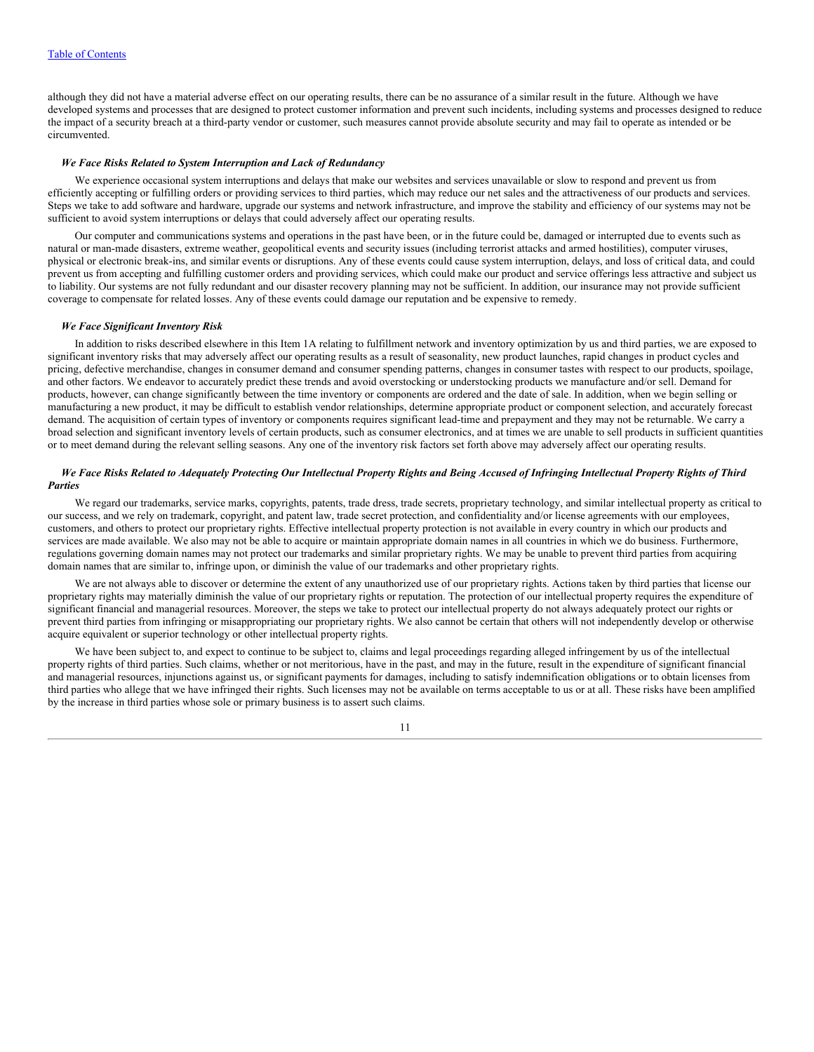although they did not have a material adverse effect on our operating results, there can be no assurance of a similar result in the future. Although we have developed systems and processes that are designed to protect customer information and prevent such incidents, including systems and processes designed to reduce the impact of a security breach at a third-party vendor or customer, such measures cannot provide absolute security and may fail to operate as intended or be circumvented.

### *We Face Risks Related to System Interruption and Lack of Redundancy*

We experience occasional system interruptions and delays that make our websites and services unavailable or slow to respond and prevent us from efficiently accepting or fulfilling orders or providing services to third parties, which may reduce our net sales and the attractiveness of our products and services. Steps we take to add software and hardware, upgrade our systems and network infrastructure, and improve the stability and efficiency of our systems may not be sufficient to avoid system interruptions or delays that could adversely affect our operating results.

Our computer and communications systems and operations in the past have been, or in the future could be, damaged or interrupted due to events such as natural or man-made disasters, extreme weather, geopolitical events and security issues (including terrorist attacks and armed hostilities), computer viruses, physical or electronic break-ins, and similar events or disruptions. Any of these events could cause system interruption, delays, and loss of critical data, and could prevent us from accepting and fulfilling customer orders and providing services, which could make our product and service offerings less attractive and subject us to liability. Our systems are not fully redundant and our disaster recovery planning may not be sufficient. In addition, our insurance may not provide sufficient coverage to compensate for related losses. Any of these events could damage our reputation and be expensive to remedy.

### *We Face Significant Inventory Risk*

In addition to risks described elsewhere in this Item 1A relating to fulfillment network and inventory optimization by us and third parties, we are exposed to significant inventory risks that may adversely affect our operating results as a result of seasonality, new product launches, rapid changes in product cycles and pricing, defective merchandise, changes in consumer demand and consumer spending patterns, changes in consumer tastes with respect to our products, spoilage, and other factors. We endeavor to accurately predict these trends and avoid overstocking or understocking products we manufacture and/or sell. Demand for products, however, can change significantly between the time inventory or components are ordered and the date of sale. In addition, when we begin selling or manufacturing a new product, it may be difficult to establish vendor relationships, determine appropriate product or component selection, and accurately forecast demand. The acquisition of certain types of inventory or components requires significant lead-time and prepayment and they may not be returnable. We carry a broad selection and significant inventory levels of certain products, such as consumer electronics, and at times we are unable to sell products in sufficient quantities or to meet demand during the relevant selling seasons. Any one of the inventory risk factors set forth above may adversely affect our operating results.

### We Face Risks Related to Adequately Protecting Our Intellectual Property Rights and Being Accused of Infringing Intellectual Property Rights of Third *Parties*

We regard our trademarks, service marks, copyrights, patents, trade dress, trade secrets, proprietary technology, and similar intellectual property as critical to our success, and we rely on trademark, copyright, and patent law, trade secret protection, and confidentiality and/or license agreements with our employees, customers, and others to protect our proprietary rights. Effective intellectual property protection is not available in every country in which our products and services are made available. We also may not be able to acquire or maintain appropriate domain names in all countries in which we do business. Furthermore, regulations governing domain names may not protect our trademarks and similar proprietary rights. We may be unable to prevent third parties from acquiring domain names that are similar to, infringe upon, or diminish the value of our trademarks and other proprietary rights.

We are not always able to discover or determine the extent of any unauthorized use of our proprietary rights. Actions taken by third parties that license our proprietary rights may materially diminish the value of our proprietary rights or reputation. The protection of our intellectual property requires the expenditure of significant financial and managerial resources. Moreover, the steps we take to protect our intellectual property do not always adequately protect our rights or prevent third parties from infringing or misappropriating our proprietary rights. We also cannot be certain that others will not independently develop or otherwise acquire equivalent or superior technology or other intellectual property rights.

We have been subject to, and expect to continue to be subject to, claims and legal proceedings regarding alleged infringement by us of the intellectual property rights of third parties. Such claims, whether or not meritorious, have in the past, and may in the future, result in the expenditure of significant financial and managerial resources, injunctions against us, or significant payments for damages, including to satisfy indemnification obligations or to obtain licenses from third parties who allege that we have infringed their rights. Such licenses may not be available on terms acceptable to us or at all. These risks have been amplified by the increase in third parties whose sole or primary business is to assert such claims.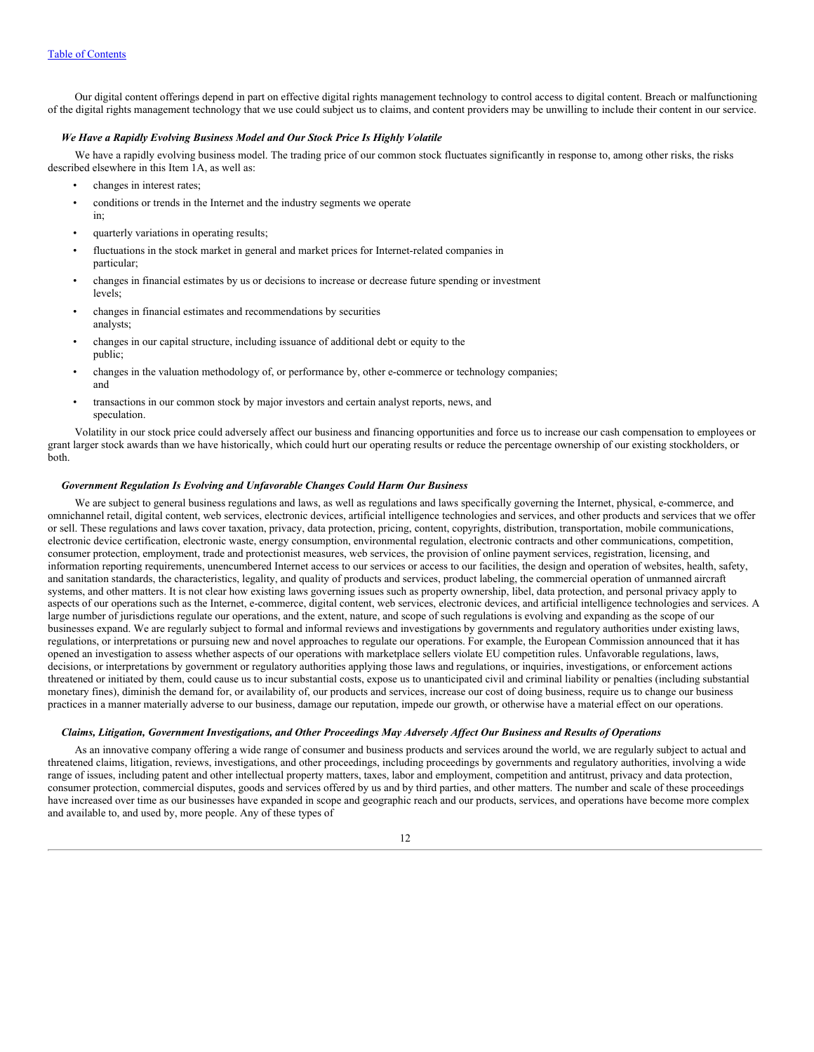Our digital content offerings depend in part on effective digital rights management technology to control access to digital content. Breach or malfunctioning of the digital rights management technology that we use could subject us to claims, and content providers may be unwilling to include their content in our service.

### *We Have a Rapidly Evolving Business Model and Our Stock Price Is Highly Volatile*

We have a rapidly evolving business model. The trading price of our common stock fluctuates significantly in response to, among other risks, the risks described elsewhere in this Item 1A, as well as:

- changes in interest rates;
- conditions or trends in the Internet and the industry segments we operate in;
- quarterly variations in operating results;
- fluctuations in the stock market in general and market prices for Internet-related companies in particular;
- changes in financial estimates by us or decisions to increase or decrease future spending or investment levels;
- changes in financial estimates and recommendations by securities analysts;
- changes in our capital structure, including issuance of additional debt or equity to the public;
- changes in the valuation methodology of, or performance by, other e-commerce or technology companies; and
- transactions in our common stock by major investors and certain analyst reports, news, and speculation.

Volatility in our stock price could adversely affect our business and financing opportunities and force us to increase our cash compensation to employees or grant larger stock awards than we have historically, which could hurt our operating results or reduce the percentage ownership of our existing stockholders, or both.

#### *Government Regulation Is Evolving and Unfavorable Changes Could Harm Our Business*

We are subject to general business regulations and laws, as well as regulations and laws specifically governing the Internet, physical, e-commerce, and omnichannel retail, digital content, web services, electronic devices, artificial intelligence technologies and services, and other products and services that we offer or sell. These regulations and laws cover taxation, privacy, data protection, pricing, content, copyrights, distribution, transportation, mobile communications, electronic device certification, electronic waste, energy consumption, environmental regulation, electronic contracts and other communications, competition, consumer protection, employment, trade and protectionist measures, web services, the provision of online payment services, registration, licensing, and information reporting requirements, unencumbered Internet access to our services or access to our facilities, the design and operation of websites, health, safety, and sanitation standards, the characteristics, legality, and quality of products and services, product labeling, the commercial operation of unmanned aircraft systems, and other matters. It is not clear how existing laws governing issues such as property ownership, libel, data protection, and personal privacy apply to aspects of our operations such as the Internet, e-commerce, digital content, web services, electronic devices, and artificial intelligence technologies and services. A large number of jurisdictions regulate our operations, and the extent, nature, and scope of such regulations is evolving and expanding as the scope of our businesses expand. We are regularly subject to formal and informal reviews and investigations by governments and regulatory authorities under existing laws, regulations, or interpretations or pursuing new and novel approaches to regulate our operations. For example, the European Commission announced that it has opened an investigation to assess whether aspects of our operations with marketplace sellers violate EU competition rules. Unfavorable regulations, laws, decisions, or interpretations by government or regulatory authorities applying those laws and regulations, or inquiries, investigations, or enforcement actions threatened or initiated by them, could cause us to incur substantial costs, expose us to unanticipated civil and criminal liability or penalties (including substantial monetary fines), diminish the demand for, or availability of, our products and services, increase our cost of doing business, require us to change our business practices in a manner materially adverse to our business, damage our reputation, impede our growth, or otherwise have a material effect on our operations.

### Claims, Litigation, Government Investigations, and Other Proceedings May Adversely Affect Our Business and Results of Operations

As an innovative company offering a wide range of consumer and business products and services around the world, we are regularly subject to actual and threatened claims, litigation, reviews, investigations, and other proceedings, including proceedings by governments and regulatory authorities, involving a wide range of issues, including patent and other intellectual property matters, taxes, labor and employment, competition and antitrust, privacy and data protection, consumer protection, commercial disputes, goods and services offered by us and by third parties, and other matters. The number and scale of these proceedings have increased over time as our businesses have expanded in scope and geographic reach and our products, services, and operations have become more complex and available to, and used by, more people. Any of these types of

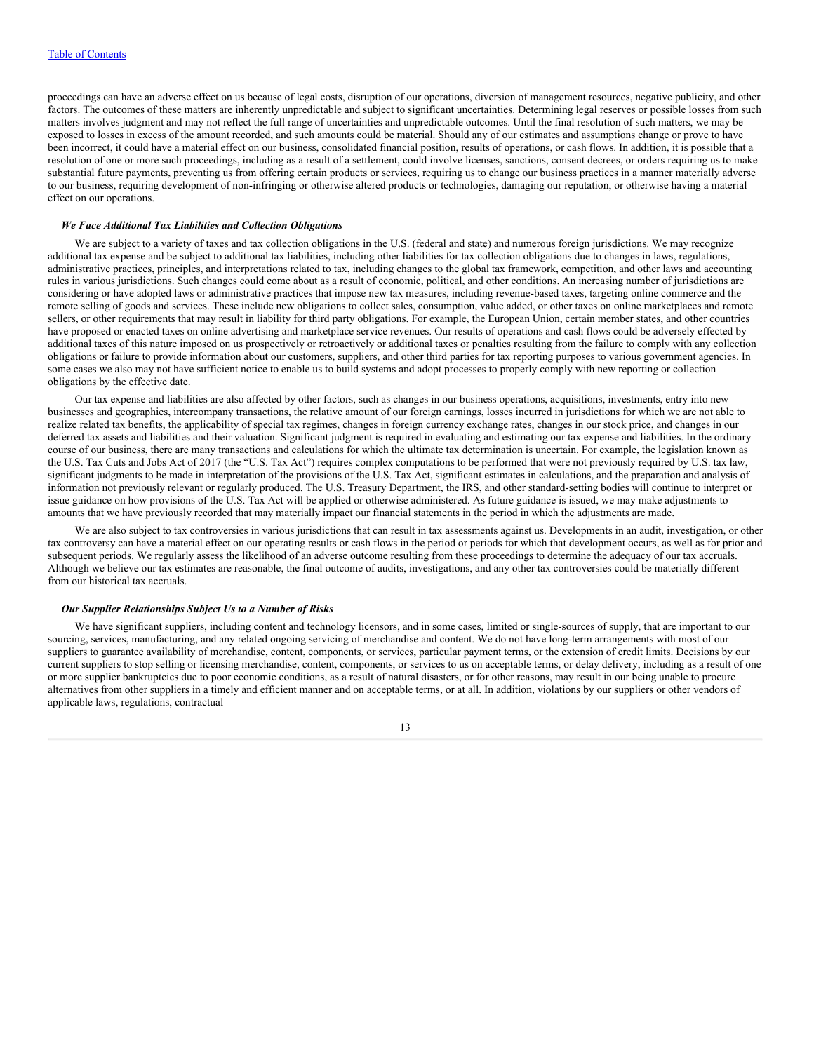proceedings can have an adverse effect on us because of legal costs, disruption of our operations, diversion of management resources, negative publicity, and other factors. The outcomes of these matters are inherently unpredictable and subject to significant uncertainties. Determining legal reserves or possible losses from such matters involves judgment and may not reflect the full range of uncertainties and unpredictable outcomes. Until the final resolution of such matters, we may be exposed to losses in excess of the amount recorded, and such amounts could be material. Should any of our estimates and assumptions change or prove to have been incorrect, it could have a material effect on our business, consolidated financial position, results of operations, or cash flows. In addition, it is possible that a resolution of one or more such proceedings, including as a result of a settlement, could involve licenses, sanctions, consent decrees, or orders requiring us to make substantial future payments, preventing us from offering certain products or services, requiring us to change our business practices in a manner materially adverse to our business, requiring development of non-infringing or otherwise altered products or technologies, damaging our reputation, or otherwise having a material effect on our operations.

### *We Face Additional Tax Liabilities and Collection Obligations*

We are subject to a variety of taxes and tax collection obligations in the U.S. (federal and state) and numerous foreign jurisdictions. We may recognize additional tax expense and be subject to additional tax liabilities, including other liabilities for tax collection obligations due to changes in laws, regulations, administrative practices, principles, and interpretations related to tax, including changes to the global tax framework, competition, and other laws and accounting rules in various jurisdictions. Such changes could come about as a result of economic, political, and other conditions. An increasing number of jurisdictions are considering or have adopted laws or administrative practices that impose new tax measures, including revenue-based taxes, targeting online commerce and the remote selling of goods and services. These include new obligations to collect sales, consumption, value added, or other taxes on online marketplaces and remote sellers, or other requirements that may result in liability for third party obligations. For example, the European Union, certain member states, and other countries have proposed or enacted taxes on online advertising and marketplace service revenues. Our results of operations and cash flows could be adversely effected by additional taxes of this nature imposed on us prospectively or retroactively or additional taxes or penalties resulting from the failure to comply with any collection obligations or failure to provide information about our customers, suppliers, and other third parties for tax reporting purposes to various government agencies. In some cases we also may not have sufficient notice to enable us to build systems and adopt processes to properly comply with new reporting or collection obligations by the effective date.

Our tax expense and liabilities are also affected by other factors, such as changes in our business operations, acquisitions, investments, entry into new businesses and geographies, intercompany transactions, the relative amount of our foreign earnings, losses incurred in jurisdictions for which we are not able to realize related tax benefits, the applicability of special tax regimes, changes in foreign currency exchange rates, changes in our stock price, and changes in our deferred tax assets and liabilities and their valuation. Significant judgment is required in evaluating and estimating our tax expense and liabilities. In the ordinary course of our business, there are many transactions and calculations for which the ultimate tax determination is uncertain. For example, the legislation known as the U.S. Tax Cuts and Jobs Act of 2017 (the "U.S. Tax Act") requires complex computations to be performed that were not previously required by U.S. tax law, significant judgments to be made in interpretation of the provisions of the U.S. Tax Act, significant estimates in calculations, and the preparation and analysis of information not previously relevant or regularly produced. The U.S. Treasury Department, the IRS, and other standard-setting bodies will continue to interpret or issue guidance on how provisions of the U.S. Tax Act will be applied or otherwise administered. As future guidance is issued, we may make adjustments to amounts that we have previously recorded that may materially impact our financial statements in the period in which the adjustments are made.

We are also subject to tax controversies in various jurisdictions that can result in tax assessments against us. Developments in an audit, investigation, or other tax controversy can have a material effect on our operating results or cash flows in the period or periods for which that development occurs, as well as for prior and subsequent periods. We regularly assess the likelihood of an adverse outcome resulting from these proceedings to determine the adequacy of our tax accruals. Although we believe our tax estimates are reasonable, the final outcome of audits, investigations, and any other tax controversies could be materially different from our historical tax accruals.

#### *Our Supplier Relationships Subject Us to a Number of Risks*

We have significant suppliers, including content and technology licensors, and in some cases, limited or single-sources of supply, that are important to our sourcing, services, manufacturing, and any related ongoing servicing of merchandise and content. We do not have long-term arrangements with most of our suppliers to guarantee availability of merchandise, content, components, or services, particular payment terms, or the extension of credit limits. Decisions by our current suppliers to stop selling or licensing merchandise, content, components, or services to us on acceptable terms, or delay delivery, including as a result of one or more supplier bankruptcies due to poor economic conditions, as a result of natural disasters, or for other reasons, may result in our being unable to procure alternatives from other suppliers in a timely and efficient manner and on acceptable terms, or at all. In addition, violations by our suppliers or other vendors of applicable laws, regulations, contractual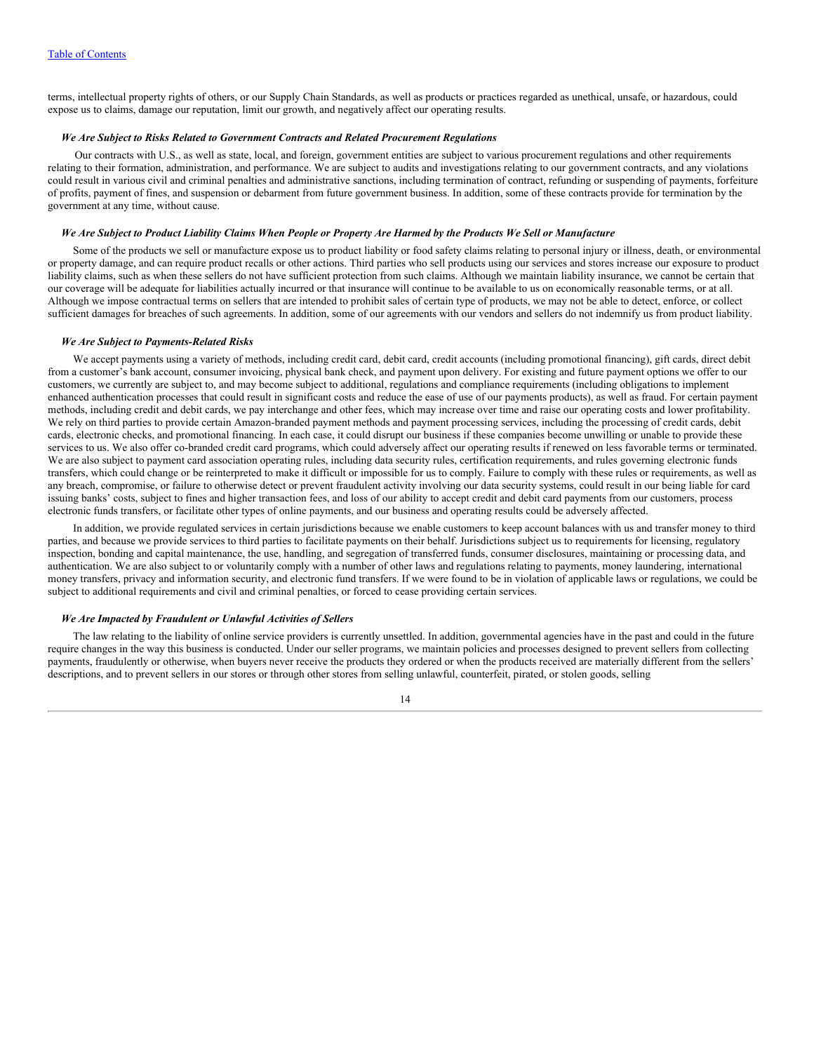terms, intellectual property rights of others, or our Supply Chain Standards, as well as products or practices regarded as unethical, unsafe, or hazardous, could expose us to claims, damage our reputation, limit our growth, and negatively affect our operating results.

### *We Are Subject to Risks Related to Government Contracts and Related Procurement Regulations*

Our contracts with U.S., as well as state, local, and foreign, government entities are subject to various procurement regulations and other requirements relating to their formation, administration, and performance. We are subject to audits and investigations relating to our government contracts, and any violations could result in various civil and criminal penalties and administrative sanctions, including termination of contract, refunding or suspending of payments, forfeiture of profits, payment of fines, and suspension or debarment from future government business. In addition, some of these contracts provide for termination by the government at any time, without cause.

### We Are Subject to Product Liability Claims When People or Property Are Harmed by the Products We Sell or Manufacture

Some of the products we sell or manufacture expose us to product liability or food safety claims relating to personal injury or illness, death, or environmental or property damage, and can require product recalls or other actions. Third parties who sell products using our services and stores increase our exposure to product liability claims, such as when these sellers do not have sufficient protection from such claims. Although we maintain liability insurance, we cannot be certain that our coverage will be adequate for liabilities actually incurred or that insurance will continue to be available to us on economically reasonable terms, or at all. Although we impose contractual terms on sellers that are intended to prohibit sales of certain type of products, we may not be able to detect, enforce, or collect sufficient damages for breaches of such agreements. In addition, some of our agreements with our vendors and sellers do not indemnify us from product liability.

#### *We Are Subject to Payments-Related Risks*

We accept payments using a variety of methods, including credit card, debit card, credit accounts (including promotional financing), gift cards, direct debit from a customer's bank account, consumer invoicing, physical bank check, and payment upon delivery. For existing and future payment options we offer to our customers, we currently are subject to, and may become subject to additional, regulations and compliance requirements (including obligations to implement enhanced authentication processes that could result in significant costs and reduce the ease of use of our payments products), as well as fraud. For certain payment methods, including credit and debit cards, we pay interchange and other fees, which may increase over time and raise our operating costs and lower profitability. We rely on third parties to provide certain Amazon-branded payment methods and payment processing services, including the processing of credit cards, debit cards, electronic checks, and promotional financing. In each case, it could disrupt our business if these companies become unwilling or unable to provide these services to us. We also offer co-branded credit card programs, which could adversely affect our operating results if renewed on less favorable terms or terminated. We are also subject to payment card association operating rules, including data security rules, certification requirements, and rules governing electronic funds transfers, which could change or be reinterpreted to make it difficult or impossible for us to comply. Failure to comply with these rules or requirements, as well as any breach, compromise, or failure to otherwise detect or prevent fraudulent activity involving our data security systems, could result in our being liable for card issuing banks' costs, subject to fines and higher transaction fees, and loss of our ability to accept credit and debit card payments from our customers, process electronic funds transfers, or facilitate other types of online payments, and our business and operating results could be adversely affected.

In addition, we provide regulated services in certain jurisdictions because we enable customers to keep account balances with us and transfer money to third parties, and because we provide services to third parties to facilitate payments on their behalf. Jurisdictions subject us to requirements for licensing, regulatory inspection, bonding and capital maintenance, the use, handling, and segregation of transferred funds, consumer disclosures, maintaining or processing data, and authentication. We are also subject to or voluntarily comply with a number of other laws and regulations relating to payments, money laundering, international money transfers, privacy and information security, and electronic fund transfers. If we were found to be in violation of applicable laws or regulations, we could be subject to additional requirements and civil and criminal penalties, or forced to cease providing certain services.

#### *We Are Impacted by Fraudulent or Unlawful Activities of Sellers*

The law relating to the liability of online service providers is currently unsettled. In addition, governmental agencies have in the past and could in the future require changes in the way this business is conducted. Under our seller programs, we maintain policies and processes designed to prevent sellers from collecting payments, fraudulently or otherwise, when buyers never receive the products they ordered or when the products received are materially different from the sellers' descriptions, and to prevent sellers in our stores or through other stores from selling unlawful, counterfeit, pirated, or stolen goods, selling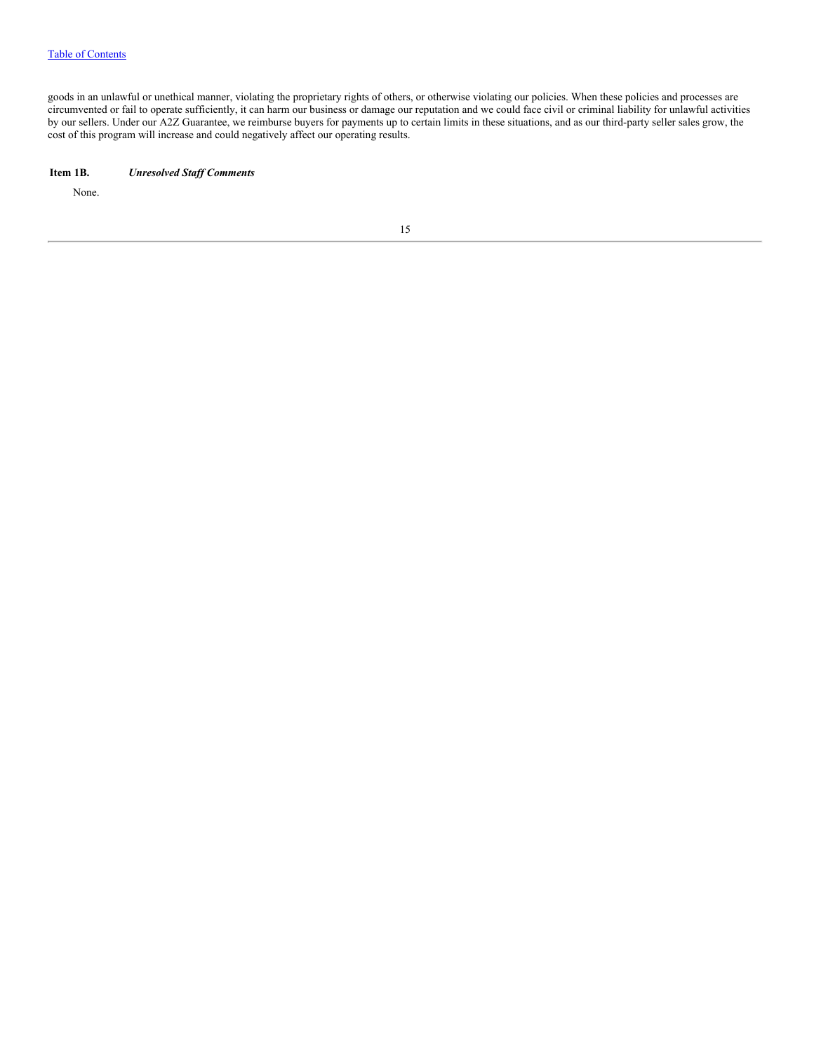<span id="page-14-0"></span>goods in an unlawful or unethical manner, violating the proprietary rights of others, or otherwise violating our policies. When these policies and processes are circumvented or fail to operate sufficiently, it can harm our business or damage our reputation and we could face civil or criminal liability for unlawful activities by our sellers. Under our A2Z Guarantee, we reimburse buyers for payments up to certain limits in these situations, and as our third-party seller sales grow, the cost of this program will increase and could negatively affect our operating results.

**Item 1B.** *Unresolved Staf Comments*

None.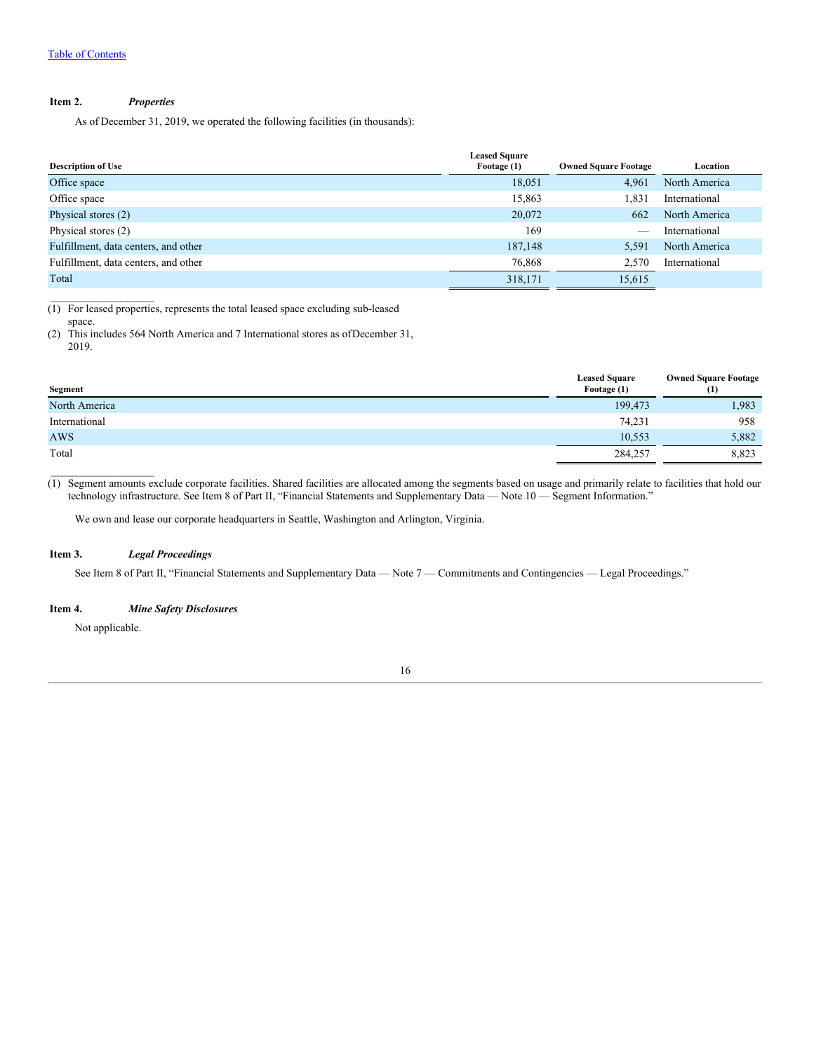### <span id="page-15-0"></span>**Item 2.** *Properties*

As of December 31, 2019, we operated the following facilities (in thousands):

| <b>Description of Use</b>            | <b>Leased Square</b><br>Footage (1) | <b>Owned Square Footage</b> | Location      |
|--------------------------------------|-------------------------------------|-----------------------------|---------------|
| Office space                         | 18,051                              | 4.961                       | North America |
| Office space                         | 15,863                              | 1,831                       | International |
| Physical stores (2)                  | 20,072                              | 662                         | North America |
| Physical stores (2)                  | 169                                 |                             | International |
| Fulfillment, data centers, and other | 187,148                             | 5,591                       | North America |
| Fulfillment, data centers, and other | 76,868                              | 2,570                       | International |
| Total                                | 318,171                             | 15,615                      |               |

(1) For leased properties, represents the total leased space excluding sub-leased

space. (2) This includes 564 North America and 7 International stores as ofDecember 31,

2019.

| Segment       | <b>Leased Square</b><br>Footage (1) | <b>Owned Square Footage</b><br>(1) |
|---------------|-------------------------------------|------------------------------------|
| North America | 199,473                             | 1,983                              |
| International | 74,231                              | 958                                |
| <b>AWS</b>    | 10,553                              | 5,882                              |
| Total         | 284,257                             | 8,823                              |
|               |                                     |                                    |

 $\overline{(1)}$  Segment amounts exclude corporate facilities. Shared facilities are allocated among the segments based on usage and primarily relate to facilities that hold our technology infrastructure. See Item 8 of Part II, "Financial Statements and Supplementary Data — Note 10 — Segment Information."

We own and lease our corporate headquarters in Seattle, Washington and Arlington, Virginia.

### **Item 3.** *Legal Proceedings*

See Item 8 of Part II, "Financial Statements and Supplementary Data — Note 7 — Commitments and Contingencies — Legal Proceedings."

### **Item 4.** *Mine Safety Disclosures*

Not applicable.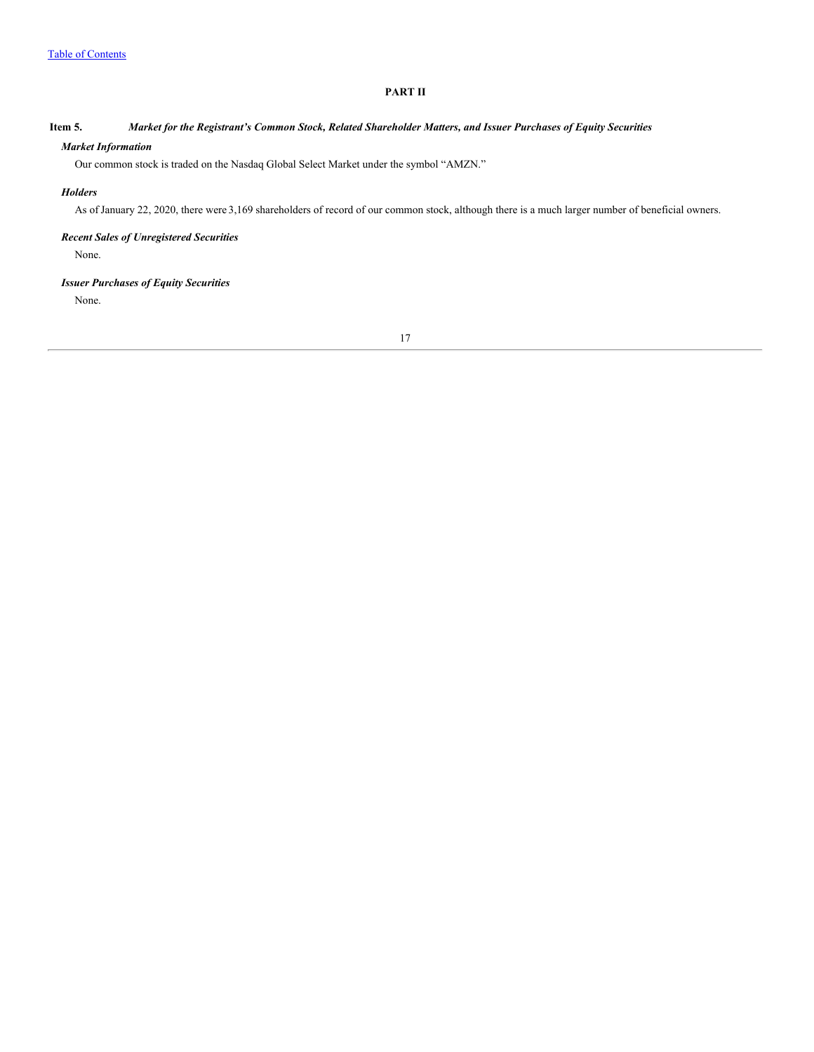### **PART II**

### <span id="page-16-0"></span>Item 5. Market for the Registrant's Common Stock, Related Shareholder Matters, and Issuer Purchases of Equity Securities

### *Market Information*

Our common stock is traded on the Nasdaq Global Select Market under the symbol "AMZN."

### *Holders*

As of January 22, 2020, there were 3,169 shareholders of record of our common stock, although there is a much larger number of beneficial owners.

### *Recent Sales of Unregistered Securities*

None.

### *Issuer Purchases of Equity Securities*

None.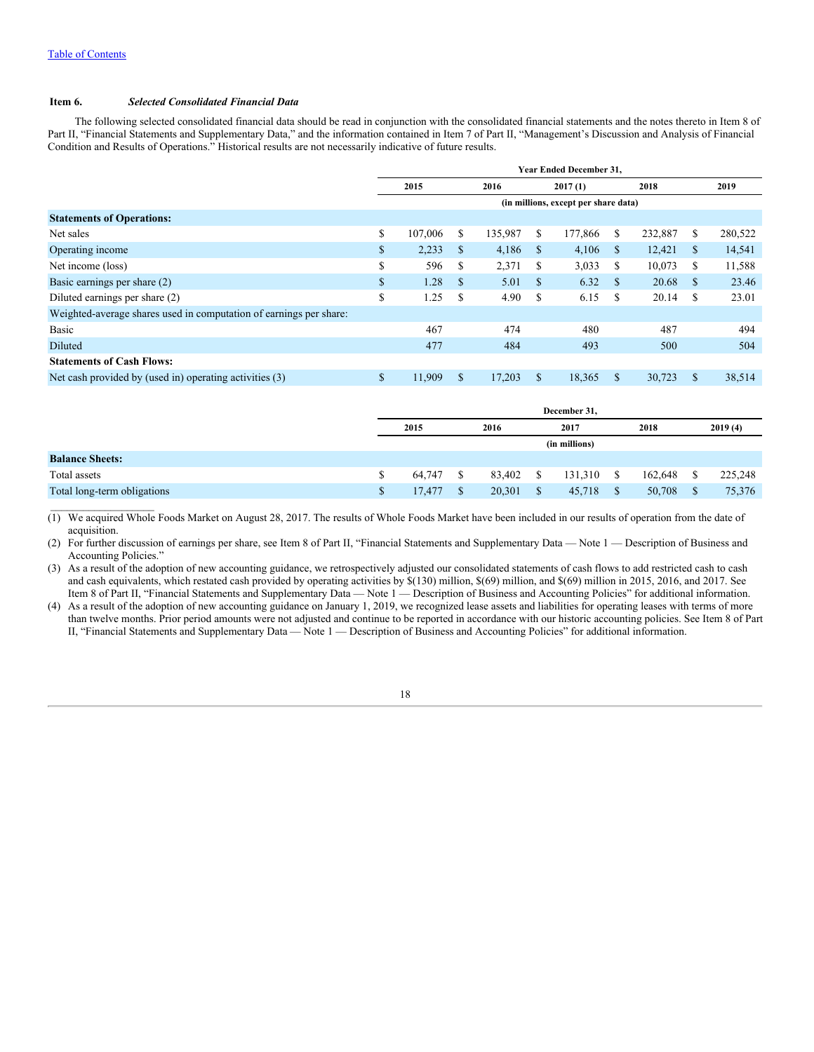### **Item 6.** *Selected Consolidated Financial Data*

The following selected consolidated financial data should be read in conjunction with the consolidated financial statements and the notes thereto in Item 8 of Part II, "Financial Statements and Supplementary Data," and the information contained in Item 7 of Part II, "Management's Discussion and Analysis of Financial Condition and Results of Operations." Historical results are not necessarily indicative of future results.

| Year Ended December 31, |         |               |         |               |         |              |         |                                      |         |
|-------------------------|---------|---------------|---------|---------------|---------|--------------|---------|--------------------------------------|---------|
|                         | 2015    |               | 2016    |               | 2017(1) |              | 2018    |                                      | 2019    |
|                         |         |               |         |               |         |              |         |                                      |         |
|                         |         |               |         |               |         |              |         |                                      |         |
| \$                      | 107,006 | S             | 135,987 | S             | 177,866 | S.           | 232,887 | S                                    | 280,522 |
| \$                      | 2,233   | \$.           | 4,186   | \$.           | 4,106   | <sup>S</sup> | 12,421  | \$                                   | 14,541  |
| \$                      | 596     | S             | 2,371   | S             | 3,033   | S.           | 10,073  | S                                    | 11,588  |
| $\mathbb{S}$            | 1.28    | <sup>\$</sup> | 5.01    | <sup>\$</sup> | 6.32    | -S           | 20.68   | S                                    | 23.46   |
| \$                      | 1.25    | S             | 4.90    | S             | 6.15    | S            | 20.14   | S                                    | 23.01   |
|                         |         |               |         |               |         |              |         |                                      |         |
|                         | 467     |               | 474     |               | 480     |              | 487     |                                      | 494     |
|                         | 477     |               | 484     |               | 493     |              | 500     |                                      | 504     |
|                         |         |               |         |               |         |              |         |                                      |         |
| \$                      | 11,909  | \$            | 17,203  | S             | 18,365  | \$           | 30,723  | \$                                   | 38,514  |
|                         |         |               |         |               |         |              |         | (in millions, except per share data) |         |

|                             | December 31, |   |        |    |               |     |         |   |         |
|-----------------------------|--------------|---|--------|----|---------------|-----|---------|---|---------|
|                             | 2015         |   | 2016   |    | 2017          |     | 2018    |   | 2019(4) |
|                             |              |   |        |    | (in millions) |     |         |   |         |
| <b>Balance Sheets:</b>      |              |   |        |    |               |     |         |   |         |
| Total assets                | 64.747       | S | 83.402 | -S | 131,310       | - S | 162,648 | S | 225,248 |
| Total long-term obligations | 17.477       |   | 20,301 |    | 45,718        | S.  | 50,708  |   | 75,376  |

(1) We acquired Whole Foods Market on August 28, 2017. The results of Whole Foods Market have been included in our results of operation from the date of acquisition.

(2) For further discussion of earnings per share, see Item 8 of Part II, "Financial Statements and Supplementary Data — Note 1 — Description of Business and Accounting Policies."

(3) As a result of the adoption of new accounting guidance, we retrospectively adjusted our consolidated statements of cash flows to add restricted cash to cash and cash equivalents, which restated cash provided by operating activities by \$(130) million, \$(69) million, and \$(69) million in 2015, 2016, and 2017. See Item 8 of Part II, "Financial Statements and Supplementary Data — Note 1 — Description of Business and Accounting Policies" for additional information.

(4) As a result of the adoption of new accounting guidance on January 1, 2019, we recognized lease assets and liabilities for operating leases with terms of more than twelve months. Prior period amounts were not adjusted and continue to be reported in accordance with our historic accounting policies. See Item 8 of Part II, "Financial Statements and Supplementary Data — Note 1 — Description of Business and Accounting Policies" for additional information.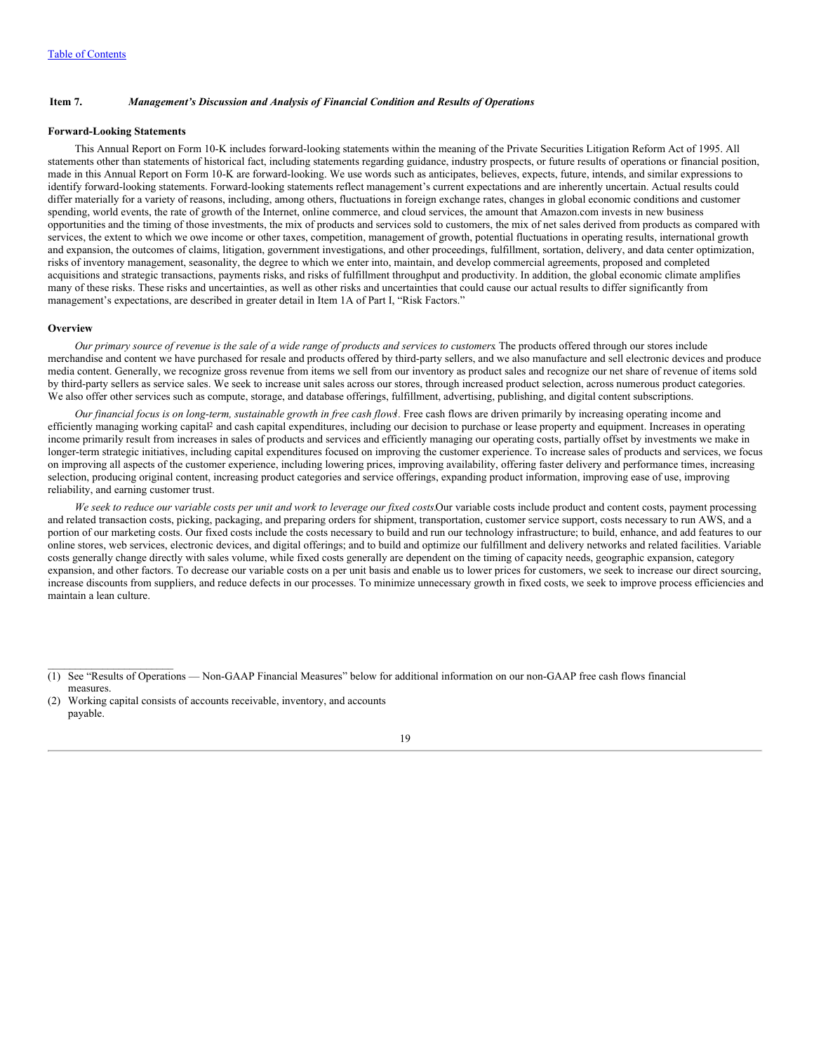### <span id="page-18-0"></span>**Item 7.** *Management's Discussion and Analysis of Financial Condition and Results of Operations*

#### **Forward-Looking Statements**

This Annual Report on Form 10-K includes forward-looking statements within the meaning of the Private Securities Litigation Reform Act of 1995. All statements other than statements of historical fact, including statements regarding guidance, industry prospects, or future results of operations or financial position, made in this Annual Report on Form 10-K are forward-looking. We use words such as anticipates, believes, expects, future, intends, and similar expressions to identify forward-looking statements. Forward-looking statements reflect management's current expectations and are inherently uncertain. Actual results could differ materially for a variety of reasons, including, among others, fluctuations in foreign exchange rates, changes in global economic conditions and customer spending, world events, the rate of growth of the Internet, online commerce, and cloud services, the amount that Amazon.com invests in new business opportunities and the timing of those investments, the mix of products and services sold to customers, the mix of net sales derived from products as compared with services, the extent to which we owe income or other taxes, competition, management of growth, potential fluctuations in operating results, international growth and expansion, the outcomes of claims, litigation, government investigations, and other proceedings, fulfillment, sortation, delivery, and data center optimization, risks of inventory management, seasonality, the degree to which we enter into, maintain, and develop commercial agreements, proposed and completed acquisitions and strategic transactions, payments risks, and risks of fulfillment throughput and productivity. In addition, the global economic climate amplifies many of these risks. These risks and uncertainties, as well as other risks and uncertainties that could cause our actual results to differ significantly from management's expectations, are described in greater detail in Item 1A of Part I, "Risk Factors."

#### **Overview**

Our primary source of revenue is the sale of a wide range of products and services to customers. The products offered through our stores include merchandise and content we have purchased for resale and products offered by third-party sellers, and we also manufacture and sell electronic devices and produce media content. Generally, we recognize gross revenue from items we sell from our inventory as product sales and recognize our net share of revenue of items sold by third-party sellers as service sales. We seek to increase unit sales across our stores, through increased product selection, across numerous product categories. We also offer other services such as compute, storage, and database offerings, fulfillment, advertising, publishing, and digital content subscriptions.

Our financial focus is on long-term, sustainable growth in free cash flows. Free cash flows are driven primarily by increasing operating income and efficiently managing working capital<sup>2</sup> and cash capital expenditures, including our decision to purchase or lease property and equipment. Increases in operating income primarily result from increases in sales of products and services and efficiently managing our operating costs, partially offset by investments we make in longer-term strategic initiatives, including capital expenditures focused on improving the customer experience. To increase sales of products and services, we focus on improving all aspects of the customer experience, including lowering prices, improving availability, offering faster delivery and performance times, increasing selection, producing original content, increasing product categories and service offerings, expanding product information, improving ease of use, improving reliability, and earning customer trust.

We seek to reduce our variable costs per unit and work to leverage our fixed costs.Our variable costs include product and content costs, payment processing and related transaction costs, picking, packaging, and preparing orders for shipment, transportation, customer service support, costs necessary to run AWS, and a portion of our marketing costs. Our fixed costs include the costs necessary to build and run our technology infrastructure; to build, enhance, and add features to our online stores, web services, electronic devices, and digital offerings; and to build and optimize our fulfillment and delivery networks and related facilities. Variable costs generally change directly with sales volume, while fixed costs generally are dependent on the timing of capacity needs, geographic expansion, category expansion, and other factors. To decrease our variable costs on a per unit basis and enable us to lower prices for customers, we seek to increase our direct sourcing, increase discounts from suppliers, and reduce defects in our processes. To minimize unnecessary growth in fixed costs, we seek to improve process efficiencies and maintain a lean culture.

<sup>(2)</sup> Working capital consists of accounts receivable, inventory, and accounts payable.



<sup>(1)</sup> See "Results of Operations — Non-GAAP Financial Measures" below for additional information on our non-GAAP free cash flows financial measures.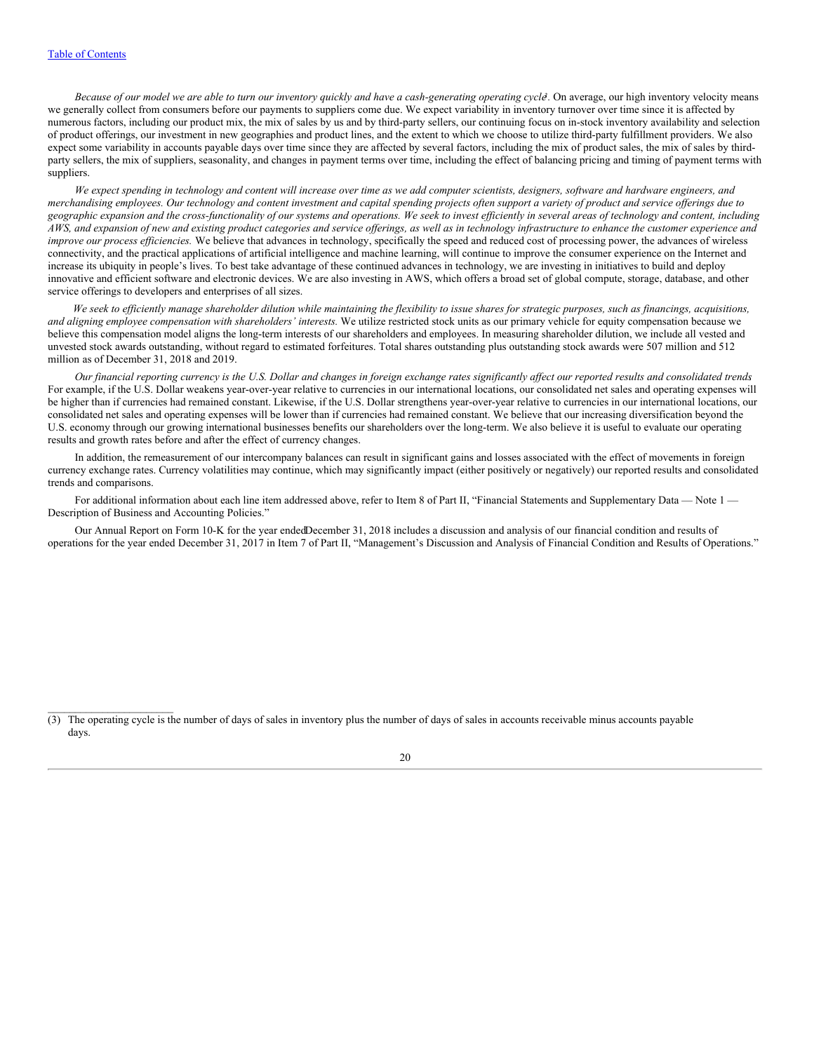$\mathcal{L}_\text{max}$  and  $\mathcal{L}_\text{max}$  and  $\mathcal{L}_\text{max}$ 

Because of our model we are able to turn our inventory quickly and have a cash-generating operating cycle. On average, our high inventory velocity means we generally collect from consumers before our payments to suppliers come due. We expect variability in inventory turnover over time since it is affected by numerous factors, including our product mix, the mix of sales by us and by third-party sellers, our continuing focus on in-stock inventory availability and selection of product offerings, our investment in new geographies and product lines, and the extent to which we choose to utilize third-party fulfillment providers. We also expect some variability in accounts payable days over time since they are affected by several factors, including the mix of product sales, the mix of sales by thirdparty sellers, the mix of suppliers, seasonality, and changes in payment terms over time, including the effect of balancing pricing and timing of payment terms with suppliers.

We expect spending in technology and content will increase over time as we add computer scientists, designers, software and hardware engineers, and merchandising employees. Our technology and content investment and capital spending projects often support a variety of product and service offerings due to geographic expansion and the cross-functionality of our systems and operations. We seek to invest efficiently in several areas of technology and content, including AWS, and expansion of new and existing product categories and service offerings, as well as in technology infrastructure to enhance the customer experience and *improve our process ef iciencies.* We believe that advances in technology, specifically the speed and reduced cost of processing power, the advances of wireless connectivity, and the practical applications of artificial intelligence and machine learning, will continue to improve the consumer experience on the Internet and increase its ubiquity in people's lives. To best take advantage of these continued advances in technology, we are investing in initiatives to build and deploy innovative and efficient software and electronic devices. We are also investing in AWS, which offers a broad set of global compute, storage, database, and other service offerings to developers and enterprises of all sizes.

We seek to efficiently manage shareholder dilution while maintaining the flexibility to issue shares for strategic purposes, such as financings, acquisitions, *and aligning employee compensation with shareholders' interests.* We utilize restricted stock units as our primary vehicle for equity compensation because we believe this compensation model aligns the long-term interests of our shareholders and employees. In measuring shareholder dilution, we include all vested and unvested stock awards outstanding, without regard to estimated forfeitures. Total shares outstanding plus outstanding stock awards were 507 million and 512 million as of December 31, 2018 and 2019.

Our financial reporting currency is the U.S. Dollar and changes in foreign exchange rates significantly affect our reported results and consolidated trends For example, if the U.S. Dollar weakens year-over-year relative to currencies in our international locations, our consolidated net sales and operating expenses will be higher than if currencies had remained constant. Likewise, if the U.S. Dollar strengthens year-over-year relative to currencies in our international locations, our consolidated net sales and operating expenses will be lower than if currencies had remained constant. We believe that our increasing diversification beyond the U.S. economy through our growing international businesses benefits our shareholders over the long-term. We also believe it is useful to evaluate our operating results and growth rates before and after the effect of currency changes.

In addition, the remeasurement of our intercompany balances can result in significant gains and losses associated with the effect of movements in foreign currency exchange rates. Currency volatilities may continue, which may significantly impact (either positively or negatively) our reported results and consolidated trends and comparisons.

For additional information about each line item addressed above, refer to Item 8 of Part II, "Financial Statements and Supplementary Data — Note 1 — Description of Business and Accounting Policies."

Our Annual Report on Form 10-K for the year endedDecember 31, 2018 includes a discussion and analysis of our financial condition and results of operations for the year ended December 31, 2017 in Item 7 of Part II, "Management's Discussion and Analysis of Financial Condition and Results of Operations."

<sup>(3)</sup> The operating cycle is the number of days of sales in inventory plus the number of days of sales in accounts receivable minus accounts payable days.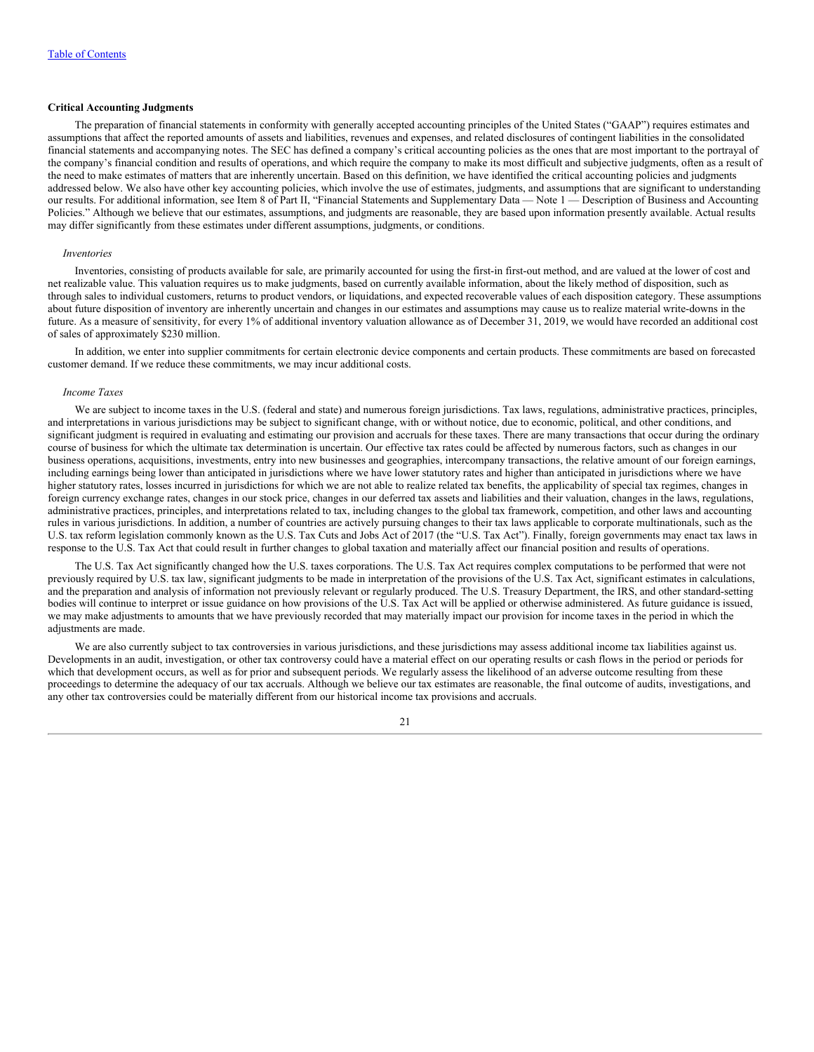### **Critical Accounting Judgments**

The preparation of financial statements in conformity with generally accepted accounting principles of the United States ("GAAP") requires estimates and assumptions that affect the reported amounts of assets and liabilities, revenues and expenses, and related disclosures of contingent liabilities in the consolidated financial statements and accompanying notes. The SEC has defined a company's critical accounting policies as the ones that are most important to the portrayal of the company's financial condition and results of operations, and which require the company to make its most difficult and subjective judgments, often as a result of the need to make estimates of matters that are inherently uncertain. Based on this definition, we have identified the critical accounting policies and judgments addressed below. We also have other key accounting policies, which involve the use of estimates, judgments, and assumptions that are significant to understanding our results. For additional information, see Item 8 of Part II, "Financial Statements and Supplementary Data — Note 1 — Description of Business and Accounting Policies." Although we believe that our estimates, assumptions, and judgments are reasonable, they are based upon information presently available. Actual results may differ significantly from these estimates under different assumptions, judgments, or conditions.

#### *Inventories*

Inventories, consisting of products available for sale, are primarily accounted for using the first-in first-out method, and are valued at the lower of cost and net realizable value. This valuation requires us to make judgments, based on currently available information, about the likely method of disposition, such as through sales to individual customers, returns to product vendors, or liquidations, and expected recoverable values of each disposition category. These assumptions about future disposition of inventory are inherently uncertain and changes in our estimates and assumptions may cause us to realize material write-downs in the future. As a measure of sensitivity, for every 1% of additional inventory valuation allowance as of December 31, 2019, we would have recorded an additional cost of sales of approximately \$230 million.

In addition, we enter into supplier commitments for certain electronic device components and certain products. These commitments are based on forecasted customer demand. If we reduce these commitments, we may incur additional costs.

#### *Income Taxes*

We are subject to income taxes in the U.S. (federal and state) and numerous foreign jurisdictions. Tax laws, regulations, administrative practices, principles, and interpretations in various jurisdictions may be subject to significant change, with or without notice, due to economic, political, and other conditions, and significant judgment is required in evaluating and estimating our provision and accruals for these taxes. There are many transactions that occur during the ordinary course of business for which the ultimate tax determination is uncertain. Our effective tax rates could be affected by numerous factors, such as changes in our business operations, acquisitions, investments, entry into new businesses and geographies, intercompany transactions, the relative amount of our foreign earnings, including earnings being lower than anticipated in jurisdictions where we have lower statutory rates and higher than anticipated in jurisdictions where we have higher statutory rates, losses incurred in jurisdictions for which we are not able to realize related tax benefits, the applicability of special tax regimes, changes in foreign currency exchange rates, changes in our stock price, changes in our deferred tax assets and liabilities and their valuation, changes in the laws, regulations, administrative practices, principles, and interpretations related to tax, including changes to the global tax framework, competition, and other laws and accounting rules in various jurisdictions. In addition, a number of countries are actively pursuing changes to their tax laws applicable to corporate multinationals, such as the U.S. tax reform legislation commonly known as the U.S. Tax Cuts and Jobs Act of 2017 (the "U.S. Tax Act"). Finally, foreign governments may enact tax laws in response to the U.S. Tax Act that could result in further changes to global taxation and materially affect our financial position and results of operations.

The U.S. Tax Act significantly changed how the U.S. taxes corporations. The U.S. Tax Act requires complex computations to be performed that were not previously required by U.S. tax law, significant judgments to be made in interpretation of the provisions of the U.S. Tax Act, significant estimates in calculations, and the preparation and analysis of information not previously relevant or regularly produced. The U.S. Treasury Department, the IRS, and other standard-setting bodies will continue to interpret or issue guidance on how provisions of the U.S. Tax Act will be applied or otherwise administered. As future guidance is issued, we may make adjustments to amounts that we have previously recorded that may materially impact our provision for income taxes in the period in which the adjustments are made.

We are also currently subject to tax controversies in various jurisdictions, and these jurisdictions may assess additional income tax liabilities against us. Developments in an audit, investigation, or other tax controversy could have a material effect on our operating results or cash flows in the period or periods for which that development occurs, as well as for prior and subsequent periods. We regularly assess the likelihood of an adverse outcome resulting from these proceedings to determine the adequacy of our tax accruals. Although we believe our tax estimates are reasonable, the final outcome of audits, investigations, and any other tax controversies could be materially different from our historical income tax provisions and accruals.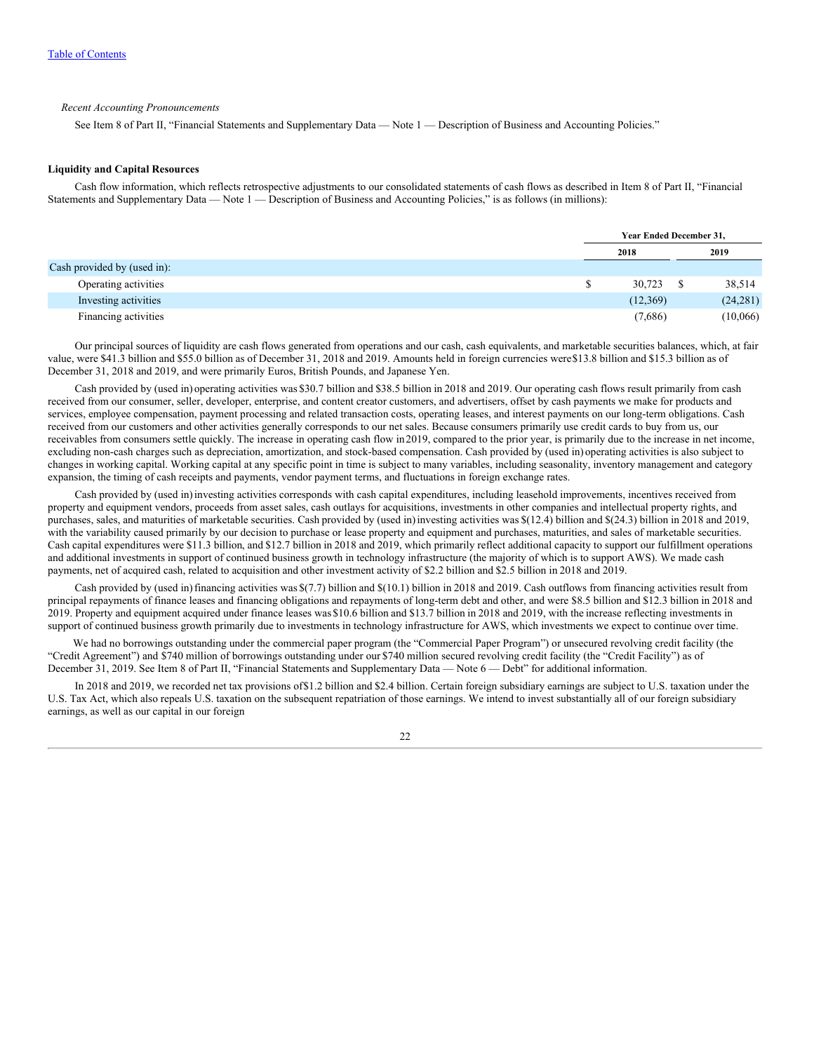#### *Recent Accounting Pronouncements*

See Item 8 of Part II, "Financial Statements and Supplementary Data — Note 1 — Description of Business and Accounting Policies."

#### **Liquidity and Capital Resources**

Cash flow information, which reflects retrospective adjustments to our consolidated statements of cash flows as described in Item 8 of Part II, "Financial Statements and Supplementary Data — Note 1 — Description of Business and Accounting Policies," is as follows (in millions):

|                             |   | Year Ended December 31, |   |           |
|-----------------------------|---|-------------------------|---|-----------|
|                             |   | 2018                    |   | 2019      |
| Cash provided by (used in): |   |                         |   |           |
| Operating activities        | S | 30,723                  | S | 38,514    |
| Investing activities        |   | (12,369)                |   | (24, 281) |
| Financing activities        |   | (7,686)                 |   | (10,066)  |

Our principal sources of liquidity are cash flows generated from operations and our cash, cash equivalents, and marketable securities balances, which, at fair value, were \$41.3 billion and \$55.0 billion as of December 31, 2018 and 2019. Amounts held in foreign currencies were\$13.8 billion and \$15.3 billion as of December 31, 2018 and 2019, and were primarily Euros, British Pounds, and Japanese Yen.

Cash provided by (used in) operating activities was \$30.7 billion and \$38.5 billion in 2018 and 2019. Our operating cash flows result primarily from cash received from our consumer, seller, developer, enterprise, and content creator customers, and advertisers, offset by cash payments we make for products and services, employee compensation, payment processing and related transaction costs, operating leases, and interest payments on our long-term obligations. Cash received from our customers and other activities generally corresponds to our net sales. Because consumers primarily use credit cards to buy from us, our receivables from consumers settle quickly. The increase in operating cash flow in 2019, compared to the prior year, is primarily due to the increase in net income, excluding non-cash charges such as depreciation, amortization, and stock-based compensation. Cash provided by (used in) operating activities is also subject to changes in working capital. Working capital at any specific point in time is subject to many variables, including seasonality, inventory management and category expansion, the timing of cash receipts and payments, vendor payment terms, and fluctuations in foreign exchange rates.

Cash provided by (used in)investing activities corresponds with cash capital expenditures, including leasehold improvements, incentives received from property and equipment vendors, proceeds from asset sales, cash outlays for acquisitions, investments in other companies and intellectual property rights, and purchases, sales, and maturities of marketable securities. Cash provided by (used in) investing activities was  $(12.4)$  billion and  $(24.3)$  billion in 2018 and 2019, with the variability caused primarily by our decision to purchase or lease property and equipment and purchases, maturities, and sales of marketable securities. Cash capital expenditures were \$11.3 billion, and \$12.7 billion in 2018 and 2019, which primarily reflect additional capacity to support our fulfillment operations and additional investments in support of continued business growth in technology infrastructure (the majority of which is to support AWS). We made cash payments, net of acquired cash, related to acquisition and other investment activity of \$2.2 billion and \$2.5 billion in 2018 and 2019.

Cash provided by (used in)financing activities was \$(7.7) billion and \$(10.1) billion in 2018 and 2019. Cash outflows from financing activities result from principal repayments of finance leases and financing obligations and repayments of long-term debt and other, and were \$8.5 billion and \$12.3 billion in 2018 and 2019. Property and equipment acquired under finance leases was \$10.6 billion and \$13.7 billion in 2018 and 2019, with the increase reflecting investments in support of continued business growth primarily due to investments in technology infrastructure for AWS, which investments we expect to continue over time.

We had no borrowings outstanding under the commercial paper program (the "Commercial Paper Program") or unsecured revolving credit facility (the "Credit Agreement") and \$740 million of borrowings outstanding under our \$740 million secured revolving credit facility (the "Credit Facility") as of December 31, 2019. See Item 8 of Part II, "Financial Statements and Supplementary Data — Note 6 — Debt" for additional information.

In 2018 and 2019, we recorded net tax provisions of\$1.2 billion and \$2.4 billion. Certain foreign subsidiary earnings are subject to U.S. taxation under the U.S. Tax Act, which also repeals U.S. taxation on the subsequent repatriation of those earnings. We intend to invest substantially all of our foreign subsidiary earnings, as well as our capital in our foreign

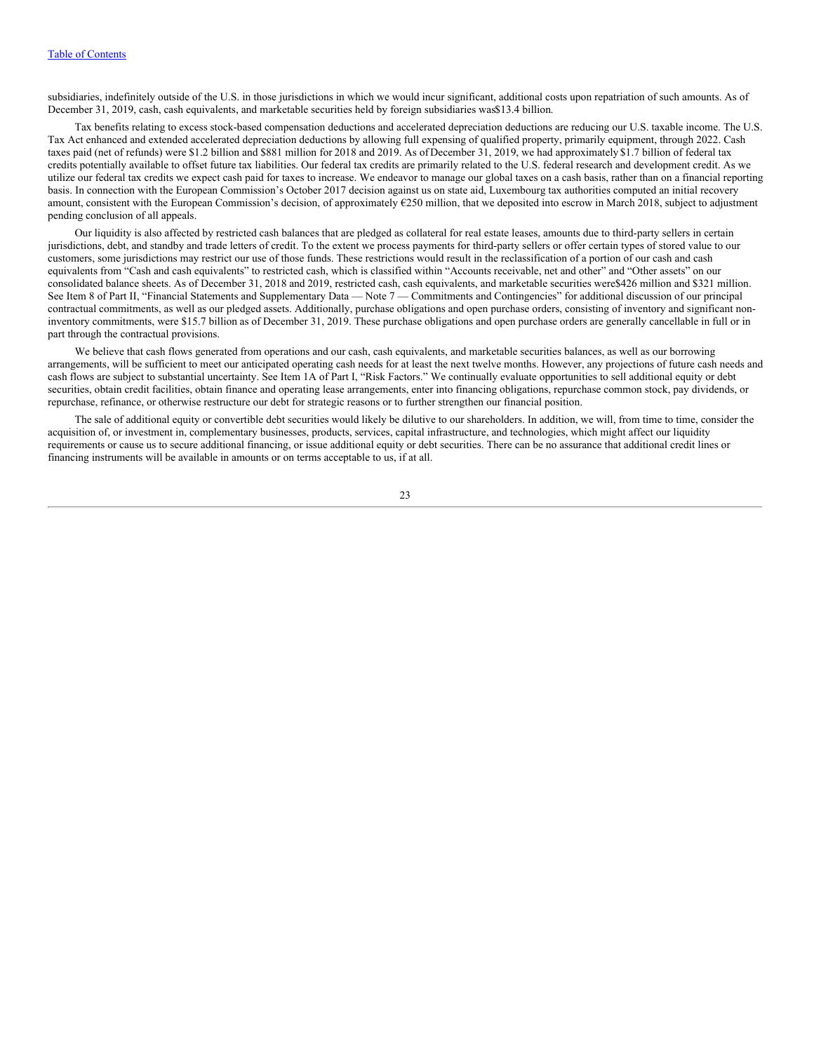subsidiaries, indefinitely outside of the U.S. in those jurisdictions in which we would incur significant, additional costs upon repatriation of such amounts. As of December 31, 2019, cash, cash equivalents, and marketable securities held by foreign subsidiaries was\$13.4 billion.

Tax benefits relating to excess stock-based compensation deductions and accelerated depreciation deductions are reducing our U.S. taxable income. The U.S. Tax Act enhanced and extended accelerated depreciation deductions by allowing full expensing of qualified property, primarily equipment, through 2022. Cash taxes paid (net of refunds) were \$1.2 billion and \$881 million for 2018 and 2019. As of December 31, 2019, we had approximately \$1.7 billion of federal tax credits potentially available to offset future tax liabilities. Our federal tax credits are primarily related to the U.S. federal research and development credit. As we utilize our federal tax credits we expect cash paid for taxes to increase. We endeavor to manage our global taxes on a cash basis, rather than on a financial reporting basis. In connection with the European Commission's October 2017 decision against us on state aid, Luxembourg tax authorities computed an initial recovery amount, consistent with the European Commission's decision, of approximately €250 million, that we deposited into escrow in March 2018, subject to adjustment pending conclusion of all appeals.

Our liquidity is also affected by restricted cash balances that are pledged as collateral for real estate leases, amounts due to third-party sellers in certain jurisdictions, debt, and standby and trade letters of credit. To the extent we process payments for third-party sellers or offer certain types of stored value to our customers, some jurisdictions may restrict our use of those funds. These restrictions would result in the reclassification of a portion of our cash and cash equivalents from "Cash and cash equivalents" to restricted cash, which is classified within "Accounts receivable, net and other" and "Other assets" on our consolidated balance sheets. As of December 31, 2018 and 2019, restricted cash, cash equivalents, and marketable securities were\$426 million and \$321 million. See Item 8 of Part II, "Financial Statements and Supplementary Data — Note 7 — Commitments and Contingencies" for additional discussion of our principal contractual commitments, as well as our pledged assets. Additionally, purchase obligations and open purchase orders, consisting of inventory and significant noninventory commitments, were \$15.7 billion as of December 31, 2019. These purchase obligations and open purchase orders are generally cancellable in full or in part through the contractual provisions.

We believe that cash flows generated from operations and our cash, cash equivalents, and marketable securities balances, as well as our borrowing arrangements, will be sufficient to meet our anticipated operating cash needs for at least the next twelve months. However, any projections of future cash needs and cash flows are subject to substantial uncertainty. See Item 1A of Part I, "Risk Factors." We continually evaluate opportunities to sell additional equity or debt securities, obtain credit facilities, obtain finance and operating lease arrangements, enter into financing obligations, repurchase common stock, pay dividends, or repurchase, refinance, or otherwise restructure our debt for strategic reasons or to further strengthen our financial position.

The sale of additional equity or convertible debt securities would likely be dilutive to our shareholders. In addition, we will, from time to time, consider the acquisition of, or investment in, complementary businesses, products, services, capital infrastructure, and technologies, which might affect our liquidity requirements or cause us to secure additional financing, or issue additional equity or debt securities. There can be no assurance that additional credit lines or financing instruments will be available in amounts or on terms acceptable to us, if at all.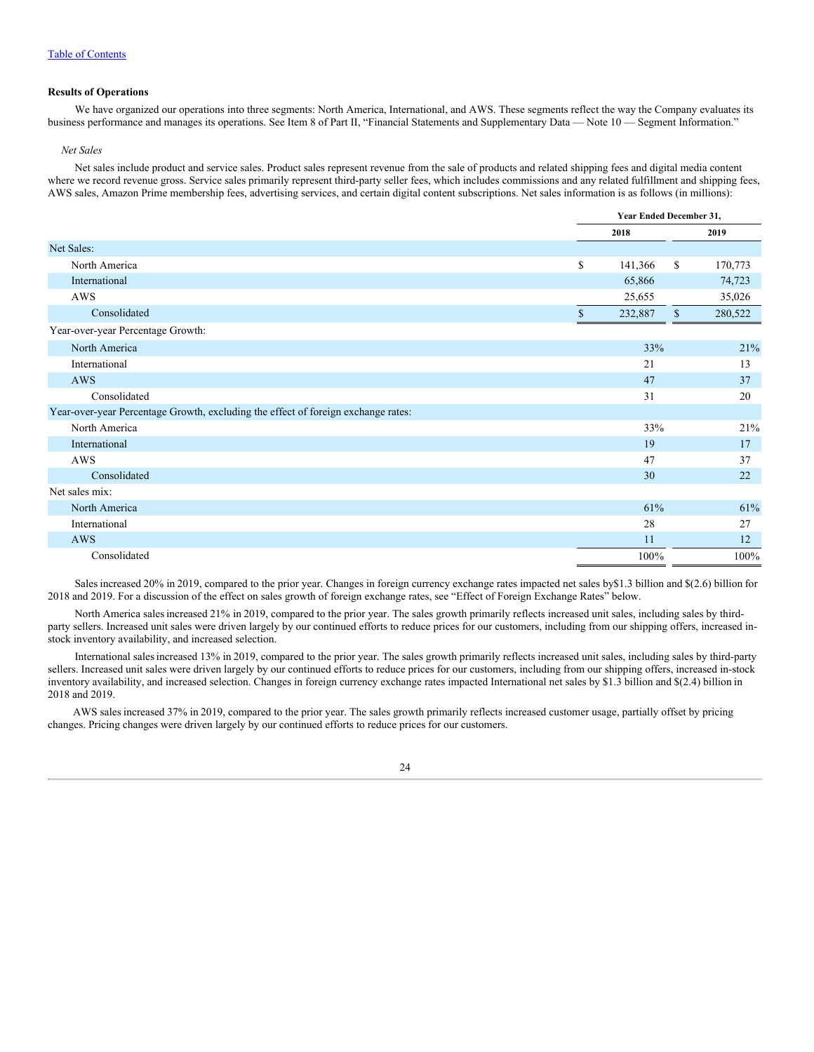### **Results of Operations**

We have organized our operations into three segments: North America, International, and AWS. These segments reflect the way the Company evaluates its business performance and manages its operations. See Item 8 of Part II, "Financial Statements and Supplementary Data — Note 10 — Segment Information."

### *Net Sales*

Net sales include product and service sales. Product sales represent revenue from the sale of products and related shipping fees and digital media content where we record revenue gross. Service sales primarily represent third-party seller fees, which includes commissions and any related fulfillment and shipping fees, AWS sales, Amazon Prime membership fees, advertising services, and certain digital content subscriptions. Net sales information is as follows (in millions):

| 2018<br>2019<br>Net Sales:<br>\$<br>North America<br>141,366<br>\$<br>International<br>65,866<br>AWS<br>25,655<br>Consolidated<br>232,887<br>$\mathbb{S}$<br>\$.<br>Year-over-year Percentage Growth:<br>North America<br>33%<br>International<br>21<br><b>AWS</b><br>47<br>Consolidated<br>31<br>Year-over-year Percentage Growth, excluding the effect of foreign exchange rates:<br>North America<br>33%<br>International<br>19<br>AWS<br>47<br>Consolidated<br>30<br>Net sales mix:<br>61%<br>North America<br>International<br>28<br>27<br><b>AWS</b><br>11<br>Consolidated<br>100% |  | Year Ended December 31, |  |         |  |  |
|------------------------------------------------------------------------------------------------------------------------------------------------------------------------------------------------------------------------------------------------------------------------------------------------------------------------------------------------------------------------------------------------------------------------------------------------------------------------------------------------------------------------------------------------------------------------------------------|--|-------------------------|--|---------|--|--|
|                                                                                                                                                                                                                                                                                                                                                                                                                                                                                                                                                                                          |  |                         |  |         |  |  |
|                                                                                                                                                                                                                                                                                                                                                                                                                                                                                                                                                                                          |  |                         |  |         |  |  |
|                                                                                                                                                                                                                                                                                                                                                                                                                                                                                                                                                                                          |  |                         |  | 170,773 |  |  |
|                                                                                                                                                                                                                                                                                                                                                                                                                                                                                                                                                                                          |  |                         |  | 74,723  |  |  |
|                                                                                                                                                                                                                                                                                                                                                                                                                                                                                                                                                                                          |  |                         |  | 35,026  |  |  |
|                                                                                                                                                                                                                                                                                                                                                                                                                                                                                                                                                                                          |  |                         |  | 280,522 |  |  |
|                                                                                                                                                                                                                                                                                                                                                                                                                                                                                                                                                                                          |  |                         |  |         |  |  |
|                                                                                                                                                                                                                                                                                                                                                                                                                                                                                                                                                                                          |  |                         |  | 21%     |  |  |
|                                                                                                                                                                                                                                                                                                                                                                                                                                                                                                                                                                                          |  |                         |  | 13      |  |  |
|                                                                                                                                                                                                                                                                                                                                                                                                                                                                                                                                                                                          |  |                         |  | 37      |  |  |
|                                                                                                                                                                                                                                                                                                                                                                                                                                                                                                                                                                                          |  |                         |  | 20      |  |  |
|                                                                                                                                                                                                                                                                                                                                                                                                                                                                                                                                                                                          |  |                         |  |         |  |  |
|                                                                                                                                                                                                                                                                                                                                                                                                                                                                                                                                                                                          |  |                         |  | 21%     |  |  |
|                                                                                                                                                                                                                                                                                                                                                                                                                                                                                                                                                                                          |  |                         |  | 17      |  |  |
|                                                                                                                                                                                                                                                                                                                                                                                                                                                                                                                                                                                          |  |                         |  | 37      |  |  |
|                                                                                                                                                                                                                                                                                                                                                                                                                                                                                                                                                                                          |  |                         |  | 22      |  |  |
|                                                                                                                                                                                                                                                                                                                                                                                                                                                                                                                                                                                          |  |                         |  |         |  |  |
|                                                                                                                                                                                                                                                                                                                                                                                                                                                                                                                                                                                          |  |                         |  | 61%     |  |  |
|                                                                                                                                                                                                                                                                                                                                                                                                                                                                                                                                                                                          |  |                         |  |         |  |  |
|                                                                                                                                                                                                                                                                                                                                                                                                                                                                                                                                                                                          |  |                         |  | 12      |  |  |
|                                                                                                                                                                                                                                                                                                                                                                                                                                                                                                                                                                                          |  |                         |  | 100%    |  |  |

Sales increased 20% in 2019, compared to the prior year. Changes in foreign currency exchange rates impacted net sales by\$1.3 billion and \$(2.6) billion for 2018 and 2019. For a discussion of the effect on sales growth of foreign exchange rates, see "Effect of Foreign Exchange Rates" below.

North America salesincreased 21% in 2019, compared to the prior year. The sales growth primarily reflects increased unit sales, including sales by thirdparty sellers. Increased unit sales were driven largely by our continued efforts to reduce prices for our customers, including from our shipping offers, increased instock inventory availability, and increased selection.

International salesincreased 13% in 2019, compared to the prior year. The sales growth primarily reflects increased unit sales, including sales by third-party sellers. Increased unit sales were driven largely by our continued efforts to reduce prices for our customers, including from our shipping offers, increased in-stock inventory availability, and increased selection. Changes in foreign currency exchange rates impacted International net sales by \$1.3 billion and \$(2.4) billion in 2018 and 2019.

AWS sales increased 37% in 2019, compared to the prior year. The sales growth primarily reflects increased customer usage, partially offset by pricing changes. Pricing changes were driven largely by our continued efforts to reduce prices for our customers.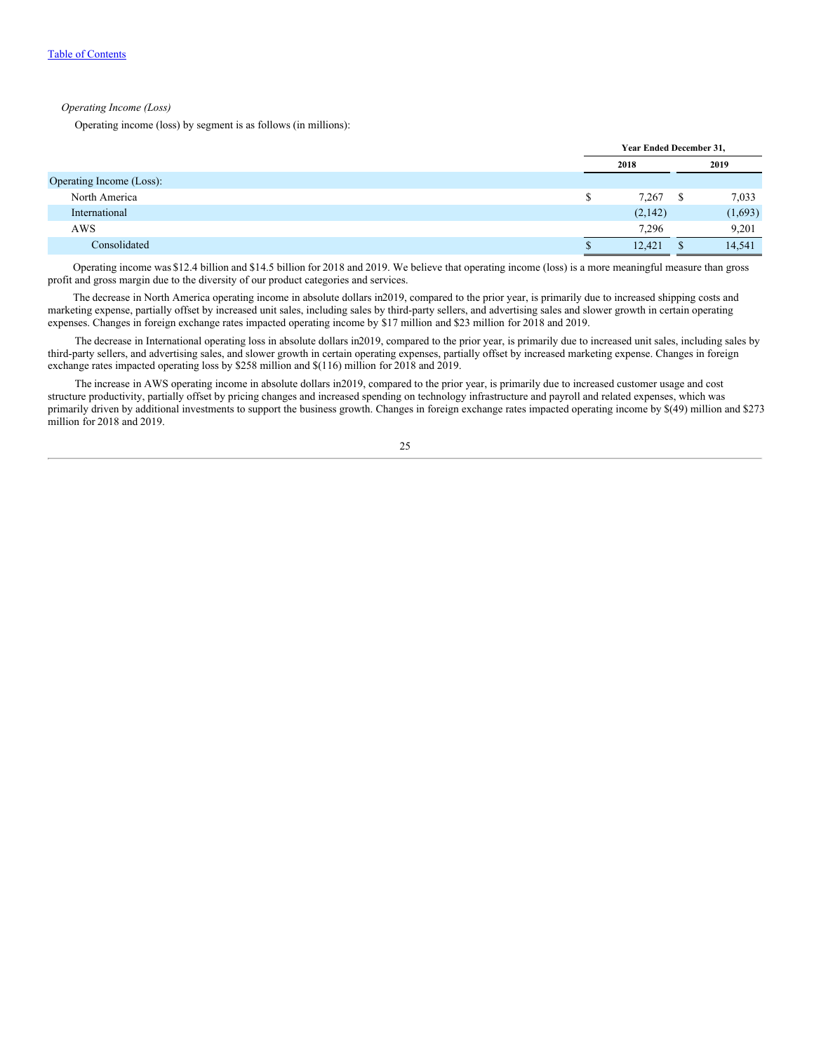### *Operating Income (Loss)*

Operating income (loss) by segment is as follows (in millions):

|                          |      | Year Ended December 31, |    |         |  |
|--------------------------|------|-------------------------|----|---------|--|
|                          | 2018 |                         |    | 2019    |  |
| Operating Income (Loss): |      |                         |    |         |  |
| North America            |      | 7,267                   | -S | 7,033   |  |
| International            |      | (2,142)                 |    | (1,693) |  |
| AWS                      |      | 7,296                   |    | 9,201   |  |
| Consolidated             |      | 12,421                  |    | 14,541  |  |

Operating income was \$12.4 billion and \$14.5 billion for 2018 and 2019. We believe that operating income (loss) is a more meaningful measure than gross profit and gross margin due to the diversity of our product categories and services.

The decrease in North America operating income in absolute dollars in2019, compared to the prior year, is primarily due to increased shipping costs and marketing expense, partially offset by increased unit sales, including sales by third-party sellers, and advertising sales and slower growth in certain operating expenses. Changes in foreign exchange rates impacted operating income by \$17 million and \$23 million for 2018 and 2019.

The decrease in International operating loss in absolute dollars in2019, compared to the prior year, is primarily due to increased unit sales, including sales by third-party sellers, and advertising sales, and slower growth in certain operating expenses, partially offset by increased marketing expense. Changes in foreign exchange rates impacted operating loss by \$258 million and \$(116) million for 2018 and 2019.

The increase in AWS operating income in absolute dollars in2019, compared to the prior year, is primarily due to increased customer usage and cost structure productivity, partially offset by pricing changes and increased spending on technology infrastructure and payroll and related expenses, which was primarily driven by additional investments to support the business growth. Changes in foreign exchange rates impacted operating income by \$(49) million and \$273 million for 2018 and 2019.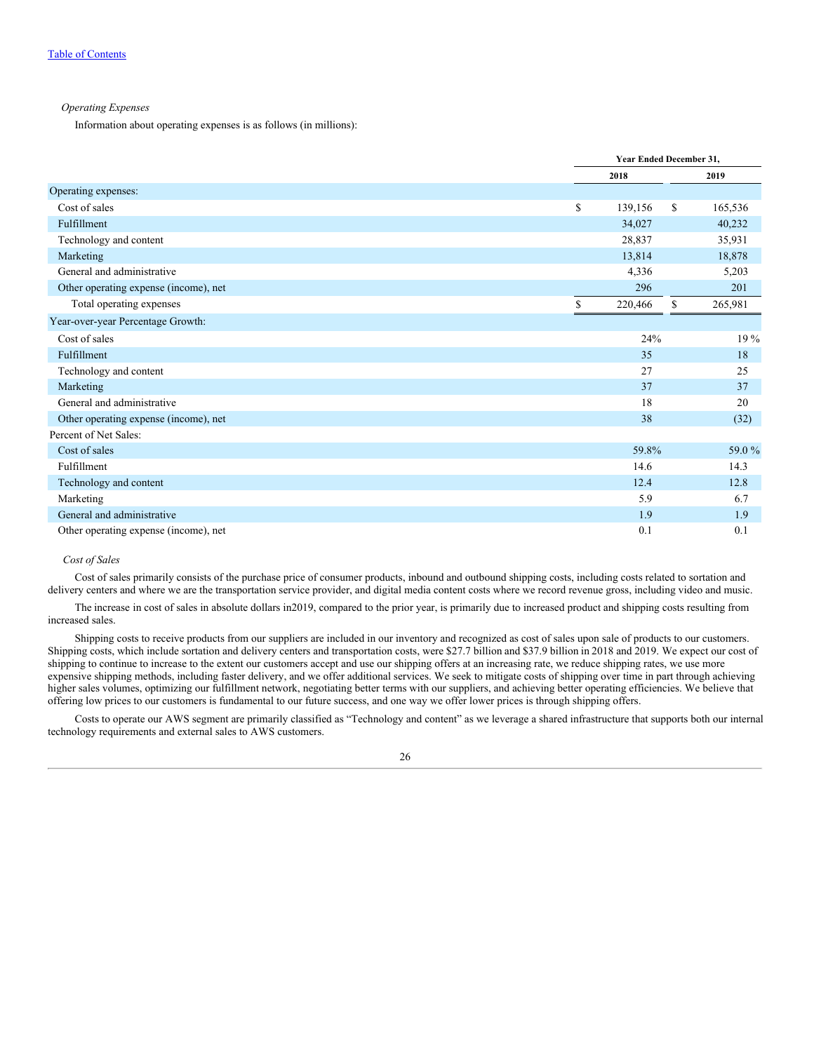### *Operating Expenses*

Information about operating expenses is as follows (in millions):

|                                       |     | Year Ended December 31, |    |         |  |
|---------------------------------------|-----|-------------------------|----|---------|--|
|                                       |     | 2018                    |    | 2019    |  |
| Operating expenses:                   |     |                         |    |         |  |
| Cost of sales                         | \$  | 139,156                 | \$ | 165,536 |  |
| <b>Fulfillment</b>                    |     | 34,027                  |    | 40,232  |  |
| Technology and content                |     | 28,837                  |    | 35,931  |  |
| Marketing                             |     | 13,814                  |    | 18,878  |  |
| General and administrative            |     | 4,336                   |    | 5,203   |  |
| Other operating expense (income), net |     | 296                     |    | 201     |  |
| Total operating expenses              | \$. | 220,466                 | \$ | 265,981 |  |
| Year-over-year Percentage Growth:     |     |                         |    |         |  |
| Cost of sales                         |     | 24%                     |    | 19 %    |  |
| Fulfillment                           |     | 35                      |    | 18      |  |
| Technology and content                |     | 27                      |    | 25      |  |
| Marketing                             |     | 37                      |    | 37      |  |
| General and administrative            |     | 18                      |    | 20      |  |
| Other operating expense (income), net |     | 38                      |    | (32)    |  |
| Percent of Net Sales:                 |     |                         |    |         |  |
| Cost of sales                         |     | 59.8%                   |    | 59.0%   |  |
| <b>Fulfillment</b>                    |     | 14.6                    |    | 14.3    |  |
| Technology and content                |     | 12.4                    |    | 12.8    |  |
| Marketing                             |     | 5.9                     |    | 6.7     |  |
| General and administrative            |     | 1.9                     |    | 1.9     |  |
| Other operating expense (income), net |     | 0.1                     |    | 0.1     |  |

### *Cost of Sales*

Cost of sales primarily consists of the purchase price of consumer products, inbound and outbound shipping costs, including costs related to sortation and delivery centers and where we are the transportation service provider, and digital media content costs where we record revenue gross, including video and music.

The increase in cost of sales in absolute dollars in2019, compared to the prior year, is primarily due to increased product and shipping costs resulting from increased sales.

Shipping costs to receive products from our suppliers are included in our inventory and recognized as cost of sales upon sale of products to our customers. Shipping costs, which include sortation and delivery centers and transportation costs, were \$27.7 billion and \$37.9 billion in 2018 and 2019. We expect our cost of shipping to continue to increase to the extent our customers accept and use our shipping offers at an increasing rate, we reduce shipping rates, we use more expensive shipping methods, including faster delivery, and we offer additional services. We seek to mitigate costs of shipping over time in part through achieving higher sales volumes, optimizing our fulfillment network, negotiating better terms with our suppliers, and achieving better operating efficiencies. We believe that offering low prices to our customers is fundamental to our future success, and one way we offer lower prices is through shipping offers.

Costs to operate our AWS segment are primarily classified as "Technology and content" as we leverage a shared infrastructure that supports both our internal technology requirements and external sales to AWS customers.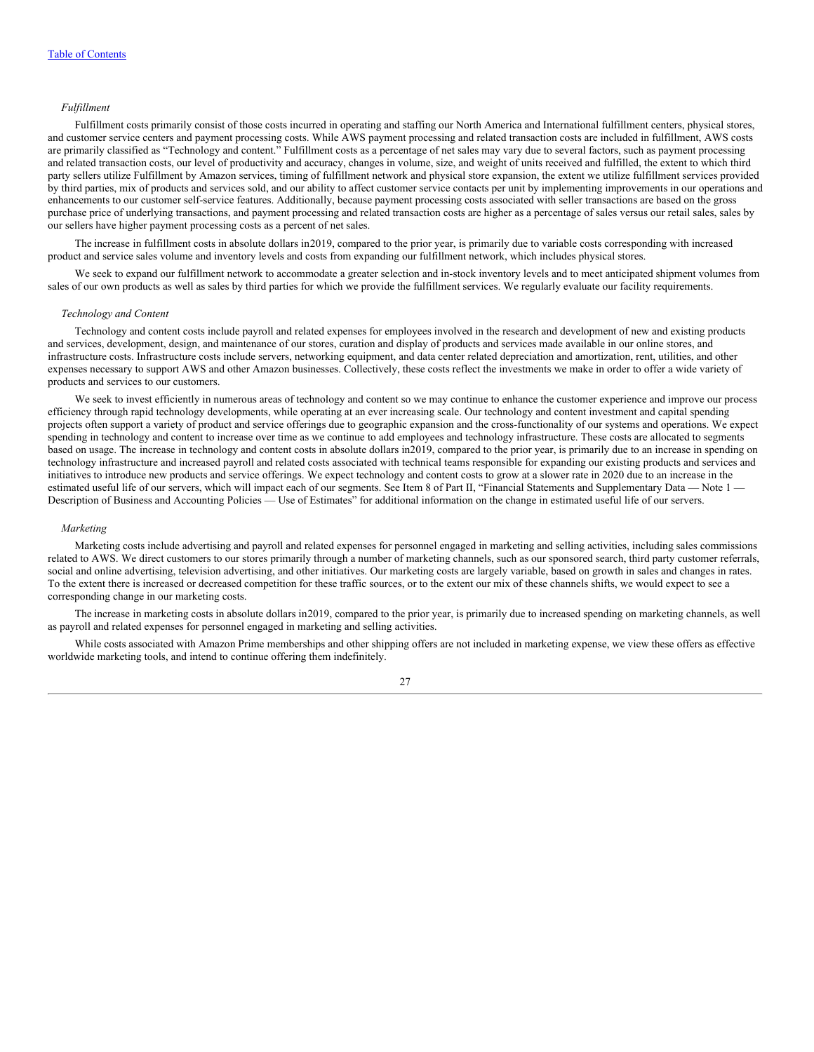### *Fulfillment*

Fulfillment costs primarily consist of those costs incurred in operating and staffing our North America and International fulfillment centers, physical stores, and customer service centers and payment processing costs. While AWS payment processing and related transaction costs are included in fulfillment, AWS costs are primarily classified as "Technology and content." Fulfillment costs as a percentage of net sales may vary due to several factors, such as payment processing and related transaction costs, our level of productivity and accuracy, changes in volume, size, and weight of units received and fulfilled, the extent to which third party sellers utilize Fulfillment by Amazon services, timing of fulfillment network and physical store expansion, the extent we utilize fulfillment services provided by third parties, mix of products and services sold, and our ability to affect customer service contacts per unit by implementing improvements in our operations and enhancements to our customer self-service features. Additionally, because payment processing costs associated with seller transactions are based on the gross purchase price of underlying transactions, and payment processing and related transaction costs are higher as a percentage of sales versus our retail sales, sales by our sellers have higher payment processing costs as a percent of net sales.

The increase in fulfillment costs in absolute dollars in2019, compared to the prior year, is primarily due to variable costs corresponding with increased product and service sales volume and inventory levels and costs from expanding our fulfillment network, which includes physical stores.

We seek to expand our fulfillment network to accommodate a greater selection and in-stock inventory levels and to meet anticipated shipment volumes from sales of our own products as well as sales by third parties for which we provide the fulfillment services. We regularly evaluate our facility requirements.

#### *Technology and Content*

Technology and content costs include payroll and related expenses for employees involved in the research and development of new and existing products and services, development, design, and maintenance of our stores, curation and display of products and services made available in our online stores, and infrastructure costs. Infrastructure costs include servers, networking equipment, and data center related depreciation and amortization, rent, utilities, and other expenses necessary to support AWS and other Amazon businesses. Collectively, these costs reflect the investments we make in order to offer a wide variety of products and services to our customers.

We seek to invest efficiently in numerous areas of technology and content so we may continue to enhance the customer experience and improve our process efficiency through rapid technology developments, while operating at an ever increasing scale. Our technology and content investment and capital spending projects often support a variety of product and service offerings due to geographic expansion and the cross-functionality of our systems and operations. We expect spending in technology and content to increase over time as we continue to add employees and technology infrastructure. These costs are allocated to segments based on usage. The increase in technology and content costs in absolute dollars in2019, compared to the prior year, is primarily due to an increase in spending on technology infrastructure and increased payroll and related costs associated with technical teams responsible for expanding our existing products and services and initiatives to introduce new products and service offerings. We expect technology and content costs to grow at a slower rate in 2020 due to an increase in the estimated useful life of our servers, which will impact each of our segments. See Item 8 of Part II, "Financial Statements and Supplementary Data — Note 1 – Description of Business and Accounting Policies — Use of Estimates" for additional information on the change in estimated useful life of our servers.

#### *Marketing*

Marketing costs include advertising and payroll and related expenses for personnel engaged in marketing and selling activities, including sales commissions related to AWS. We direct customers to our stores primarily through a number of marketing channels, such as our sponsored search, third party customer referrals, social and online advertising, television advertising, and other initiatives. Our marketing costs are largely variable, based on growth in sales and changes in rates. To the extent there is increased or decreased competition for these traffic sources, or to the extent our mix of these channels shifts, we would expect to see a corresponding change in our marketing costs.

The increase in marketing costs in absolute dollars in2019, compared to the prior year, is primarily due to increased spending on marketing channels, as well as payroll and related expenses for personnel engaged in marketing and selling activities.

While costs associated with Amazon Prime memberships and other shipping offers are not included in marketing expense, we view these offers as effective worldwide marketing tools, and intend to continue offering them indefinitely.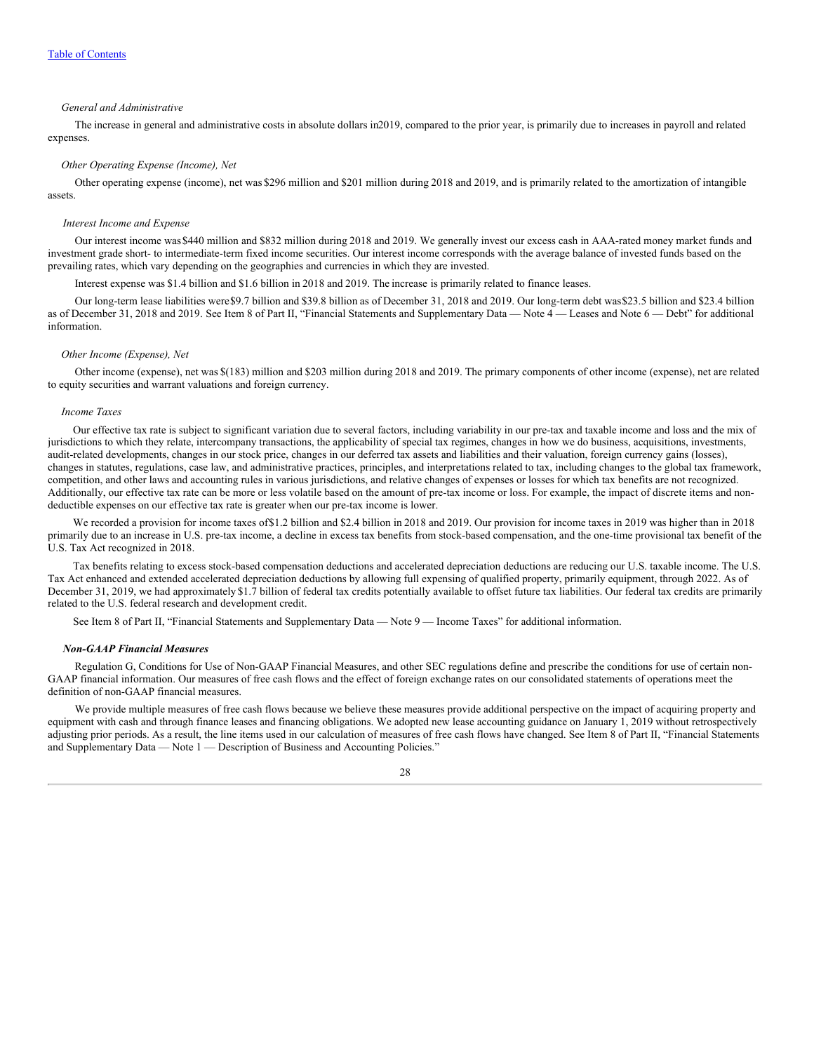### *General and Administrative*

The increase in general and administrative costs in absolute dollars in2019, compared to the prior year, is primarily due to increases in payroll and related expenses.

#### *Other Operating Expense (Income), Net*

Other operating expense (income), net was \$296 million and \$201 million during 2018 and 2019, and is primarily related to the amortization of intangible assets.

#### *Interest Income and Expense*

Our interest income was\$440 million and \$832 million during 2018 and 2019. We generally invest our excess cash in AAA-rated money market funds and investment grade short- to intermediate-term fixed income securities. Our interest income corresponds with the average balance of invested funds based on the prevailing rates, which vary depending on the geographies and currencies in which they are invested.

Interest expense was \$1.4 billion and \$1.6 billion in 2018 and 2019. The increase is primarily related to finance leases.

Our long-term lease liabilities were\$9.7 billion and \$39.8 billion as of December 31, 2018 and 2019. Our long-term debt was\$23.5 billion and \$23.4 billion as of December 31, 2018 and 2019. See Item 8 of Part II, "Financial Statements and Supplementary Data — Note 4 — Leases and Note 6 — Debt" for additional information.

#### *Other Income (Expense), Net*

Other income (expense), net was \$(183) million and \$203 million during 2018 and 2019. The primary components of other income (expense), net are related to equity securities and warrant valuations and foreign currency.

#### *Income Taxes*

Our effective tax rate is subject to significant variation due to several factors, including variability in our pre-tax and taxable income and loss and the mix of jurisdictions to which they relate, intercompany transactions, the applicability of special tax regimes, changes in how we do business, acquisitions, investments, audit-related developments, changes in our stock price, changes in our deferred tax assets and liabilities and their valuation, foreign currency gains (losses), changes in statutes, regulations, case law, and administrative practices, principles, and interpretations related to tax, including changes to the global tax framework, competition, and other laws and accounting rules in various jurisdictions, and relative changes of expenses or losses for which tax benefits are not recognized. Additionally, our effective tax rate can be more or less volatile based on the amount of pre-tax income or loss. For example, the impact of discrete items and nondeductible expenses on our effective tax rate is greater when our pre-tax income is lower.

We recorded a provision for income taxes of\$1.2 billion and \$2.4 billion in 2018 and 2019. Our provision for income taxes in 2019 was higher than in 2018 primarily due to an increase in U.S. pre-tax income, a decline in excess tax benefits from stock-based compensation, and the one-time provisional tax benefit of the U.S. Tax Act recognized in 2018.

Tax benefits relating to excess stock-based compensation deductions and accelerated depreciation deductions are reducing our U.S. taxable income. The U.S. Tax Act enhanced and extended accelerated depreciation deductions by allowing full expensing of qualified property, primarily equipment, through 2022. As of December 31, 2019, we had approximately \$1.7 billion of federal tax credits potentially available to offset future tax liabilities. Our federal tax credits are primarily related to the U.S. federal research and development credit.

See Item 8 of Part II, "Financial Statements and Supplementary Data — Note 9 — Income Taxes" for additional information.

#### *Non-GAAP Financial Measures*

Regulation G, Conditions for Use of Non-GAAP Financial Measures, and other SEC regulations define and prescribe the conditions for use of certain non-GAAP financial information. Our measures of free cash flows and the effect of foreign exchange rates on our consolidated statements of operations meet the definition of non-GAAP financial measures.

We provide multiple measures of free cash flows because we believe these measures provide additional perspective on the impact of acquiring property and equipment with cash and through finance leases and financing obligations. We adopted new lease accounting guidance on January 1, 2019 without retrospectively adjusting prior periods. As a result, the line items used in our calculation of measures of free cash flows have changed. See Item 8 of Part II, "Financial Statements and Supplementary Data — Note 1 — Description of Business and Accounting Policies."

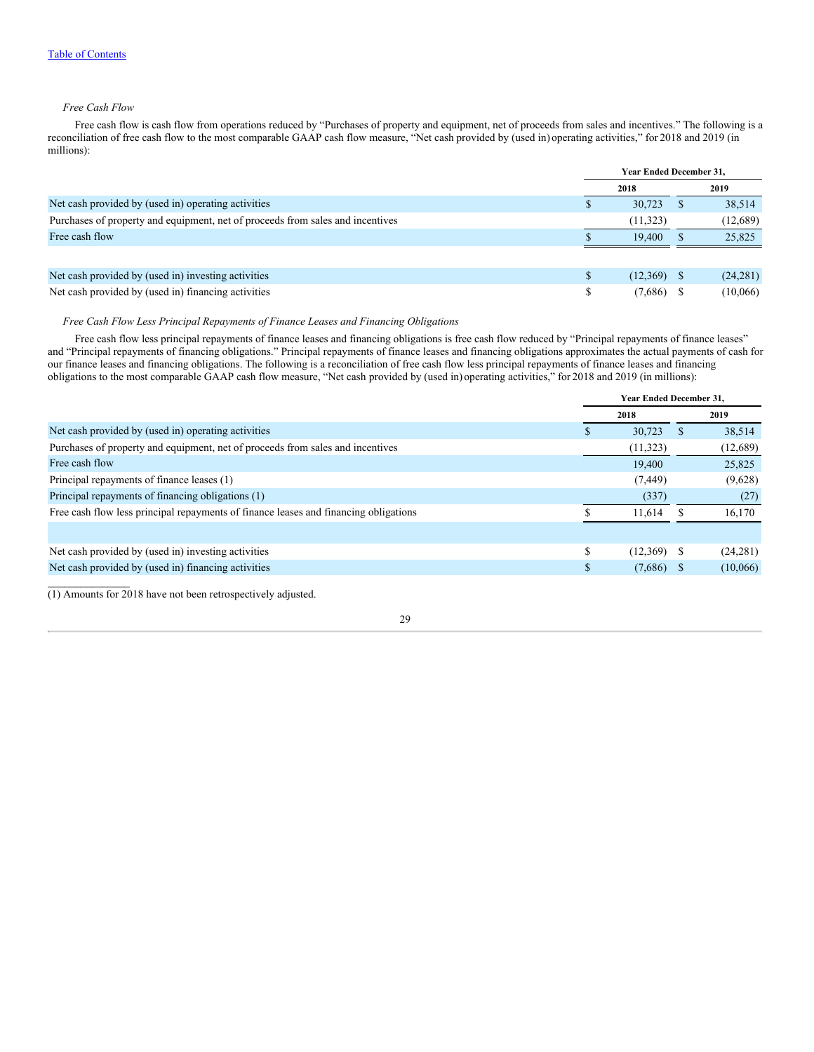### *Free Cash Flow*

Free cash flow is cash flow from operations reduced by "Purchases of property and equipment, net of proceeds from sales and incentives." The following is a reconciliation of free cash flow to the most comparable GAAP cash flow measure, "Net cash provided by (used in) operating activities," for 2018 and 2019 (in millions):

|                                                                                | <b>Year Ended December 31.</b> |               |              |           |  |
|--------------------------------------------------------------------------------|--------------------------------|---------------|--------------|-----------|--|
|                                                                                |                                | 2018          |              | 2019      |  |
| Net cash provided by (used in) operating activities                            |                                | 30,723        | <sup>S</sup> | 38,514    |  |
| Purchases of property and equipment, net of proceeds from sales and incentives |                                | (11, 323)     |              | (12, 689) |  |
| Free cash flow                                                                 |                                | 19,400        |              | 25,825    |  |
|                                                                                |                                |               |              |           |  |
| Net cash provided by (used in) investing activities                            |                                | $(12,369)$ \$ |              | (24, 281) |  |
| Net cash provided by (used in) financing activities                            |                                | (7,686)       |              | (10,066)  |  |

### *Free Cash Flow Less Principal Repayments of Finance Leases and Financing Obligations*

Free cash flow less principal repayments of finance leases and financing obligations is free cash flow reduced by "Principal repayments of finance leases" and "Principal repayments of financing obligations." Principal repayments of finance leases and financing obligations approximates the actual payments of cash for our finance leases and financing obligations. The following is a reconciliation of free cash flow less principal repayments of finance leases and financing obligations to the most comparable GAAP cash flow measure, "Net cash provided by (used in) operating activities," for 2018 and 2019 (in millions):

|                                                                                      |    | <b>Year Ended December 31.</b> |    |           |  |
|--------------------------------------------------------------------------------------|----|--------------------------------|----|-----------|--|
|                                                                                      |    | 2018                           |    | 2019      |  |
| Net cash provided by (used in) operating activities                                  | J. | 30,723                         | -8 | 38,514    |  |
| Purchases of property and equipment, net of proceeds from sales and incentives       |    | (11,323)                       |    | (12,689)  |  |
| Free cash flow                                                                       |    | 19.400                         |    | 25,825    |  |
| Principal repayments of finance leases (1)                                           |    | (7, 449)                       |    | (9,628)   |  |
| Principal repayments of financing obligations (1)                                    |    | (337)                          |    | (27)      |  |
| Free cash flow less principal repayments of finance leases and financing obligations |    | 11.614                         |    | 16,170    |  |
|                                                                                      |    |                                |    |           |  |
| Net cash provided by (used in) investing activities                                  | S  | $(12,369)$ \$                  |    | (24, 281) |  |
| Net cash provided by (used in) financing activities                                  | \$ | $(7,686)$ \$                   |    | (10,066)  |  |
|                                                                                      |    |                                |    |           |  |

(1) Amounts for 2018 have not been retrospectively adjusted.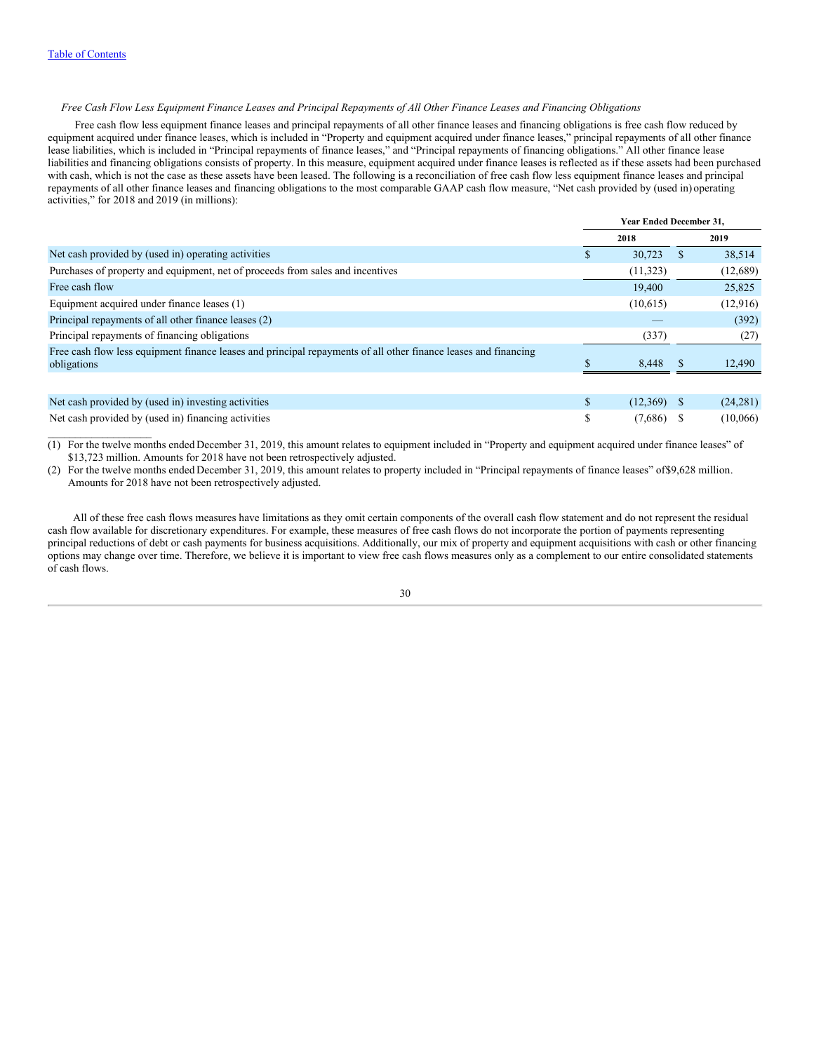### Free Cash Flow Less Equipment Finance Leases and Principal Repayments of All Other Finance Leases and Financing Obligations

Free cash flow less equipment finance leases and principal repayments of all other finance leases and financing obligations is free cash flow reduced by equipment acquired under finance leases, which is included in "Property and equipment acquired under finance leases," principal repayments of all other finance lease liabilities, which is included in "Principal repayments of finance leases," and "Principal repayments of financing obligations." All other finance lease liabilities and financing obligations consists of property. In this measure, equipment acquired under finance leases is reflected as if these assets had been purchased with cash, which is not the case as these assets have been leased. The following is a reconciliation of free cash flow less equipment finance leases and principal repayments of all other finance leases and financing obligations to the most comparable GAAP cash flow measure, "Net cash provided by (used in) operating activities," for 2018 and 2019 (in millions):

|                                                                                                                                | <b>Year Ended December 31,</b> |               |  |           |  |
|--------------------------------------------------------------------------------------------------------------------------------|--------------------------------|---------------|--|-----------|--|
|                                                                                                                                |                                | 2018          |  | 2019      |  |
| Net cash provided by (used in) operating activities                                                                            | <b>S</b>                       | 30,723        |  | 38,514    |  |
| Purchases of property and equipment, net of proceeds from sales and incentives                                                 |                                | (11, 323)     |  | (12,689)  |  |
| Free cash flow                                                                                                                 |                                | 19,400        |  | 25,825    |  |
| Equipment acquired under finance leases (1)                                                                                    |                                | (10,615)      |  | (12,916)  |  |
| Principal repayments of all other finance leases (2)                                                                           |                                |               |  | (392)     |  |
| Principal repayments of financing obligations                                                                                  |                                | (337)         |  | (27)      |  |
| Free cash flow less equipment finance leases and principal repayments of all other finance leases and financing<br>obligations |                                | 8.448         |  | 12,490    |  |
|                                                                                                                                |                                |               |  |           |  |
| Net cash provided by (used in) investing activities                                                                            | \$.                            | $(12,369)$ \$ |  | (24, 281) |  |
| Net cash provided by (used in) financing activities                                                                            | S                              | $(7,686)$ \$  |  | (10,066)  |  |

(1) For the twelve months ended December 31, 2019, this amount relates to equipment included in "Property and equipment acquired under finance leases" of \$13,723 million. Amounts for 2018 have not been retrospectively adjusted.

(2) For the twelve months ended December 31, 2019, this amount relates to property included in "Principal repayments of finance leases" of\$9,628 million. Amounts for 2018 have not been retrospectively adjusted.

All of these free cash flows measures have limitations as they omit certain components of the overall cash flow statement and do not represent the residual cash flow available for discretionary expenditures. For example, these measures of free cash flows do not incorporate the portion of payments representing principal reductions of debt or cash payments for business acquisitions. Additionally, our mix of property and equipment acquisitions with cash or other financing options may change over time. Therefore, we believe it is important to view free cash flows measures only as a complement to our entire consolidated statements of cash flows.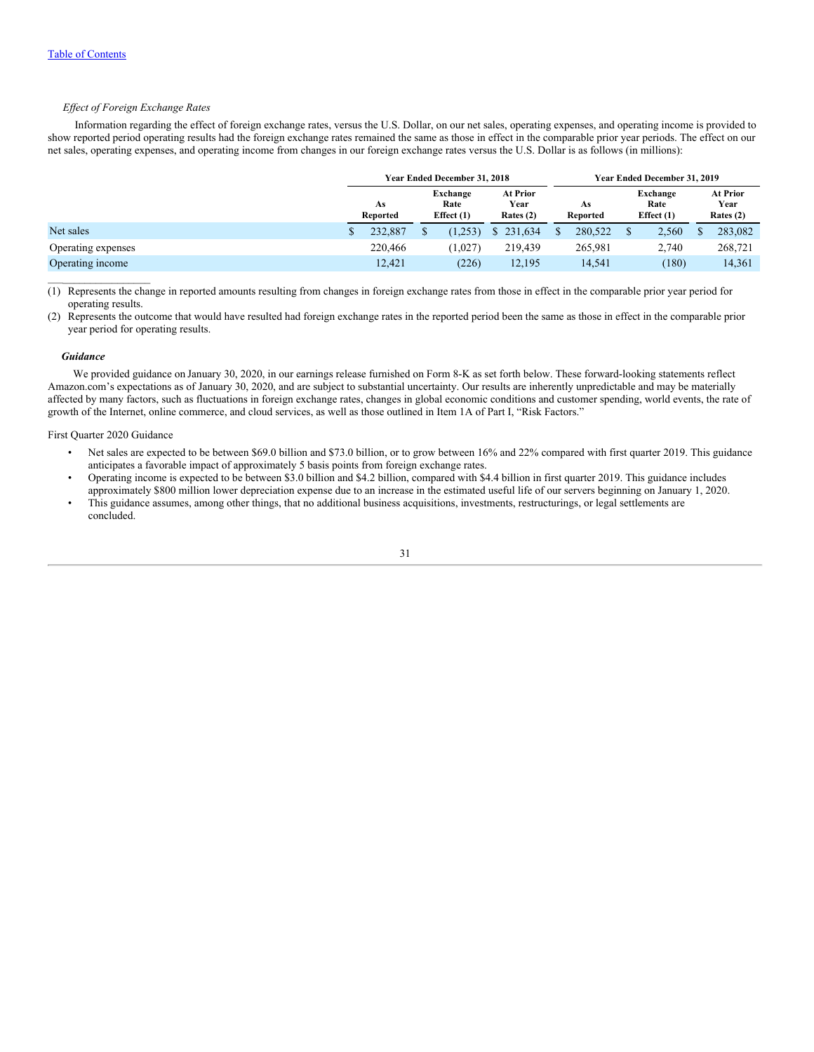### <span id="page-30-0"></span>*Ef ect of Foreign Exchange Rates*

Information regarding the effect of foreign exchange rates, versus the U.S. Dollar, on our net sales, operating expenses, and operating income is provided to show reported period operating results had the foreign exchange rates remained the same as those in effect in the comparable prior year periods. The effect on our net sales, operating expenses, and operating income from changes in our foreign exchange rates versus the U.S. Dollar is as follows (in millions):

|                    | Year Ended December 31, 2018 |         |                                  |         |                                        |                | Year Ended December 31, 2019 |                                  |       |                                        |         |  |
|--------------------|------------------------------|---------|----------------------------------|---------|----------------------------------------|----------------|------------------------------|----------------------------------|-------|----------------------------------------|---------|--|
|                    | As<br>Reported               |         | Exchange<br>Rate<br>Effect $(1)$ |         | <b>At Prior</b><br>Year<br>Rates $(2)$ | As<br>Reported |                              | Exchange<br>Rate<br>Effect $(1)$ |       | <b>At Prior</b><br>Year<br>Rates $(2)$ |         |  |
| Net sales          |                              | 232,887 |                                  | (1.253) | 231.634                                |                | 280,522                      |                                  | 2,560 |                                        | 283,082 |  |
| Operating expenses | 220,466                      |         |                                  | (1,027) | 219,439                                | 265,981        |                              | 2,740                            |       | 268,721                                |         |  |
| Operating income   | 12.421                       |         | (226)                            |         | 12,195                                 |                |                              | (180)<br>14.541                  |       | 14,361                                 |         |  |

(1) Represents the change in reported amounts resulting from changes in foreign exchange rates from those in effect in the comparable prior year period for operating results.

(2) Represents the outcome that would have resulted had foreign exchange rates in the reported period been the same as those in effect in the comparable prior year period for operating results.

#### *Guidance*

 $\mathcal{L}=\mathcal{L}^{\mathcal{L}}$  , where  $\mathcal{L}^{\mathcal{L}}$  , we have the set of the set of the set of the set of the set of the set of the set of the set of the set of the set of the set of the set of the set of the set of the set of

We provided guidance on January 30, 2020, in our earnings release furnished on Form 8-K as set forth below. These forward-looking statements reflect Amazon.com's expectations as of January 30, 2020, and are subject to substantial uncertainty. Our results are inherently unpredictable and may be materially affected by many factors, such as fluctuations in foreign exchange rates, changes in global economic conditions and customer spending, world events, the rate of growth of the Internet, online commerce, and cloud services, as well as those outlined in Item 1A of Part I, "Risk Factors."

First Quarter 2020 Guidance

- Net sales are expected to be between \$69.0 billion and \$73.0 billion, or to grow between 16% and 22% compared with first quarter 2019. This guidance anticipates a favorable impact of approximately 5 basis points from foreign exchange rates.
- Operating income is expected to be between \$3.0 billion and \$4.2 billion, compared with \$4.4 billion in first quarter 2019. This guidance includes approximately \$800 million lower depreciation expense due to an increase in the estimated useful life of our servers beginning on January 1, 2020. • This guidance assumes, among other things, that no additional business acquisitions, investments, restructurings, or legal settlements are concluded.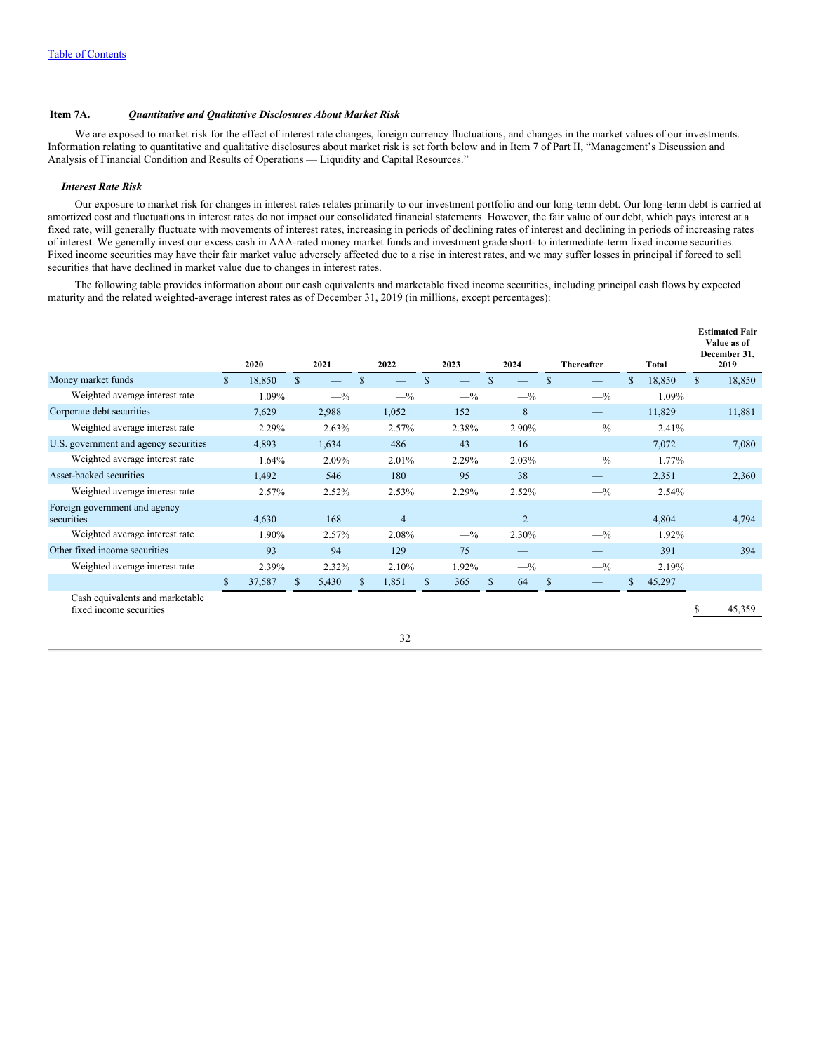### **Item 7A.** *Quantitative and Qualitative Disclosures About Market Risk*

We are exposed to market risk for the effect of interest rate changes, foreign currency fluctuations, and changes in the market values of our investments. Information relating to quantitative and qualitative disclosures about market risk is set forth below and in Item 7 of Part II, "Management's Discussion and Analysis of Financial Condition and Results of Operations — Liquidity and Capital Resources."

### *Interest Rate Risk*

Our exposure to market risk for changes in interest rates relates primarily to our investment portfolio and our long-term debt. Our long-term debt is carried at amortized cost and fluctuations in interest rates do not impact our consolidated financial statements. However, the fair value of our debt, which pays interest at a fixed rate, will generally fluctuate with movements of interest rates, increasing in periods of declining rates of interest and declining in periods of increasing rates of interest. We generally invest our excess cash in AAA-rated money market funds and investment grade short- to intermediate-term fixed income securities. Fixed income securities may have their fair market value adversely affected due to a rise in interest rates, and we may suffer losses in principal if forced to sell securities that have declined in market value due to changes in interest rates.

The following table provides information about our cash equivalents and marketable fixed income securities, including principal cash flows by expected maturity and the related weighted-average interest rates as of December 31, 2019 (in millions, except percentages):

|                                             |               | 2020   |     | 2021  | 2022           | 2023  |   | 2024           | <b>Thereafter</b> | Total        |             | <b>Estimated Fair</b><br>Value as of<br>December 31,<br>2019 |
|---------------------------------------------|---------------|--------|-----|-------|----------------|-------|---|----------------|-------------------|--------------|-------------|--------------------------------------------------------------|
| Money market funds                          | <sup>\$</sup> | 18,850 | \$  |       |                |       |   |                |                   | \$<br>18,850 | $\mathbf S$ | 18,850                                                       |
| Weighted average interest rate              |               | 1.09%  |     | $-$ % | $-$ %          | $-$ % |   | $-$ %          | $-$ %             | 1.09%        |             |                                                              |
| Corporate debt securities                   |               | 7,629  |     | 2,988 | 1,052          | 152   |   | 8              |                   | 11,829       |             | 11,881                                                       |
| Weighted average interest rate              |               | 2.29%  |     | 2.63% | 2.57%          | 2.38% |   | 2.90%          | $-$ %             | 2.41%        |             |                                                              |
| U.S. government and agency securities       |               | 4,893  |     | 1,634 | 486            | 43    |   | 16             |                   | 7,072        |             | 7,080                                                        |
| Weighted average interest rate              |               | 1.64%  |     | 2.09% | 2.01%          | 2.29% |   | 2.03%          | $-$ %             | 1.77%        |             |                                                              |
| Asset-backed securities                     |               | 1.492  |     | 546   | 180            | 95    |   | 38             |                   | 2,351        |             | 2.360                                                        |
| Weighted average interest rate              |               | 2.57%  |     | 2.52% | 2.53%          | 2.29% |   | 2.52%          | $-$ %             | 2.54%        |             |                                                              |
| Foreign government and agency<br>securities |               | 4,630  |     | 168   | $\overline{4}$ |       |   | $\overline{2}$ |                   | 4,804        |             | 4,794                                                        |
| Weighted average interest rate              |               | 1.90%  |     | 2.57% | 2.08%          | $-$ % |   | 2.30%          | $-$ %             | 1.92%        |             |                                                              |
| Other fixed income securities               |               | 93     |     | 94    | 129            | 75    |   |                |                   | 391          |             | 394                                                          |
| Weighted average interest rate              |               | 2.39%  |     | 2.32% | 2.10%          | 1.92% |   | $-$ %          | $-$ %             | 2.19%        |             |                                                              |
|                                             | <sup>\$</sup> | 37,587 | \$. | 5,430 | 1,851          | 365   | S | 64             |                   | 45,297       |             |                                                              |
| Cash equivalents and marketable             |               |        |     |       |                |       |   |                |                   |              |             |                                                              |

fixed income securities  $\frac{1}{2}$  45,359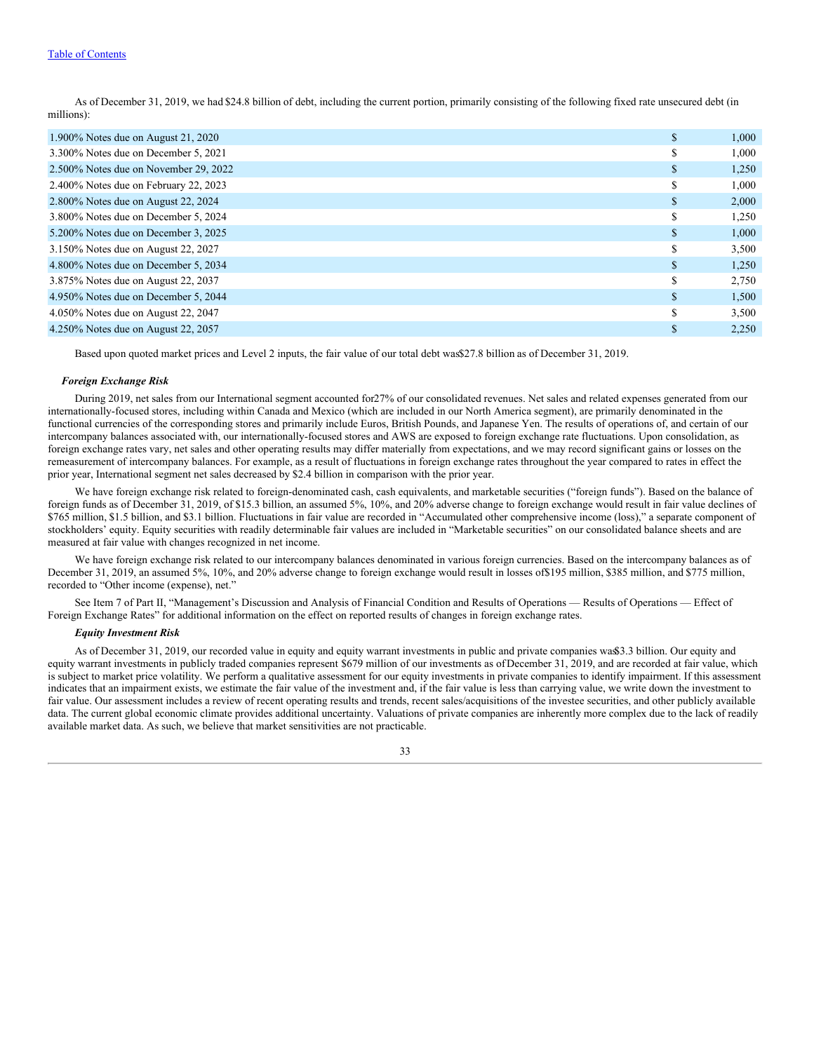As of December 31, 2019, we had \$24.8 billion of debt, including the current portion, primarily consisting of the following fixed rate unsecured debt (in millions):

| 1.900% Notes due on August 21, 2020   | \$ | 1,000 |
|---------------------------------------|----|-------|
| 3.300% Notes due on December 5, 2021  |    | 1,000 |
| 2.500% Notes due on November 29, 2022 | \$ | 1,250 |
| 2.400% Notes due on February 22, 2023 |    | 1,000 |
| 2.800% Notes due on August 22, 2024   | S  | 2,000 |
| 3.800% Notes due on December 5, 2024  | \$ | 1,250 |
| 5.200% Notes due on December 3, 2025  | \$ | 1,000 |
| 3.150% Notes due on August 22, 2027   |    | 3,500 |
| 4.800% Notes due on December 5, 2034  | ъ  | 1,250 |
| 3.875% Notes due on August 22, 2037   |    | 2,750 |
| 4.950% Notes due on December 5, 2044  | \$ | 1,500 |
| 4.050% Notes due on August 22, 2047   | \$ | 3,500 |
| 4.250% Notes due on August 22, 2057   |    | 2,250 |

Based upon quoted market prices and Level 2 inputs, the fair value of our total debt was\$27.8 billion as of December 31, 2019.

#### *Foreign Exchange Risk*

During 2019, net sales from our International segment accounted for27% of our consolidated revenues. Net sales and related expenses generated from our internationally-focused stores, including within Canada and Mexico (which are included in our North America segment), are primarily denominated in the functional currencies of the corresponding stores and primarily include Euros, British Pounds, and Japanese Yen. The results of operations of, and certain of our intercompany balances associated with, our internationally-focused stores and AWS are exposed to foreign exchange rate fluctuations. Upon consolidation, as foreign exchange rates vary, net sales and other operating results may differ materially from expectations, and we may record significant gains or losses on the remeasurement of intercompany balances. For example, as a result of fluctuations in foreign exchange rates throughout the year compared to rates in effect the prior year, International segment net sales decreased by \$2.4 billion in comparison with the prior year.

We have foreign exchange risk related to foreign-denominated cash, cash equivalents, and marketable securities ("foreign funds"). Based on the balance of foreign funds as of December 31, 2019, of \$15.3 billion, an assumed 5%, 10%, and 20% adverse change to foreign exchange would result in fair value declines of \$765 million, \$1.5 billion, and \$3.1 billion. Fluctuations in fair value are recorded in "Accumulated other comprehensive income (loss)," a separate component of stockholders' equity. Equity securities with readily determinable fair values are included in "Marketable securities" on our consolidated balance sheets and are measured at fair value with changes recognized in net income.

We have foreign exchange risk related to our intercompany balances denominated in various foreign currencies. Based on the intercompany balances as of December 31, 2019, an assumed 5%, 10%, and 20% adverse change to foreign exchange would result in losses of \$195 million, \$385 million, and \$775 million, recorded to "Other income (expense), net."

See Item 7 of Part II, "Management's Discussion and Analysis of Financial Condition and Results of Operations — Results of Operations — Effect of Foreign Exchange Rates" for additional information on the effect on reported results of changes in foreign exchange rates.

### *Equity Investment Risk*

As of December 31, 2019, our recorded value in equity and equity warrant investments in public and private companies was\$3.3 billion. Our equity and equity warrant investments in publicly traded companies represent \$679 million of our investments as of December 31, 2019, and are recorded at fair value, which is subject to market price volatility. We perform a qualitative assessment for our equity investments in private companies to identify impairment. If this assessment indicates that an impairment exists, we estimate the fair value of the investment and, if the fair value is less than carrying value, we write down the investment to fair value. Our assessment includes a review of recent operating results and trends, recent sales/acquisitions of the investee securities, and other publicly available data. The current global economic climate provides additional uncertainty. Valuations of private companies are inherently more complex due to the lack of readily available market data. As such, we believe that market sensitivities are not practicable.

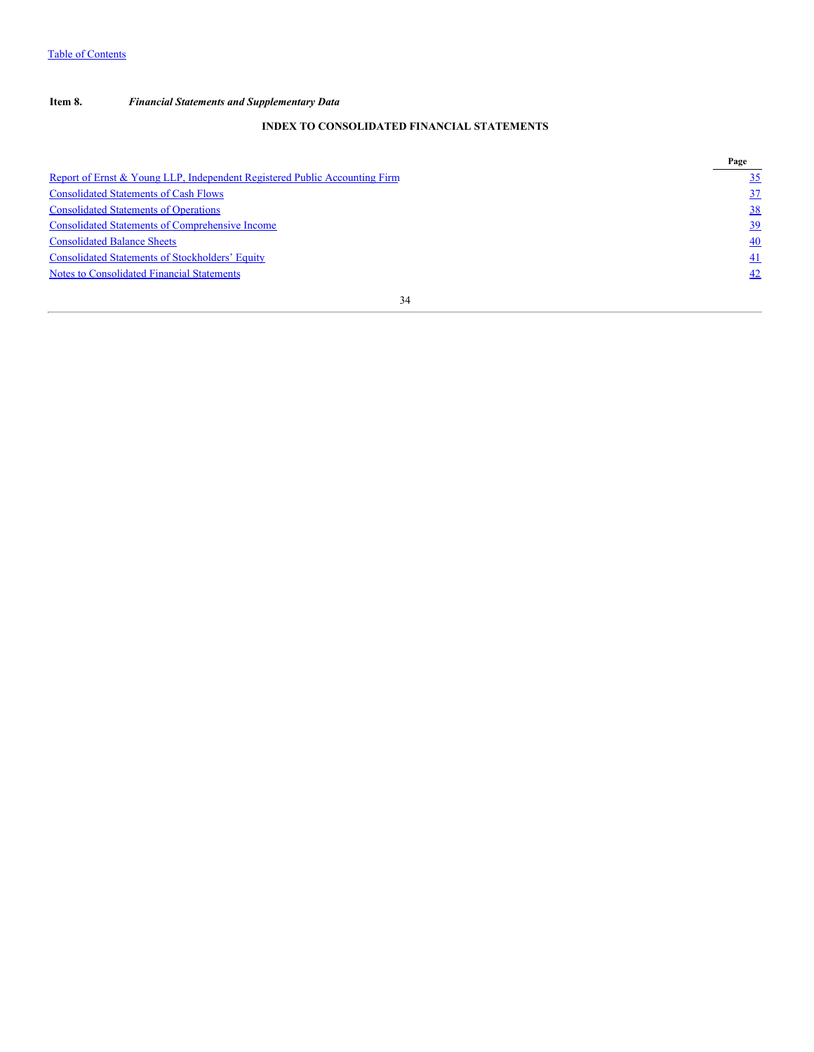### <span id="page-33-0"></span>**Item 8.** *Financial Statements and Supplementary Data*

### **INDEX TO CONSOLIDATED FINANCIAL STATEMENTS**

|                                                                            | Page            |
|----------------------------------------------------------------------------|-----------------|
| Report of Ernst & Young LLP, Independent Registered Public Accounting Firm | <u>35</u>       |
| <b>Consolidated Statements of Cash Flows</b>                               | $\overline{37}$ |
| <b>Consolidated Statements of Operations</b>                               | 38              |
| <b>Consolidated Statements of Comprehensive Income</b>                     | <u>39</u>       |
| <b>Consolidated Balance Sheets</b>                                         | 40              |
| <b>Consolidated Statements of Stockholders' Equity</b>                     | 41              |
| Notes to Consolidated Financial Statements                                 | 42              |
|                                                                            |                 |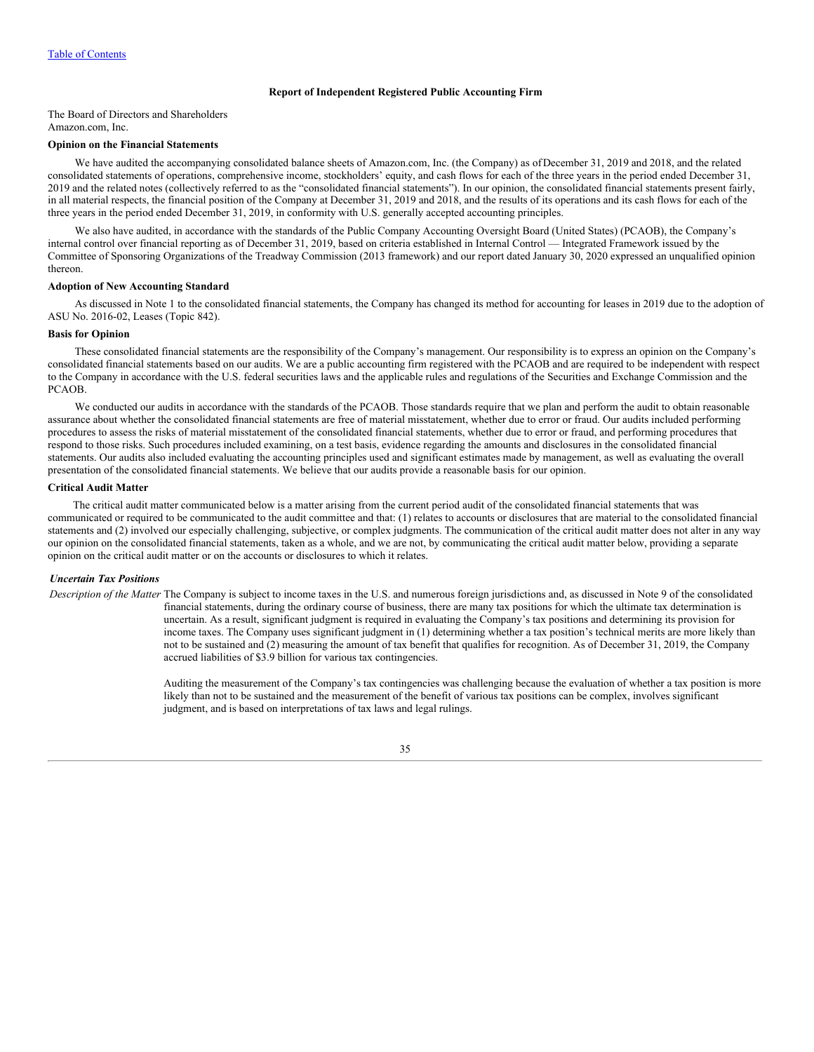### **Report of Independent Registered Public Accounting Firm**

The Board of Directors and Shareholders Amazon.com, Inc.

### **Opinion on the Financial Statements**

We have audited the accompanying consolidated balance sheets of Amazon.com, Inc. (the Company) as of December 31, 2019 and 2018, and the related consolidated statements of operations, comprehensive income, stockholders' equity, and cash flows for each of the three years in the period ended December 31, 2019 and the related notes (collectively referred to as the "consolidated financial statements"). In our opinion, the consolidated financial statements present fairly, in all material respects, the financial position of the Company at December 31, 2019 and 2018, and the results of its operations and its cash flows for each of the three years in the period ended December 31, 2019, in conformity with U.S. generally accepted accounting principles.

We also have audited, in accordance with the standards of the Public Company Accounting Oversight Board (United States) (PCAOB), the Company's internal control over financial reporting as of December 31, 2019, based on criteria established in Internal Control — Integrated Framework issued by the Committee of Sponsoring Organizations of the Treadway Commission (2013 framework) and our report dated January 30, 2020 expressed an unqualified opinion thereon.

#### **Adoption of New Accounting Standard**

As discussed in Note 1 to the consolidated financial statements, the Company has changed its method for accounting for leases in 2019 due to the adoption of ASU No. 2016-02, Leases (Topic 842).

### **Basis for Opinion**

These consolidated financial statements are the responsibility of the Company's management. Our responsibility is to express an opinion on the Company's consolidated financial statements based on our audits. We are a public accounting firm registered with the PCAOB and are required to be independent with respect to the Company in accordance with the U.S. federal securities laws and the applicable rules and regulations of the Securities and Exchange Commission and the PCAOB.

We conducted our audits in accordance with the standards of the PCAOB. Those standards require that we plan and perform the audit to obtain reasonable assurance about whether the consolidated financial statements are free of material misstatement, whether due to error or fraud. Our audits included performing procedures to assess the risks of material misstatement of the consolidated financial statements, whether due to error or fraud, and performing procedures that respond to those risks. Such procedures included examining, on a test basis, evidence regarding the amounts and disclosures in the consolidated financial statements. Our audits also included evaluating the accounting principles used and significant estimates made by management, as well as evaluating the overall presentation of the consolidated financial statements. We believe that our audits provide a reasonable basis for our opinion.

### **Critical Audit Matter**

The critical audit matter communicated below is a matter arising from the current period audit of the consolidated financial statements that was communicated or required to be communicated to the audit committee and that: (1) relates to accounts or disclosures that are material to the consolidated financial statements and (2) involved our especially challenging, subjective, or complex judgments. The communication of the critical audit matter does not alter in any way our opinion on the consolidated financial statements, taken as a whole, and we are not, by communicating the critical audit matter below, providing a separate opinion on the critical audit matter or on the accounts or disclosures to which it relates.

### *Uncertain Tax Positions*

*Description of the Matter* The Company is subject to income taxes in the U.S. and numerous foreign jurisdictions and, as discussed in Note 9 of the consolidated financial statements, during the ordinary course of business, there are many tax positions for which the ultimate tax determination is uncertain. As a result, significant judgment is required in evaluating the Company's tax positions and determining its provision for income taxes. The Company uses significant judgment in (1) determining whether a tax position's technical merits are more likely than not to be sustained and (2) measuring the amount of tax benefit that qualifies for recognition. As of December 31, 2019, the Company accrued liabilities of \$3.9 billion for various tax contingencies.

> Auditing the measurement of the Company's tax contingencies was challenging because the evaluation of whether a tax position is more likely than not to be sustained and the measurement of the benefit of various tax positions can be complex, involves significant judgment, and is based on interpretations of tax laws and legal rulings.

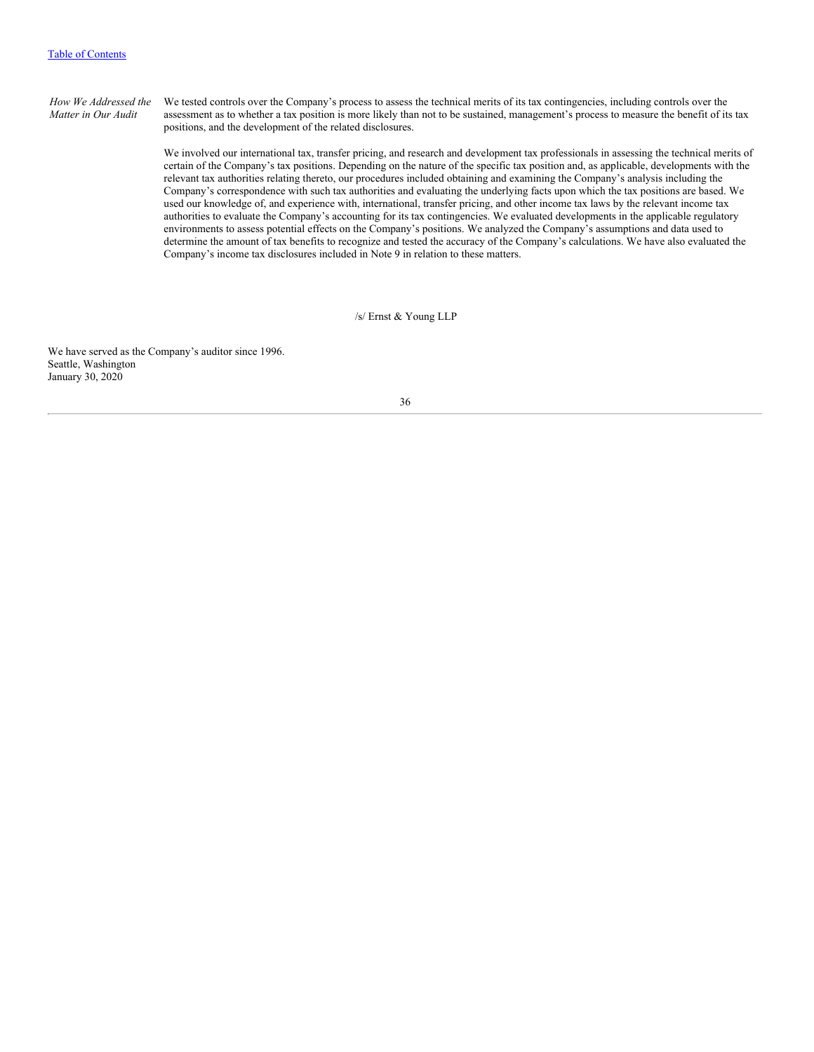<span id="page-35-0"></span>*How We Addressed the Matter in Our Audit* We tested controls over the Company's process to assess the technical merits of its tax contingencies, including controls over the assessment as to whether a tax position is more likely than not to be sustained, management's process to measure the benefit of its tax positions, and the development of the related disclosures.

> We involved our international tax, transfer pricing, and research and development tax professionals in assessing the technical merits of certain of the Company's tax positions. Depending on the nature of the specific tax position and, as applicable, developments with the relevant tax authorities relating thereto, our procedures included obtaining and examining the Company's analysis including the Company's correspondence with such tax authorities and evaluating the underlying facts upon which the tax positions are based. We used our knowledge of, and experience with, international, transfer pricing, and other income tax laws by the relevant income tax authorities to evaluate the Company's accounting for its tax contingencies. We evaluated developments in the applicable regulatory environments to assess potential effects on the Company's positions. We analyzed the Company's assumptions and data used to determine the amount of tax benefits to recognize and tested the accuracy of the Company's calculations. We have also evaluated the Company's income tax disclosures included in Note 9 in relation to these matters.

> > /s/ Ernst & Young LLP

We have served as the Company's auditor since 1996. Seattle, Washington January 30, 2020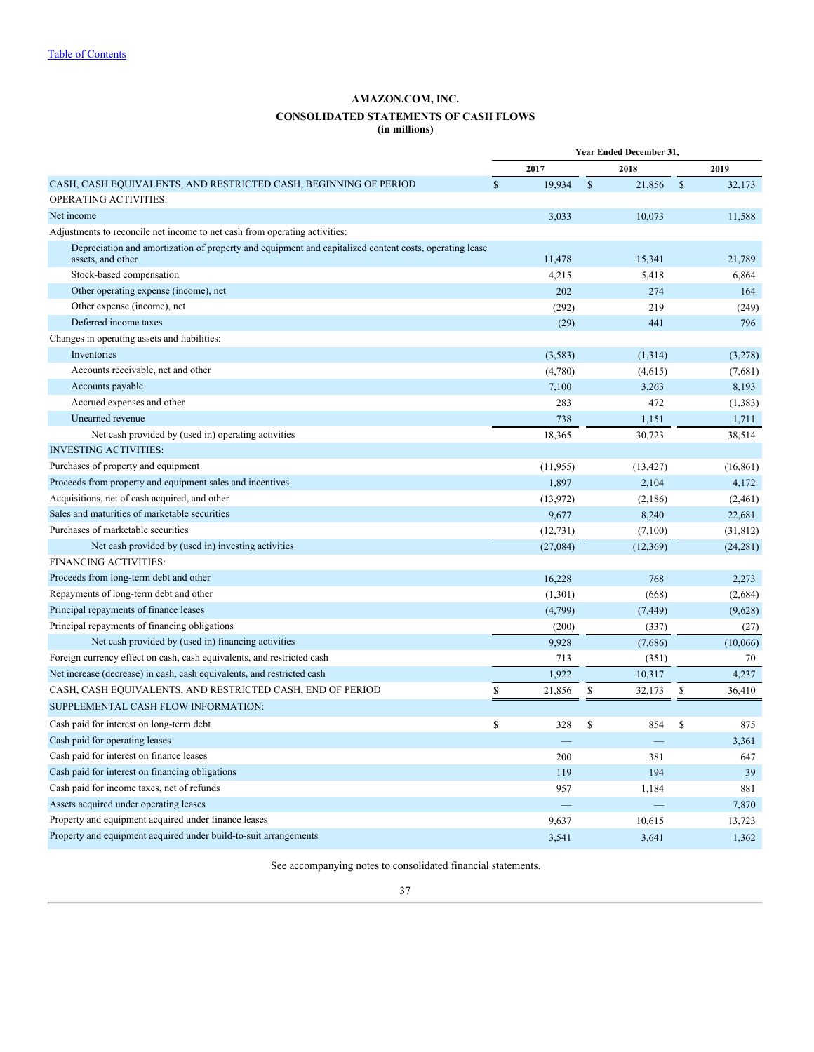# **AMAZON.COM, INC. CONSOLIDATED STATEMENTS OF CASH FLOWS (in millions)**

|                                                                                                                             | Year Ended December 31, |           |    |           |               |           |  |  |
|-----------------------------------------------------------------------------------------------------------------------------|-------------------------|-----------|----|-----------|---------------|-----------|--|--|
|                                                                                                                             |                         | 2017      |    | 2018      |               | 2019      |  |  |
| CASH, CASH EQUIVALENTS, AND RESTRICTED CASH, BEGINNING OF PERIOD                                                            | $\mathbf S$             | 19,934    | \$ | 21,856    | $\mathsf{\$}$ | 32,173    |  |  |
| <b>OPERATING ACTIVITIES:</b>                                                                                                |                         |           |    |           |               |           |  |  |
| Net income                                                                                                                  |                         | 3,033     |    | 10,073    |               | 11,588    |  |  |
| Adjustments to reconcile net income to net cash from operating activities:                                                  |                         |           |    |           |               |           |  |  |
| Depreciation and amortization of property and equipment and capitalized content costs, operating lease<br>assets, and other |                         | 11,478    |    | 15,341    |               | 21,789    |  |  |
| Stock-based compensation                                                                                                    |                         | 4,215     |    | 5,418     |               | 6,864     |  |  |
| Other operating expense (income), net                                                                                       |                         | 202       |    | 274       |               | 164       |  |  |
| Other expense (income), net                                                                                                 |                         | (292)     |    | 219       |               | (249)     |  |  |
| Deferred income taxes                                                                                                       |                         | (29)      |    | 441       |               | 796       |  |  |
| Changes in operating assets and liabilities:                                                                                |                         |           |    |           |               |           |  |  |
| Inventories                                                                                                                 |                         | (3,583)   |    | (1, 314)  |               | (3,278)   |  |  |
| Accounts receivable, net and other                                                                                          |                         | (4,780)   |    | (4,615)   |               | (7,681)   |  |  |
| Accounts payable                                                                                                            |                         | 7,100     |    | 3,263     |               | 8,193     |  |  |
| Accrued expenses and other                                                                                                  |                         | 283       |    | 472       |               | (1, 383)  |  |  |
| Unearned revenue                                                                                                            |                         | 738       |    | 1,151     |               | 1,711     |  |  |
| Net cash provided by (used in) operating activities                                                                         |                         | 18,365    |    | 30,723    |               | 38,514    |  |  |
| <b>INVESTING ACTIVITIES:</b>                                                                                                |                         |           |    |           |               |           |  |  |
| Purchases of property and equipment                                                                                         |                         | (11, 955) |    | (13, 427) |               | (16, 861) |  |  |
| Proceeds from property and equipment sales and incentives                                                                   |                         | 1,897     |    | 2,104     |               | 4,172     |  |  |
| Acquisitions, net of cash acquired, and other                                                                               |                         | (13,972)  |    | (2,186)   |               | (2,461)   |  |  |
| Sales and maturities of marketable securities                                                                               |                         | 9,677     |    | 8,240     |               | 22,681    |  |  |
| Purchases of marketable securities                                                                                          |                         | (12, 731) |    | (7,100)   |               | (31, 812) |  |  |
| Net cash provided by (used in) investing activities                                                                         |                         | (27,084)  |    | (12, 369) |               | (24, 281) |  |  |
| FINANCING ACTIVITIES:                                                                                                       |                         |           |    |           |               |           |  |  |
| Proceeds from long-term debt and other                                                                                      |                         | 16,228    |    | 768       |               | 2,273     |  |  |
| Repayments of long-term debt and other                                                                                      |                         | (1,301)   |    | (668)     |               | (2,684)   |  |  |
| Principal repayments of finance leases                                                                                      |                         | (4,799)   |    | (7, 449)  |               | (9,628)   |  |  |
| Principal repayments of financing obligations                                                                               |                         | (200)     |    | (337)     |               | (27)      |  |  |
| Net cash provided by (used in) financing activities                                                                         |                         | 9,928     |    | (7,686)   |               | (10,066)  |  |  |
| Foreign currency effect on cash, cash equivalents, and restricted cash                                                      |                         | 713       |    | (351)     |               | 70        |  |  |
| Net increase (decrease) in cash, cash equivalents, and restricted cash                                                      |                         | 1,922     |    | 10,317    |               | 4,237     |  |  |
| CASH, CASH EQUIVALENTS, AND RESTRICTED CASH, END OF PERIOD                                                                  | $\mathbb{S}$            | 21,856    | \$ | 32,173    | $\mathbb{S}$  | 36,410    |  |  |
| SUPPLEMENTAL CASH FLOW INFORMATION:                                                                                         |                         |           |    |           |               |           |  |  |
| Cash paid for interest on long-term debt                                                                                    | \$                      | 328       | \$ | 854       | \$            | 875       |  |  |
| Cash paid for operating leases                                                                                              |                         |           |    |           |               | 3,361     |  |  |
| Cash paid for interest on finance leases                                                                                    |                         | 200       |    | 381       |               | 647       |  |  |
| Cash paid for interest on financing obligations                                                                             |                         | 119       |    | 194       |               | 39        |  |  |
| Cash paid for income taxes, net of refunds                                                                                  |                         | 957       |    | 1,184     |               | 881       |  |  |
| Assets acquired under operating leases                                                                                      |                         |           |    |           |               | 7,870     |  |  |
| Property and equipment acquired under finance leases                                                                        |                         | 9,637     |    | 10,615    |               | 13,723    |  |  |
| Property and equipment acquired under build-to-suit arrangements                                                            |                         | 3,541     |    | 3,641     |               | 1,362     |  |  |

See accompanying notes to consolidated financial statements.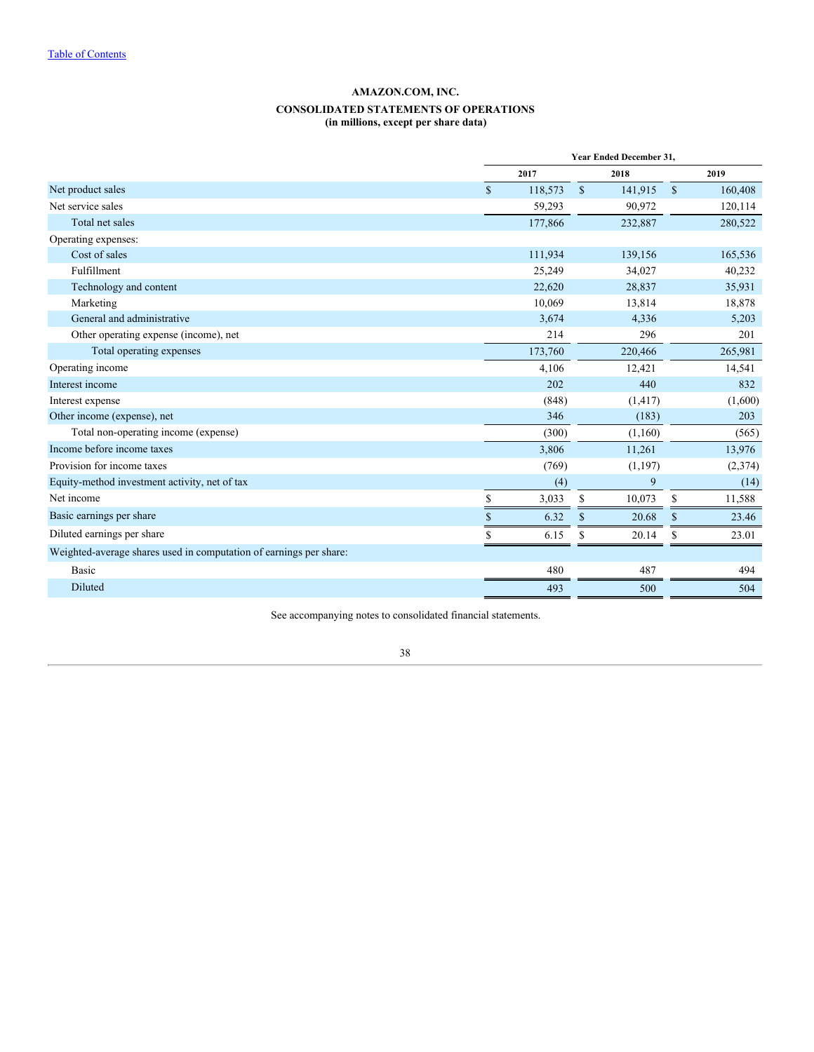# **AMAZON.COM, INC. CONSOLIDATED STATEMENTS OF OPERATIONS (in millions, except per share data)**

|                                                                    |                                   | Year Ended December 31, |               |          |               |         |  |  |
|--------------------------------------------------------------------|-----------------------------------|-------------------------|---------------|----------|---------------|---------|--|--|
|                                                                    |                                   | 2017                    | 2018          |          |               | 2019    |  |  |
| Net product sales                                                  | $\mathbb{S}$                      | 118,573                 | $\mathcal{S}$ | 141,915  | $\mathcal{S}$ | 160,408 |  |  |
| Net service sales                                                  |                                   | 59,293                  |               | 90.972   |               | 120,114 |  |  |
| Total net sales                                                    |                                   | 177,866                 |               | 232,887  |               | 280,522 |  |  |
| Operating expenses:                                                |                                   |                         |               |          |               |         |  |  |
| Cost of sales                                                      |                                   | 111,934                 |               | 139,156  |               | 165,536 |  |  |
| Fulfillment                                                        |                                   | 25,249                  |               | 34,027   |               | 40,232  |  |  |
| Technology and content                                             |                                   | 22,620                  |               | 28,837   |               | 35,931  |  |  |
| Marketing                                                          |                                   | 10,069                  |               | 13,814   |               | 18,878  |  |  |
| General and administrative                                         |                                   | 3,674                   |               | 4,336    |               | 5,203   |  |  |
| Other operating expense (income), net                              |                                   | 214                     |               | 296      |               | 201     |  |  |
| Total operating expenses                                           |                                   | 173,760                 |               | 220,466  |               | 265,981 |  |  |
| Operating income                                                   |                                   | 4,106                   |               | 12,421   |               | 14,541  |  |  |
| Interest income                                                    |                                   | 202                     |               | 440      |               | 832     |  |  |
| Interest expense                                                   |                                   | (848)                   |               | (1, 417) |               | (1,600) |  |  |
| Other income (expense), net                                        |                                   | 346                     |               | (183)    |               | 203     |  |  |
| Total non-operating income (expense)                               |                                   | (300)                   |               | (1,160)  |               | (565)   |  |  |
| Income before income taxes                                         |                                   | 3,806                   |               | 11,261   |               | 13,976  |  |  |
| Provision for income taxes                                         |                                   | (769)                   |               | (1,197)  |               | (2,374) |  |  |
| Equity-method investment activity, net of tax                      |                                   | (4)                     |               | 9        |               | (14)    |  |  |
| Net income                                                         | $\mathbb{S}% _{t}\left( t\right)$ | 3,033                   | \$            | 10,073   | \$            | 11,588  |  |  |
| Basic earnings per share                                           | $\$$                              | 6.32                    | \$            | 20.68    | \$            | 23.46   |  |  |
| Diluted earnings per share                                         | \$                                | 6.15                    | \$            | 20.14    | \$            | 23.01   |  |  |
| Weighted-average shares used in computation of earnings per share: |                                   |                         |               |          |               |         |  |  |
| <b>Basic</b>                                                       |                                   | 480                     |               | 487      |               | 494     |  |  |
| Diluted                                                            |                                   | 493                     |               | 500      |               | 504     |  |  |
|                                                                    |                                   |                         |               |          |               |         |  |  |

See accompanying notes to consolidated financial statements.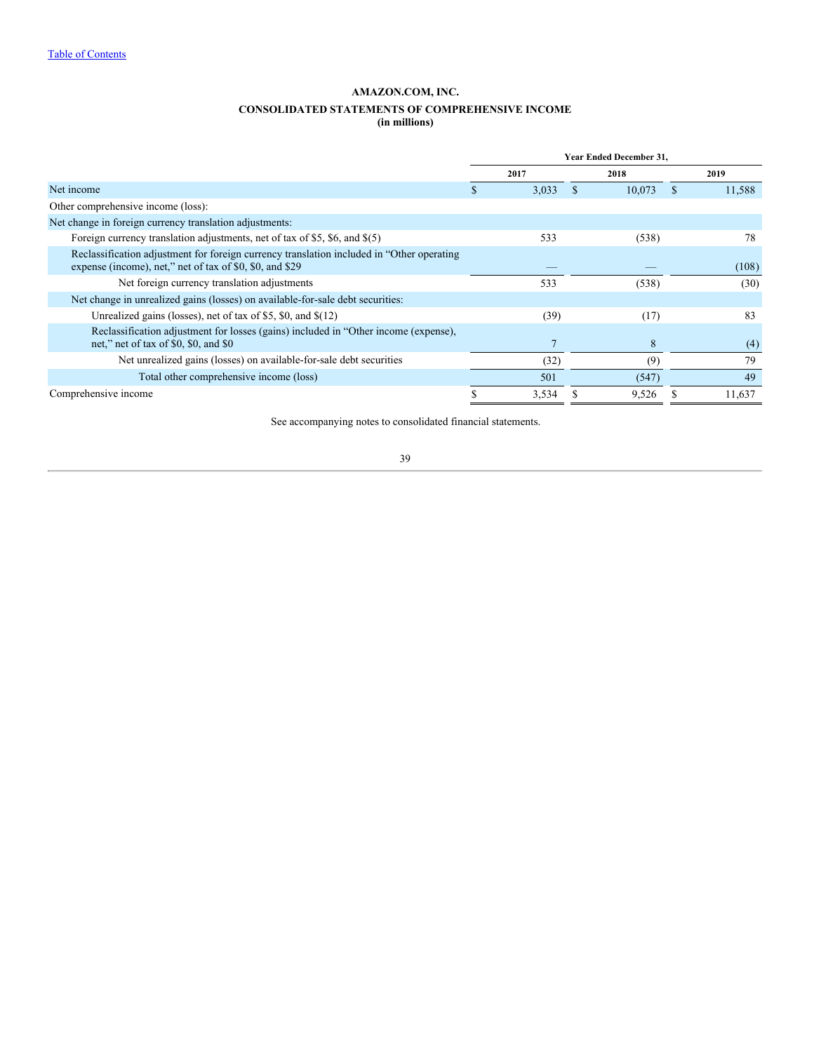# **AMAZON.COM, INC. CONSOLIDATED STATEMENTS OF COMPREHENSIVE INCOME (in millions)**

|                                                                                                                                                       | Year Ended December 31, |       |  |        |  |        |  |  |  |
|-------------------------------------------------------------------------------------------------------------------------------------------------------|-------------------------|-------|--|--------|--|--------|--|--|--|
|                                                                                                                                                       |                         | 2017  |  | 2018   |  | 2019   |  |  |  |
| Net income                                                                                                                                            | -S                      | 3,033 |  | 10,073 |  | 11,588 |  |  |  |
| Other comprehensive income (loss):                                                                                                                    |                         |       |  |        |  |        |  |  |  |
| Net change in foreign currency translation adjustments:                                                                                               |                         |       |  |        |  |        |  |  |  |
| Foreign currency translation adjustments, net of tax of \$5, \$6, and \$(5)                                                                           |                         | 533   |  | (538)  |  | 78     |  |  |  |
| Reclassification adjustment for foreign currency translation included in "Other operating<br>expense (income), net," net of tax of \$0, \$0, and \$29 |                         |       |  |        |  | (108)  |  |  |  |
| Net foreign currency translation adjustments                                                                                                          |                         | 533   |  | (538)  |  | (30)   |  |  |  |
| Net change in unrealized gains (losses) on available-for-sale debt securities:                                                                        |                         |       |  |        |  |        |  |  |  |
| Unrealized gains (losses), net of tax of \$5, \$0, and $$(12)$                                                                                        |                         | (39)  |  | (17)   |  | 83     |  |  |  |
| Reclassification adjustment for losses (gains) included in "Other income (expense),<br>net," net of tax of \$0, \$0, and \$0                          |                         |       |  | 8      |  | (4)    |  |  |  |
| Net unrealized gains (losses) on available-for-sale debt securities                                                                                   |                         | (32)  |  | (9)    |  | 79     |  |  |  |
| Total other comprehensive income (loss)                                                                                                               |                         | 501   |  | (547)  |  | 49     |  |  |  |
| Comprehensive income                                                                                                                                  |                         | 3,534 |  | 9,526  |  | 11,637 |  |  |  |

See accompanying notes to consolidated financial statements.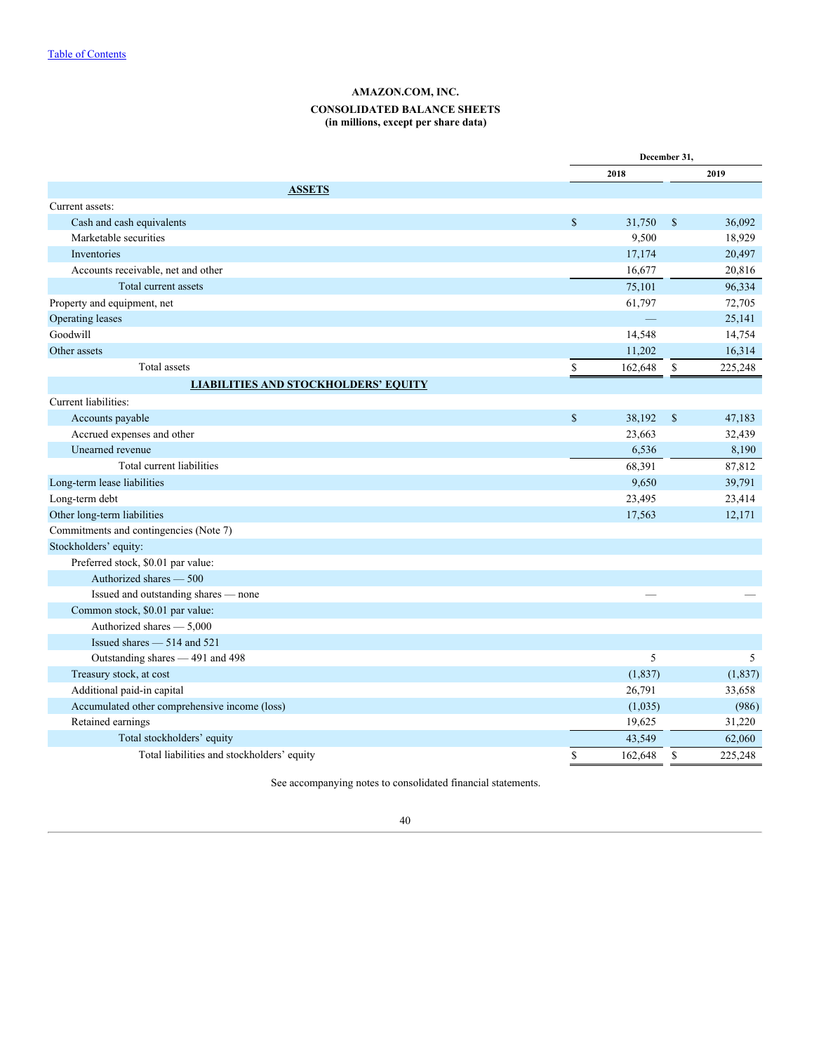# **AMAZON.COM, INC.**

### **CONSOLIDATED BALANCE SHEETS (in millions, except per share data)**

|                                               |              | December 31, |               |          |  |
|-----------------------------------------------|--------------|--------------|---------------|----------|--|
|                                               |              | 2018         |               | 2019     |  |
| <b>ASSETS</b>                                 |              |              |               |          |  |
| Current assets:                               |              |              |               |          |  |
| Cash and cash equivalents                     | $\mathbb{S}$ | 31,750       | $\mathbb{S}$  | 36.092   |  |
| Marketable securities                         |              | 9,500        |               | 18,929   |  |
| Inventories                                   |              | 17,174       |               | 20,497   |  |
| Accounts receivable, net and other            |              | 16,677       |               | 20,816   |  |
| Total current assets                          |              | 75,101       |               | 96,334   |  |
| Property and equipment, net                   |              | 61,797       |               | 72,705   |  |
| Operating leases                              |              |              |               | 25,141   |  |
| Goodwill                                      |              | 14,548       |               | 14,754   |  |
| Other assets                                  |              | 11,202       |               | 16,314   |  |
| Total assets                                  | \$           | 162,648      | <sup>\$</sup> | 225,248  |  |
| <b>LIABILITIES AND STOCKHOLDERS' EQUITY</b>   |              |              |               |          |  |
| Current liabilities:                          |              |              |               |          |  |
| Accounts payable                              | $\mathbb{S}$ | 38,192       | $\mathbb{S}$  | 47,183   |  |
| Accrued expenses and other                    |              | 23,663       |               | 32,439   |  |
| Unearned revenue                              |              | 6,536        |               | 8,190    |  |
| Total current liabilities                     |              | 68,391       |               | 87,812   |  |
| Long-term lease liabilities                   |              | 9,650        |               | 39,791   |  |
| Long-term debt                                |              | 23,495       |               | 23,414   |  |
| Other long-term liabilities                   |              | 17,563       |               | 12,171   |  |
| Commitments and contingencies (Note 7)        |              |              |               |          |  |
| Stockholders' equity:                         |              |              |               |          |  |
| Preferred stock, \$0.01 par value:            |              |              |               |          |  |
| Authorized shares - 500                       |              |              |               |          |  |
| Issued and outstanding shares - none          |              |              |               |          |  |
| Common stock, \$0.01 par value:               |              |              |               |          |  |
| Authorized shares - 5,000                     |              |              |               |          |  |
| Issued shares $-514$ and 521                  |              |              |               |          |  |
| Outstanding shares - 491 and 498              |              | 5            |               | 5        |  |
| Treasury stock, at cost                       |              | (1, 837)     |               | (1, 837) |  |
| Additional paid-in capital                    |              | 26,791       |               | 33,658   |  |
| Accumulated other comprehensive income (loss) |              | (1,035)      |               | (986)    |  |
| Retained earnings                             |              | 19,625       |               | 31,220   |  |
| Total stockholders' equity                    |              | 43,549       |               | 62,060   |  |
| Total liabilities and stockholders' equity    | \$           | 162,648      | $\mathbb{S}$  | 225,248  |  |

See accompanying notes to consolidated financial statements.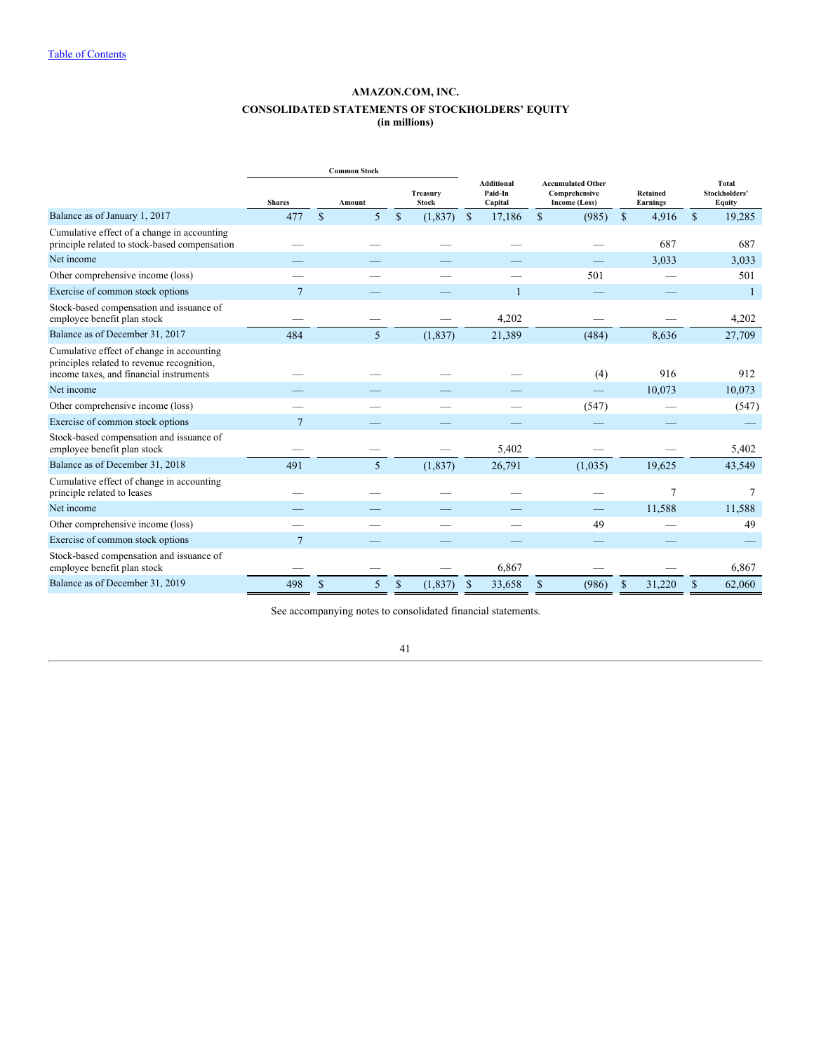# **AMAZON.COM, INC. CONSOLIDATED STATEMENTS OF STOCKHOLDERS' EQUITY (in millions)**

|                                                                                                                                    | <b>Common Stock</b> |               |                |              |                          |                    |        |               |         |                   |                |              |                                                            |  |                      |  |                                  |
|------------------------------------------------------------------------------------------------------------------------------------|---------------------|---------------|----------------|--------------|--------------------------|--------------------|--------|---------------|---------|-------------------|----------------|--------------|------------------------------------------------------------|--|----------------------|--|----------------------------------|
|                                                                                                                                    | <b>Shares</b>       |               | Amount         |              | Treasury<br><b>Stock</b> | Paid-In<br>Capital |        |               |         | <b>Additional</b> |                |              | <b>Accumulated Other</b><br>Comprehensive<br>Income (Loss) |  | Retained<br>Earnings |  | Total<br>Stockholders'<br>Equity |
| Balance as of January 1, 2017                                                                                                      | 477                 | $\mathbf S$   | $\overline{5}$ | $\mathbf S$  | (1, 837)                 | $\mathcal{S}$      | 17,186 | $\mathcal{S}$ | (985)   | $\mathbb{S}$      | 4,916          | $\mathbf S$  | 19,285                                                     |  |                      |  |                                  |
| Cumulative effect of a change in accounting<br>principle related to stock-based compensation                                       |                     |               |                |              |                          |                    |        |               |         |                   | 687            |              | 687                                                        |  |                      |  |                                  |
| Net income                                                                                                                         |                     |               |                |              |                          |                    |        |               |         |                   | 3,033          |              | 3,033                                                      |  |                      |  |                                  |
| Other comprehensive income (loss)                                                                                                  |                     |               |                |              |                          |                    |        |               | 501     |                   |                |              | 501                                                        |  |                      |  |                                  |
| Exercise of common stock options                                                                                                   | $\overline{7}$      |               |                |              |                          |                    | 1      |               |         |                   |                |              | $\mathbf{1}$                                               |  |                      |  |                                  |
| Stock-based compensation and issuance of<br>employee benefit plan stock                                                            |                     |               |                |              |                          |                    | 4,202  |               |         |                   |                |              | 4,202                                                      |  |                      |  |                                  |
| Balance as of December 31, 2017                                                                                                    | 484                 |               | 5              |              | (1, 837)                 |                    | 21,389 |               | (484)   |                   | 8,636          |              | 27,709                                                     |  |                      |  |                                  |
| Cumulative effect of change in accounting<br>principles related to revenue recognition,<br>income taxes, and financial instruments |                     |               |                |              |                          |                    |        |               | (4)     |                   | 916            |              | 912                                                        |  |                      |  |                                  |
| Net income                                                                                                                         |                     |               |                |              |                          |                    |        |               |         |                   | 10,073         |              | 10,073                                                     |  |                      |  |                                  |
| Other comprehensive income (loss)                                                                                                  |                     |               |                |              |                          |                    |        |               | (547)   |                   |                |              | (547)                                                      |  |                      |  |                                  |
| Exercise of common stock options                                                                                                   | $\overline{7}$      |               |                |              |                          |                    |        |               |         |                   |                |              |                                                            |  |                      |  |                                  |
| Stock-based compensation and issuance of<br>employee benefit plan stock                                                            |                     |               |                |              |                          |                    | 5,402  |               |         |                   |                |              | 5,402                                                      |  |                      |  |                                  |
| Balance as of December 31, 2018                                                                                                    | 491                 |               | 5              |              | (1, 837)                 |                    | 26,791 |               | (1,035) |                   | 19,625         |              | 43,549                                                     |  |                      |  |                                  |
| Cumulative effect of change in accounting<br>principle related to leases                                                           |                     |               |                |              |                          |                    |        |               |         |                   | $\overline{7}$ |              |                                                            |  |                      |  |                                  |
| Net income                                                                                                                         |                     |               |                |              |                          |                    |        |               |         |                   | 11,588         |              | 11,588                                                     |  |                      |  |                                  |
| Other comprehensive income (loss)                                                                                                  |                     |               |                |              |                          |                    |        |               | 49      |                   |                |              | 49                                                         |  |                      |  |                                  |
| Exercise of common stock options                                                                                                   | $7\phantom{.0}$     |               |                |              |                          |                    |        |               |         |                   |                |              |                                                            |  |                      |  |                                  |
| Stock-based compensation and issuance of<br>employee benefit plan stock                                                            |                     |               |                |              |                          |                    | 6,867  |               |         |                   |                |              | 6,867                                                      |  |                      |  |                                  |
| Balance as of December 31, 2019                                                                                                    | 498                 | $\mathsf{\$}$ | 5              | $\mathbb{S}$ | (1, 837)                 | \$                 | 33,658 | $\mathcal{S}$ | (986)   | $\mathsf{\$}$     | 31,220         | $\mathbb{S}$ | 62,060                                                     |  |                      |  |                                  |

See accompanying notes to consolidated financial statements.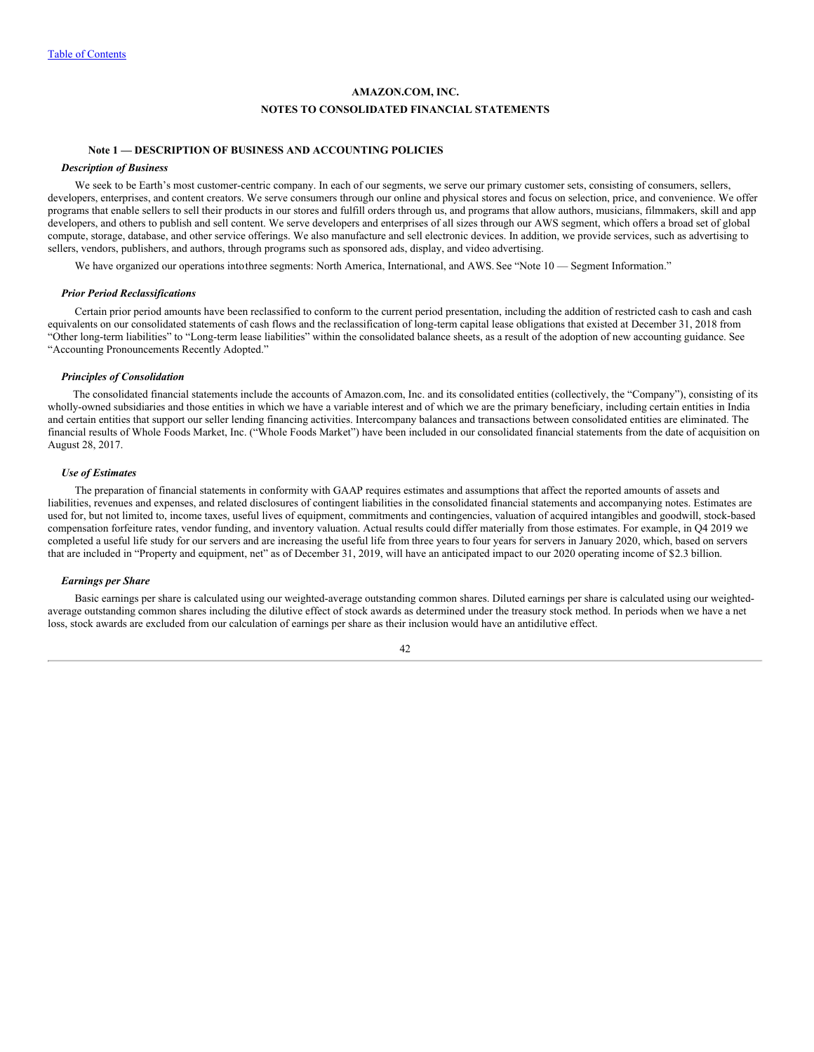# **AMAZON.COM, INC. NOTES TO CONSOLIDATED FINANCIAL STATEMENTS**

# **Note 1 — DESCRIPTION OF BUSINESS AND ACCOUNTING POLICIES**

### *Description of Business*

We seek to be Earth's most customer-centric company. In each of our segments, we serve our primary customer sets, consisting of consumers, sellers, developers, enterprises, and content creators. We serve consumers through our online and physical stores and focus on selection, price, and convenience. We offer programs that enable sellers to sell their products in our stores and fulfill orders through us, and programs that allow authors, musicians, filmmakers, skill and app developers, and others to publish and sell content. We serve developers and enterprises of all sizes through our AWS segment, which offers a broad set of global compute, storage, database, and other service offerings. We also manufacture and sell electronic devices. In addition, we provide services, such as advertising to sellers, vendors, publishers, and authors, through programs such as sponsored ads, display, and video advertising.

We have organized our operations into three segments: North America, International, and AWS. See "Note 10 — Segment Information."

#### *Prior Period Reclassifications*

Certain prior period amounts have been reclassified to conform to the current period presentation, including the addition of restricted cash to cash and cash equivalents on our consolidated statements of cash flows and the reclassification of long-term capital lease obligations that existed at December 31, 2018 from "Other long-term liabilities" to "Long-term lease liabilities" within the consolidated balance sheets, as a result of the adoption of new accounting guidance. See "Accounting Pronouncements Recently Adopted."

#### *Principles of Consolidation*

The consolidated financial statements include the accounts of Amazon.com, Inc. and its consolidated entities (collectively, the "Company"), consisting of its wholly-owned subsidiaries and those entities in which we have a variable interest and of which we are the primary beneficiary, including certain entities in India and certain entities that support our seller lending financing activities. Intercompany balances and transactions between consolidated entities are eliminated. The financial results of Whole Foods Market, Inc. ("Whole Foods Market") have been included in our consolidated financial statements from the date of acquisition on August 28, 2017.

### *Use of Estimates*

The preparation of financial statements in conformity with GAAP requires estimates and assumptions that affect the reported amounts of assets and liabilities, revenues and expenses, and related disclosures of contingent liabilities in the consolidated financial statements and accompanying notes. Estimates are used for, but not limited to, income taxes, useful lives of equipment, commitments and contingencies, valuation of acquired intangibles and goodwill, stock-based compensation forfeiture rates, vendor funding, and inventory valuation. Actual results could differ materially from those estimates. For example, in Q4 2019 we completed a useful life study for our servers and are increasing the useful life from three years to four years for servers in January 2020, which, based on servers that are included in "Property and equipment, net" as of December 31, 2019, will have an anticipated impact to our 2020 operating income of \$2.3 billion.

#### *Earnings per Share*

Basic earnings per share is calculated using our weighted-average outstanding common shares. Diluted earnings per share is calculated using our weightedaverage outstanding common shares including the dilutive effect of stock awards as determined under the treasury stock method. In periods when we have a net loss, stock awards are excluded from our calculation of earnings per share as their inclusion would have an antidilutive effect.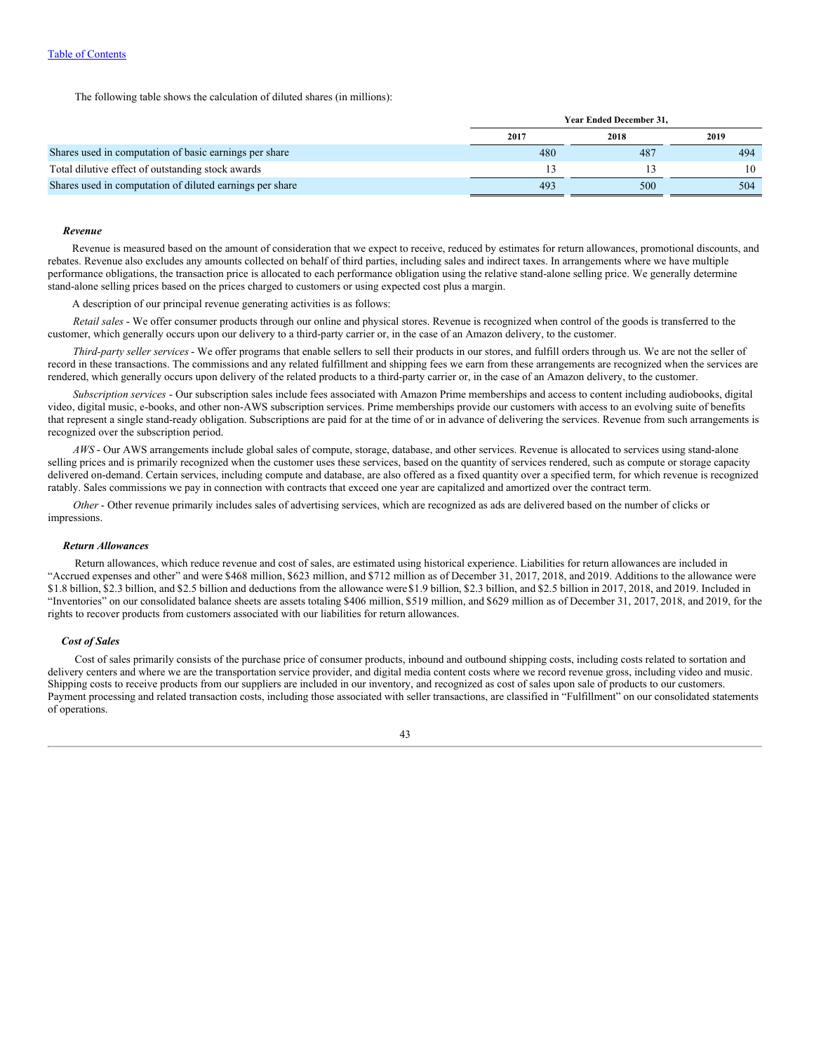The following table shows the calculation of diluted shares (in millions):

|                                                          |      | <b>Year Ended December 31.</b> |      |
|----------------------------------------------------------|------|--------------------------------|------|
|                                                          | 2017 | 2018                           | 2019 |
| Shares used in computation of basic earnings per share   | 480  | 487                            | 494  |
| Total dilutive effect of outstanding stock awards        |      |                                | 10   |
| Shares used in computation of diluted earnings per share | 493  | 500                            | 504  |

#### *Revenue*

Revenue is measured based on the amount of consideration that we expect to receive, reduced by estimates for return allowances, promotional discounts, and rebates. Revenue also excludes any amounts collected on behalf of third parties, including sales and indirect taxes. In arrangements where we have multiple performance obligations, the transaction price is allocated to each performance obligation using the relative stand-alone selling price. We generally determine stand-alone selling prices based on the prices charged to customers or using expected cost plus a margin.

A description of our principal revenue generating activities is as follows:

*Retail sales* - We offer consumer products through our online and physical stores. Revenue is recognized when control of the goods is transferred to the customer, which generally occurs upon our delivery to a third-party carrier or, in the case of an Amazon delivery, to the customer.

*Third-party seller services*- We offer programs that enable sellers to sell their products in our stores, and fulfill orders through us. We are not the seller of record in these transactions. The commissions and any related fulfillment and shipping fees we earn from these arrangements are recognized when the services are rendered, which generally occurs upon delivery of the related products to a third-party carrier or, in the case of an Amazon delivery, to the customer.

*Subscription services* - Our subscription sales include fees associated with Amazon Prime memberships and access to content including audiobooks, digital video, digital music, e-books, and other non-AWS subscription services. Prime memberships provide our customers with access to an evolving suite of benefits that represent a single stand-ready obligation. Subscriptions are paid for at the time of or in advance of delivering the services. Revenue from such arrangements is recognized over the subscription period.

*AWS* - Our AWS arrangements include global sales of compute, storage, database, and other services. Revenue is allocated to services using stand-alone selling prices and is primarily recognized when the customer uses these services, based on the quantity of services rendered, such as compute or storage capacity delivered on-demand. Certain services, including compute and database, are also offered as a fixed quantity over a specified term, for which revenue is recognized ratably. Sales commissions we pay in connection with contracts that exceed one year are capitalized and amortized over the contract term.

*Other* - Other revenue primarily includes sales of advertising services, which are recognized as ads are delivered based on the number of clicks or impressions.

#### *Return Allowances*

Return allowances, which reduce revenue and cost of sales, are estimated using historical experience. Liabilities for return allowances are included in "Accrued expenses and other" and were \$468 million, \$623 million, and \$712 million as of December 31, 2017, 2018, and 2019. Additions to the allowance were \$1.8 billion, \$2.3 billion, and \$2.5 billion and deductions from the allowance were\$1.9 billion, \$2.3 billion, and \$2.5 billion in 2017, 2018, and 2019. Included in "Inventories" on our consolidated balance sheets are assets totaling \$406 million, \$519 million, and \$629 million as of December 31, 2017, 2018, and 2019, for the rights to recover products from customers associated with our liabilities for return allowances.

### *Cost of Sales*

Cost of sales primarily consists of the purchase price of consumer products, inbound and outbound shipping costs, including costs related to sortation and delivery centers and where we are the transportation service provider, and digital media content costs where we record revenue gross, including video and music. Shipping costs to receive products from our suppliers are included in our inventory, and recognized as cost of sales upon sale of products to our customers. Payment processing and related transaction costs, including those associated with seller transactions, are classified in "Fulfillment" on our consolidated statements of operations.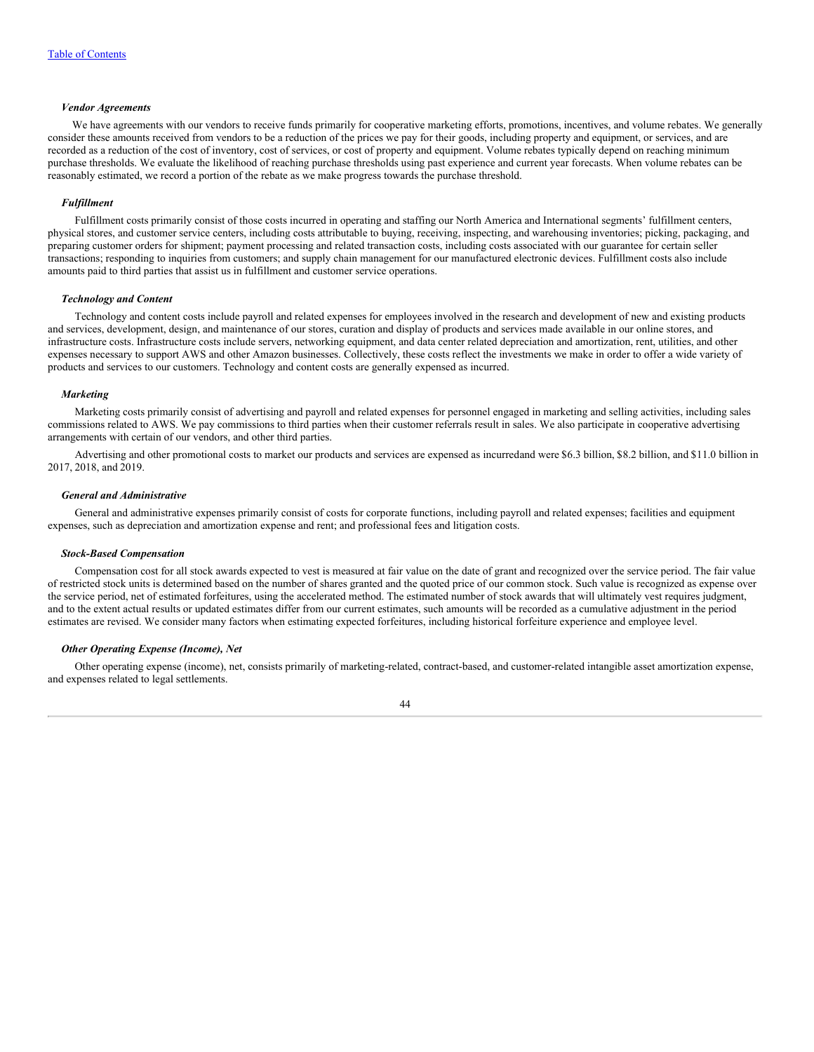### *Vendor Agreements*

We have agreements with our vendors to receive funds primarily for cooperative marketing efforts, promotions, incentives, and volume rebates. We generally consider these amounts received from vendors to be a reduction of the prices we pay for their goods, including property and equipment, or services, and are recorded as a reduction of the cost of inventory, cost of services, or cost of property and equipment. Volume rebates typically depend on reaching minimum purchase thresholds. We evaluate the likelihood of reaching purchase thresholds using past experience and current year forecasts. When volume rebates can be reasonably estimated, we record a portion of the rebate as we make progress towards the purchase threshold.

### *Fulfillment*

Fulfillment costs primarily consist of those costs incurred in operating and staffing our North America and International segments' fulfillment centers, physical stores, and customer service centers, including costs attributable to buying, receiving, inspecting, and warehousing inventories; picking, packaging, and preparing customer orders for shipment; payment processing and related transaction costs, including costs associated with our guarantee for certain seller transactions; responding to inquiries from customers; and supply chain management for our manufactured electronic devices. Fulfillment costs also include amounts paid to third parties that assist us in fulfillment and customer service operations.

#### *Technology and Content*

Technology and content costs include payroll and related expenses for employees involved in the research and development of new and existing products and services, development, design, and maintenance of our stores, curation and display of products and services made available in our online stores, and infrastructure costs. Infrastructure costs include servers, networking equipment, and data center related depreciation and amortization, rent, utilities, and other expenses necessary to support AWS and other Amazon businesses. Collectively, these costs reflect the investments we make in order to offer a wide variety of products and services to our customers. Technology and content costs are generally expensed as incurred.

#### *Marketing*

Marketing costs primarily consist of advertising and payroll and related expenses for personnel engaged in marketing and selling activities, including sales commissions related to AWS. We pay commissions to third parties when their customer referrals result in sales. We also participate in cooperative advertising arrangements with certain of our vendors, and other third parties.

Advertising and other promotional costs to market our products and services are expensed as incurredand were \$6.3 billion, \$8.2 billion, and \$11.0 billion in 2017, 2018, and 2019.

#### *General and Administrative*

General and administrative expenses primarily consist of costs for corporate functions, including payroll and related expenses; facilities and equipment expenses, such as depreciation and amortization expense and rent; and professional fees and litigation costs.

#### *Stock-Based Compensation*

Compensation cost for all stock awards expected to vest is measured at fair value on the date of grant and recognized over the service period. The fair value of restricted stock units is determined based on the number of shares granted and the quoted price of our common stock. Such value is recognized as expense over the service period, net of estimated forfeitures, using the accelerated method. The estimated number of stock awards that will ultimately vest requires judgment, and to the extent actual results or updated estimates differ from our current estimates, such amounts will be recorded as a cumulative adjustment in the period estimates are revised. We consider many factors when estimating expected forfeitures, including historical forfeiture experience and employee level.

# *Other Operating Expense (Income), Net*

Other operating expense (income), net, consists primarily of marketing-related, contract-based, and customer-related intangible asset amortization expense, and expenses related to legal settlements.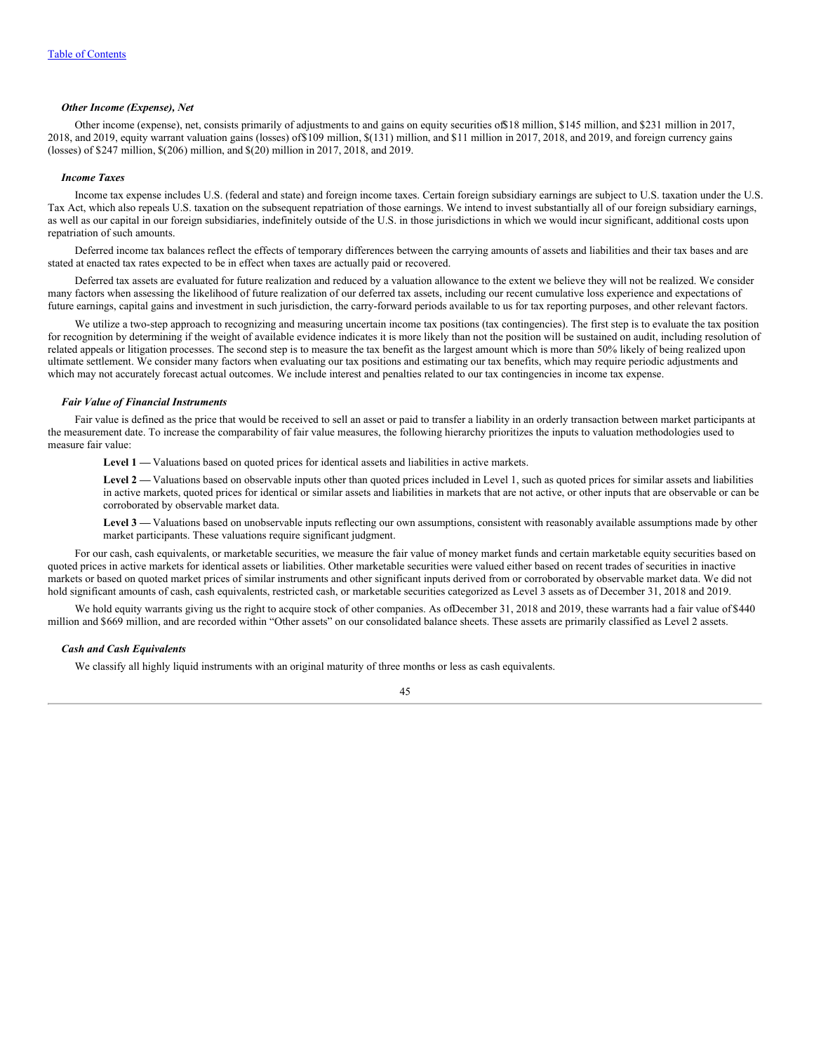# *Other Income (Expense), Net*

Other income (expense), net, consists primarily of adjustments to and gains on equity securities of\$18 million, \$145 million, and \$231 million in 2017, 2018, and 2019, equity warrant valuation gains (losses) of\$109 million, \$(131) million, and \$11 million in 2017, 2018, and 2019, and foreign currency gains (losses) of \$247 million, \$(206) million, and \$(20) million in 2017, 2018, and 2019.

#### *Income Taxes*

Income tax expense includes U.S. (federal and state) and foreign income taxes. Certain foreign subsidiary earnings are subject to U.S. taxation under the U.S. Tax Act, which also repeals U.S. taxation on the subsequent repatriation of those earnings. We intend to invest substantially all of our foreign subsidiary earnings, as well as our capital in our foreign subsidiaries, indefinitely outside of the U.S. in those jurisdictions in which we would incur significant, additional costs upon repatriation of such amounts.

Deferred income tax balances reflect the effects of temporary differences between the carrying amounts of assets and liabilities and their tax bases and are stated at enacted tax rates expected to be in effect when taxes are actually paid or recovered.

Deferred tax assets are evaluated for future realization and reduced by a valuation allowance to the extent we believe they will not be realized. We consider many factors when assessing the likelihood of future realization of our deferred tax assets, including our recent cumulative loss experience and expectations of future earnings, capital gains and investment in such jurisdiction, the carry-forward periods available to us for tax reporting purposes, and other relevant factors.

We utilize a two-step approach to recognizing and measuring uncertain income tax positions (tax contingencies). The first step is to evaluate the tax position for recognition by determining if the weight of available evidence indicates it is more likely than not the position will be sustained on audit, including resolution of related appeals or litigation processes. The second step is to measure the tax benefit as the largest amount which is more than 50% likely of being realized upon ultimate settlement. We consider many factors when evaluating our tax positions and estimating our tax benefits, which may require periodic adjustments and which may not accurately forecast actual outcomes. We include interest and penalties related to our tax contingencies in income tax expense.

#### *Fair Value of Financial Instruments*

Fair value is defined as the price that would be received to sell an asset or paid to transfer a liability in an orderly transaction between market participants at the measurement date. To increase the comparability of fair value measures, the following hierarchy prioritizes the inputs to valuation methodologies used to measure fair value:

**Level 1 —** Valuations based on quoted prices for identical assets and liabilities in active markets.

Level 2 — Valuations based on observable inputs other than quoted prices included in Level 1, such as quoted prices for similar assets and liabilities in active markets, quoted prices for identical or similar assets and liabilities in markets that are not active, or other inputs that are observable or can be corroborated by observable market data.

Level 3 — Valuations based on unobservable inputs reflecting our own assumptions, consistent with reasonably available assumptions made by other market participants. These valuations require significant judgment.

For our cash, cash equivalents, or marketable securities, we measure the fair value of money market funds and certain marketable equity securities based on quoted prices in active markets for identical assets or liabilities. Other marketable securities were valued either based on recent trades of securities in inactive markets or based on quoted market prices of similar instruments and other significant inputs derived from or corroborated by observable market data. We did not hold significant amounts of cash, cash equivalents, restricted cash, or marketable securities categorized as Level 3 assets as of December 31, 2018 and 2019.

We hold equity warrants giving us the right to acquire stock of other companies. As ofDecember 31, 2018 and 2019, these warrants had a fair value of \$440 million and \$669 million, and are recorded within "Other assets" on our consolidated balance sheets. These assets are primarily classified as Level 2 assets.

#### *Cash and Cash Equivalents*

We classify all highly liquid instruments with an original maturity of three months or less as cash equivalents.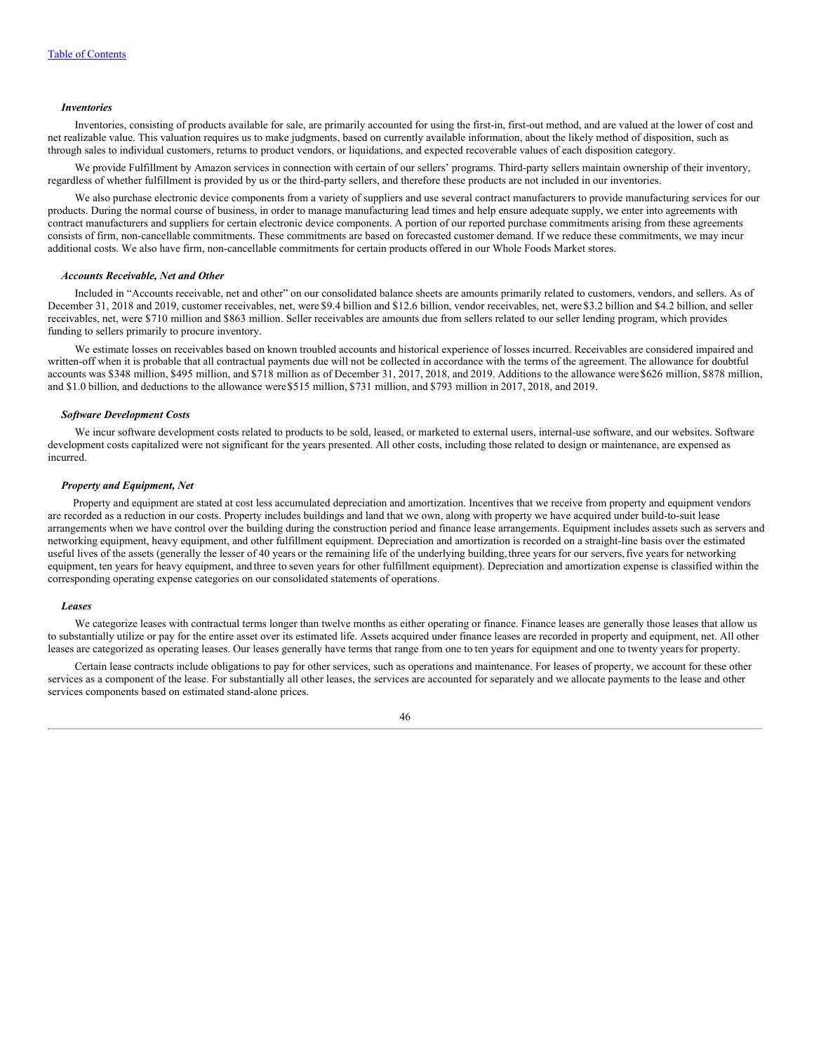### *Inventories*

Inventories, consisting of products available for sale, are primarily accounted for using the first-in, first-out method, and are valued at the lower of cost and net realizable value. This valuation requires us to make judgments, based on currently available information, about the likely method of disposition, such as through sales to individual customers, returns to product vendors, or liquidations, and expected recoverable values of each disposition category.

We provide Fulfillment by Amazon services in connection with certain of our sellers' programs. Third-party sellers maintain ownership of their inventory, regardless of whether fulfillment is provided by us or the third-party sellers, and therefore these products are not included in our inventories.

We also purchase electronic device components from a variety of suppliers and use several contract manufacturers to provide manufacturing services for our products. During the normal course of business, in order to manage manufacturing lead times and help ensure adequate supply, we enter into agreements with contract manufacturers and suppliers for certain electronic device components. A portion of our reported purchase commitments arising from these agreements consists of firm, non-cancellable commitments. These commitments are based on forecasted customer demand. If we reduce these commitments, we may incur additional costs. We also have firm, non-cancellable commitments for certain products offered in our Whole Foods Market stores.

#### *Accounts Receivable, Net and Other*

Included in "Accounts receivable, net and other" on our consolidated balance sheets are amounts primarily related to customers, vendors, and sellers. As of December 31, 2018 and 2019, customer receivables, net, were \$9.4 billion and \$12.6 billion, vendor receivables, net, were \$3.2 billion and \$4.2 billion, and seller receivables, net, were \$710 million and \$863 million. Seller receivables are amounts due from sellers related to our seller lending program, which provides funding to sellers primarily to procure inventory.

We estimate losses on receivables based on known troubled accounts and historical experience of losses incurred. Receivables are considered impaired and written-off when it is probable that all contractual payments due will not be collected in accordance with the terms of the agreement. The allowance for doubtful accounts was \$348 million, \$495 million, and \$718 million as of December 31, 2017, 2018, and 2019. Additions to the allowance were\$626 million, \$878 million, and \$1.0 billion, and deductions to the allowance were\$515 million, \$731 million, and \$793 million in 2017, 2018, and 2019.

### *Software Development Costs*

We incur software development costs related to products to be sold, leased, or marketed to external users, internal-use software, and our websites. Software development costs capitalized were not significant for the years presented. All other costs, including those related to design or maintenance, are expensed as incurred.

#### *Property and Equipment, Net*

Property and equipment are stated at cost less accumulated depreciation and amortization. Incentives that we receive from property and equipment vendors are recorded as a reduction in our costs. Property includes buildings and land that we own, along with property we have acquired under build-to-suit lease arrangements when we have control over the building during the construction period and finance lease arrangements. Equipment includes assets such as servers and networking equipment, heavy equipment, and other fulfillment equipment. Depreciation and amortization is recorded on a straight-line basis over the estimated useful lives of the assets (generally the lesser of 40 years or the remaining life of the underlying building, three years for our servers, five years for networking equipment, ten years for heavy equipment, and three to seven years for other fulfillment equipment). Depreciation and amortization expense is classified within the corresponding operating expense categories on our consolidated statements of operations.

#### *Leases*

We categorize leases with contractual terms longer than twelve months as either operating or finance. Finance leases are generally those leases that allow us to substantially utilize or pay for the entire asset over its estimated life. Assets acquired under finance leases are recorded in property and equipment, net. All other leases are categorized as operating leases. Our leases generally have terms that range from one to ten years for equipment and one to twenty years for property.

Certain lease contracts include obligations to pay for other services, such as operations and maintenance. For leases of property, we account for these other services as a component of the lease. For substantially all other leases, the services are accounted for separately and we allocate payments to the lease and other services components based on estimated stand-alone prices.

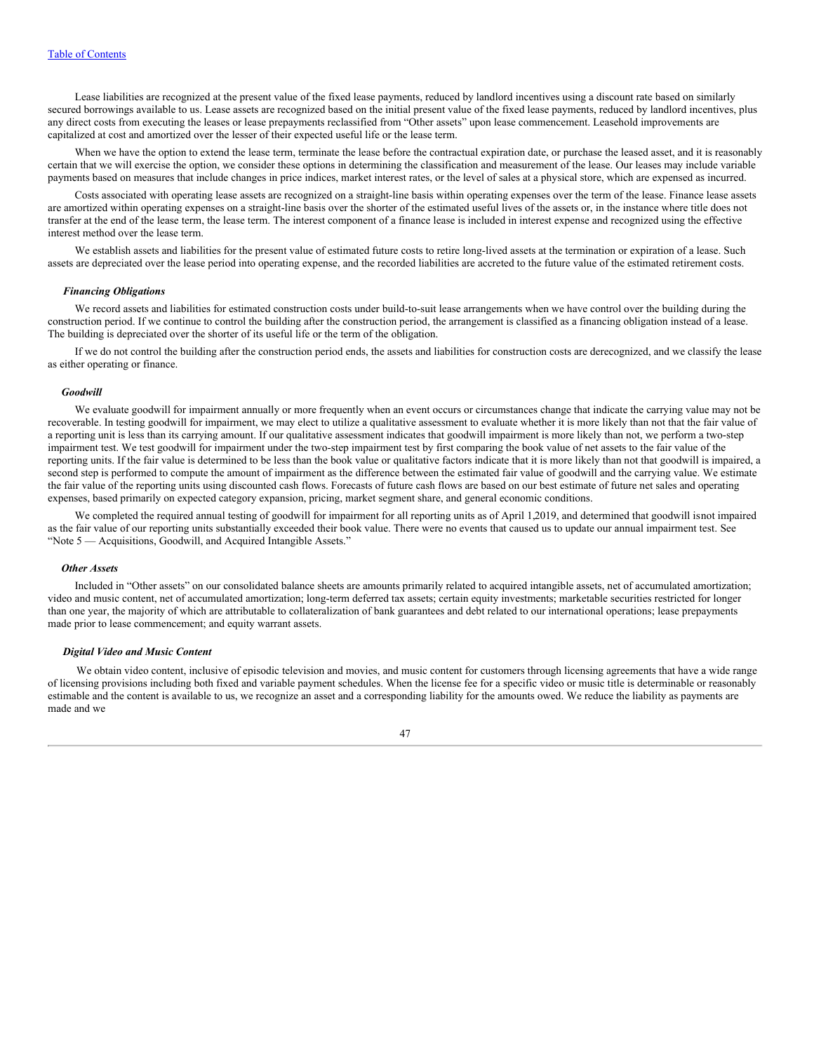Lease liabilities are recognized at the present value of the fixed lease payments, reduced by landlord incentives using a discount rate based on similarly secured borrowings available to us. Lease assets are recognized based on the initial present value of the fixed lease payments, reduced by landlord incentives, plus any direct costs from executing the leases or lease prepayments reclassified from "Other assets" upon lease commencement. Leasehold improvements are capitalized at cost and amortized over the lesser of their expected useful life or the lease term.

When we have the option to extend the lease term, terminate the lease before the contractual expiration date, or purchase the leased asset, and it is reasonably certain that we will exercise the option, we consider these options in determining the classification and measurement of the lease. Our leases may include variable payments based on measures that include changes in price indices, market interest rates, or the level of sales at a physical store, which are expensed as incurred.

Costs associated with operating lease assets are recognized on a straight-line basis within operating expenses over the term of the lease. Finance lease assets are amortized within operating expenses on a straight-line basis over the shorter of the estimated useful lives of the assets or, in the instance where title does not transfer at the end of the lease term, the lease term. The interest component of a finance lease is included in interest expense and recognized using the effective interest method over the lease term.

We establish assets and liabilities for the present value of estimated future costs to retire long-lived assets at the termination or expiration of a lease. Such assets are depreciated over the lease period into operating expense, and the recorded liabilities are accreted to the future value of the estimated retirement costs.

#### *Financing Obligations*

We record assets and liabilities for estimated construction costs under build-to-suit lease arrangements when we have control over the building during the construction period. If we continue to control the building after the construction period, the arrangement is classified as a financing obligation instead of a lease. The building is depreciated over the shorter of its useful life or the term of the obligation.

If we do not control the building after the construction period ends, the assets and liabilities for construction costs are derecognized, and we classify the lease as either operating or finance.

#### *Goodwill*

We evaluate goodwill for impairment annually or more frequently when an event occurs or circumstances change that indicate the carrying value may not be recoverable. In testing goodwill for impairment, we may elect to utilize a qualitative assessment to evaluate whether it is more likely than not that the fair value of a reporting unit is less than its carrying amount. If our qualitative assessment indicates that goodwill impairment is more likely than not, we perform a two-step impairment test. We test goodwill for impairment under the two-step impairment test by first comparing the book value of net assets to the fair value of the reporting units. If the fair value is determined to be less than the book value or qualitative factors indicate that it is more likely than not that goodwill is impaired, a second step is performed to compute the amount of impairment as the difference between the estimated fair value of goodwill and the carrying value. We estimate the fair value of the reporting units using discounted cash flows. Forecasts of future cash flows are based on our best estimate of future net sales and operating expenses, based primarily on expected category expansion, pricing, market segment share, and general economic conditions.

We completed the required annual testing of goodwill for impairment for all reporting units as of April 1,2019, and determined that goodwill isnot impaired as the fair value of our reporting units substantially exceeded their book value. There were no events that caused us to update our annual impairment test. See "Note 5 — Acquisitions, Goodwill, and Acquired Intangible Assets."

#### *Other Assets*

Included in "Other assets" on our consolidated balance sheets are amounts primarily related to acquired intangible assets, net of accumulated amortization; video and music content, net of accumulated amortization; long-term deferred tax assets; certain equity investments; marketable securities restricted for longer than one year, the majority of which are attributable to collateralization of bank guarantees and debt related to our international operations; lease prepayments made prior to lease commencement; and equity warrant assets.

#### *Digital Video and Music Content*

We obtain video content, inclusive of episodic television and movies, and music content for customers through licensing agreements that have a wide range of licensing provisions including both fixed and variable payment schedules. When the license fee for a specific video or music title is determinable or reasonably estimable and the content is available to us, we recognize an asset and a corresponding liability for the amounts owed. We reduce the liability as payments are made and we

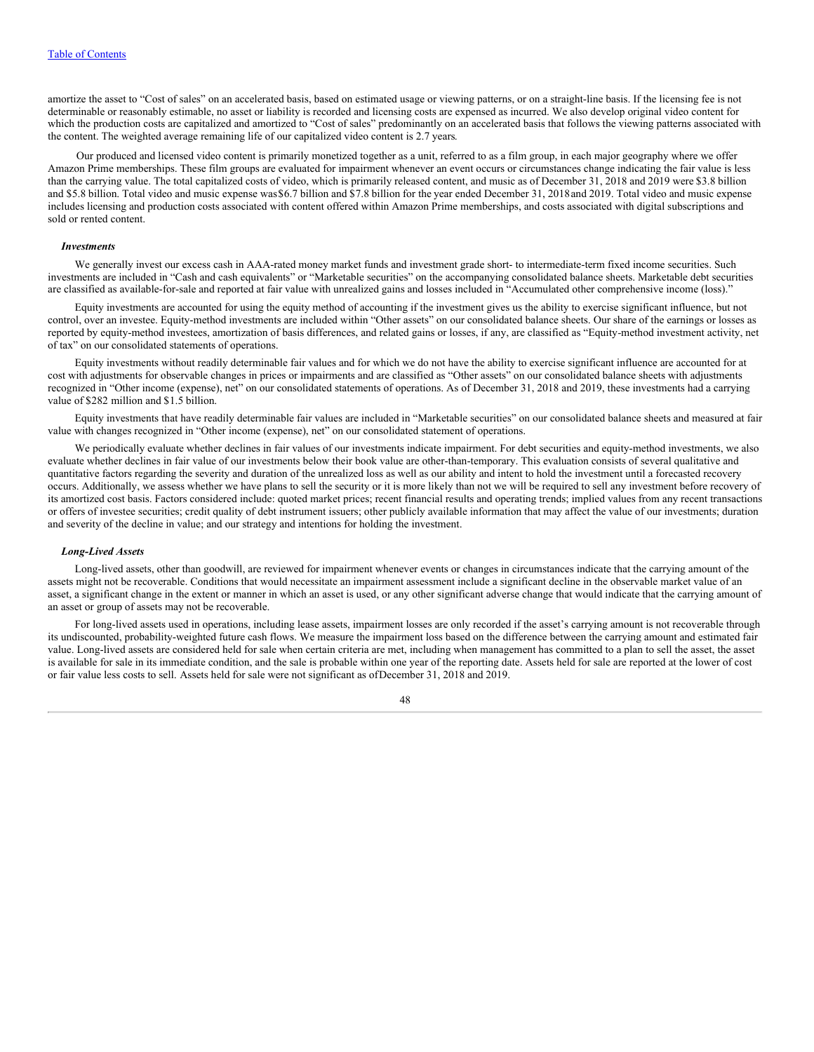amortize the asset to "Cost of sales" on an accelerated basis, based on estimated usage or viewing patterns, or on a straight-line basis. If the licensing fee is not determinable or reasonably estimable, no asset or liability is recorded and licensing costs are expensed as incurred. We also develop original video content for which the production costs are capitalized and amortized to "Cost of sales" predominantly on an accelerated basis that follows the viewing patterns associated with the content. The weighted average remaining life of our capitalized video content is 2.7 years.

Our produced and licensed video content is primarily monetized together as a unit, referred to as a film group, in each major geography where we offer Amazon Prime memberships. These film groups are evaluated for impairment whenever an event occurs or circumstances change indicating the fair value is less than the carrying value. The total capitalized costs of video, which is primarily released content, and music as of December 31, 2018 and 2019 were \$3.8 billion and \$5.8 billion. Total video and music expense was\$6.7 billion and \$7.8 billion for the year ended December 31, 2018and 2019. Total video and music expense includes licensing and production costs associated with content offered within Amazon Prime memberships, and costs associated with digital subscriptions and sold or rented content.

### *Investments*

We generally invest our excess cash in AAA-rated money market funds and investment grade short- to intermediate-term fixed income securities. Such investments are included in "Cash and cash equivalents" or "Marketable securities" on the accompanying consolidated balance sheets. Marketable debt securities are classified as available-for-sale and reported at fair value with unrealized gains and losses included in "Accumulated other comprehensive income (loss)."

Equity investments are accounted for using the equity method of accounting if the investment gives us the ability to exercise significant influence, but not control, over an investee. Equity-method investments are included within "Other assets" on our consolidated balance sheets. Our share of the earnings or losses as reported by equity-method investees, amortization of basis differences, and related gains or losses, if any, are classified as "Equity*-*method investment activity, net of tax" on our consolidated statements of operations.

Equity investments without readily determinable fair values and for which we do not have the ability to exercise significant influence are accounted for at cost with adjustments for observable changes in prices or impairments and are classified as "Other assets" on our consolidated balance sheets with adjustments recognized in "Other income (expense), net" on our consolidated statements of operations. As of December 31, 2018 and 2019, these investments had a carrying value of \$282 million and \$1.5 billion.

Equity investments that have readily determinable fair values are included in "Marketable securities" on our consolidated balance sheets and measured at fair value with changes recognized in "Other income (expense), net" on our consolidated statement of operations.

We periodically evaluate whether declines in fair values of our investments indicate impairment. For debt securities and equity-method investments, we also evaluate whether declines in fair value of our investments below their book value are other-than-temporary. This evaluation consists of several qualitative and quantitative factors regarding the severity and duration of the unrealized loss as well as our ability and intent to hold the investment until a forecasted recovery occurs. Additionally, we assess whether we have plans to sell the security or it is more likely than not we will be required to sell any investment before recovery of its amortized cost basis. Factors considered include: quoted market prices; recent financial results and operating trends; implied values from any recent transactions or offers of investee securities; credit quality of debt instrument issuers; other publicly available information that may affect the value of our investments; duration and severity of the decline in value; and our strategy and intentions for holding the investment.

#### *Long-Lived Assets*

Long-lived assets, other than goodwill, are reviewed for impairment whenever events or changes in circumstances indicate that the carrying amount of the assets might not be recoverable. Conditions that would necessitate an impairment assessment include a significant decline in the observable market value of an asset, a significant change in the extent or manner in which an asset is used, or any other significant adverse change that would indicate that the carrying amount of an asset or group of assets may not be recoverable.

For long-lived assets used in operations, including lease assets, impairment losses are only recorded if the asset's carrying amount is not recoverable through its undiscounted, probability-weighted future cash flows. We measure the impairment loss based on the difference between the carrying amount and estimated fair value. Long-lived assets are considered held for sale when certain criteria are met, including when management has committed to a plan to sell the asset, the asset is available for sale in its immediate condition, and the sale is probable within one year of the reporting date. Assets held for sale are reported at the lower of cost or fair value less costs to sell. Assets held for sale were not significant as ofDecember 31, 2018 and 2019.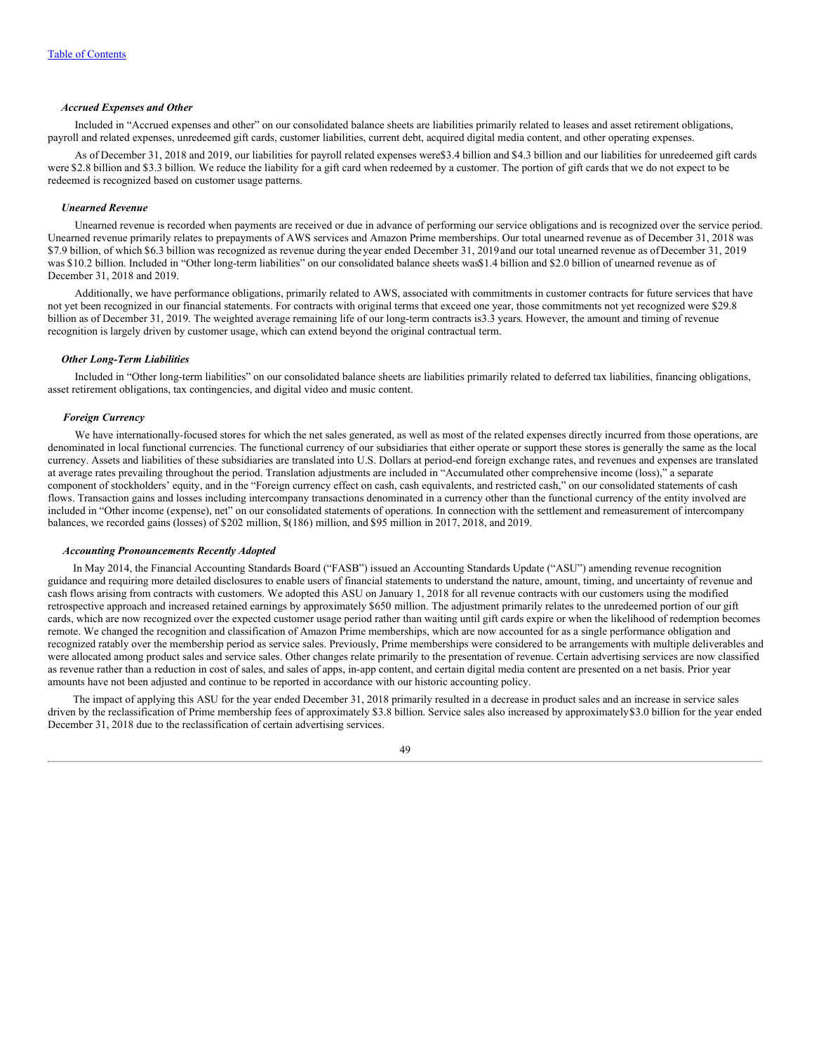### *Accrued Expenses and Other*

Included in "Accrued expenses and other" on our consolidated balance sheets are liabilities primarily related to leases and asset retirement obligations, payroll and related expenses, unredeemed gift cards, customer liabilities, current debt, acquired digital media content, and other operating expenses.

As of December 31, 2018 and 2019, our liabilities for payroll related expenses were \$3.4 billion and \$4.3 billion and our liabilities for unredeemed gift cards were \$2.8 billion and \$3.3 billion. We reduce the liability for a gift card when redeemed by a customer. The portion of gift cards that we do not expect to be redeemed is recognized based on customer usage patterns.

### *Unearned Revenue*

Unearned revenue is recorded when payments are received or due in advance of performing our service obligations and is recognized over the service period. Unearned revenue primarily relates to prepayments of AWS services and Amazon Prime memberships. Our total unearned revenue as of December 31, 2018 was \$7.9 billion, of which \$6.3 billion was recognized as revenue during theyear ended December 31, 2019and our total unearned revenue as ofDecember 31, 2019 was \$10.2 billion. Included in "Other long-term liabilities" on our consolidated balance sheets was\$1.4 billion and \$2.0 billion of unearned revenue as of December 31, 2018 and 2019.

Additionally, we have performance obligations, primarily related to AWS, associated with commitments in customer contracts for future services that have not yet been recognized in our financial statements. For contracts with original terms that exceed one year, those commitments not yet recognized were \$29.8 billion as of December 31, 2019. The weighted average remaining life of our long-term contracts is3.3 years. However, the amount and timing of revenue recognition is largely driven by customer usage, which can extend beyond the original contractual term.

#### *Other Long-Term Liabilities*

Included in "Other long-term liabilities" on our consolidated balance sheets are liabilities primarily related to deferred tax liabilities, financing obligations, asset retirement obligations, tax contingencies, and digital video and music content.

#### *Foreign Currency*

We have internationally-focused stores for which the net sales generated, as well as most of the related expenses directly incurred from those operations, are denominated in local functional currencies. The functional currency of our subsidiaries that either operate or support these stores is generally the same as the local currency. Assets and liabilities of these subsidiaries are translated into U.S. Dollars at period-end foreign exchange rates, and revenues and expenses are translated at average rates prevailing throughout the period. Translation adjustments are included in "Accumulated other comprehensive income (loss)," a separate component of stockholders' equity, and in the "Foreign currency effect on cash, cash equivalents, and restricted cash," on our consolidated statements of cash flows. Transaction gains and losses including intercompany transactions denominated in a currency other than the functional currency of the entity involved are included in "Other income (expense), net" on our consolidated statements of operations. In connection with the settlement and remeasurement of intercompany balances, we recorded gains (losses) of \$202 million, \$(186) million, and \$95 million in 2017, 2018, and 2019.

#### *Accounting Pronouncements Recently Adopted*

In May 2014, the Financial Accounting Standards Board ("FASB") issued an Accounting Standards Update ("ASU") amending revenue recognition guidance and requiring more detailed disclosures to enable users of financial statements to understand the nature, amount, timing, and uncertainty of revenue and cash flows arising from contracts with customers. We adopted this ASU on January 1, 2018 for all revenue contracts with our customers using the modified retrospective approach and increased retained earnings by approximately \$650 million. The adjustment primarily relates to the unredeemed portion of our gift cards, which are now recognized over the expected customer usage period rather than waiting until gift cards expire or when the likelihood of redemption becomes remote. We changed the recognition and classification of Amazon Prime memberships, which are now accounted for as a single performance obligation and recognized ratably over the membership period as service sales. Previously, Prime memberships were considered to be arrangements with multiple deliverables and were allocated among product sales and service sales. Other changes relate primarily to the presentation of revenue. Certain advertising services are now classified as revenue rather than a reduction in cost of sales, and sales of apps, in-app content, and certain digital media content are presented on a net basis. Prior year amounts have not been adjusted and continue to be reported in accordance with our historic accounting policy.

The impact of applying this ASU for the year ended December 31, 2018 primarily resulted in a decrease in product sales and an increase in service sales driven by the reclassification of Prime membership fees of approximately \$3.8 billion. Service sales also increased by approximately\$3.0 billion for the year ended December 31, 2018 due to the reclassification of certain advertising services.

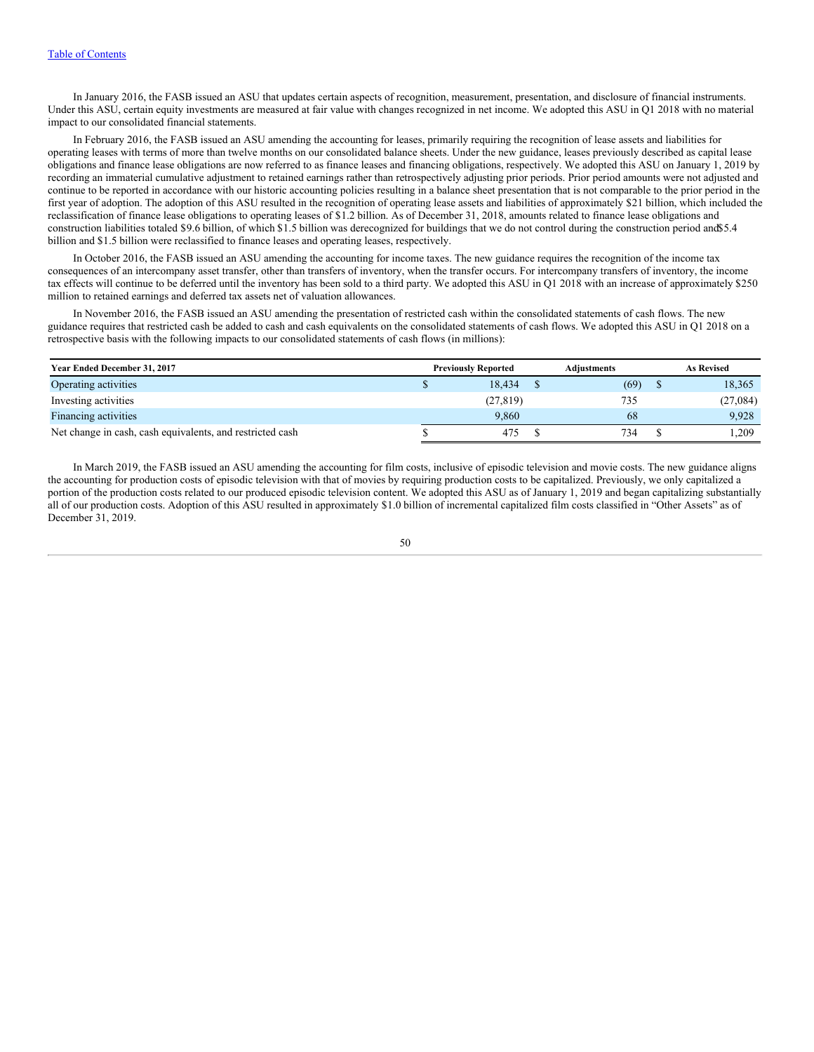In January 2016, the FASB issued an ASU that updates certain aspects of recognition, measurement, presentation, and disclosure of financial instruments. Under this ASU, certain equity investments are measured at fair value with changes recognized in net income. We adopted this ASU in Q1 2018 with no material impact to our consolidated financial statements.

In February 2016, the FASB issued an ASU amending the accounting for leases, primarily requiring the recognition of lease assets and liabilities for operating leases with terms of more than twelve months on our consolidated balance sheets. Under the new guidance, leases previously described as capital lease obligations and finance lease obligations are now referred to as finance leases and financing obligations, respectively. We adopted this ASU on January 1, 2019 by recording an immaterial cumulative adjustment to retained earnings rather than retrospectively adjusting prior periods. Prior period amounts were not adjusted and continue to be reported in accordance with our historic accounting policies resulting in a balance sheet presentation that is not comparable to the prior period in the first year of adoption. The adoption of this ASU resulted in the recognition of operating lease assets and liabilities of approximately \$21 billion, which included the reclassification of finance lease obligations to operating leases of \$1.2 billion. As of December 31, 2018, amounts related to finance lease obligations and construction liabilities totaled \$9.6 billion, of which \$1.5 billion was derecognized for buildings that we do not control during the construction period and\$5.4 billion and \$1.5 billion were reclassified to finance leases and operating leases, respectively.

In October 2016, the FASB issued an ASU amending the accounting for income taxes. The new guidance requires the recognition of the income tax consequences of an intercompany asset transfer, other than transfers of inventory, when the transfer occurs. For intercompany transfers of inventory, the income tax effects will continue to be deferred until the inventory has been sold to a third party. We adopted this ASU in Q1 2018 with an increase of approximately \$250 million to retained earnings and deferred tax assets net of valuation allowances.

In November 2016, the FASB issued an ASU amending the presentation of restricted cash within the consolidated statements of cash flows. The new guidance requires that restricted cash be added to cash and cash equivalents on the consolidated statements of cash flows. We adopted this ASU in Q1 2018 on a retrospective basis with the following impacts to our consolidated statements of cash flows (in millions):

| Year Ended December 31, 2017                              | <b>Previously Reported</b> |           | <b>Adiustments</b> | <b>As Revised</b> |
|-----------------------------------------------------------|----------------------------|-----------|--------------------|-------------------|
| Operating activities                                      |                            | 18.434    | (69)               | 18,365            |
| Investing activities                                      |                            | (27, 819) | 735                | (27,084)          |
| Financing activities                                      |                            | 9.860     | 68                 | 9,928             |
| Net change in cash, cash equivalents, and restricted cash |                            | 475       | 734                | .209              |

In March 2019, the FASB issued an ASU amending the accounting for film costs, inclusive of episodic television and movie costs. The new guidance aligns the accounting for production costs of episodic television with that of movies by requiring production costs to be capitalized. Previously, we only capitalized a portion of the production costs related to our produced episodic television content. We adopted this ASU as of January 1, 2019 and began capitalizing substantially all of our production costs. Adoption of this ASU resulted in approximately \$1.0 billion of incremental capitalized film costs classified in "Other Assets" as of December 31, 2019.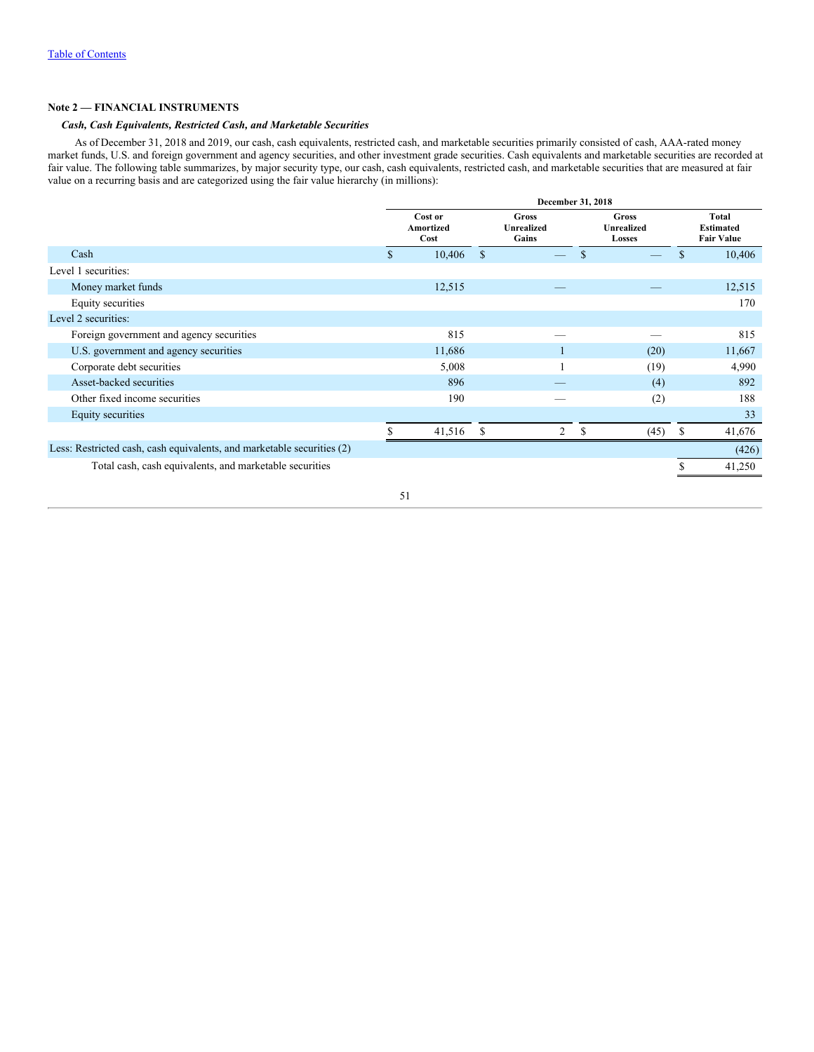# **Note 2 — FINANCIAL INSTRUMENTS**

# *Cash, Cash Equivalents, Restricted Cash, and Marketable Securities*

As of December 31, 2018 and 2019, our cash, cash equivalents, restricted cash, and marketable securities primarily consisted of cash, AAA-rated money market funds, U.S. and foreign government and agency securities, and other investment grade securities. Cash equivalents and marketable securities are recorded at fair value. The following table summarizes, by major security type, our cash, cash equivalents, restricted cash, and marketable securities that are measured at fair value on a recurring basis and are categorized using the fair value hierarchy (in millions):

|                                                                        |              |                              |               | December 31, 2018                   |              |                                             |     |                                                       |
|------------------------------------------------------------------------|--------------|------------------------------|---------------|-------------------------------------|--------------|---------------------------------------------|-----|-------------------------------------------------------|
|                                                                        |              | Cost or<br>Amortized<br>Cost |               | Gross<br><b>Unrealized</b><br>Gains |              | <b>Gross</b><br><b>Unrealized</b><br>Losses |     | <b>Total</b><br><b>Estimated</b><br><b>Fair Value</b> |
| Cash                                                                   | $\mathbb{S}$ | 10,406                       | <sup>\$</sup> |                                     | $\mathbb{S}$ |                                             | \$. | 10,406                                                |
| Level 1 securities:                                                    |              |                              |               |                                     |              |                                             |     |                                                       |
| Money market funds                                                     |              | 12,515                       |               |                                     |              |                                             |     | 12,515                                                |
| Equity securities                                                      |              |                              |               |                                     |              |                                             |     | 170                                                   |
| Level 2 securities:                                                    |              |                              |               |                                     |              |                                             |     |                                                       |
| Foreign government and agency securities                               |              | 815                          |               |                                     |              |                                             |     | 815                                                   |
| U.S. government and agency securities                                  |              | 11,686                       |               |                                     |              | (20)                                        |     | 11,667                                                |
| Corporate debt securities                                              |              | 5,008                        |               |                                     |              | (19)                                        |     | 4,990                                                 |
| Asset-backed securities                                                |              | 896                          |               |                                     |              | (4)                                         |     | 892                                                   |
| Other fixed income securities                                          |              | 190                          |               |                                     |              | (2)                                         |     | 188                                                   |
| Equity securities                                                      |              |                              |               |                                     |              |                                             |     | 33                                                    |
|                                                                        |              | 41,516                       | S             | 2                                   | \$           | (45)                                        | S   | 41,676                                                |
| Less: Restricted cash, cash equivalents, and marketable securities (2) |              |                              |               |                                     |              |                                             |     | (426)                                                 |
| Total cash, cash equivalents, and marketable securities                |              |                              |               |                                     |              |                                             |     | 41,250                                                |
|                                                                        |              |                              |               |                                     |              |                                             |     |                                                       |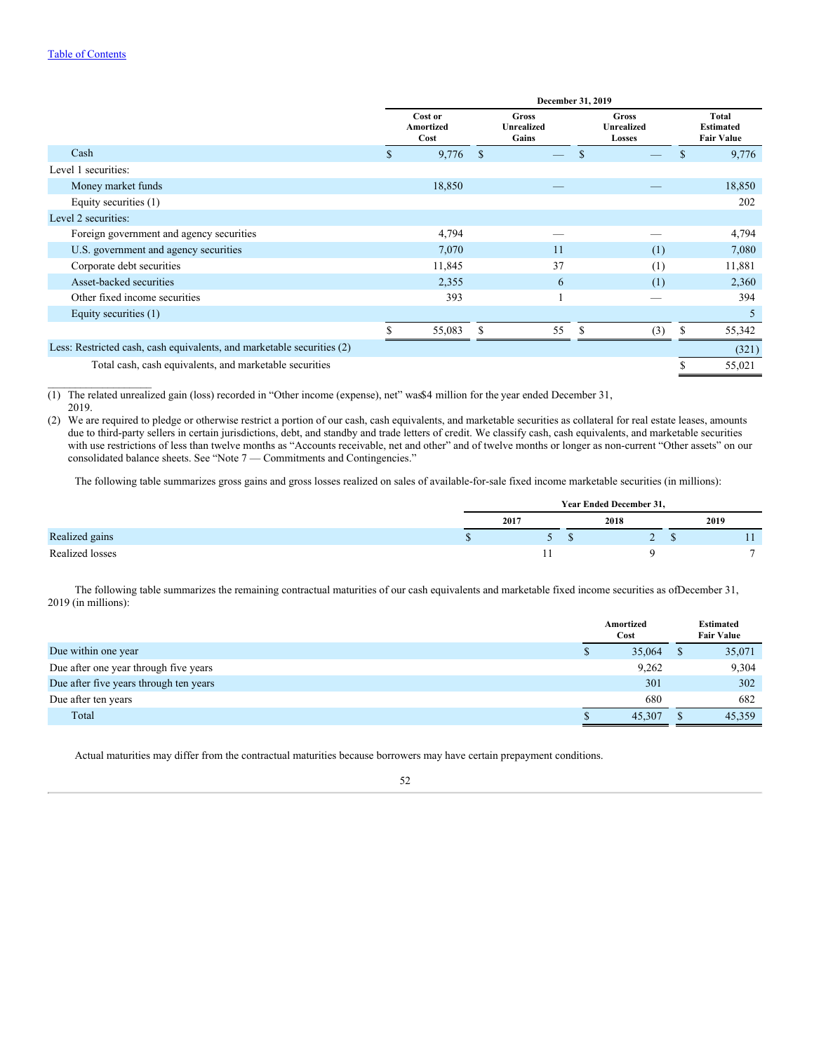|                                                                        |              |                                     |              | December 31, 2019                   |              |                                      |    |                                                       |
|------------------------------------------------------------------------|--------------|-------------------------------------|--------------|-------------------------------------|--------------|--------------------------------------|----|-------------------------------------------------------|
|                                                                        |              | Cost or<br><b>Amortized</b><br>Cost |              | <b>Gross</b><br>Unrealized<br>Gains |              | Gross<br><b>Unrealized</b><br>Losses |    | <b>Total</b><br><b>Estimated</b><br><b>Fair Value</b> |
| Cash                                                                   | $\mathbb{S}$ | 9,776                               | $\mathbf{s}$ |                                     | $\mathbb{S}$ |                                      |    | 9,776                                                 |
| Level 1 securities:                                                    |              |                                     |              |                                     |              |                                      |    |                                                       |
| Money market funds                                                     |              | 18,850                              |              |                                     |              |                                      |    | 18,850                                                |
| Equity securities (1)                                                  |              |                                     |              |                                     |              |                                      |    | 202                                                   |
| Level 2 securities:                                                    |              |                                     |              |                                     |              |                                      |    |                                                       |
| Foreign government and agency securities                               |              | 4,794                               |              |                                     |              |                                      |    | 4,794                                                 |
| U.S. government and agency securities                                  |              | 7,070                               |              | 11                                  |              | (1)                                  |    | 7,080                                                 |
| Corporate debt securities                                              |              | 11,845                              |              | 37                                  |              | (1)                                  |    | 11,881                                                |
| Asset-backed securities                                                |              | 2,355                               |              | 6                                   |              | (1)                                  |    | 2,360                                                 |
| Other fixed income securities                                          |              | 393                                 |              |                                     |              |                                      |    | 394                                                   |
| Equity securities (1)                                                  |              |                                     |              |                                     |              |                                      |    | 5                                                     |
|                                                                        |              | 55,083                              | £.           | 55                                  | S            | (3)                                  | S  | 55,342                                                |
| Less: Restricted cash, cash equivalents, and marketable securities (2) |              |                                     |              |                                     |              |                                      |    | (321)                                                 |
| Total cash, cash equivalents, and marketable securities                |              |                                     |              |                                     |              |                                      | \$ | 55,021                                                |

(1) The related unrealized gain (loss) recorded in "Other income (expense), net" was\$4 million for the year ended December 31, 2019.

(2) We are required to pledge or otherwise restrict a portion of our cash, cash equivalents, and marketable securities as collateral for real estate leases, amounts due to third-party sellers in certain jurisdictions, debt, and standby and trade letters of credit. We classify cash, cash equivalents, and marketable securities with use restrictions of less than twelve months as "Accounts receivable, net and other" and of twelve months or longer as non-current "Other assets" on our consolidated balance sheets. See "Note 7 — Commitments and Contingencies."

The following table summarizes gross gains and gross losses realized on sales of available-for-sale fixed income marketable securities (in millions):

|                 | <b>Year Ended December 31,</b> |      |  |      |  |                |  |  |  |  |  |
|-----------------|--------------------------------|------|--|------|--|----------------|--|--|--|--|--|
|                 |                                | 2017 |  | 2018 |  | 2019           |  |  |  |  |  |
| Realized gains  |                                |      |  | -    |  | . .            |  |  |  |  |  |
| Realized losses |                                | . .  |  |      |  | $\overline{ }$ |  |  |  |  |  |

The following table summarizes the remaining contractual maturities of our cash equivalents and marketable fixed income securities as ofDecember 31, 2019 (in millions):

|                                        |   | Amortized<br>Cost | <b>Estimated</b><br><b>Fair Value</b> |
|----------------------------------------|---|-------------------|---------------------------------------|
| Due within one year                    | S | 35,064            | 35,071                                |
| Due after one year through five years  |   | 9,262             | 9,304                                 |
| Due after five years through ten years |   | 301               | 302                                   |
| Due after ten years                    |   | 680               | 682                                   |
| Total                                  |   | 45,307            | 45,359                                |

Actual maturities may differ from the contractual maturities because borrowers may have certain prepayment conditions.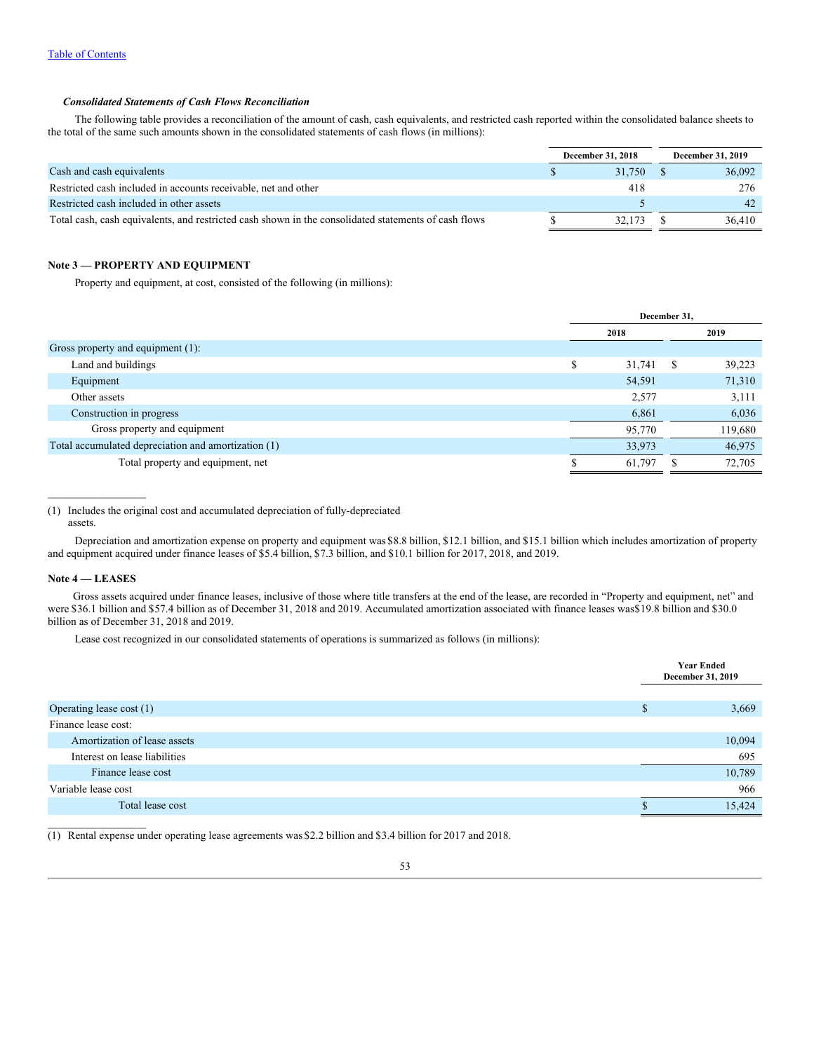# *Consolidated Statements of Cash Flows Reconciliation*

The following table provides a reconciliation of the amount of cash, cash equivalents, and restricted cash reported within the consolidated balance sheets to the total of the same such amounts shown in the consolidated statements of cash flows (in millions):

|                                                                                                      | <b>December 31, 2018</b> | <b>December 31, 2019</b> |
|------------------------------------------------------------------------------------------------------|--------------------------|--------------------------|
| Cash and cash equivalents                                                                            | 31,750                   | 36,092                   |
| Restricted cash included in accounts receivable, net and other                                       | 418                      | 276                      |
| Restricted cash included in other assets                                                             |                          | 42 <sub>1</sub>          |
| Total cash, cash equivalents, and restricted cash shown in the consolidated statements of cash flows | 32.173                   | 36.410                   |

## **Note 3 — PROPERTY AND EQUIPMENT**

Property and equipment, at cost, consisted of the following (in millions):

|                                                     | December 31. |        |      |         |  |  |
|-----------------------------------------------------|--------------|--------|------|---------|--|--|
|                                                     | 2018         |        | 2019 |         |  |  |
| Gross property and equipment (1):                   |              |        |      |         |  |  |
| Land and buildings                                  | S            | 31,741 | - \$ | 39,223  |  |  |
| Equipment                                           |              | 54,591 |      | 71,310  |  |  |
| Other assets                                        |              | 2,577  |      | 3,111   |  |  |
| Construction in progress                            |              | 6,861  |      | 6,036   |  |  |
| Gross property and equipment                        |              | 95,770 |      | 119,680 |  |  |
| Total accumulated depreciation and amortization (1) |              | 33,973 |      | 46,975  |  |  |
| Total property and equipment, net                   |              | 61,797 |      | 72,705  |  |  |

### (1) Includes the original cost and accumulated depreciation of fully-depreciated

Depreciation and amortization expense on property and equipment was \$8.8 billion, \$12.1 billion, and \$15.1 billion which includes amortization of property and equipment acquired under finance leases of \$5.4 billion, \$7.3 billion, and \$10.1 billion for 2017, 2018, and 2019.

### **Note 4 — LEASES**

assets.

Gross assets acquired under finance leases, inclusive of those where title transfers at the end of the lease, are recorded in "Property and equipment, net" and were \$36.1 billion and \$57.4 billion as of December 31, 2018 and 2019. Accumulated amortization associated with finance leases was\$19.8 billion and \$30.0 billion as of December 31, 2018 and 2019.

Lease cost recognized in our consolidated statements of operations is summarized as follows (in millions):

|                               |          | <b>Year Ended</b><br>December 31, 2019 |
|-------------------------------|----------|----------------------------------------|
|                               |          |                                        |
| Operating lease cost (1)      | <b>S</b> | 3,669                                  |
| Finance lease cost:           |          |                                        |
| Amortization of lease assets  |          | 10,094                                 |
| Interest on lease liabilities |          | 695                                    |
| Finance lease cost            |          | 10,789                                 |
| Variable lease cost           |          | 966                                    |
| Total lease cost              |          | 15,424                                 |

 $\overline{(1)}$  Rental expense under operating lease agreements was \$2.2 billion and \$3.4 billion for 2017 and 2018.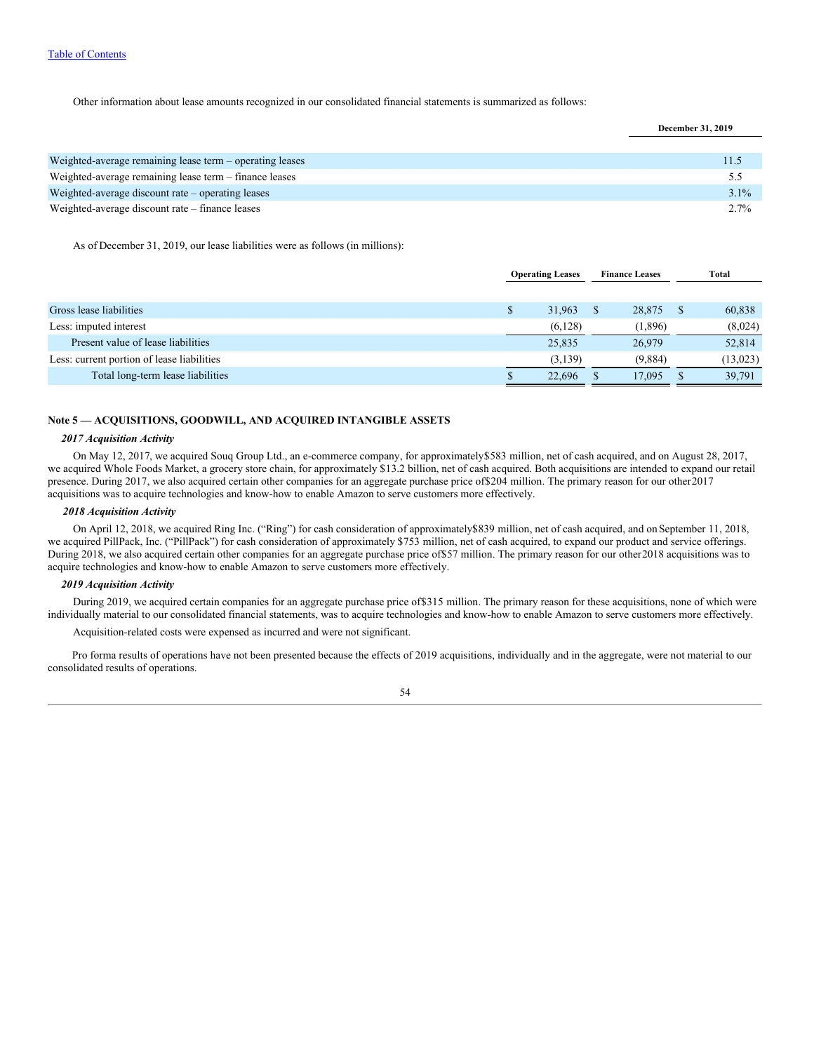Other information about lease amounts recognized in our consolidated financial statements is summarized as follows:

|                                                          | <b>December 31, 2019</b> |
|----------------------------------------------------------|--------------------------|
|                                                          |                          |
| Weighted-average remaining lease term – operating leases | 11.5                     |
| Weighted-average remaining lease term – finance leases   | 5.5                      |
| Weighted-average discount rate $-\rho$ operating leases  | $3.1\%$                  |
| Weighted-average discount rate – finance leases          | $2.7\%$                  |

As of December 31, 2019, our lease liabilities were as follows (in millions):

|                                            |               | <b>Operating Leases</b> | <b>Finance Leases</b> |   | Total    |
|--------------------------------------------|---------------|-------------------------|-----------------------|---|----------|
|                                            |               |                         |                       |   |          |
| Gross lease liabilities                    | <sup>\$</sup> | 31.963                  | 28,875                | S | 60,838   |
| Less: imputed interest                     |               | (6,128)                 | (1,896)               |   | (8,024)  |
| Present value of lease liabilities         |               | 25,835                  | 26,979                |   | 52,814   |
| Less: current portion of lease liabilities |               | (3,139)                 | (9,884)               |   | (13,023) |
| Total long-term lease liabilities          | D             | 22,696                  | 17.095                |   | 39,791   |

### **Note 5 — ACQUISITIONS, GOODWILL, AND ACQUIRED INTANGIBLE ASSETS**

### *2017 Acquisition Activity*

On May 12, 2017, we acquired Souq Group Ltd., an e-commerce company, for approximately\$583 million, net of cash acquired, and on August 28, 2017, we acquired Whole Foods Market, a grocery store chain, for approximately \$13.2 billion, net of cash acquired. Both acquisitions are intended to expand our retail presence. During 2017, we also acquired certain other companies for an aggregate purchase price of\$204 million. The primary reason for our other2017 acquisitions was to acquire technologies and know-how to enable Amazon to serve customers more effectively.

### *2018 Acquisition Activity*

On April 12, 2018, we acquired Ring Inc. ("Ring") for cash consideration of approximately\$839 million, net of cash acquired, and onSeptember 11, 2018, we acquired PillPack, Inc. ("PillPack") for cash consideration of approximately \$753 million, net of cash acquired, to expand our product and service offerings. During 2018, we also acquired certain other companies for an aggregate purchase price of\$57 million. The primary reason for our other2018 acquisitions was to acquire technologies and know-how to enable Amazon to serve customers more effectively.

### *2019 Acquisition Activity*

During 2019, we acquired certain companies for an aggregate purchase price of\$315 million. The primary reason for these acquisitions, none of which were individually material to our consolidated financial statements, was to acquire technologies and know-how to enable Amazon to serve customers more effectively.

Acquisition-related costs were expensed as incurred and were not significant.

Pro forma results of operations have not been presented because the effects of 2019 acquisitions, individually and in the aggregate, were not material to our consolidated results of operations.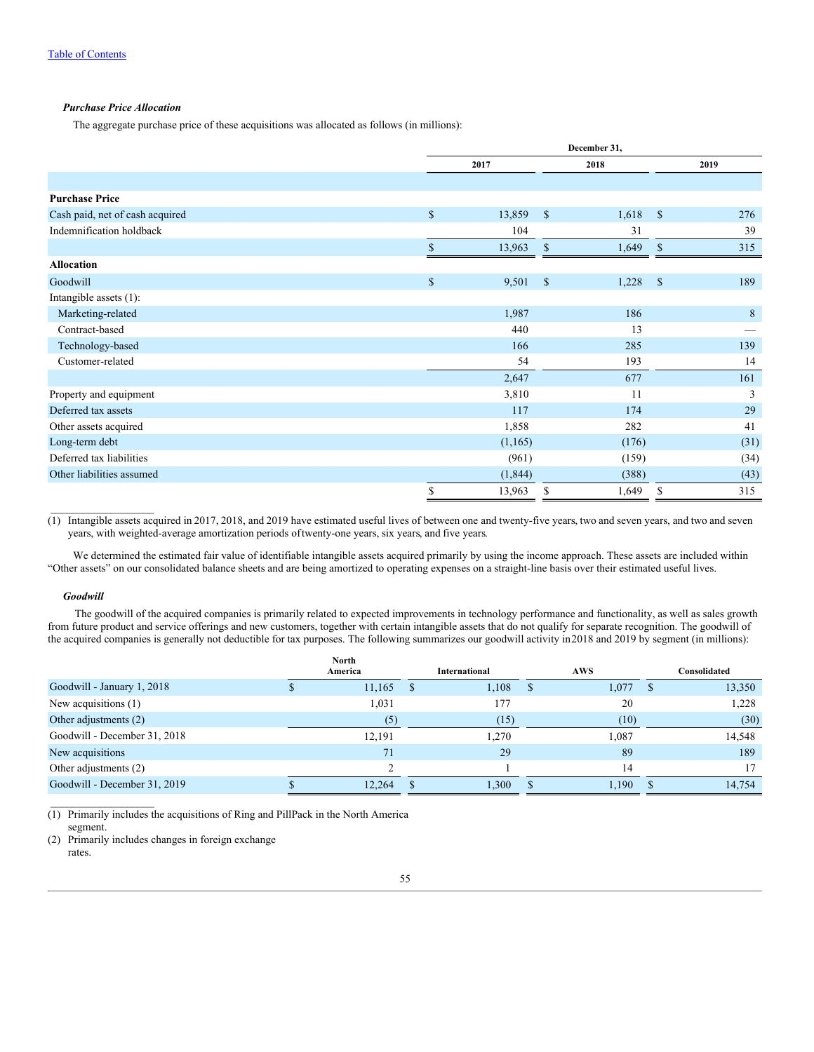## *Purchase Price Allocation*

The aggregate purchase price of these acquisitions was allocated as follows (in millions):

|                                 |              | December 31, |              |       |              |      |  |  |  |
|---------------------------------|--------------|--------------|--------------|-------|--------------|------|--|--|--|
|                                 |              | 2017         |              | 2018  |              | 2019 |  |  |  |
|                                 |              |              |              |       |              |      |  |  |  |
| <b>Purchase Price</b>           |              |              |              |       |              |      |  |  |  |
| Cash paid, net of cash acquired | $\mathbb S$  | 13,859       | $\mathbb{S}$ | 1,618 | $\mathbb{S}$ | 276  |  |  |  |
| Indemnification holdback        |              | 104          |              | 31    |              | 39   |  |  |  |
|                                 | $\mathbb{S}$ | 13,963       | $\mathbb{S}$ | 1,649 | $\mathbb{S}$ | 315  |  |  |  |
| <b>Allocation</b>               |              |              |              |       |              |      |  |  |  |
| Goodwill                        | \$           | 9,501        | $\mathbb{S}$ | 1,228 | $\mathbb{S}$ | 189  |  |  |  |
| Intangible assets (1):          |              |              |              |       |              |      |  |  |  |
| Marketing-related               |              | 1,987        |              | 186   |              | 8    |  |  |  |
| Contract-based                  |              | 440          |              | 13    |              |      |  |  |  |
| Technology-based                |              | 166          |              | 285   |              | 139  |  |  |  |
| Customer-related                |              | 54           |              | 193   |              | 14   |  |  |  |
|                                 |              | 2,647        |              | 677   |              | 161  |  |  |  |
| Property and equipment          |              | 3,810        |              | 11    |              | 3    |  |  |  |
| Deferred tax assets             |              | 117          |              | 174   |              | 29   |  |  |  |
| Other assets acquired           |              | 1,858        |              | 282   |              | 41   |  |  |  |
| Long-term debt                  |              | (1,165)      |              | (176) |              | (31) |  |  |  |
| Deferred tax liabilities        |              | (961)        |              | (159) |              | (34) |  |  |  |
| Other liabilities assumed       |              | (1, 844)     |              | (388) |              | (43) |  |  |  |
|                                 | \$           | 13,963       | \$           | 1,649 | \$           | 315  |  |  |  |

 $\overline{(1)}$  Intangible assets acquired in 2017, 2018, and 2019 have estimated useful lives of between one and twenty-five years, two and seven years, and two and seven years, with weighted-average amortization periods oftwenty-one years, six years, and five years.

We determined the estimated fair value of identifiable intangible assets acquired primarily by using the income approach. These assets are included within "Other assets" on our consolidated balance sheets and are being amortized to operating expenses on a straight-line basis over their estimated useful lives.

### *Goodwill*

The goodwill of the acquired companies is primarily related to expected improvements in technology performance and functionality, as well as sales growth from future product and service offerings and new customers, together with certain intangible assets that do not qualify for separate recognition. The goodwill of the acquired companies is generally not deductible for tax purposes. The following summarizes our goodwill activity in2018 and 2019 by segment (in millions):

| <b>North</b><br>America | <b>International</b> | <b>AWS</b> | Consolidated |        |  |
|-------------------------|----------------------|------------|--------------|--------|--|
| 11,165                  | 1,108                | 1,077      |              | 13,350 |  |
| 1,031                   | 177                  | 20         |              | 1,228  |  |
| (5)                     | (15)                 | (10)       |              | (30)   |  |
| 12,191                  | 1,270                | 1,087      |              | 14,548 |  |
| 71                      | 29                   | 89         |              | 189    |  |
|                         |                      | 14         |              | 17     |  |
| 12,264                  | 1,300                | 1,190      |              | 14,754 |  |
|                         |                      |            |              |        |  |

(1) Primarily includes the acquisitions of Ring and PillPack in the North America segment.

(2) Primarily includes changes in foreign exchange rates.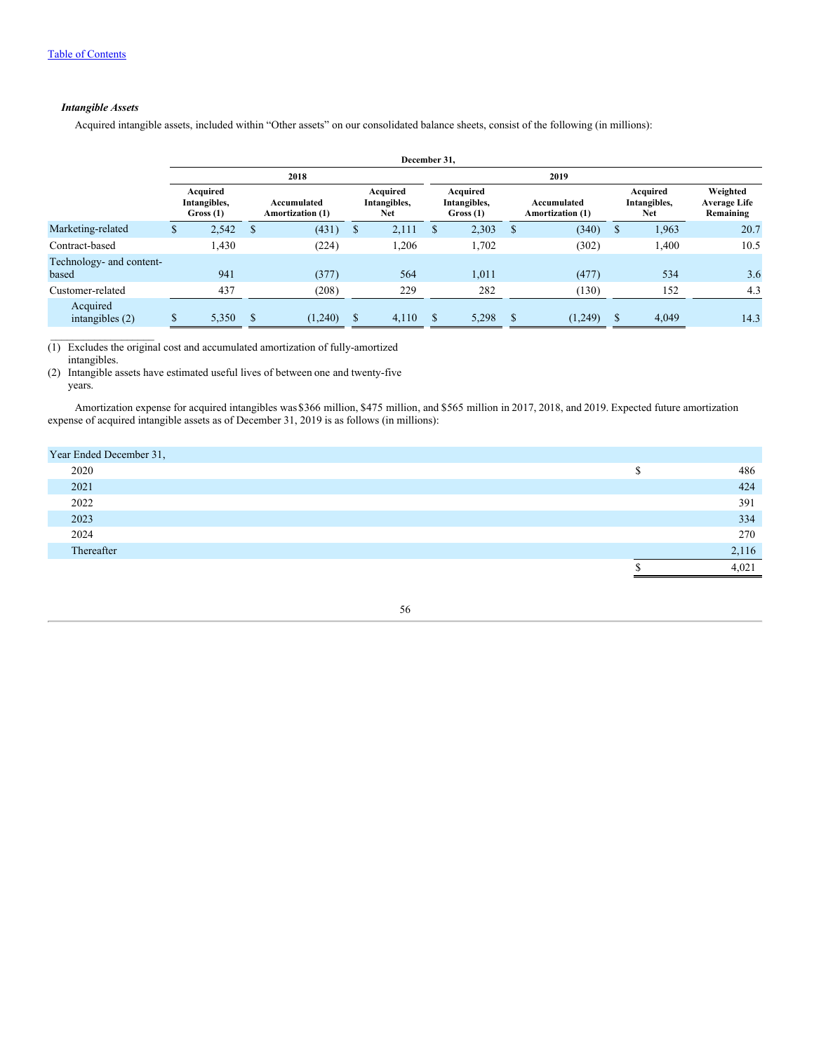# *Intangible Assets*

Acquired intangible assets, included within "Other assets" on our consolidated balance sheets, consist of the following (in millions):

|                                   | December 31. |                                      |                                        |         |               |                                        |               |                                      |               |                                        |          |                                 |                                              |  |  |
|-----------------------------------|--------------|--------------------------------------|----------------------------------------|---------|---------------|----------------------------------------|---------------|--------------------------------------|---------------|----------------------------------------|----------|---------------------------------|----------------------------------------------|--|--|
|                                   |              |                                      |                                        | 2018    |               |                                        |               | 2019                                 |               |                                        |          |                                 |                                              |  |  |
|                                   |              | Acquired<br>Intangibles,<br>Gross(1) | Accumulated<br><b>Amortization (1)</b> |         |               | Acquired<br>Intangibles,<br><b>Net</b> |               | Acquired<br>Intangibles,<br>Gross(1) |               | Accumulated<br><b>Amortization (1)</b> |          | Acquired<br>Intangibles,<br>Net | Weighted<br><b>Average Life</b><br>Remaining |  |  |
| Marketing-related                 | \$           | 2,542                                | <sup>\$</sup>                          | (431)   | <sup>\$</sup> | 2,111                                  | <sup>\$</sup> | 2,303                                | <sup>\$</sup> | (340)                                  | \$       | 1,963                           | 20.7                                         |  |  |
| Contract-based                    |              | 1,430                                |                                        | (224)   |               | .206                                   |               | 1,702                                |               | (302)                                  |          | 1,400                           | 10.5                                         |  |  |
| Technology- and content-<br>based |              | 941                                  |                                        | (377)   |               | 564                                    |               | 1,011                                |               | (477)                                  |          | 534                             | 3.6                                          |  |  |
| Customer-related                  |              | 437                                  |                                        | (208)   |               | 229                                    |               | 282                                  |               | (130)                                  |          | 152                             | 4.3                                          |  |  |
| Acquired<br>intangibles $(2)$     |              | 5,350                                |                                        | (1,240) | \$.           | 4.110                                  | <b>S</b>      | 5,298                                | \$.           | (1,249)                                | <b>S</b> | 4,049                           | 14.3                                         |  |  |

(1) Excludes the original cost and accumulated amortization of fully-amortized intangibles.

(2) Intangible assets have estimated useful lives of between one and twenty-five years.

Amortization expense for acquired intangibles was\$366 million, \$475 million, and \$565 million in 2017, 2018, and 2019. Expected future amortization expense of acquired intangible assets as of December 31, 2019 is as follows (in millions):

| Year Ended December 31, |       |
|-------------------------|-------|
| 2020                    | 486   |
| 2021                    | 424   |
| 2022                    | 391   |
| 2023                    | 334   |
| 2024                    | 270   |
| Thereafter              | 2,116 |
|                         | 4,021 |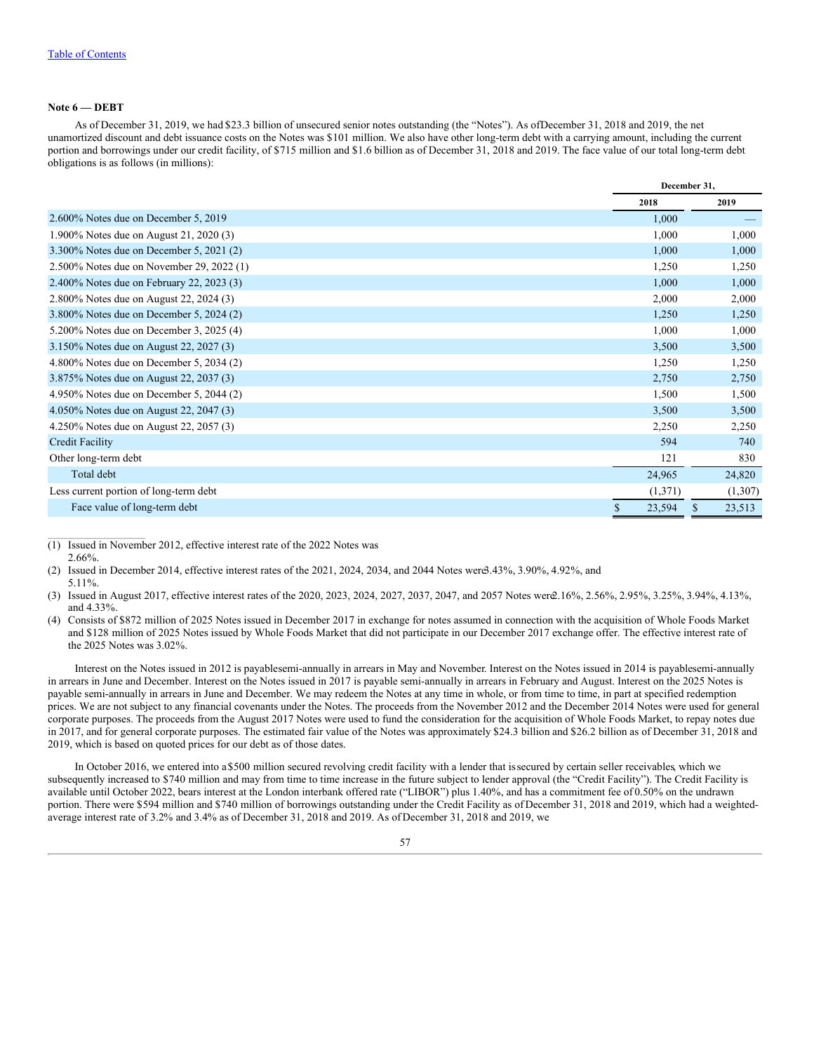### **Note 6 — DEBT**

As of December 31, 2019, we had \$23.3 billion of unsecured senior notes outstanding (the "Notes"). As ofDecember 31, 2018 and 2019, the net unamortized discount and debt issuance costs on the Notes was \$101 million. We also have other long-term debt with a carrying amount, including the current portion and borrowings under our credit facility, of \$715 million and \$1.6 billion as of December 31, 2018 and 2019. The face value of our total long-term debt obligations is as follows (in millions):

|                                           |              | December 31. |              |         |
|-------------------------------------------|--------------|--------------|--------------|---------|
|                                           |              | 2018         |              | 2019    |
| 2.600% Notes due on December 5, 2019      |              | 1,000        |              |         |
| 1.900% Notes due on August 21, 2020 (3)   |              | 1,000        |              | 1,000   |
| 3.300% Notes due on December 5, 2021 (2)  |              | 1,000        |              | 1,000   |
| 2.500% Notes due on November 29, 2022 (1) |              | 1,250        |              | 1,250   |
| 2.400% Notes due on February 22, 2023 (3) |              | 1,000        |              | 1,000   |
| 2.800% Notes due on August 22, 2024 (3)   |              | 2,000        |              | 2,000   |
| 3.800% Notes due on December 5, 2024 (2)  |              | 1,250        |              | 1,250   |
| 5.200% Notes due on December 3, 2025 (4)  |              | 1,000        |              | 1,000   |
| 3.150% Notes due on August 22, 2027 (3)   |              | 3,500        |              | 3,500   |
| 4.800% Notes due on December 5, 2034 (2)  |              | 1,250        |              | 1,250   |
| 3.875% Notes due on August 22, 2037 (3)   |              | 2,750        |              | 2,750   |
| 4.950% Notes due on December 5, 2044 (2)  |              | 1,500        |              | 1,500   |
| 4.050% Notes due on August 22, 2047 (3)   |              | 3,500        |              | 3,500   |
| 4.250% Notes due on August 22, 2057 (3)   |              | 2,250        |              | 2,250   |
| <b>Credit Facility</b>                    |              | 594          |              | 740     |
| Other long-term debt                      |              | 121          |              | 830     |
| Total debt                                |              | 24,965       |              | 24,820  |
| Less current portion of long-term debt    |              | (1,371)      |              | (1,307) |
| Face value of long-term debt              | $\mathbb{S}$ | 23,594       | $\mathbb{S}$ | 23,513  |

(1) Issued in November 2012, effective interest rate of the 2022 Notes was

(2) Issued in December 2014, effective interest rates of the 2021, 2024, 2034, and 2044 Notes were3.43%, 3.90%, 4.92%, and 5.11%.

(3) Issued in August 2017, effective interest rates of the 2020, 2023, 2024, 2027, 2037, 2047, and 2057 Notes were2.16%, 2.56%, 2.95%, 3.25%, 3.94%, 4.13%, and 4.33%.

(4) Consists of \$872 million of 2025 Notes issued in December 2017 in exchange for notes assumed in connection with the acquisition of Whole Foods Market and \$128 million of 2025 Notes issued by Whole Foods Market that did not participate in our December 2017 exchange offer. The effective interest rate of the 2025 Notes was 3.02%.

Interest on the Notes issued in 2012 is payablesemi-annually in arrears in May and November. Interest on the Notes issued in 2014 is payablesemi-annually in arrears in June and December. Interest on the Notes issued in 2017 is payable semi-annually in arrears in February and August. Interest on the 2025 Notes is payable semi-annually in arrears in June and December. We may redeem the Notes at any time in whole, or from time to time, in part at specified redemption prices. We are not subject to any financial covenants under the Notes. The proceeds from the November 2012 and the December 2014 Notes were used for general corporate purposes. The proceeds from the August 2017 Notes were used to fund the consideration for the acquisition of Whole Foods Market, to repay notes due in 2017, and for general corporate purposes. The estimated fair value of the Notes was approximately \$24.3 billion and \$26.2 billion as of December 31, 2018 and 2019, which is based on quoted prices for our debt as of those dates.

In October 2016, we entered into a\$500 million secured revolving credit facility with a lender that issecured by certain seller receivables, which we subsequently increased to \$740 million and may from time to time increase in the future subject to lender approval (the "Credit Facility"). The Credit Facility is available until October 2022, bears interest at the London interbank offered rate ("LIBOR") plus 1.40%, and has a commitment fee of 0.50% on the undrawn portion. There were \$594 million and \$740 million of borrowings outstanding under the Credit Facility as of December 31, 2018 and 2019, which had a weightedaverage interest rate of 3.2% and 3.4% as of December 31, 2018 and 2019. As of December 31, 2018 and 2019, we

<sup>2.66%.</sup>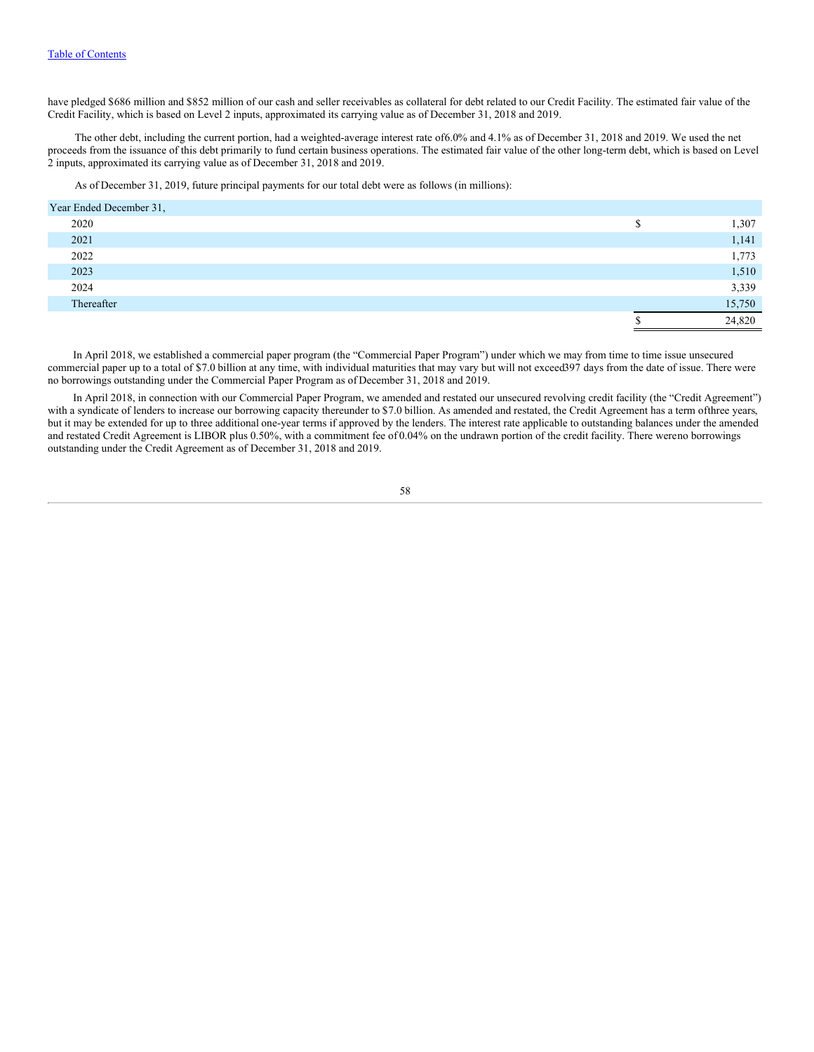have pledged \$686 million and \$852 million of our cash and seller receivables as collateral for debt related to our Credit Facility. The estimated fair value of the Credit Facility, which is based on Level 2 inputs, approximated its carrying value as of December 31, 2018 and 2019.

The other debt, including the current portion, had a weighted-average interest rate of6.0% and 4.1% as of December 31, 2018 and 2019. We used the net proceeds from the issuance of this debt primarily to fund certain business operations. The estimated fair value of the other long-term debt, which is based on Level 2 inputs, approximated its carrying value as of December 31, 2018 and 2019.

As of December 31, 2019, future principal payments for our total debt were as follows (in millions):

| Year Ended December 31, |   |        |
|-------------------------|---|--------|
| 2020                    | Ф | 1,307  |
| 2021                    |   | 1,141  |
| 2022                    |   | 1,773  |
| 2023                    |   | 1,510  |
| 2024                    |   | 3,339  |
| Thereafter              |   | 15,750 |
|                         |   | 24,820 |

In April 2018, we established a commercial paper program (the "Commercial Paper Program") under which we may from time to time issue unsecured commercial paper up to a total of \$7.0 billion at any time, with individual maturities that may vary but will not exceed397 days from the date of issue. There were no borrowings outstanding under the Commercial Paper Program as of December 31, 2018 and 2019.

In April 2018, in connection with our Commercial Paper Program, we amended and restated our unsecured revolving credit facility (the "Credit Agreement") with a syndicate of lenders to increase our borrowing capacity thereunder to \$7.0 billion. As amended and restated, the Credit Agreement has a term ofthree years, but it may be extended for up to three additional one-year terms if approved by the lenders. The interest rate applicable to outstanding balances under the amended and restated Credit Agreement is LIBOR plus 0.50%, with a commitment fee of 0.04% on the undrawn portion of the credit facility. There wereno borrowings outstanding under the Credit Agreement as of December 31, 2018 and 2019.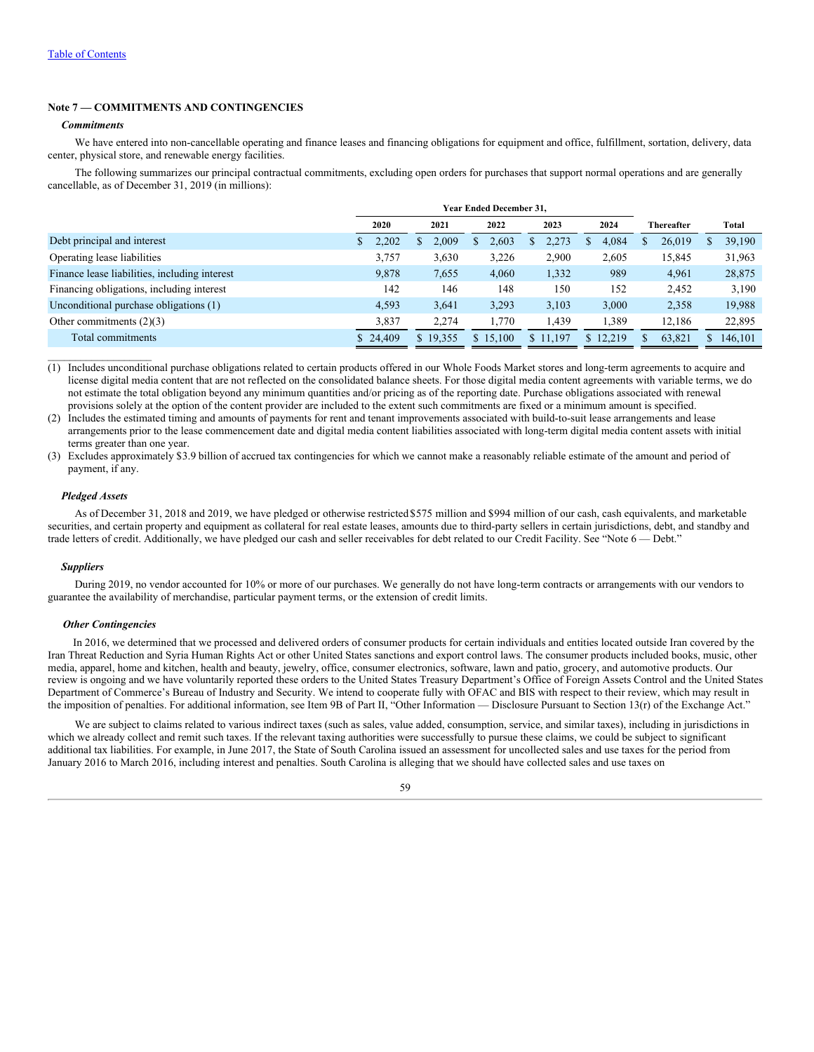### **Note 7 — COMMITMENTS AND CONTINGENCIES**

### *Commitments*

We have entered into non-cancellable operating and finance leases and financing obligations for equipment and office, fulfillment, sortation, delivery, data center, physical store, and renewable energy facilities.

The following summarizes our principal contractual commitments, excluding open orders for purchases that support normal operations and are generally cancellable, as of December 31, 2019 (in millions):

|                                               | <b>Year Ended December 31,</b> |          |      |          |      |          |      |          |      |          |                   |        |         |
|-----------------------------------------------|--------------------------------|----------|------|----------|------|----------|------|----------|------|----------|-------------------|--------|---------|
|                                               | 2020                           |          | 2021 |          | 2022 |          | 2023 |          | 2024 |          | <b>Thereafter</b> |        | Total   |
| Debt principal and interest                   | S.                             | 2,202    | S.   | 2,009    |      | 2,603    |      | 2,273    |      | 4,084    |                   | 26,019 | 39,190  |
| Operating lease liabilities                   |                                | 3,757    |      | 3,630    |      | 3,226    |      | 2,900    |      | 2,605    |                   | 15,845 | 31,963  |
| Finance lease liabilities, including interest |                                | 9,878    |      | 7,655    |      | 4,060    |      | 1,332    |      | 989      |                   | 4,961  | 28,875  |
| Financing obligations, including interest     |                                | 142      |      | 146      |      | 148      |      | 150      |      | 152      |                   | 2,452  | 3,190   |
| Unconditional purchase obligations (1)        |                                | 4,593    |      | 3,641    |      | 3,293    |      | 3,103    |      | 3,000    |                   | 2,358  | 19,988  |
| Other commitments $(2)(3)$                    |                                | 3,837    |      | 2,274    |      | 1,770    |      | 1,439    |      | 1,389    |                   | 12,186 | 22,895  |
| Total commitments                             |                                | \$24,409 |      | \$19,355 |      | \$15,100 |      | \$11,197 |      | \$12,219 |                   | 63.821 | 146,101 |

(1) Includes unconditional purchase obligations related to certain products offered in our Whole Foods Market stores and long-term agreements to acquire and license digital media content that are not reflected on the consolidated balance sheets. For those digital media content agreements with variable terms, we do not estimate the total obligation beyond any minimum quantities and/or pricing as of the reporting date. Purchase obligations associated with renewal provisions solely at the option of the content provider are included to the extent such commitments are fixed or a minimum amount is specified.

(2) Includes the estimated timing and amounts of payments for rent and tenant improvements associated with build-to-suit lease arrangements and lease arrangements prior to the lease commencement date and digital media content liabilities associated with long-term digital media content assets with initial terms greater than one year.

(3) Excludes approximately \$3.9 billion of accrued tax contingencies for which we cannot make a reasonably reliable estimate of the amount and period of payment, if any.

#### *Pledged Assets*

As of December 31, 2018 and 2019, we have pledged or otherwise restricted \$575 million and \$994 million of our cash, cash equivalents, and marketable securities, and certain property and equipment as collateral for real estate leases, amounts due to third-party sellers in certain jurisdictions, debt, and standby and trade letters of credit. Additionally, we have pledged our cash and seller receivables for debt related to our Credit Facility. See "Note 6 — Debt."

### *Suppliers*

During 2019, no vendor accounted for 10% or more of our purchases. We generally do not have long-term contracts or arrangements with our vendors to guarantee the availability of merchandise, particular payment terms, or the extension of credit limits.

### *Other Contingencies*

In 2016, we determined that we processed and delivered orders of consumer products for certain individuals and entities located outside Iran covered by the Iran Threat Reduction and Syria Human Rights Act or other United States sanctions and export control laws. The consumer products included books, music, other media, apparel, home and kitchen, health and beauty, jewelry, office, consumer electronics, software, lawn and patio, grocery, and automotive products. Our review is ongoing and we have voluntarily reported these orders to the United States Treasury Department's Office of Foreign Assets Control and the United States Department of Commerce's Bureau of Industry and Security. We intend to cooperate fully with OFAC and BIS with respect to their review, which may result in the imposition of penalties. For additional information, see Item 9B of Part II, "Other Information — Disclosure Pursuant to Section 13(r) of the Exchange Act."

We are subject to claims related to various indirect taxes (such as sales, value added, consumption, service, and similar taxes), including in jurisdictions in which we already collect and remit such taxes. If the relevant taxing authorities were successfully to pursue these claims, we could be subject to significant additional tax liabilities. For example, in June 2017, the State of South Carolina issued an assessment for uncollected sales and use taxes for the period from January 2016 to March 2016, including interest and penalties. South Carolina is alleging that we should have collected sales and use taxes on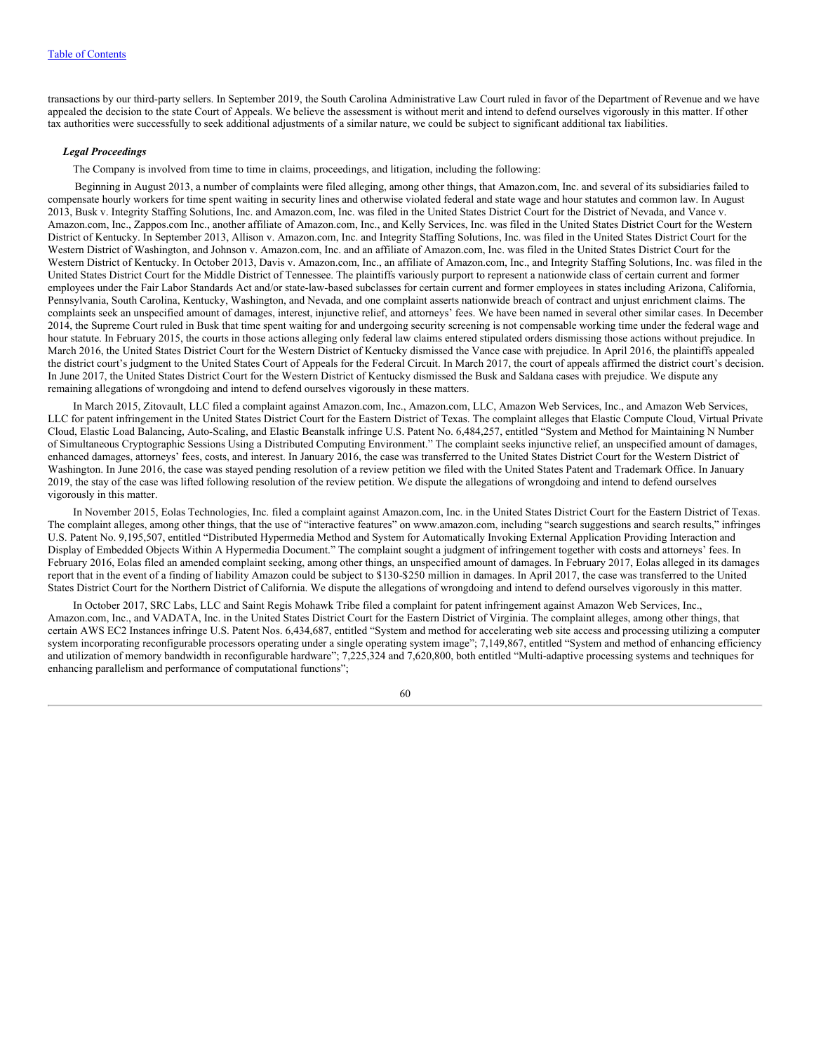transactions by our third-party sellers. In September 2019, the South Carolina Administrative Law Court ruled in favor of the Department of Revenue and we have appealed the decision to the state Court of Appeals. We believe the assessment is without merit and intend to defend ourselves vigorously in this matter. If other tax authorities were successfully to seek additional adjustments of a similar nature, we could be subject to significant additional tax liabilities.

### *Legal Proceedings*

The Company is involved from time to time in claims, proceedings, and litigation, including the following:

Beginning in August 2013, a number of complaints were filed alleging, among other things, that Amazon.com, Inc. and several of its subsidiaries failed to compensate hourly workers for time spent waiting in security lines and otherwise violated federal and state wage and hour statutes and common law. In August 2013, Busk v. Integrity Staffing Solutions, Inc. and Amazon.com, Inc. was filed in the United States District Court for the District of Nevada, and Vance v. Amazon.com, Inc., Zappos.com Inc., another affiliate of Amazon.com, Inc., and Kelly Services, Inc. was filed in the United States District Court for the Western District of Kentucky. In September 2013, Allison v. Amazon.com, Inc. and Integrity Staffing Solutions, Inc. was filed in the United States District Court for the Western District of Washington, and Johnson v. Amazon.com, Inc. and an affiliate of Amazon.com, Inc. was filed in the United States District Court for the Western District of Kentucky. In October 2013, Davis v. Amazon.com, Inc., an affiliate of Amazon.com, Inc., and Integrity Staffing Solutions, Inc. was filed in the United States District Court for the Middle District of Tennessee. The plaintiffs variously purport to represent a nationwide class of certain current and former employees under the Fair Labor Standards Act and/or state-law-based subclasses for certain current and former employees in states including Arizona, California, Pennsylvania, South Carolina, Kentucky, Washington, and Nevada, and one complaint asserts nationwide breach of contract and unjust enrichment claims. The complaints seek an unspecified amount of damages, interest, injunctive relief, and attorneys' fees. We have been named in several other similar cases. In December 2014, the Supreme Court ruled in Busk that time spent waiting for and undergoing security screening is not compensable working time under the federal wage and hour statute. In February 2015, the courts in those actions alleging only federal law claims entered stipulated orders dismissing those actions without prejudice. In March 2016, the United States District Court for the Western District of Kentucky dismissed the Vance case with prejudice. In April 2016, the plaintiffs appealed the district court's judgment to the United States Court of Appeals for the Federal Circuit. In March 2017, the court of appeals affirmed the district court's decision. In June 2017, the United States District Court for the Western District of Kentucky dismissed the Busk and Saldana cases with prejudice. We dispute any remaining allegations of wrongdoing and intend to defend ourselves vigorously in these matters.

In March 2015, Zitovault, LLC filed a complaint against Amazon.com, Inc., Amazon.com, LLC, Amazon Web Services, Inc., and Amazon Web Services, LLC for patent infringement in the United States District Court for the Eastern District of Texas. The complaint alleges that Elastic Compute Cloud, Virtual Private Cloud, Elastic Load Balancing, Auto-Scaling, and Elastic Beanstalk infringe U.S. Patent No. 6,484,257, entitled "System and Method for Maintaining N Number of Simultaneous Cryptographic Sessions Using a Distributed Computing Environment." The complaint seeks injunctive relief, an unspecified amount of damages, enhanced damages, attorneys' fees, costs, and interest. In January 2016, the case was transferred to the United States District Court for the Western District of Washington. In June 2016, the case was stayed pending resolution of a review petition we filed with the United States Patent and Trademark Office. In January 2019, the stay of the case was lifted following resolution of the review petition. We dispute the allegations of wrongdoing and intend to defend ourselves vigorously in this matter.

In November 2015, Eolas Technologies, Inc. filed a complaint against Amazon.com, Inc. in the United States District Court for the Eastern District of Texas. The complaint alleges, among other things, that the use of "interactive features" on www.amazon.com, including "search suggestions and search results," infringes U.S. Patent No. 9,195,507, entitled "Distributed Hypermedia Method and System for Automatically Invoking External Application Providing Interaction and Display of Embedded Objects Within A Hypermedia Document." The complaint sought a judgment of infringement together with costs and attorneys' fees. In February 2016, Eolas filed an amended complaint seeking, among other things, an unspecified amount of damages. In February 2017, Eolas alleged in its damages report that in the event of a finding of liability Amazon could be subject to \$130-\$250 million in damages. In April 2017, the case was transferred to the United States District Court for the Northern District of California. We dispute the allegations of wrongdoing and intend to defend ourselves vigorously in this matter.

In October 2017, SRC Labs, LLC and Saint Regis Mohawk Tribe filed a complaint for patent infringement against Amazon Web Services, Inc., Amazon.com, Inc., and VADATA, Inc. in the United States District Court for the Eastern District of Virginia. The complaint alleges, among other things, that certain AWS EC2 Instances infringe U.S. Patent Nos. 6,434,687, entitled "System and method for accelerating web site access and processing utilizing a computer system incorporating reconfigurable processors operating under a single operating system image"; 7,149,867, entitled "System and method of enhancing efficiency and utilization of memory bandwidth in reconfigurable hardware"; 7,225,324 and 7,620,800, both entitled "Multi-adaptive processing systems and techniques for enhancing parallelism and performance of computational functions";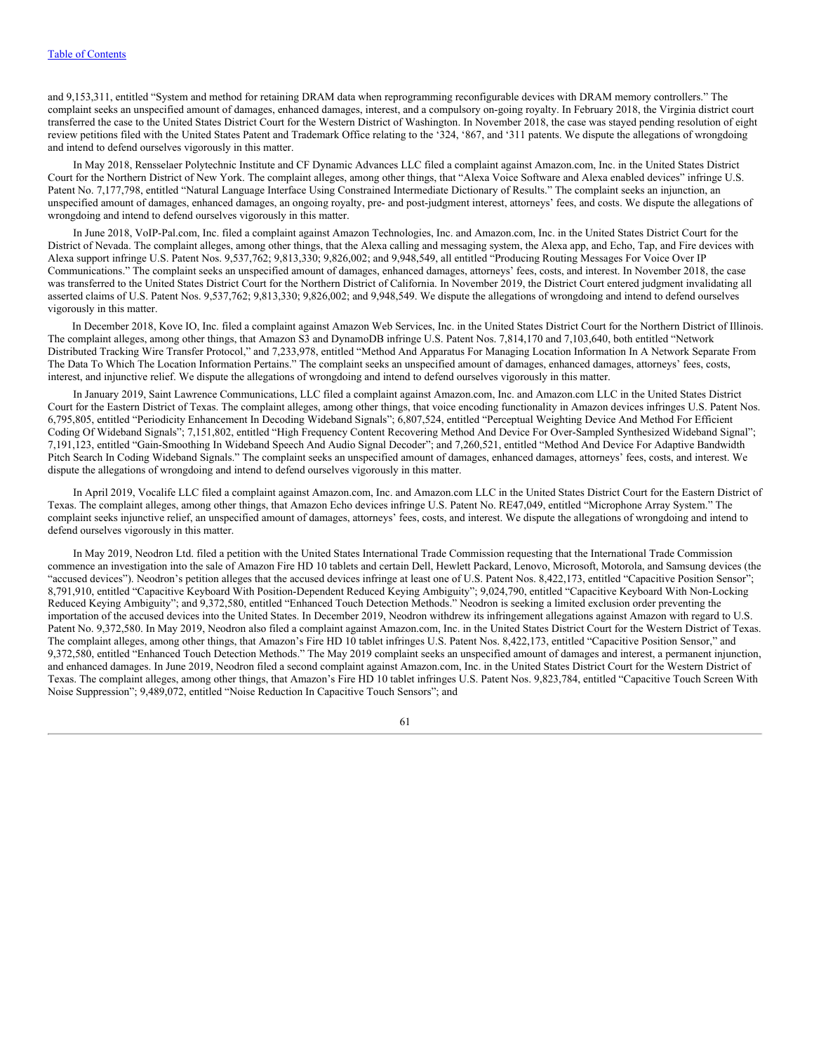and 9,153,311, entitled "System and method for retaining DRAM data when reprogramming reconfigurable devices with DRAM memory controllers." The complaint seeks an unspecified amount of damages, enhanced damages, interest, and a compulsory on-going royalty. In February 2018, the Virginia district court transferred the case to the United States District Court for the Western District of Washington. In November 2018, the case was stayed pending resolution of eight review petitions filed with the United States Patent and Trademark Office relating to the '324, '867, and '311 patents. We dispute the allegations of wrongdoing and intend to defend ourselves vigorously in this matter.

In May 2018, Rensselaer Polytechnic Institute and CF Dynamic Advances LLC filed a complaint against Amazon.com, Inc. in the United States District Court for the Northern District of New York. The complaint alleges, among other things, that "Alexa Voice Software and Alexa enabled devices" infringe U.S. Patent No. 7,177,798, entitled "Natural Language Interface Using Constrained Intermediate Dictionary of Results." The complaint seeks an injunction, an unspecified amount of damages, enhanced damages, an ongoing royalty, pre- and post-judgment interest, attorneys' fees, and costs. We dispute the allegations of wrongdoing and intend to defend ourselves vigorously in this matter.

In June 2018, VoIP-Pal.com, Inc. filed a complaint against Amazon Technologies, Inc. and Amazon.com, Inc. in the United States District Court for the District of Nevada. The complaint alleges, among other things, that the Alexa calling and messaging system, the Alexa app, and Echo, Tap, and Fire devices with Alexa support infringe U.S. Patent Nos. 9,537,762; 9,813,330; 9,826,002; and 9,948,549, all entitled "Producing Routing Messages For Voice Over IP Communications." The complaint seeks an unspecified amount of damages, enhanced damages, attorneys' fees, costs, and interest. In November 2018, the case was transferred to the United States District Court for the Northern District of California. In November 2019, the District Court entered judgment invalidating all asserted claims of U.S. Patent Nos. 9,537,762; 9,813,330; 9,826,002; and 9,948,549. We dispute the allegations of wrongdoing and intend to defend ourselves vigorously in this matter.

In December 2018, Kove IO, Inc. filed a complaint against Amazon Web Services, Inc. in the United States District Court for the Northern District of Illinois. The complaint alleges, among other things, that Amazon S3 and DynamoDB infringe U.S. Patent Nos. 7,814,170 and 7,103,640, both entitled "Network Distributed Tracking Wire Transfer Protocol," and 7,233,978, entitled "Method And Apparatus For Managing Location Information In A Network Separate From The Data To Which The Location Information Pertains." The complaint seeks an unspecified amount of damages, enhanced damages, attorneys' fees, costs, interest, and injunctive relief. We dispute the allegations of wrongdoing and intend to defend ourselves vigorously in this matter.

In January 2019, Saint Lawrence Communications, LLC filed a complaint against Amazon.com, Inc. and Amazon.com LLC in the United States District Court for the Eastern District of Texas. The complaint alleges, among other things, that voice encoding functionality in Amazon devices infringes U.S. Patent Nos. 6,795,805, entitled "Periodicity Enhancement In Decoding Wideband Signals"; 6,807,524, entitled "Perceptual Weighting Device And Method For Efficient Coding Of Wideband Signals"; 7,151,802, entitled "High Frequency Content Recovering Method And Device For Over-Sampled Synthesized Wideband Signal"; 7,191,123, entitled "Gain-Smoothing In Wideband Speech And Audio Signal Decoder"; and 7,260,521, entitled "Method And Device For Adaptive Bandwidth Pitch Search In Coding Wideband Signals." The complaint seeks an unspecified amount of damages, enhanced damages, attorneys' fees, costs, and interest. We dispute the allegations of wrongdoing and intend to defend ourselves vigorously in this matter.

In April 2019, Vocalife LLC filed a complaint against Amazon.com, Inc. and Amazon.com LLC in the United States District Court for the Eastern District of Texas. The complaint alleges, among other things, that Amazon Echo devices infringe U.S. Patent No. RE47,049, entitled "Microphone Array System." The complaint seeks injunctive relief, an unspecified amount of damages, attorneys' fees, costs, and interest. We dispute the allegations of wrongdoing and intend to defend ourselves vigorously in this matter.

In May 2019, Neodron Ltd. filed a petition with the United States International Trade Commission requesting that the International Trade Commission commence an investigation into the sale of Amazon Fire HD 10 tablets and certain Dell, Hewlett Packard, Lenovo, Microsoft, Motorola, and Samsung devices (the "accused devices"). Neodron's petition alleges that the accused devices infringe at least one of U.S. Patent Nos. 8,422,173, entitled "Capacitive Position Sensor"; 8,791,910, entitled "Capacitive Keyboard With Position-Dependent Reduced Keying Ambiguity"; 9,024,790, entitled "Capacitive Keyboard With Non-Locking Reduced Keying Ambiguity"; and 9,372,580, entitled "Enhanced Touch Detection Methods." Neodron is seeking a limited exclusion order preventing the importation of the accused devices into the United States. In December 2019, Neodron withdrew its infringement allegations against Amazon with regard to U.S. Patent No. 9,372,580. In May 2019, Neodron also filed a complaint against Amazon.com, Inc. in the United States District Court for the Western District of Texas. The complaint alleges, among other things, that Amazon's Fire HD 10 tablet infringes U.S. Patent Nos. 8,422,173, entitled "Capacitive Position Sensor," and 9,372,580, entitled "Enhanced Touch Detection Methods." The May 2019 complaint seeks an unspecified amount of damages and interest, a permanent injunction, and enhanced damages. In June 2019, Neodron filed a second complaint against Amazon.com, Inc. in the United States District Court for the Western District of Texas. The complaint alleges, among other things, that Amazon's Fire HD 10 tablet infringes U.S. Patent Nos. 9,823,784, entitled "Capacitive Touch Screen With Noise Suppression"; 9,489,072, entitled "Noise Reduction In Capacitive Touch Sensors"; and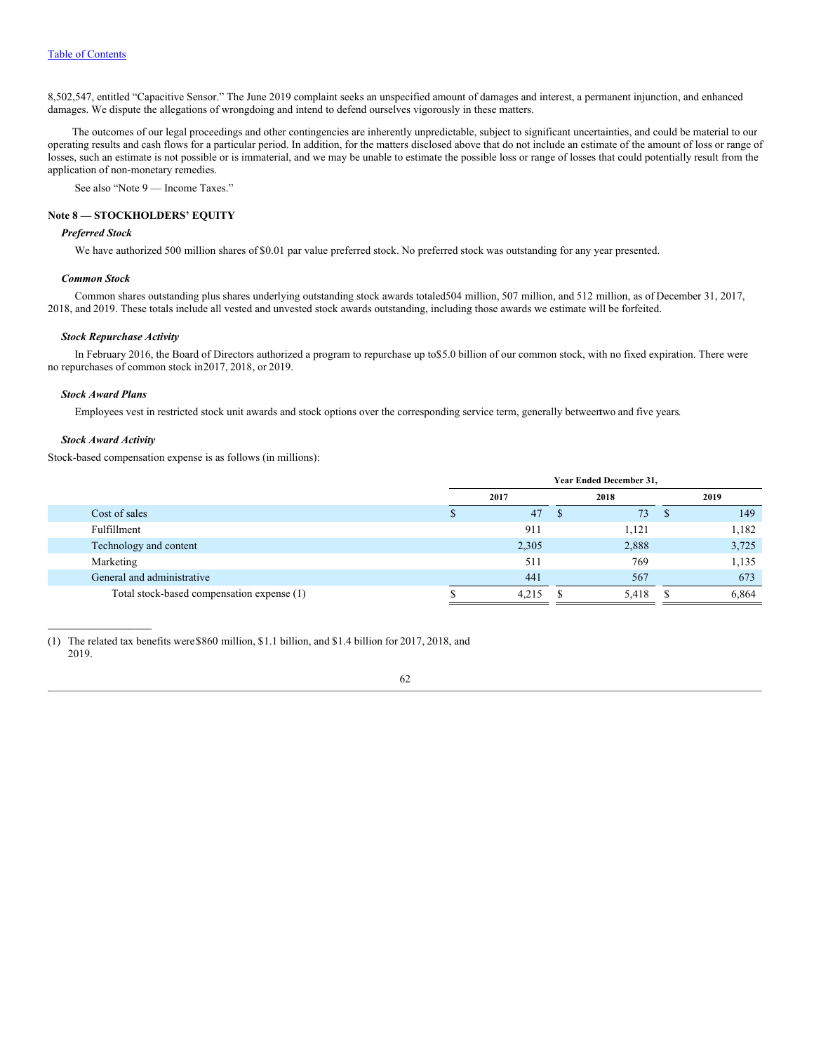8,502,547, entitled "Capacitive Sensor." The June 2019 complaint seeks an unspecified amount of damages and interest, a permanent injunction, and enhanced damages. We dispute the allegations of wrongdoing and intend to defend ourselves vigorously in these matters.

The outcomes of our legal proceedings and other contingencies are inherently unpredictable, subject to significant uncertainties, and could be material to our operating results and cash flows for a particular period. In addition, for the matters disclosed above that do not include an estimate of the amount of loss or range of losses, such an estimate is not possible or is immaterial, and we may be unable to estimate the possible loss or range of losses that could potentially result from the application of non-monetary remedies.

See also "Note 9 — Income Taxes."

### **Note 8 — STOCKHOLDERS' EQUITY**

#### *Preferred Stock*

We have authorized 500 million shares of \$0.01 par value preferred stock. No preferred stock was outstanding for any year presented.

#### *Common Stock*

Common shares outstanding plus shares underlying outstanding stock awards totaled504 million, 507 million, and 512 million, as of December 31, 2017, 2018, and 2019. These totals include all vested and unvested stock awards outstanding, including those awards we estimate will be forfeited.

### *Stock Repurchase Activity*

In February 2016, the Board of Directors authorized a program to repurchase up to\$5.0 billion of our common stock, with no fixed expiration. There were no repurchases of common stock in2017, 2018, or 2019.

#### *Stock Award Plans*

Employees vest in restricted stock unit awards and stock options over the corresponding service term, generally betweentwo and five years.

#### *Stock Award Activity*

Stock-based compensation expense is as follows (in millions):

|                                            | <b>Year Ended December 31,</b> |       |  |       |  |       |  |  |  |  |
|--------------------------------------------|--------------------------------|-------|--|-------|--|-------|--|--|--|--|
|                                            |                                | 2017  |  | 2018  |  | 2019  |  |  |  |  |
| Cost of sales                              |                                | 47    |  | 73    |  | 149   |  |  |  |  |
| Fulfillment                                |                                | 911   |  | 1,121 |  | 1,182 |  |  |  |  |
| Technology and content                     |                                | 2,305 |  | 2,888 |  | 3,725 |  |  |  |  |
| Marketing                                  |                                | 511   |  | 769   |  | 1,135 |  |  |  |  |
| General and administrative                 |                                | 441   |  | 567   |  | 673   |  |  |  |  |
| Total stock-based compensation expense (1) |                                | 4.215 |  | 5,418 |  | 6.864 |  |  |  |  |

(1) The related tax benefits were\$860 million, \$1.1 billion, and \$1.4 billion for 2017, 2018, and 2019.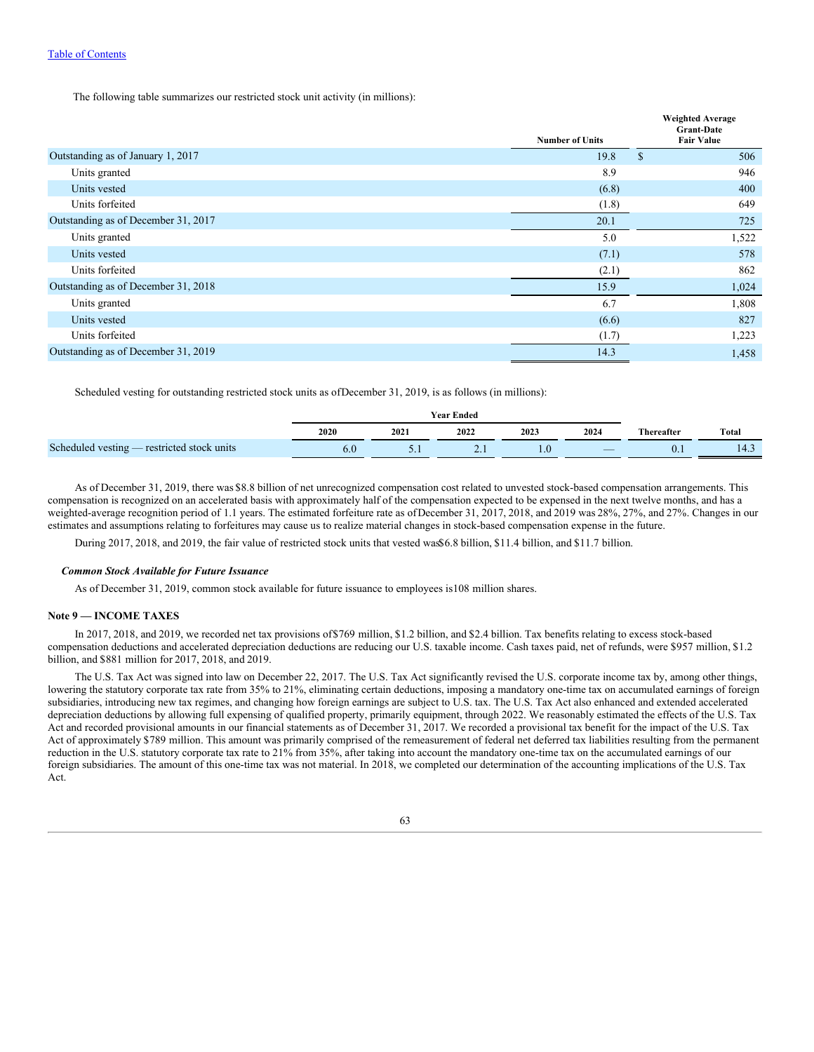The following table summarizes our restricted stock unit activity (in millions):

|                                     | <b>Number of Units</b> |              | <b>Weighted Average</b><br><b>Grant-Date</b><br><b>Fair Value</b> |
|-------------------------------------|------------------------|--------------|-------------------------------------------------------------------|
| Outstanding as of January 1, 2017   | 19.8                   | $\mathbb{S}$ | 506                                                               |
| Units granted                       | 8.9                    |              | 946                                                               |
| Units vested                        | (6.8)                  |              | 400                                                               |
| Units forfeited                     | (1.8)                  |              | 649                                                               |
| Outstanding as of December 31, 2017 | 20.1                   |              | 725                                                               |
| Units granted                       | 5.0                    |              | 1,522                                                             |
| Units vested                        | (7.1)                  |              | 578                                                               |
| Units forfeited                     | (2.1)                  |              | 862                                                               |
| Outstanding as of December 31, 2018 | 15.9                   |              | 1,024                                                             |
| Units granted                       | 6.7                    |              | 1,808                                                             |
| Units vested                        | (6.6)                  |              | 827                                                               |
| Units forfeited                     | (1.7)                  |              | 1,223                                                             |
| Outstanding as of December 31, 2019 | 14.3                   |              | 1,458                                                             |
|                                     |                        |              |                                                                   |

Scheduled vesting for outstanding restricted stock units as ofDecember 31, 2019, is as follows (in millions):

|                                            |      |      | <b>Year Ended</b> |      |                          |                   |       |
|--------------------------------------------|------|------|-------------------|------|--------------------------|-------------------|-------|
|                                            | 2020 | 2021 | 2022              | 2023 | 2024                     | <b>Thereafter</b> | Total |
| Scheduled vesting — restricted stock units | 6.U  |      | $\sim$            |      | $\overline{\phantom{0}}$ | V. I              | 14.3  |

As of December 31, 2019, there was \$8.8 billion of net unrecognized compensation cost related to unvested stock-based compensation arrangements. This compensation is recognized on an accelerated basis with approximately half of the compensation expected to be expensed in the next twelve months, and has a weighted-average recognition period of 1.1 years. The estimated forfeiture rate as ofDecember 31, 2017, 2018, and 2019 was 28%, 27%, and 27%. Changes in our estimates and assumptions relating to forfeitures may cause us to realize material changes in stock-based compensation expense in the future.

During 2017, 2018, and 2019, the fair value of restricted stock units that vested was\$6.8 billion, \$11.4 billion, and \$11.7 billion.

### *Common Stock Available for Future Issuance*

As of December 31, 2019, common stock available for future issuance to employees is108 million shares.

#### **Note 9 — INCOME TAXES**

In 2017, 2018, and 2019, we recorded net tax provisions of\$769 million, \$1.2 billion, and \$2.4 billion. Tax benefits relating to excess stock-based compensation deductions and accelerated depreciation deductions are reducing our U.S. taxable income. Cash taxes paid, net of refunds, were \$957 million, \$1.2 billion, and \$881 million for 2017, 2018, and 2019.

The U.S. Tax Act was signed into law on December 22, 2017. The U.S. Tax Act significantly revised the U.S. corporate income tax by, among other things, lowering the statutory corporate tax rate from 35% to 21%, eliminating certain deductions, imposing a mandatory one-time tax on accumulated earnings of foreign subsidiaries, introducing new tax regimes, and changing how foreign earnings are subject to U.S. tax. The U.S. Tax Act also enhanced and extended accelerated depreciation deductions by allowing full expensing of qualified property, primarily equipment, through 2022. We reasonably estimated the effects of the U.S. Tax Act and recorded provisional amounts in our financial statements as of December 31, 2017. We recorded a provisional tax benefit for the impact of the U.S. Tax Act of approximately \$789 million. This amount was primarily comprised of the remeasurement of federal net deferred tax liabilities resulting from the permanent reduction in the U.S. statutory corporate tax rate to 21% from 35%, after taking into account the mandatory one-time tax on the accumulated earnings of our foreign subsidiaries. The amount of this one-time tax was not material. In 2018, we completed our determination of the accounting implications of the U.S. Tax Act.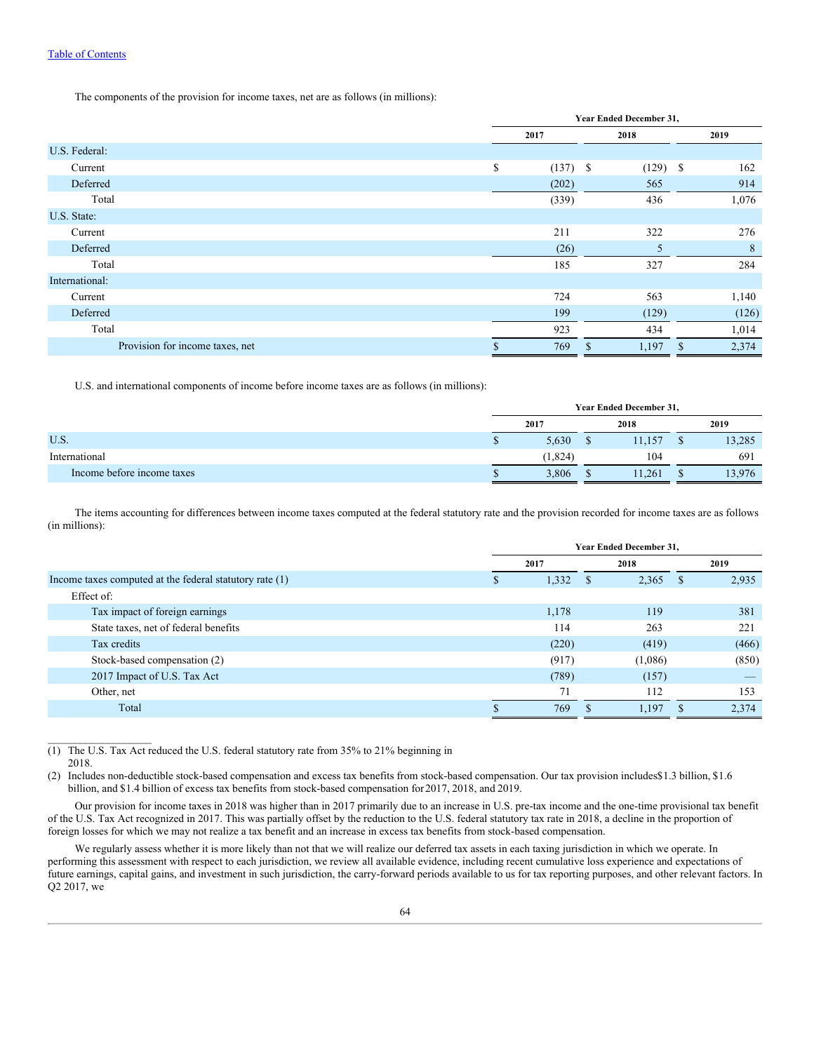The components of the provision for income taxes, net are as follows (in millions):

|                                 | Year Ended December 31, |                        |                        |  |  |
|---------------------------------|-------------------------|------------------------|------------------------|--|--|
|                                 | 2017                    | 2018                   | 2019                   |  |  |
| U.S. Federal:                   |                         |                        |                        |  |  |
| Current                         | \$<br>$(137)$ \$        | $(129)$ \$             | 162                    |  |  |
| Deferred                        | (202)                   | 565                    | 914                    |  |  |
| Total                           | (339)                   | 436                    | 1,076                  |  |  |
| U.S. State:                     |                         |                        |                        |  |  |
| Current                         | 211                     | 322                    | 276                    |  |  |
| Deferred                        | (26)                    | 5                      | 8                      |  |  |
| Total                           | 185                     | 327                    | 284                    |  |  |
| International:                  |                         |                        |                        |  |  |
| Current                         | 724                     | 563                    | 1,140                  |  |  |
| Deferred                        | 199                     | (129)                  | (126)                  |  |  |
| Total                           | 923                     | 434                    | 1,014                  |  |  |
| Provision for income taxes, net | \$<br>769               | 1,197<br><sup>\$</sup> | 2,374<br>$\mathcal{S}$ |  |  |

U.S. and international components of income before income taxes are as follows (in millions):

|                            | Year Ended December 31, |          |  |       |  |        |  |
|----------------------------|-------------------------|----------|--|-------|--|--------|--|
|                            |                         | 2017     |  | 2018  |  | 2019   |  |
| U.S.                       |                         | 5,630    |  |       |  | 13,285 |  |
| International              |                         | (1, 824) |  | 104   |  | 691    |  |
| Income before income taxes |                         | 3,806    |  | 1.261 |  | 13,976 |  |

The items accounting for differences between income taxes computed at the federal statutory rate and the provision recorded for income taxes are as follows (in millions):

|                                                         | <b>Year Ended December 31,</b> |       |     |            |  |       |
|---------------------------------------------------------|--------------------------------|-------|-----|------------|--|-------|
|                                                         |                                | 2017  |     | 2018       |  | 2019  |
| Income taxes computed at the federal statutory rate (1) | аĐ.                            | 1,332 | - S | $2,365$ \$ |  | 2,935 |
| Effect of:                                              |                                |       |     |            |  |       |
| Tax impact of foreign earnings                          |                                | 1,178 |     | 119        |  | 381   |
| State taxes, net of federal benefits                    |                                | 114   |     | 263        |  | 221   |
| Tax credits                                             |                                | (220) |     | (419)      |  | (466) |
| Stock-based compensation (2)                            |                                | (917) |     | (1,086)    |  | (850) |
| 2017 Impact of U.S. Tax Act                             |                                | (789) |     | (157)      |  | $-$   |
| Other, net                                              |                                | 71    |     | 112        |  | 153   |
| Total                                                   |                                | 769   |     | 1,197      |  | 2,374 |

(1) The U.S. Tax Act reduced the U.S. federal statutory rate from 35% to 21% beginning in 2018.

(2) Includes non-deductible stock-based compensation and excess tax benefits from stock-based compensation. Our tax provision includes\$1.3 billion, \$1.6 billion, and \$1.4 billion of excess tax benefits from stock-based compensation for2017, 2018, and 2019.

Our provision for income taxes in 2018 was higher than in 2017 primarily due to an increase in U.S. pre-tax income and the one-time provisional tax benefit of the U.S. Tax Act recognized in 2017. This was partially offset by the reduction to the U.S. federal statutory tax rate in 2018, a decline in the proportion of foreign losses for which we may not realize a tax benefit and an increase in excess tax benefits from stock-based compensation.

We regularly assess whether it is more likely than not that we will realize our deferred tax assets in each taxing jurisdiction in which we operate. In performing this assessment with respect to each jurisdiction, we review all available evidence, including recent cumulative loss experience and expectations of future earnings, capital gains, and investment in such jurisdiction, the carry-forward periods available to us for tax reporting purposes, and other relevant factors. In Q2 2017, we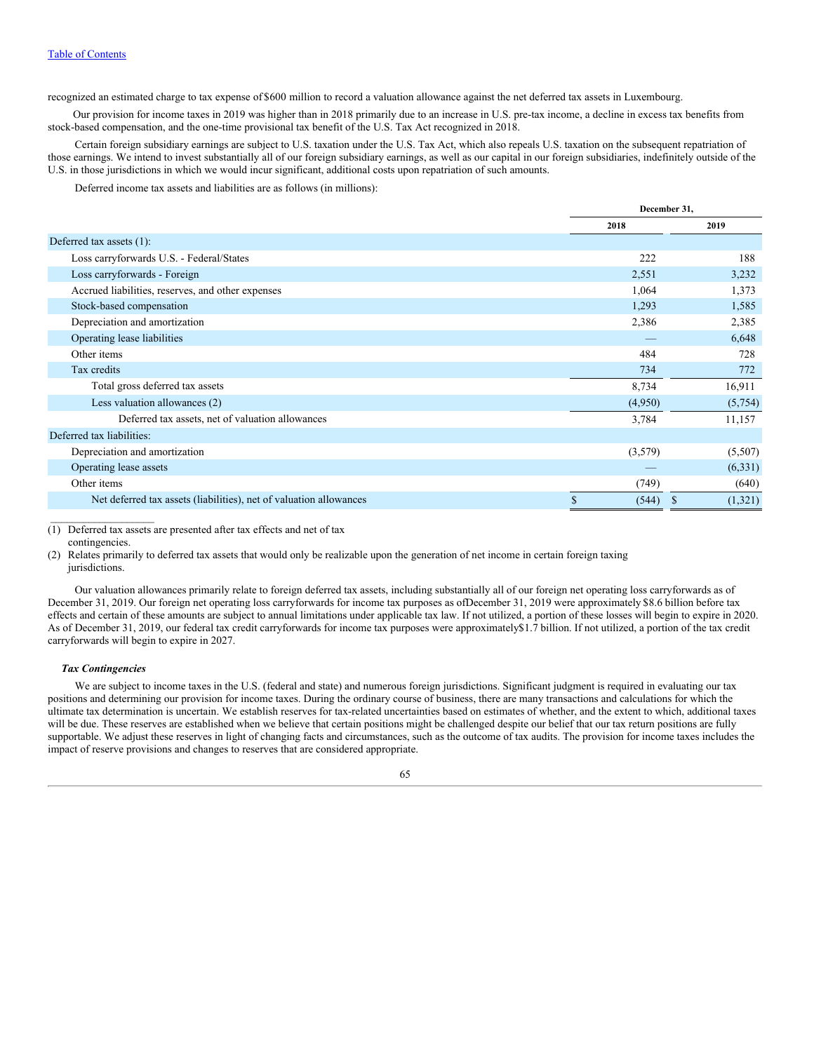recognized an estimated charge to tax expense of \$600 million to record a valuation allowance against the net deferred tax assets in Luxembourg.

Our provision for income taxes in 2019 was higher than in 2018 primarily due to an increase in U.S. pre-tax income, a decline in excess tax benefits from stock-based compensation, and the one-time provisional tax benefit of the U.S. Tax Act recognized in 2018.

Certain foreign subsidiary earnings are subject to U.S. taxation under the U.S. Tax Act, which also repeals U.S. taxation on the subsequent repatriation of those earnings. We intend to invest substantially all of our foreign subsidiary earnings, as well as our capital in our foreign subsidiaries, indefinitely outside of the U.S. in those jurisdictions in which we would incur significant, additional costs upon repatriation of such amounts.

Deferred income tax assets and liabilities are as follows (in millions):

|                                                                    |                       | December 31. |
|--------------------------------------------------------------------|-----------------------|--------------|
|                                                                    | 2018                  | 2019         |
| Deferred tax assets (1):                                           |                       |              |
| Loss carryforwards U.S. - Federal/States                           | 222                   | 188          |
| Loss carryforwards - Foreign                                       | 2,551                 | 3,232        |
| Accrued liabilities, reserves, and other expenses                  | 1,064                 | 1,373        |
| Stock-based compensation                                           | 1,293                 | 1,585        |
| Depreciation and amortization                                      | 2,386                 | 2,385        |
| Operating lease liabilities                                        |                       | 6,648        |
| Other items                                                        | 484                   | 728          |
| Tax credits                                                        | 734                   | 772          |
| Total gross deferred tax assets                                    | 8,734                 | 16,911       |
| Less valuation allowances (2)                                      | (4,950)               | (5,754)      |
| Deferred tax assets, net of valuation allowances                   | 3,784                 | 11,157       |
| Deferred tax liabilities:                                          |                       |              |
| Depreciation and amortization                                      | (3,579)               | (5,507)      |
| Operating lease assets                                             |                       | (6,331)      |
| Other items                                                        | (749)                 | (640)        |
| Net deferred tax assets (liabilities), net of valuation allowances | $\mathbb{S}$<br>(544) | (1,321)      |

(1) Deferred tax assets are presented after tax effects and net of tax contingencies.

(2) Relates primarily to deferred tax assets that would only be realizable upon the generation of net income in certain foreign taxing jurisdictions.

Our valuation allowances primarily relate to foreign deferred tax assets, including substantially all of our foreign net operating loss carryforwards as of December 31, 2019. Our foreign net operating loss carryforwards for income tax purposes as ofDecember 31, 2019 were approximately \$8.6 billion before tax effects and certain of these amounts are subject to annual limitations under applicable tax law. If not utilized, a portion of these losses will begin to expire in 2020. As of December 31, 2019, our federal tax credit carryforwards for income tax purposes were approximately\$1.7 billion. If not utilized, a portion of the tax credit carryforwards will begin to expire in 2027.

#### *Tax Contingencies*

We are subject to income taxes in the U.S. (federal and state) and numerous foreign jurisdictions. Significant judgment is required in evaluating our tax positions and determining our provision for income taxes. During the ordinary course of business, there are many transactions and calculations for which the ultimate tax determination is uncertain. We establish reserves for tax-related uncertainties based on estimates of whether, and the extent to which, additional taxes will be due. These reserves are established when we believe that certain positions might be challenged despite our belief that our tax return positions are fully supportable. We adjust these reserves in light of changing facts and circumstances, such as the outcome of tax audits. The provision for income taxes includes the impact of reserve provisions and changes to reserves that are considered appropriate.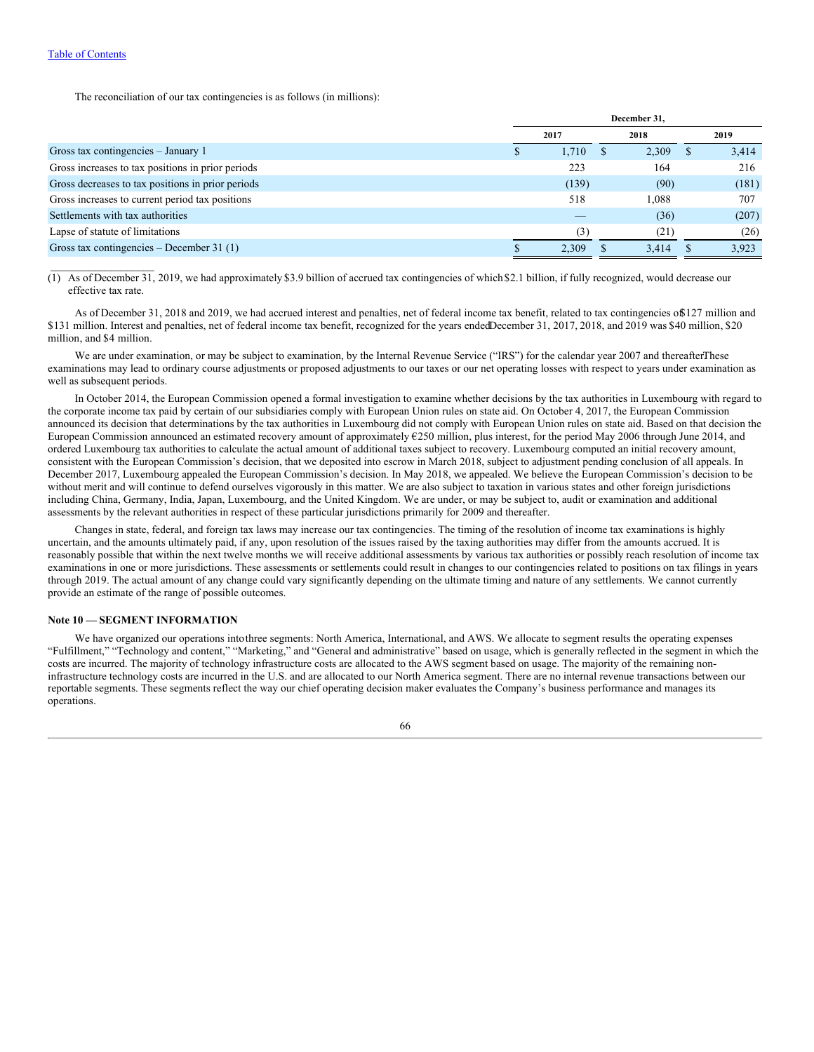The reconciliation of our tax contingencies is as follows (in millions):

|                                                   | December 31. |       |              |       |          |       |  |
|---------------------------------------------------|--------------|-------|--------------|-------|----------|-------|--|
|                                                   |              | 2017  |              | 2018  |          | 2019  |  |
| Gross tax contingencies – January 1               |              | 1,710 | <sup>S</sup> | 2,309 | <b>S</b> | 3,414 |  |
| Gross increases to tax positions in prior periods |              | 223   |              | 164   |          | 216   |  |
| Gross decreases to tax positions in prior periods |              | (139) |              | (90)  |          | (181) |  |
| Gross increases to current period tax positions   |              | 518   |              | 1.088 |          | 707   |  |
| Settlements with tax authorities                  |              |       |              | (36)  |          | (207) |  |
| Lapse of statute of limitations                   |              | (3)   |              | (21)  |          | (26)  |  |
| Gross tax contingencies – December 31 $(1)$       |              | 2.309 |              | 3,414 |          | 3,923 |  |

 $(1)$  As of December 31, 2019, we had approximately \$3.9 billion of accrued tax contingencies of which \$2.1 billion, if fully recognized, would decrease our effective tax rate.

As of December 31, 2018 and 2019, we had accrued interest and penalties, net of federal income tax benefit, related to tax contingencies of 127 million and \$131 million. Interest and penalties, net of federal income tax benefit, recognized for the years endedDecember 31, 2017, 2018, and 2019 was \$40 million, \$20 million, and \$4 million.

We are under examination, or may be subject to examination, by the Internal Revenue Service ("IRS") for the calendar year 2007 and thereafterThese examinations may lead to ordinary course adjustments or proposed adjustments to our taxes or our net operating losses with respect to years under examination as well as subsequent periods.

In October 2014, the European Commission opened a formal investigation to examine whether decisions by the tax authorities in Luxembourg with regard to the corporate income tax paid by certain of our subsidiaries comply with European Union rules on state aid. On October 4, 2017, the European Commission announced its decision that determinations by the tax authorities in Luxembourg did not comply with European Union rules on state aid. Based on that decision the European Commission announced an estimated recovery amount of approximately €250 million, plus interest, for the period May 2006 through June 2014, and ordered Luxembourg tax authorities to calculate the actual amount of additional taxes subject to recovery. Luxembourg computed an initial recovery amount, consistent with the European Commission's decision, that we deposited into escrow in March 2018, subject to adjustment pending conclusion of all appeals. In December 2017, Luxembourg appealed the European Commission's decision. In May 2018, we appealed. We believe the European Commission's decision to be without merit and will continue to defend ourselves vigorously in this matter. We are also subject to taxation in various states and other foreign jurisdictions including China, Germany, India, Japan, Luxembourg, and the United Kingdom. We are under, or may be subject to, audit or examination and additional assessments by the relevant authorities in respect of these particular jurisdictions primarily for 2009 and thereafter.

Changes in state, federal, and foreign tax laws may increase our tax contingencies. The timing of the resolution of income tax examinations is highly uncertain, and the amounts ultimately paid, if any, upon resolution of the issues raised by the taxing authorities may differ from the amounts accrued. It is reasonably possible that within the next twelve months we will receive additional assessments by various tax authorities or possibly reach resolution of income tax examinations in one or more jurisdictions. These assessments or settlements could result in changes to our contingencies related to positions on tax filings in years through 2019. The actual amount of any change could vary significantly depending on the ultimate timing and nature of any settlements. We cannot currently provide an estimate of the range of possible outcomes.

### **Note 10 — SEGMENT INFORMATION**

We have organized our operations intothree segments: North America, International, and AWS. We allocate to segment results the operating expenses "Fulfillment," "Technology and content," "Marketing," and "General and administrative" based on usage, which is generally reflected in the segment in which the costs are incurred. The majority of technology infrastructure costs are allocated to the AWS segment based on usage. The majority of the remaining noninfrastructure technology costs are incurred in the U.S. and are allocated to our North America segment. There are no internal revenue transactions between our reportable segments. These segments reflect the way our chief operating decision maker evaluates the Company's business performance and manages its operations.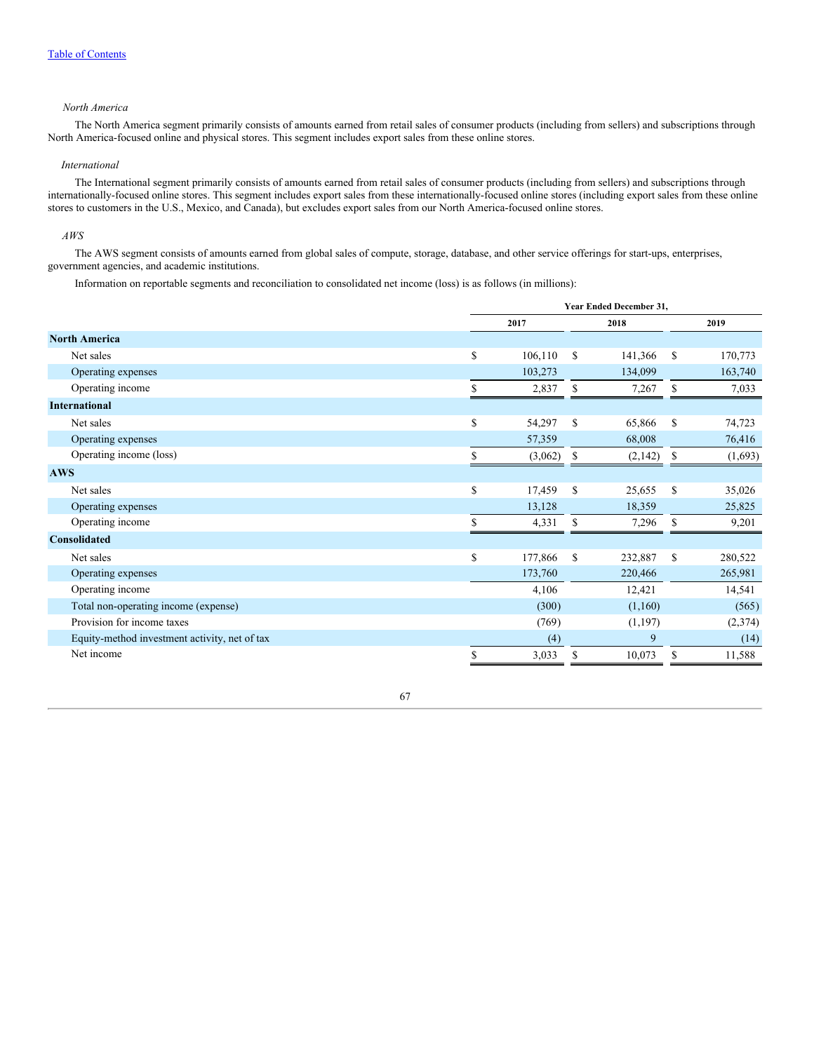# *North America*

The North America segment primarily consists of amounts earned from retail sales of consumer products (including from sellers) and subscriptions through North America-focused online and physical stores. This segment includes export sales from these online stores.

### *International*

The International segment primarily consists of amounts earned from retail sales of consumer products (including from sellers) and subscriptions through internationally-focused online stores. This segment includes export sales from these internationally-focused online stores (including export sales from these online stores to customers in the U.S., Mexico, and Canada), but excludes export sales from our North America-focused online stores.

## *AWS*

The AWS segment consists of amounts earned from global sales of compute, storage, database, and other service offerings for start-ups, enterprises, government agencies, and academic institutions.

Information on reportable segments and reconciliation to consolidated net income (loss) is as follows (in millions):

|                                               | <b>Year Ended December 31,</b> |         |               |         |               |         |  |  |
|-----------------------------------------------|--------------------------------|---------|---------------|---------|---------------|---------|--|--|
|                                               |                                | 2017    |               | 2018    |               | 2019    |  |  |
| <b>North America</b>                          |                                |         |               |         |               |         |  |  |
| Net sales                                     | \$                             | 106,110 | <sup>\$</sup> | 141,366 | <sup>\$</sup> | 170,773 |  |  |
| Operating expenses                            |                                | 103,273 |               | 134,099 |               | 163,740 |  |  |
| Operating income                              | S                              | 2,837   | \$            | 7,267   | \$            | 7,033   |  |  |
| <b>International</b>                          |                                |         |               |         |               |         |  |  |
| Net sales                                     | \$                             | 54,297  | <sup>\$</sup> | 65,866  | <sup>\$</sup> | 74,723  |  |  |
| Operating expenses                            |                                | 57,359  |               | 68,008  |               | 76,416  |  |  |
| Operating income (loss)                       | \$                             | (3,062) | \$            | (2,142) | -S            | (1,693) |  |  |
| <b>AWS</b>                                    |                                |         |               |         |               |         |  |  |
| Net sales                                     | $\mathbb{S}$                   | 17,459  | <sup>\$</sup> | 25,655  | <sup>\$</sup> | 35,026  |  |  |
| Operating expenses                            |                                | 13,128  |               | 18,359  |               | 25,825  |  |  |
| Operating income                              | \$                             | 4,331   | \$            | 7,296   | \$            | 9,201   |  |  |
| <b>Consolidated</b>                           |                                |         |               |         |               |         |  |  |
| Net sales                                     | $\mathbf S$                    | 177,866 | <sup>\$</sup> | 232,887 | $\mathcal{S}$ | 280,522 |  |  |
| Operating expenses                            |                                | 173,760 |               | 220,466 |               | 265,981 |  |  |
| Operating income                              |                                | 4,106   |               | 12,421  |               | 14,541  |  |  |
| Total non-operating income (expense)          |                                | (300)   |               | (1,160) |               | (565)   |  |  |
| Provision for income taxes                    |                                | (769)   |               | (1,197) |               | (2,374) |  |  |
| Equity-method investment activity, net of tax |                                | (4)     |               | 9       |               | (14)    |  |  |
| Net income                                    | \$                             | 3,033   | S             | 10,073  | \$            | 11,588  |  |  |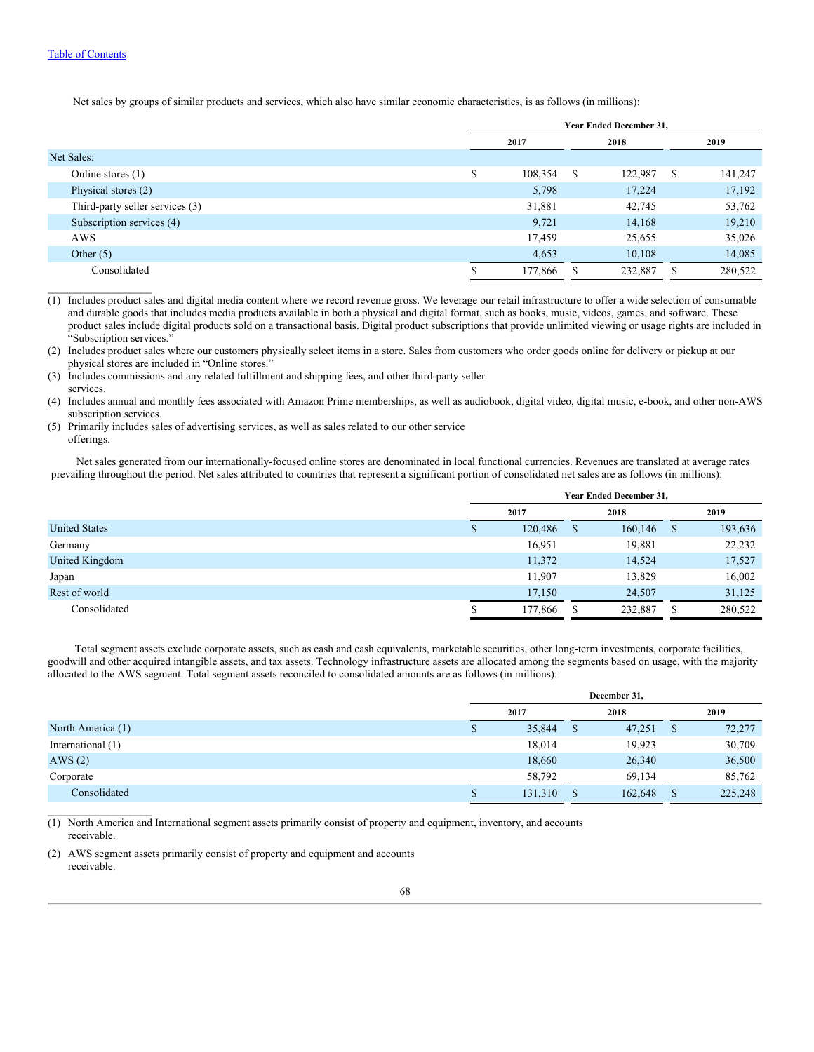Net sales by groups of similar products and services, which also have similar economic characteristics, is as follows (in millions):

|                                 | Year Ended December 31, |               |         |               |         |  |  |  |
|---------------------------------|-------------------------|---------------|---------|---------------|---------|--|--|--|
|                                 | 2017                    |               | 2018    |               | 2019    |  |  |  |
| Net Sales:                      |                         |               |         |               |         |  |  |  |
| Online stores (1)               | \$<br>108,354           | <sup>\$</sup> | 122,987 | <sup>\$</sup> | 141,247 |  |  |  |
| Physical stores (2)             | 5,798                   |               | 17,224  |               | 17,192  |  |  |  |
| Third-party seller services (3) | 31,881                  |               | 42,745  |               | 53,762  |  |  |  |
| Subscription services (4)       | 9,721                   |               | 14,168  |               | 19,210  |  |  |  |
| <b>AWS</b>                      | 17,459                  |               | 25,655  |               | 35,026  |  |  |  |
| Other $(5)$                     | 4,653                   |               | 10,108  |               | 14,085  |  |  |  |
| Consolidated                    | 177,866                 |               | 232,887 |               | 280,522 |  |  |  |

(1) Includes product sales and digital media content where we record revenue gross. We leverage our retail infrastructure to offer a wide selection of consumable and durable goods that includes media products available in both a physical and digital format, such as books, music, videos, games, and software. These product sales include digital products sold on a transactional basis. Digital product subscriptions that provide unlimited viewing or usage rights are included in "Subscription services."

(2) Includes product sales where our customers physically select items in a store. Sales from customers who order goods online for delivery or pickup at our physical stores are included in "Online stores."

(3) Includes commissions and any related fulfillment and shipping fees, and other third-party seller

services. (4) Includes annual and monthly fees associated with Amazon Prime memberships, as well as audiobook, digital video, digital music, e-book, and other non-AWS subscription services.

(5) Primarily includes sales of advertising services, as well as sales related to our other service offerings.

Net sales generated from our internationally-focused online stores are denominated in local functional currencies. Revenues are translated at average rates prevailing throughout the period. Net sales attributed to countries that represent a significant portion of consolidated net sales are as follows (in millions):

|                      | Year Ended December 31, |         |   |         |     |         |  |  |
|----------------------|-------------------------|---------|---|---------|-----|---------|--|--|
|                      |                         | 2017    |   | 2018    |     | 2019    |  |  |
| <b>United States</b> |                         | 120,486 | S | 160,146 | - S | 193,636 |  |  |
| Germany              |                         | 16,951  |   | 19,881  |     | 22,232  |  |  |
| United Kingdom       |                         | 11,372  |   | 14,524  |     | 17,527  |  |  |
| Japan                |                         | 11.907  |   | 13,829  |     | 16,002  |  |  |
| Rest of world        |                         | 17,150  |   | 24,507  |     | 31,125  |  |  |
| Consolidated         |                         | 177,866 | S | 232,887 |     | 280,522 |  |  |

Total segment assets exclude corporate assets, such as cash and cash equivalents, marketable securities, other long-term investments, corporate facilities, goodwill and other acquired intangible assets, and tax assets. Technology infrastructure assets are allocated among the segments based on usage, with the majority allocated to the AWS segment. Total segment assets reconciled to consolidated amounts are as follows (in millions):

|                   | December 31, |         |               |         |               |         |  |
|-------------------|--------------|---------|---------------|---------|---------------|---------|--|
|                   | 2017         |         |               | 2018    |               | 2019    |  |
| North America (1) |              | 35,844  | <sup>\$</sup> | 47,251  | S.            | 72,277  |  |
| International (1) |              | 18,014  |               | 19,923  |               | 30,709  |  |
| AWS(2)            |              | 18,660  |               | 26,340  |               | 36,500  |  |
| Corporate         |              | 58,792  |               | 69.134  |               | 85,762  |  |
| Consolidated      |              | 131,310 | <sup>\$</sup> | 162,648 | <sup>\$</sup> | 225,248 |  |

(1) North America and International segment assets primarily consist of property and equipment, inventory, and accounts receivable.

(2) AWS segment assets primarily consist of property and equipment and accounts receivable.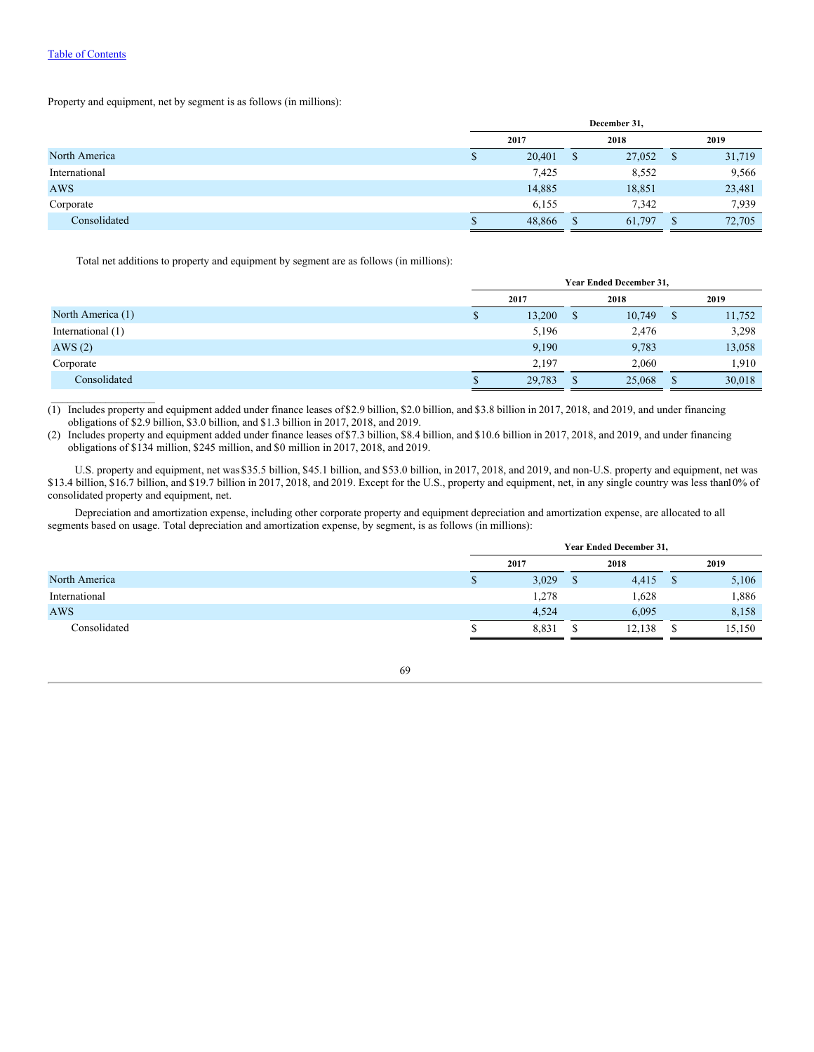# Table of [Contents](#page-1-0)

Property and equipment, net by segment is as follows (in millions):

|               | December 31, |        |   |        |      |        |  |  |
|---------------|--------------|--------|---|--------|------|--------|--|--|
|               | 2017         |        |   | 2018   |      | 2019   |  |  |
| North America | Φ            | 20,401 | S | 27,052 | - \$ | 31,719 |  |  |
| International |              | 7,425  |   | 8,552  |      | 9,566  |  |  |
| <b>AWS</b>    |              | 14,885 |   | 18,851 |      | 23,481 |  |  |
| Corporate     |              | 6,155  |   | 7,342  |      | 7,939  |  |  |
| Consolidated  |              | 48,866 | S | 61,797 |      | 72,705 |  |  |
|               |              |        |   |        |      |        |  |  |

Total net additions to property and equipment by segment are as follows (in millions):

|                   | Year Ended December 31, |        |   |        |    |        |  |
|-------------------|-------------------------|--------|---|--------|----|--------|--|
|                   | 2017                    |        |   | 2018   |    | 2019   |  |
| North America (1) | D                       | 13,200 | S | 10,749 | S. | 11,752 |  |
| International (1) |                         | 5,196  |   | 2,476  |    | 3,298  |  |
| AWS(2)            |                         | 9,190  |   | 9,783  |    | 13,058 |  |
| Corporate         |                         | 2,197  |   | 2,060  |    | 1,910  |  |
| Consolidated      |                         | 29,783 | S | 25,068 |    | 30,018 |  |

(1) Includes property and equipment added under finance leases of \$2.9 billion, \$2.0 billion, and \$3.8 billion in 2017, 2018, and 2019, and under financing obligations of \$2.9 billion, \$3.0 billion, and \$1.3 billion in 2017, 2018, and 2019.

(2) Includes property and equipment added under finance leases of \$7.3 billion, \$8.4 billion, and \$10.6 billion in 2017, 2018, and 2019, and under financing obligations of \$134 million, \$245 million, and \$0 million in 2017, 2018, and 2019.

U.S. property and equipment, net was \$35.5 billion, \$45.1 billion, and \$53.0 billion, in 2017, 2018, and 2019, and non-U.S. property and equipment, net was \$13.4 billion, \$16.7 billion, and \$19.7 billion in 2017, 2018, and 2019. Except for the U.S., property and equipment, net, in any single country was less than10% of consolidated property and equipment, net.

Depreciation and amortization expense, including other corporate property and equipment depreciation and amortization expense, are allocated to all segments based on usage. Total depreciation and amortization expense, by segment, is as follows (in millions):

| <b>Year Ended December 31,</b> |       |   |        |  |        |  |
|--------------------------------|-------|---|--------|--|--------|--|
|                                | 2017  |   | 2018   |  | 2019   |  |
|                                | 3,029 | S | 4,415  |  | 5,106  |  |
|                                | 1,278 |   | 1,628  |  | 1,886  |  |
|                                | 4.524 |   | 6,095  |  | 8,158  |  |
|                                | 8,831 |   | 12,138 |  | 15,150 |  |
|                                |       |   |        |  |        |  |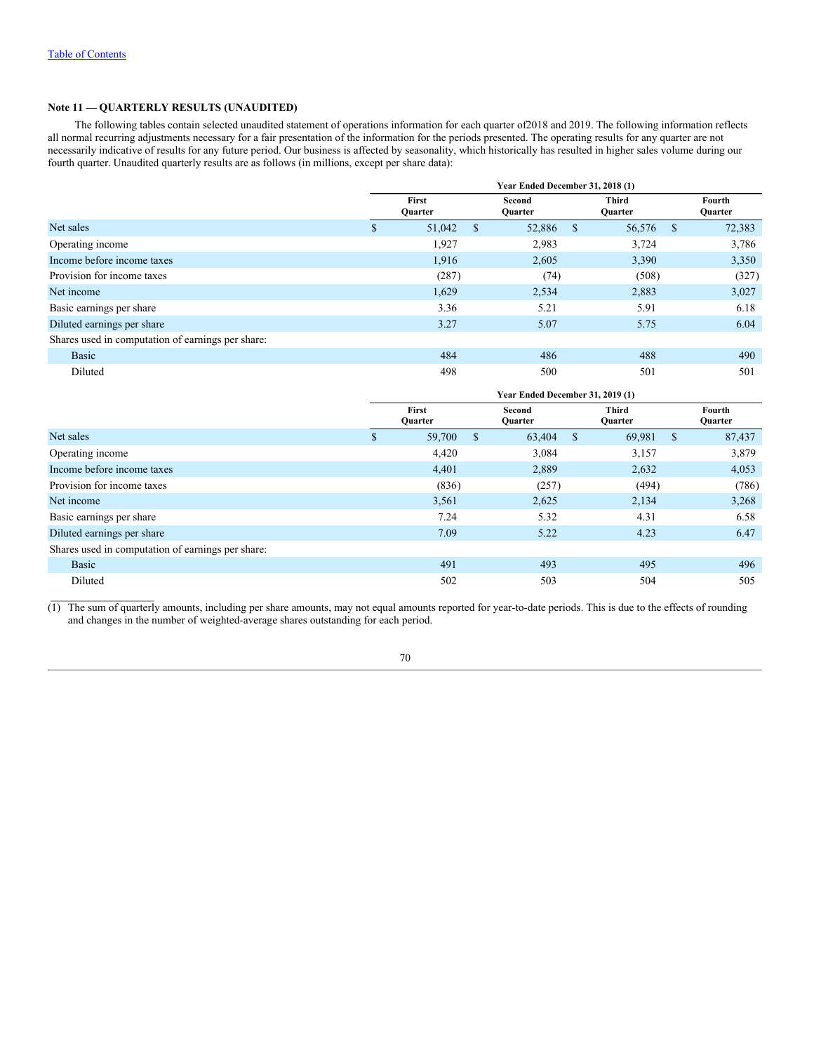# **Note 11 — QUARTERLY RESULTS (UNAUDITED)**

The following tables contain selected unaudited statement of operations information for each quarter of2018 and 2019. The following information reflects all normal recurring adjustments necessary for a fair presentation of the information for the periods presented. The operating results for any quarter are not necessarily indicative of results for any future period. Our business is affected by seasonality, which historically has resulted in higher sales volume during our fourth quarter. Unaudited quarterly results are as follows (in millions, except per share data):

|                                                   |               | Year Ended December 31, 2018 (1) |   |                          |               |                                |      |                          |
|---------------------------------------------------|---------------|----------------------------------|---|--------------------------|---------------|--------------------------------|------|--------------------------|
|                                                   |               | First<br>Ouarter                 |   | Second<br><b>Ouarter</b> |               | <b>Third</b><br><b>Ouarter</b> |      | Fourth<br><b>Ouarter</b> |
| Net sales                                         | <sup>\$</sup> | 51,042                           | S | 52,886                   | <sup>\$</sup> | 56,576                         | - \$ | 72,383                   |
| Operating income                                  |               | 1,927                            |   | 2,983                    |               | 3,724                          |      | 3,786                    |
| Income before income taxes                        |               | 1,916                            |   | 2,605                    |               | 3,390                          |      | 3,350                    |
| Provision for income taxes                        |               | (287)                            |   | (74)                     |               | (508)                          |      | (327)                    |
| Net income                                        |               | 1,629                            |   | 2,534                    |               | 2,883                          |      | 3,027                    |
| Basic earnings per share                          |               | 3.36                             |   | 5.21                     |               | 5.91                           |      | 6.18                     |
| Diluted earnings per share                        |               | 3.27                             |   | 5.07                     |               | 5.75                           |      | 6.04                     |
| Shares used in computation of earnings per share: |               |                                  |   |                          |               |                                |      |                          |
| Basic                                             |               | 484                              |   | 486                      |               | 488                            |      | 490                      |
| Diluted                                           |               | 498                              |   | 500                      |               | 501                            |      | 501                      |

|                                                   |              | Year Ended December 31, 2019 (1) |               |                          |               |                                |      |                          |  |
|---------------------------------------------------|--------------|----------------------------------|---------------|--------------------------|---------------|--------------------------------|------|--------------------------|--|
|                                                   |              | First<br><b>Ouarter</b>          |               | Second<br><b>Ouarter</b> |               | <b>Third</b><br><b>Ouarter</b> |      | Fourth<br><b>Ouarter</b> |  |
| Net sales                                         | $\mathbb{S}$ | 59,700                           | <sup>\$</sup> | 63,404                   | <sup>\$</sup> | 69,981                         | - \$ | 87,437                   |  |
| Operating income                                  |              | 4,420                            |               | 3,084                    |               | 3,157                          |      | 3,879                    |  |
| Income before income taxes                        |              | 4,401                            |               | 2,889                    |               | 2,632                          |      | 4,053                    |  |
| Provision for income taxes                        |              | (836)                            |               | (257)                    |               | (494)                          |      | (786)                    |  |
| Net income                                        |              | 3,561                            |               | 2,625                    |               | 2,134                          |      | 3,268                    |  |
| Basic earnings per share                          |              | 7.24                             |               | 5.32                     |               | 4.31                           |      | 6.58                     |  |
| Diluted earnings per share                        |              | 7.09                             |               | 5.22                     |               | 4.23                           |      | 6.47                     |  |
| Shares used in computation of earnings per share: |              |                                  |               |                          |               |                                |      |                          |  |
| Basic                                             |              | 491                              |               | 493                      |               | 495                            |      | 496                      |  |
| Diluted                                           |              | 502                              |               | 503                      |               | 504                            |      | 505                      |  |

(1) The sum of quarterly amounts, including per share amounts, may not equal amounts reported for year-to-date periods. This is due to the effects of rounding and changes in the number of weighted-average shares outstanding for each period.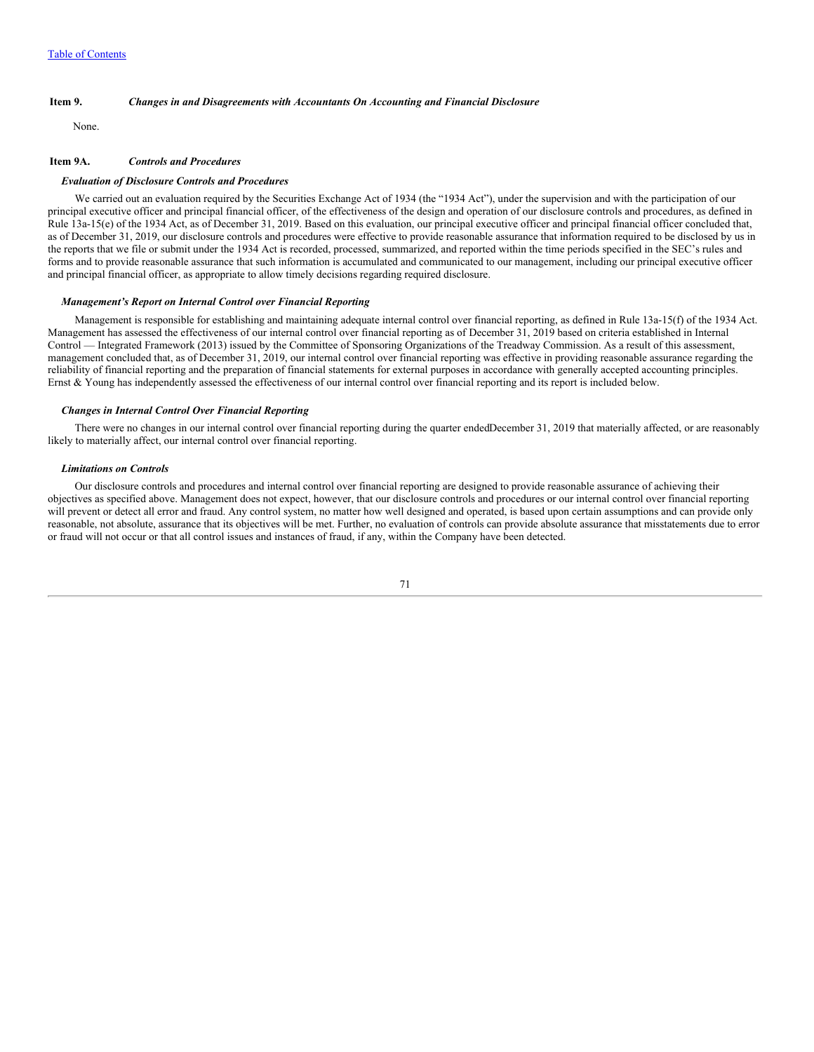### **Item 9.** *Changes in and Disagreements with Accountants On Accounting and Financial Disclosure*

None.

#### **Item 9A.** *Controls and Procedures*

### *Evaluation of Disclosure Controls and Procedures*

We carried out an evaluation required by the Securities Exchange Act of 1934 (the "1934 Act"), under the supervision and with the participation of our principal executive officer and principal financial officer, of the effectiveness of the design and operation of our disclosure controls and procedures, as defined in Rule 13a-15(e) of the 1934 Act, as of December 31, 2019. Based on this evaluation, our principal executive officer and principal financial officer concluded that, as of December 31, 2019, our disclosure controls and procedures were effective to provide reasonable assurance that information required to be disclosed by us in the reports that we file or submit under the 1934 Act is recorded, processed, summarized, and reported within the time periods specified in the SEC's rules and forms and to provide reasonable assurance that such information is accumulated and communicated to our management, including our principal executive officer and principal financial officer, as appropriate to allow timely decisions regarding required disclosure.

### *Management's Report on Internal Control over Financial Reporting*

Management is responsible for establishing and maintaining adequate internal control over financial reporting, as defined in Rule 13a-15(f) of the 1934 Act. Management has assessed the effectiveness of our internal control over financial reporting as of December 31, 2019 based on criteria established in Internal Control — Integrated Framework (2013) issued by the Committee of Sponsoring Organizations of the Treadway Commission. As a result of this assessment, management concluded that, as of December 31, 2019, our internal control over financial reporting was effective in providing reasonable assurance regarding the reliability of financial reporting and the preparation of financial statements for external purposes in accordance with generally accepted accounting principles. Ernst & Young has independently assessed the effectiveness of our internal control over financial reporting and its report is included below.

### *Changes in Internal Control Over Financial Reporting*

There were no changes in our internal control over financial reporting during the quarter endedDecember 31, 2019 that materially affected, or are reasonably likely to materially affect, our internal control over financial reporting.

#### *Limitations on Controls*

Our disclosure controls and procedures and internal control over financial reporting are designed to provide reasonable assurance of achieving their objectives as specified above. Management does not expect, however, that our disclosure controls and procedures or our internal control over financial reporting will prevent or detect all error and fraud. Any control system, no matter how well designed and operated, is based upon certain assumptions and can provide only reasonable, not absolute, assurance that its objectives will be met. Further, no evaluation of controls can provide absolute assurance that misstatements due to error or fraud will not occur or that all control issues and instances of fraud, if any, within the Company have been detected.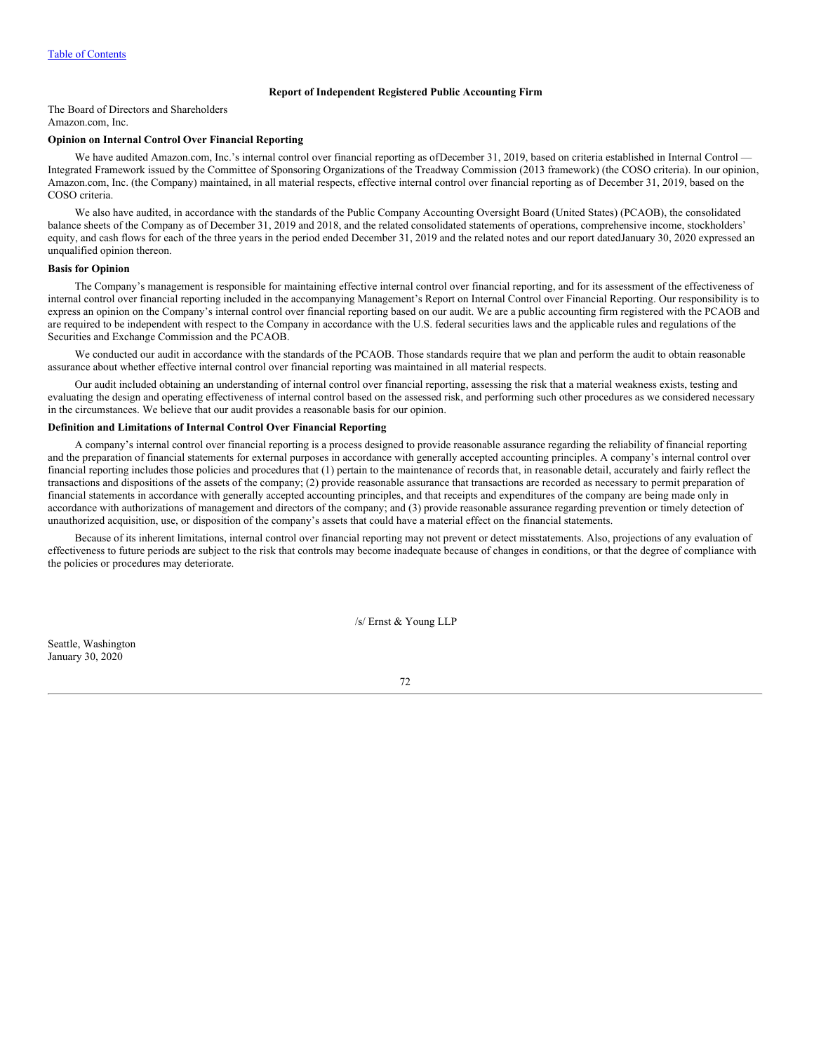### **Report of Independent Registered Public Accounting Firm**

The Board of Directors and Shareholders Amazon.com, Inc.

### **Opinion on Internal Control Over Financial Reporting**

We have audited Amazon.com, Inc.'s internal control over financial reporting as ofDecember 31, 2019, based on criteria established in Internal Control — Integrated Framework issued by the Committee of Sponsoring Organizations of the Treadway Commission (2013 framework) (the COSO criteria). In our opinion, Amazon.com, Inc. (the Company) maintained, in all material respects, effective internal control over financial reporting as of December 31, 2019, based on the COSO criteria.

We also have audited, in accordance with the standards of the Public Company Accounting Oversight Board (United States) (PCAOB), the consolidated balance sheets of the Company as of December 31, 2019 and 2018, and the related consolidated statements of operations, comprehensive income, stockholders' equity, and cash flows for each of the three years in the period ended December 31, 2019 and the related notes and our report datedJanuary 30, 2020 expressed an unqualified opinion thereon.

### **Basis for Opinion**

The Company's management is responsible for maintaining effective internal control over financial reporting, and for its assessment of the effectiveness of internal control over financial reporting included in the accompanying Management's Report on Internal Control over Financial Reporting. Our responsibility is to express an opinion on the Company's internal control over financial reporting based on our audit. We are a public accounting firm registered with the PCAOB and are required to be independent with respect to the Company in accordance with the U.S. federal securities laws and the applicable rules and regulations of the Securities and Exchange Commission and the PCAOB.

We conducted our audit in accordance with the standards of the PCAOB. Those standards require that we plan and perform the audit to obtain reasonable assurance about whether effective internal control over financial reporting was maintained in all material respects.

Our audit included obtaining an understanding of internal control over financial reporting, assessing the risk that a material weakness exists, testing and evaluating the design and operating effectiveness of internal control based on the assessed risk, and performing such other procedures as we considered necessary in the circumstances. We believe that our audit provides a reasonable basis for our opinion.

#### **Definition and Limitations of Internal Control Over Financial Reporting**

A company's internal control over financial reporting is a process designed to provide reasonable assurance regarding the reliability of financial reporting and the preparation of financial statements for external purposes in accordance with generally accepted accounting principles. A company's internal control over financial reporting includes those policies and procedures that (1) pertain to the maintenance of records that, in reasonable detail, accurately and fairly reflect the transactions and dispositions of the assets of the company; (2) provide reasonable assurance that transactions are recorded as necessary to permit preparation of financial statements in accordance with generally accepted accounting principles, and that receipts and expenditures of the company are being made only in accordance with authorizations of management and directors of the company; and (3) provide reasonable assurance regarding prevention or timely detection of unauthorized acquisition, use, or disposition of the company's assets that could have a material effect on the financial statements.

Because of its inherent limitations, internal control over financial reporting may not prevent or detect misstatements. Also, projections of any evaluation of effectiveness to future periods are subject to the risk that controls may become inadequate because of changes in conditions, or that the degree of compliance with the policies or procedures may deteriorate.

/s/ Ernst & Young LLP

Seattle, Washington January 30, 2020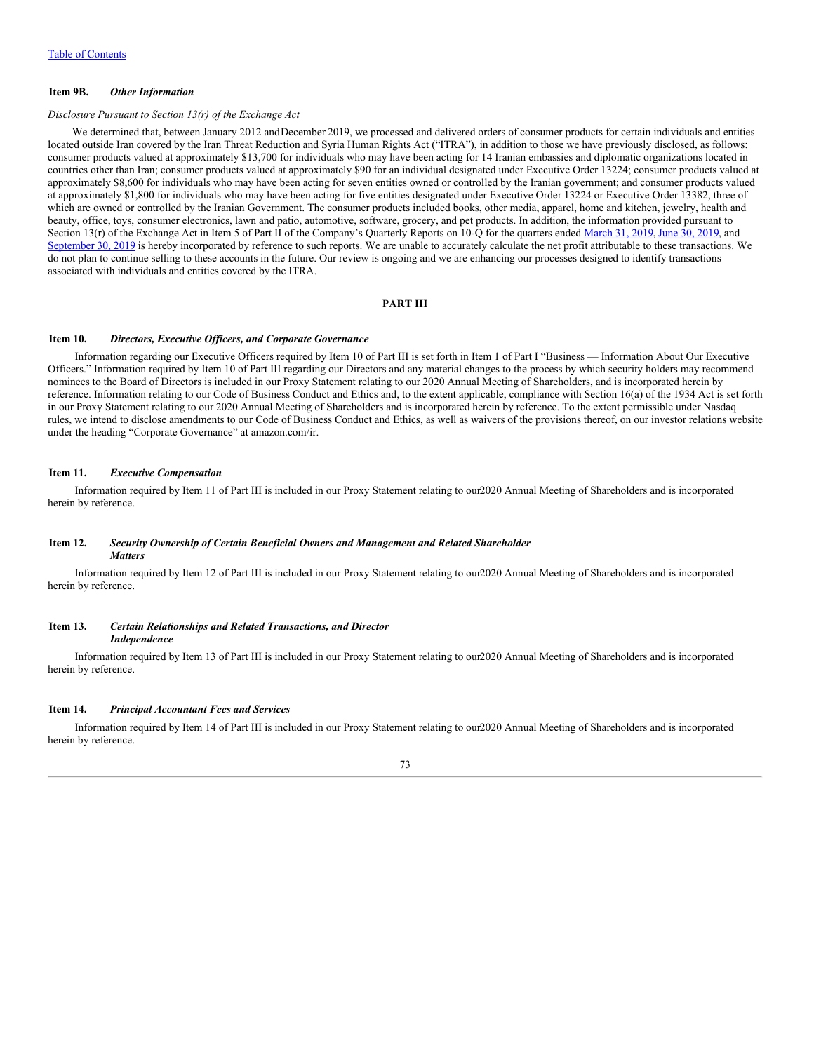### **Item 9B.** *Other Information*

### *Disclosure Pursuant to Section 13(r) of the Exchange Act*

We determined that, between January 2012 andDecember 2019, we processed and delivered orders of consumer products for certain individuals and entities located outside Iran covered by the Iran Threat Reduction and Syria Human Rights Act ("ITRA"), in addition to those we have previously disclosed, as follows: consumer products valued at approximately \$13,700 for individuals who may have been acting for 14 Iranian embassies and diplomatic organizations located in countries other than Iran; consumer products valued at approximately \$90 for an individual designated under Executive Order 13224; consumer products valued at approximately \$8,600 for individuals who may have been acting for seven entities owned or controlled by the Iranian government; and consumer products valued at approximately \$1,800 for individuals who may have been acting for five entities designated under Executive Order 13224 or Executive Order 13382, three of which are owned or controlled by the Iranian Government. The consumer products included books, other media, apparel, home and kitchen, jewelry, health and beauty, office, toys, consumer electronics, lawn and patio, automotive, software, grocery, and pet products. In addition, the information provided pursuant to Section  $13(r)$  of the Exchange Act in Item 5 of Part II of the Company's Quarterly Reports on  $10\text{-}Q$  for the quarters ended [March](http://www.sec.gov/Archives/edgar/data/1018724/000101872419000043/amzn-2019331x10q.htm#sD5A37366B8D25B0582B3110FBE8ABA98) 31, [2019](http://www.sec.gov/Archives/edgar/data/1018724/000101872419000071/amzn-2019630x10q.htm#sAC101E13CEFC550DB585247751C082E4), June 30, 2019, and [September](http://www.sec.gov/Archives/edgar/data/1018724/000101872419000089/amzn-2019930x10q.htm#sA264D0122243587E99F0AE9A8A484CC9) 30, 2019 is hereby incorporated by reference to such reports. We are unable to accurately calculate the net profit attributable to these transactions. We do not plan to continue selling to these accounts in the future. Our review is ongoing and we are enhancing our processes designed to identify transactions associated with individuals and entities covered by the ITRA.

# **PART III**

#### **Item 10.** *Directors, Executive Of icers, and Corporate Governance*

Information regarding our Executive Officers required by Item 10 of Part III is set forth in Item 1 of Part I "Business — Information About Our Executive Officers." Information required by Item 10 of Part III regarding our Directors and any material changes to the process by which security holders may recommend nominees to the Board of Directors is included in our Proxy Statement relating to our 2020 Annual Meeting of Shareholders, and is incorporated herein by reference. Information relating to our Code of Business Conduct and Ethics and, to the extent applicable, compliance with Section 16(a) of the 1934 Act is set forth in our Proxy Statement relating to our 2020 Annual Meeting of Shareholders and is incorporated herein by reference. To the extent permissible under Nasdaq rules, we intend to disclose amendments to our Code of Business Conduct and Ethics, as well as waivers of the provisions thereof, on our investor relations website under the heading "Corporate Governance" at amazon.com/ir.

# **Item 11.** *Executive Compensation*

Information required by Item 11 of Part III is included in our Proxy Statement relating to our2020 Annual Meeting of Shareholders and is incorporated herein by reference.

#### **Item 12.** *Security Ownership of Certain Beneficial Owners and Management and Related Shareholder Matters*

Information required by Item 12 of Part III is included in our Proxy Statement relating to our2020 Annual Meeting of Shareholders and is incorporated herein by reference.

### **Item 13.** *Certain Relationships and Related Transactions, and Director Independence*

Information required by Item 13 of Part III is included in our Proxy Statement relating to our2020 Annual Meeting of Shareholders and is incorporated herein by reference.

# **Item 14.** *Principal Accountant Fees and Services*

Information required by Item 14 of Part III is included in our Proxy Statement relating to our2020 Annual Meeting of Shareholders and is incorporated herein by reference.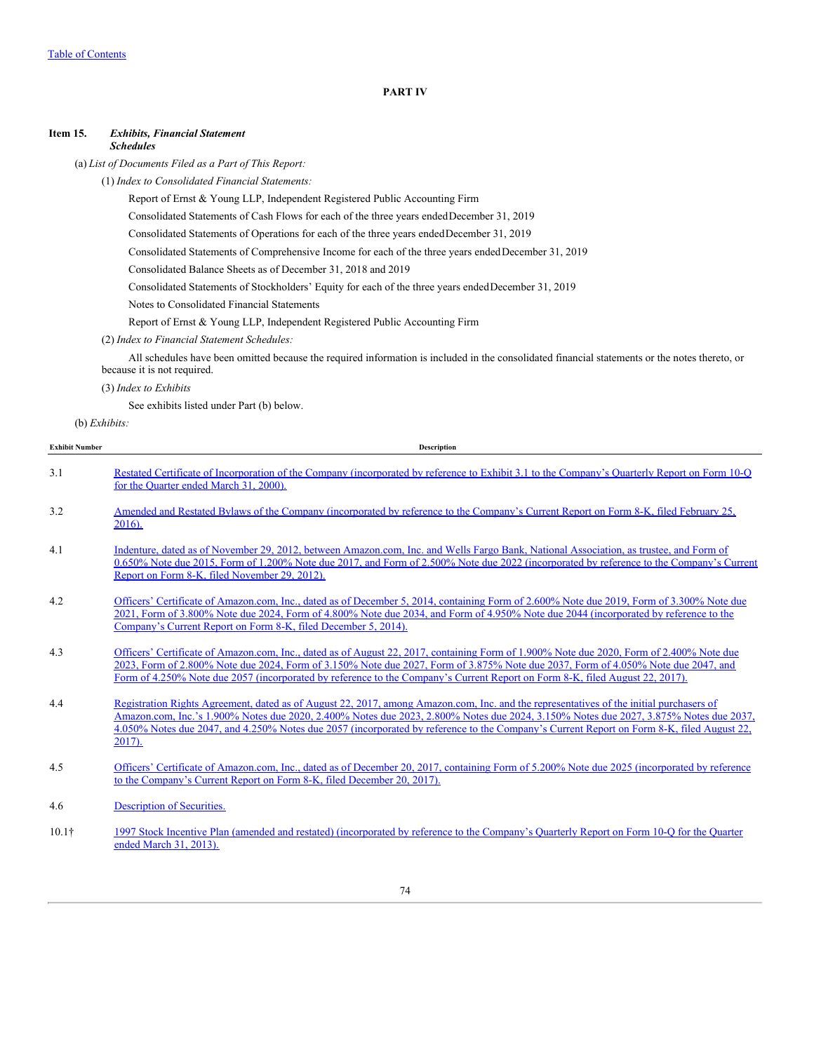# **PART IV**

### **Item 15.** *Exhibits, Financial Statement*

*Schedules*

(a) *List of Documents Filed as a Part of This Report:*

(1) *Index to Consolidated Financial Statements:*

Report of Ernst & Young LLP, Independent Registered Public Accounting Firm

Consolidated Statements of Cash Flows for each of the three years endedDecember 31, 2019

Consolidated Statements of Operations for each of the three years endedDecember 31, 2019

Consolidated Statements of Comprehensive Income for each of the three years endedDecember 31, 2019

Consolidated Balance Sheets as of December 31, 2018 and 2019

Consolidated Statements of Stockholders' Equity for each of the three years endedDecember 31, 2019

Notes to Consolidated Financial Statements

Report of Ernst & Young LLP, Independent Registered Public Accounting Firm

(2) *Index to Financial Statement Schedules:*

All schedules have been omitted because the required information is included in the consolidated financial statements or the notes thereto, or because it is not required.

(3) *Index to Exhibits*

See exhibits listed under Part (b) below.

(b) *Exhibits:*

| <b>Exhibit Number</b> | Description                                                                                                                                                                                                                                                                                                                                                                                                                                |
|-----------------------|--------------------------------------------------------------------------------------------------------------------------------------------------------------------------------------------------------------------------------------------------------------------------------------------------------------------------------------------------------------------------------------------------------------------------------------------|
| 3.1                   | Restated Certificate of Incorporation of the Company (incorporated by reference to Exhibit 3.1 to the Company's Quarterly Report on Form 10-Q<br>for the Quarter ended March 31, 2000).                                                                                                                                                                                                                                                    |
| 3.2                   | Amended and Restated Bylaws of the Company (incorporated by reference to the Company's Current Report on Form 8-K, filed February 25,<br>2016).                                                                                                                                                                                                                                                                                            |
| 4.1                   | Indenture, dated as of November 29, 2012, between Amazon.com. Inc. and Wells Fargo Bank, National Association, as trustee, and Form of<br>0.650% Note due 2015. Form of 1.200% Note due 2017, and Form of 2.500% Note due 2022 (incorporated by reference to the Company's Current<br>Report on Form 8-K, filed November 29, 2012).                                                                                                        |
| 4.2                   | Officers' Certificate of Amazon.com, Inc., dated as of December 5, 2014, containing Form of 2.600% Note due 2019, Form of 3.300% Note due<br>2021. Form of 3.800% Note due 2024. Form of 4.800% Note due 2034, and Form of 4.950% Note due 2044 (incorporated by reference to the<br>Company's Current Report on Form 8-K, filed December 5, 2014).                                                                                        |
| 4.3                   | Officers' Certificate of Amazon.com, Inc., dated as of August 22, 2017, containing Form of 1.900% Note due 2020, Form of 2.400% Note due<br>2023, Form of 2.800% Note due 2024, Form of 3.150% Note due 2027, Form of 3.875% Note due 2037, Form of 4.050% Note due 2047, and<br>Form of 4.250% Note due 2057 (incorporated by reference to the Company's Current Report on Form 8-K, filed August 22, 2017).                              |
| 4.4                   | Registration Rights Agreement, dated as of August 22, 2017, among Amazon.com, Inc. and the representatives of the initial purchasers of<br>Amazon.com, Inc.'s 1.900% Notes due 2020, 2.400% Notes due 2023, 2.800% Notes due 2024, 3.150% Notes due 2027, 3.875% Notes due 2037,<br>4.050% Notes due 2047, and 4.250% Notes due 2057 (incorporated by reference to the Company's Current Report on Form 8-K, filed August 22,<br>$2017$ ). |
| 4.5                   | Officers' Certificate of Amazon.com, Inc., dated as of December 20, 2017, containing Form of 5.200% Note due 2025 (incorporated by reference<br>to the Company's Current Report on Form 8-K, filed December 20, 2017).                                                                                                                                                                                                                     |
| 4.6                   | Description of Securities.                                                                                                                                                                                                                                                                                                                                                                                                                 |
| 10.1 <sup>†</sup>     | 1997 Stock Incentive Plan (amended and restated) (incorporated by reference to the Company's Quarterly Report on Form 10-O for the Quarter<br>ended March 31, 2013).                                                                                                                                                                                                                                                                       |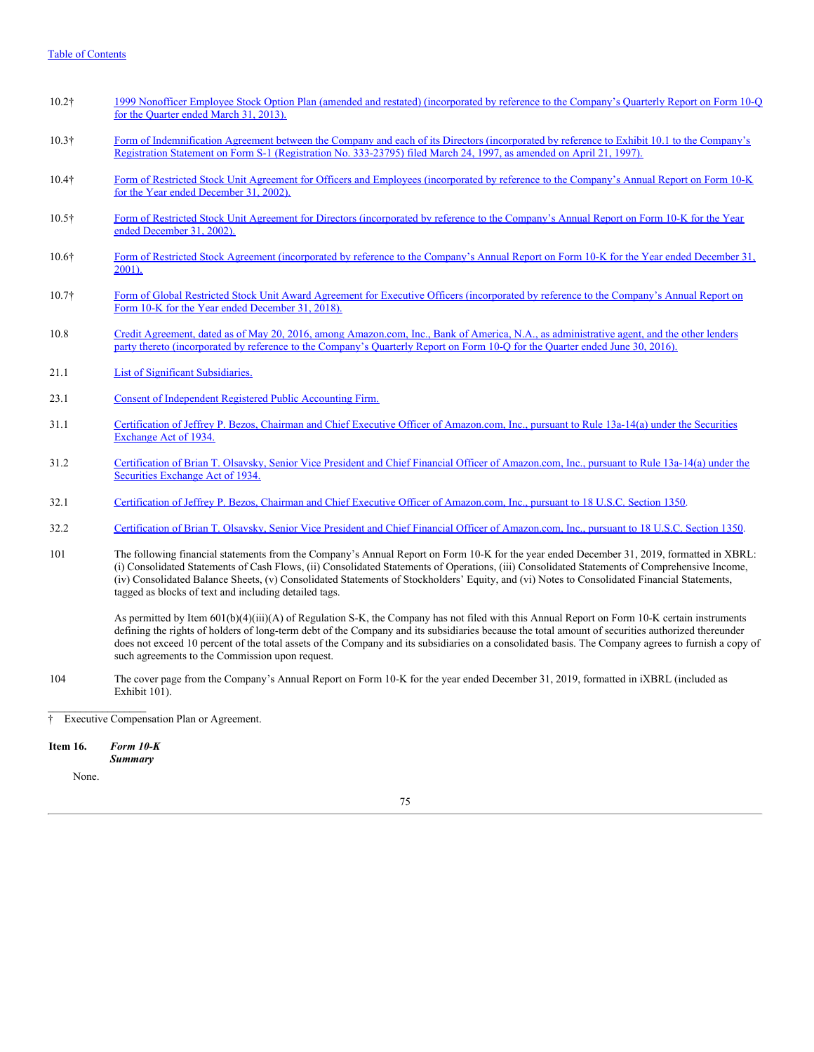| 10.2 <sup>†</sup> | 1999 Nonofficer Employee Stock Option Plan (amended and restated) (incorporated by reference to the Company's Ouarterly Report on Form 10-O |
|-------------------|---------------------------------------------------------------------------------------------------------------------------------------------|
|                   | for the Quarter ended March 31, 2013).                                                                                                      |

- 10.3† Form of [Indemnification](http://www.sec.gov/Archives/edgar/data/1018724/0000891020-97-000603.txt) Agreement between the Company and each of its Directors (incorporated by reference to Exhibit 10.1 to the Company's Registration Statement on Form S-1 (Registration No. 333-23795) filed March 24, 1997, as amended on April 21, 1997).
- 10.4† Form of Restricted Stock Unit Agreement for Officers and Employees [\(incorporated](http://www.sec.gov/Archives/edgar/data/1018724/000095014903000355/v87419orexv10w12.htm) by reference to the Company's Annual Report on Form 10-K for the Year ended December 31, 2002).
- 10.5† Form of Restricted Stock Unit Agreement for Directors [\(incorporated](http://www.sec.gov/Archives/edgar/data/1018724/000095014903000355/v87419orexv10w13.htm) by reference to the Company's Annual Report on Form 10-K for the Year ended December 31, 2002).
- 10.6† Form of Restricted Stock Agreement [\(incorporated](http://www.sec.gov/Archives/edgar/data/1018724/000103221002000059/dex1016.htm) by reference to the Company's Annual Report on Form 10-K for the Year ended December 31, 2001).
- 10.7† Form of Global Restricted Stock Unit Award Agreement for Executive Officers [\(incorporated](http://www.sec.gov/Archives/edgar/data/1018724/000101872419000004/amzn-20181231xex107.htm) by reference to the Company's Annual Report on Form 10-K for the Year ended December 31, 2018).
- 10.8 Credit Agreement, dated as of May 20, 2016, among Amazon.com, Inc., Bank of America, N.A., as [administrative](http://www.sec.gov/Archives/edgar/data/1018724/000101872416000286/amzn-20160630xex101.htm) agent, and the other lenders party thereto (incorporated by reference to the Company's Quarterly Report on Form 10-Q for the Quarter ended June 30, 2016).
- 21.1 List of Significant [Subsidiaries.](#page-77-0)
- 23.1 Consent of [Independent](#page-78-0) Registered Public Accounting Firm.
- 31.1 Certification of Jeffrey P. Bezos, Chairman and Chief Executive Officer of [Amazon.com,](#page-79-0) Inc., pursuant to Rule 13a-14(a) under the Securities Exchange Act of 1934.
- 31.2 Certification of Brian T. Olsavsky, Senior Vice President and Chief Financial Officer of [Amazon.com,](#page-80-0) Inc., pursuant to Rule 13a-14(a) under the Securities Exchange Act of 1934.
- 32.1 Certification of Jeffrey P. Bezos, Chairman and Chief Executive Officer of [Amazon.com,](#page-81-0) Inc., pursuant to 18 U.S.C. Section 1350.
- 32.2 Certification of Brian T. Olsavsky, Senior Vice President and Chief Financial Officer of [Amazon.com,](#page-82-0) Inc., pursuant to 18 U.S.C. Section 1350.
- 101 The following financial statements from the Company's Annual Report on Form 10-K for the year ended December 31, 2019, formatted in XBRL: (i) Consolidated Statements of Cash Flows, (ii) Consolidated Statements of Operations, (iii) Consolidated Statements of Comprehensive Income, (iv) Consolidated Balance Sheets, (v) Consolidated Statements of Stockholders' Equity, and (vi) Notes to Consolidated Financial Statements, tagged as blocks of text and including detailed tags.

As permitted by Item 601(b)(4)(iii)(A) of Regulation S-K, the Company has not filed with this Annual Report on Form 10-K certain instruments defining the rights of holders of long-term debt of the Company and its subsidiaries because the total amount of securities authorized thereunder does not exceed 10 percent of the total assets of the Company and its subsidiaries on a consolidated basis. The Company agrees to furnish a copy of such agreements to the Commission upon request.

104 The cover page from the Company's Annual Report on Form 10-K for the year ended December 31, 2019, formatted in iXBRL (included as Exhibit 101).

† Executive Compensation Plan or Agreement.

| Item 16. | Form 10-K |
|----------|-----------|
|          |           |

*Summary*

None.

75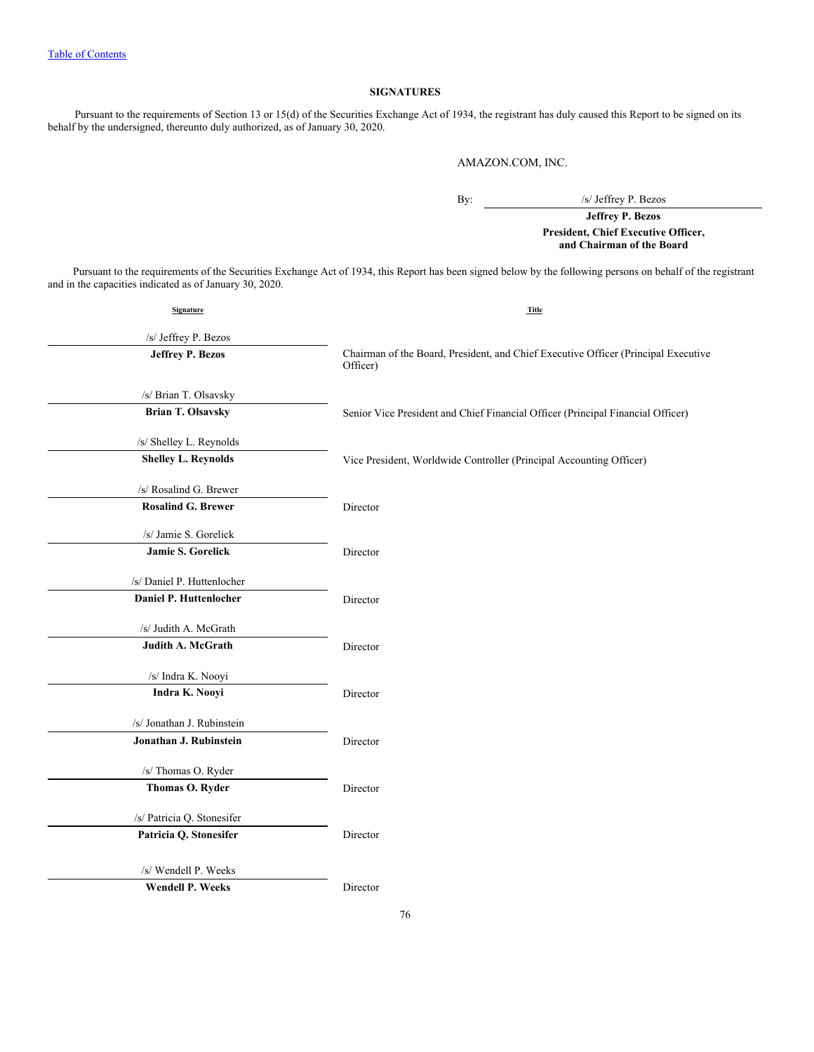# **SIGNATURES**

Pursuant to the requirements of Section 13 or 15(d) of the Securities Exchange Act of 1934, the registrant has duly caused this Report to be signed on its behalf by the undersigned, thereunto duly authorized, as of January 30, 2020.

AMAZON.COM, INC.

By:  $\frac{1}{s}$  Jeffrey P. Bezos

**Jeffrey P. Bezos President, Chief Executive Officer, and Chairman of the Board**

Pursuant to the requirements of the Securities Exchange Act of 1934, this Report has been signed below by the following persons on behalf of the registrant and in the capacities indicated as of January 30, 2020.

| Signature                  | <b>Title</b>                                                                                   |  |  |
|----------------------------|------------------------------------------------------------------------------------------------|--|--|
| /s/ Jeffrey P. Bezos       |                                                                                                |  |  |
| <b>Jeffrey P. Bezos</b>    | Chairman of the Board, President, and Chief Executive Officer (Principal Executive<br>Officer) |  |  |
| /s/ Brian T. Olsavsky      |                                                                                                |  |  |
| <b>Brian T. Olsavsky</b>   | Senior Vice President and Chief Financial Officer (Principal Financial Officer)                |  |  |
| /s/ Shelley L. Reynolds    |                                                                                                |  |  |
| <b>Shelley L. Reynolds</b> | Vice President, Worldwide Controller (Principal Accounting Officer)                            |  |  |
| /s/ Rosalind G. Brewer     |                                                                                                |  |  |
| <b>Rosalind G. Brewer</b>  | Director                                                                                       |  |  |
| /s/ Jamie S. Gorelick      |                                                                                                |  |  |
| Jamie S. Gorelick          | Director                                                                                       |  |  |
| /s/ Daniel P. Huttenlocher |                                                                                                |  |  |
| Daniel P. Huttenlocher     | Director                                                                                       |  |  |
| /s/ Judith A. McGrath      |                                                                                                |  |  |
| Judith A. McGrath          | Director                                                                                       |  |  |
| /s/ Indra K. Nooyi         |                                                                                                |  |  |
| Indra K. Nooyi             | Director                                                                                       |  |  |
| /s/ Jonathan J. Rubinstein |                                                                                                |  |  |
| Jonathan J. Rubinstein     | Director                                                                                       |  |  |
| /s/ Thomas O. Ryder        |                                                                                                |  |  |
| Thomas O. Ryder            | Director                                                                                       |  |  |
| /s/ Patricia Q. Stonesifer |                                                                                                |  |  |
| Patricia Q. Stonesifer     | Director                                                                                       |  |  |
| /s/ Wendell P. Weeks       |                                                                                                |  |  |
| <b>Wendell P. Weeks</b>    | Director                                                                                       |  |  |
|                            |                                                                                                |  |  |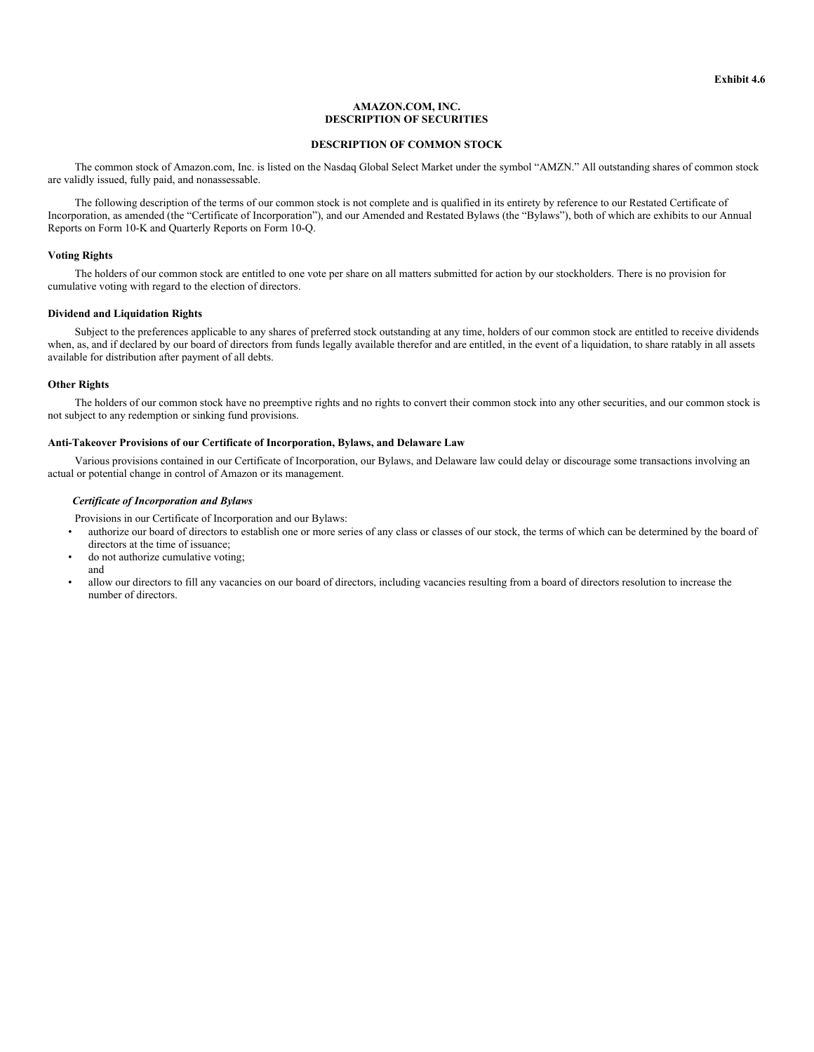#### **AMAZON.COM, INC. DESCRIPTION OF SECURITIES**

### **DESCRIPTION OF COMMON STOCK**

<span id="page-76-0"></span>The common stock of Amazon.com, Inc. is listed on the Nasdaq Global Select Market under the symbol "AMZN." All outstanding shares of common stock are validly issued, fully paid, and nonassessable.

The following description of the terms of our common stock is not complete and is qualified in its entirety by reference to our Restated Certificate of Incorporation, as amended (the "Certificate of Incorporation"), and our Amended and Restated Bylaws (the "Bylaws"), both of which are exhibits to our Annual Reports on Form 10-K and Quarterly Reports on Form 10-Q.

#### **Voting Rights**

The holders of our common stock are entitled to one vote per share on all matters submitted for action by our stockholders. There is no provision for cumulative voting with regard to the election of directors.

#### **Dividend and Liquidation Rights**

Subject to the preferences applicable to any shares of preferred stock outstanding at any time, holders of our common stock are entitled to receive dividends when, as, and if declared by our board of directors from funds legally available therefor and are entitled, in the event of a liquidation, to share ratably in all assets available for distribution after payment of all debts.

### **Other Rights**

The holders of our common stock have no preemptive rights and no rights to convert their common stock into any other securities, and our common stock is not subject to any redemption or sinking fund provisions.

### **Anti-Takeover Provisions of our Certificate of Incorporation, Bylaws, and Delaware Law**

Various provisions contained in our Certificate of Incorporation, our Bylaws, and Delaware law could delay or discourage some transactions involving an actual or potential change in control of Amazon or its management.

### *Certificate of Incorporation and Bylaws*

Provisions in our Certificate of Incorporation and our Bylaws:

- authorize our board of directors to establish one or more series of any class or classes of our stock, the terms of which can be determined by the board of directors at the time of issuance;
- do not authorize cumulative voting; and
- allow our directors to fill any vacancies on our board of directors, including vacancies resulting from a board of directors resolution to increase the number of directors.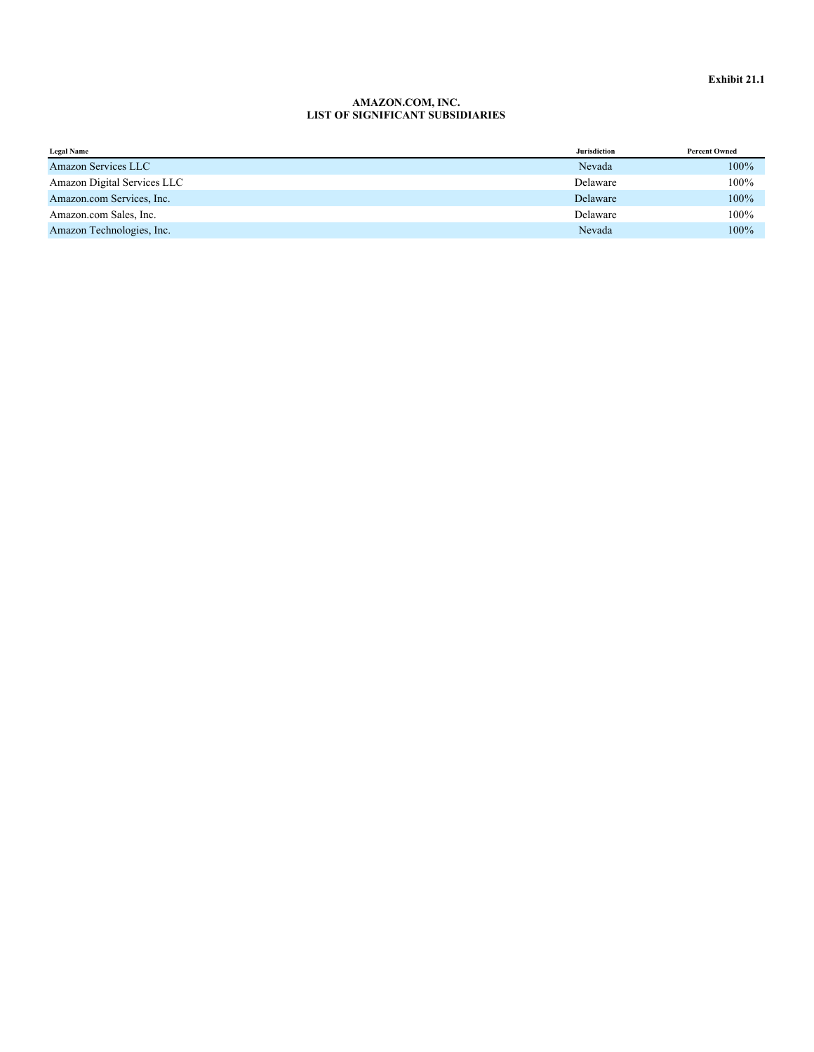# **AMAZON.COM, INC. LIST OF SIGNIFICANT SUBSIDIARIES**

<span id="page-77-0"></span>

| <b>Legal Name</b>           | Jurisdiction | <b>Percent Owned</b> |
|-----------------------------|--------------|----------------------|
| Amazon Services LLC         | Nevada       | 100%                 |
| Amazon Digital Services LLC | Delaware     | 100%                 |
| Amazon.com Services, Inc.   | Delaware     | 100%                 |
| Amazon.com Sales, Inc.      | Delaware     | 100%                 |
| Amazon Technologies, Inc.   | Nevada       | 100%                 |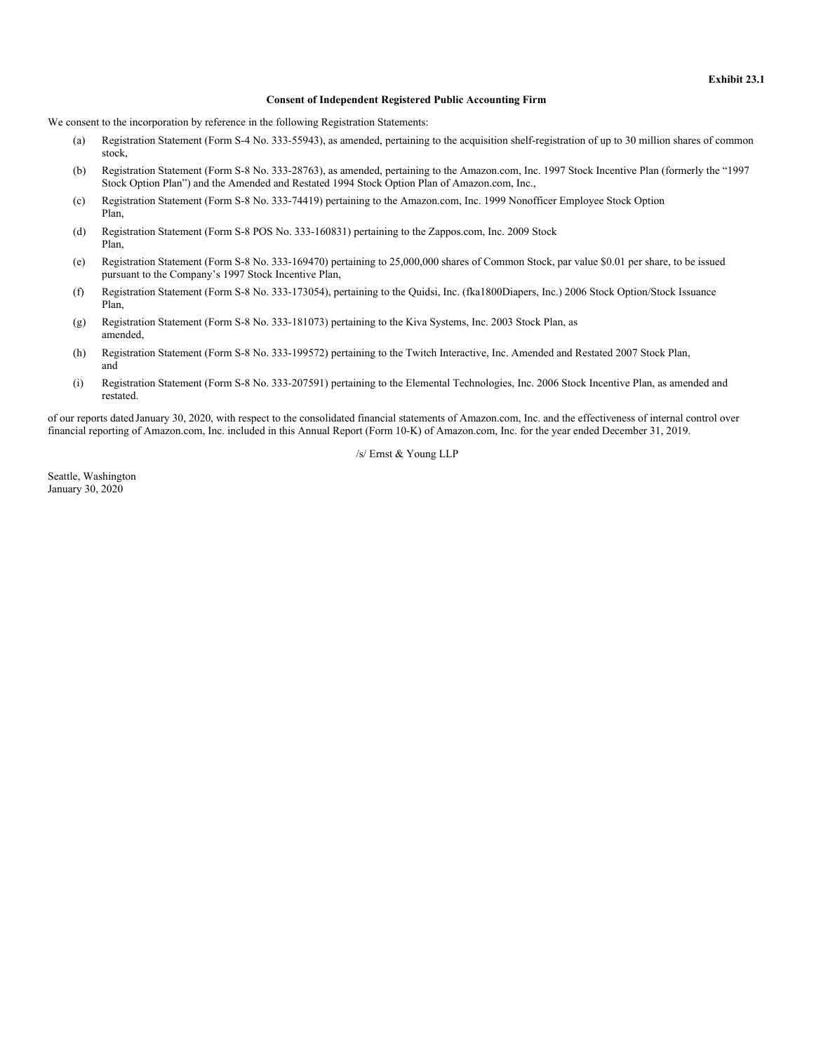### **Consent of Independent Registered Public Accounting Firm**

<span id="page-78-0"></span>We consent to the incorporation by reference in the following Registration Statements:

- (a) Registration Statement (Form S-4 No. 333-55943), as amended, pertaining to the acquisition shelf-registration of up to 30 million shares of common stock,
- (b) Registration Statement (Form S-8 No. 333-28763), as amended, pertaining to the Amazon.com, Inc. 1997 Stock Incentive Plan (formerly the "1997 Stock Option Plan") and the Amended and Restated 1994 Stock Option Plan of Amazon.com, Inc.,
- (c) Registration Statement (Form S-8 No. 333-74419) pertaining to the Amazon.com, Inc. 1999 Nonofficer Employee Stock Option Plan,
- (d) Registration Statement (Form S-8 POS No. 333-160831) pertaining to the Zappos.com, Inc. 2009 Stock Plan,
- (e) Registration Statement (Form S-8 No. 333-169470) pertaining to 25,000,000 shares of Common Stock, par value \$0.01 per share, to be issued pursuant to the Company's 1997 Stock Incentive Plan,
- (f) Registration Statement (Form S-8 No. 333-173054), pertaining to the Quidsi, Inc. (fka1800Diapers, Inc.) 2006 Stock Option/Stock Issuance Plan,
- (g) Registration Statement (Form S-8 No. 333-181073) pertaining to the Kiva Systems, Inc. 2003 Stock Plan, as amended,
- (h) Registration Statement (Form S-8 No. 333-199572) pertaining to the Twitch Interactive, Inc. Amended and Restated 2007 Stock Plan, and
- (i) Registration Statement (Form S-8 No. 333-207591) pertaining to the Elemental Technologies, Inc. 2006 Stock Incentive Plan, as amended and restated.

of our reports dated January 30, 2020, with respect to the consolidated financial statements of Amazon.com, Inc. and the effectiveness of internal control over financial reporting of Amazon.com, Inc. included in this Annual Report (Form 10-K) of Amazon.com, Inc. for the year ended December 31, 2019.

/s/ Ernst & Young LLP

Seattle, Washington January 30, 2020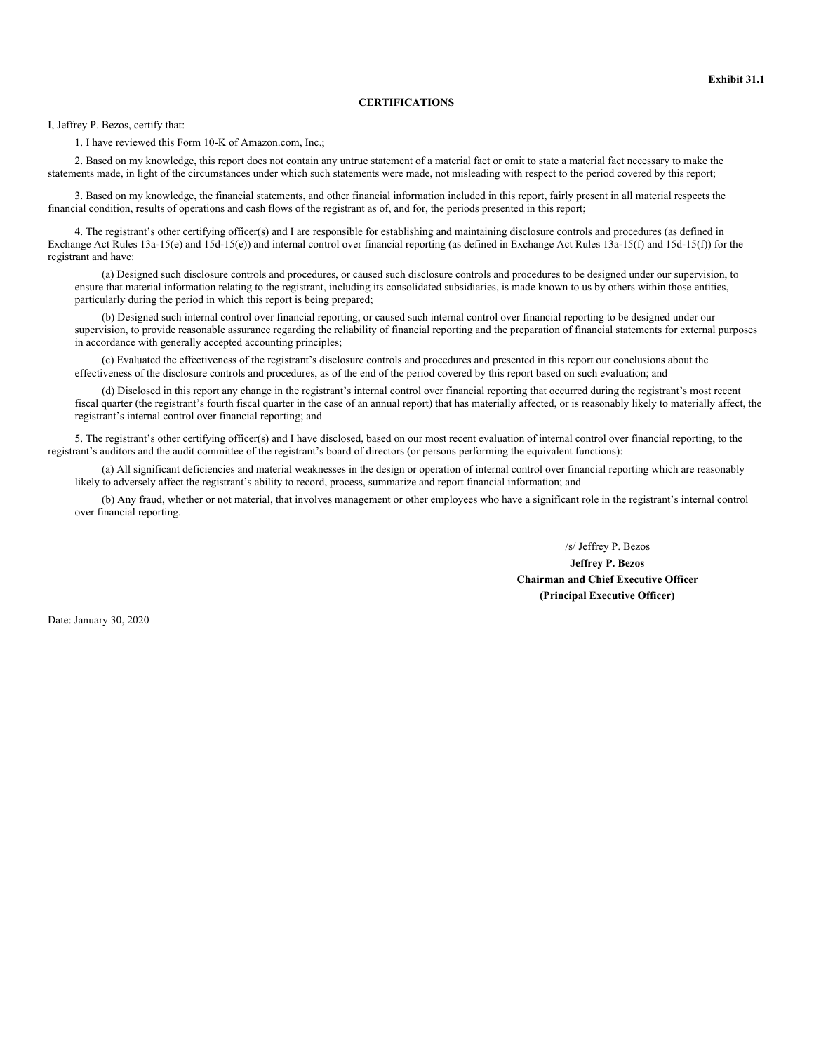# **CERTIFICATIONS**

<span id="page-79-0"></span>I, Jeffrey P. Bezos, certify that:

1. I have reviewed this Form 10-K of Amazon.com, Inc.;

2. Based on my knowledge, this report does not contain any untrue statement of a material fact or omit to state a material fact necessary to make the statements made, in light of the circumstances under which such statements were made, not misleading with respect to the period covered by this report;

3. Based on my knowledge, the financial statements, and other financial information included in this report, fairly present in all material respects the financial condition, results of operations and cash flows of the registrant as of, and for, the periods presented in this report;

4. The registrant's other certifying officer(s) and I are responsible for establishing and maintaining disclosure controls and procedures (as defined in Exchange Act Rules 13a-15(e) and 15d-15(e)) and internal control over financial reporting (as defined in Exchange Act Rules 13a-15(f) and 15d-15(f)) for the registrant and have:

(a) Designed such disclosure controls and procedures, or caused such disclosure controls and procedures to be designed under our supervision, to ensure that material information relating to the registrant, including its consolidated subsidiaries, is made known to us by others within those entities, particularly during the period in which this report is being prepared;

(b) Designed such internal control over financial reporting, or caused such internal control over financial reporting to be designed under our supervision, to provide reasonable assurance regarding the reliability of financial reporting and the preparation of financial statements for external purposes in accordance with generally accepted accounting principles;

(c) Evaluated the effectiveness of the registrant's disclosure controls and procedures and presented in this report our conclusions about the effectiveness of the disclosure controls and procedures, as of the end of the period covered by this report based on such evaluation; and

(d) Disclosed in this report any change in the registrant's internal control over financial reporting that occurred during the registrant's most recent fiscal quarter (the registrant's fourth fiscal quarter in the case of an annual report) that has materially affected, or is reasonably likely to materially affect, the registrant's internal control over financial reporting; and

5. The registrant's other certifying officer(s) and I have disclosed, based on our most recent evaluation of internal control over financial reporting, to the registrant's auditors and the audit committee of the registrant's board of directors (or persons performing the equivalent functions):

(a) All significant deficiencies and material weaknesses in the design or operation of internal control over financial reporting which are reasonably likely to adversely affect the registrant's ability to record, process, summarize and report financial information; and

(b) Any fraud, whether or not material, that involves management or other employees who have a significant role in the registrant's internal control over financial reporting.

/s/ Jeffrey P. Bezos

**Jeffrey P. Bezos Chairman and Chief Executive Officer (Principal Executive Officer)**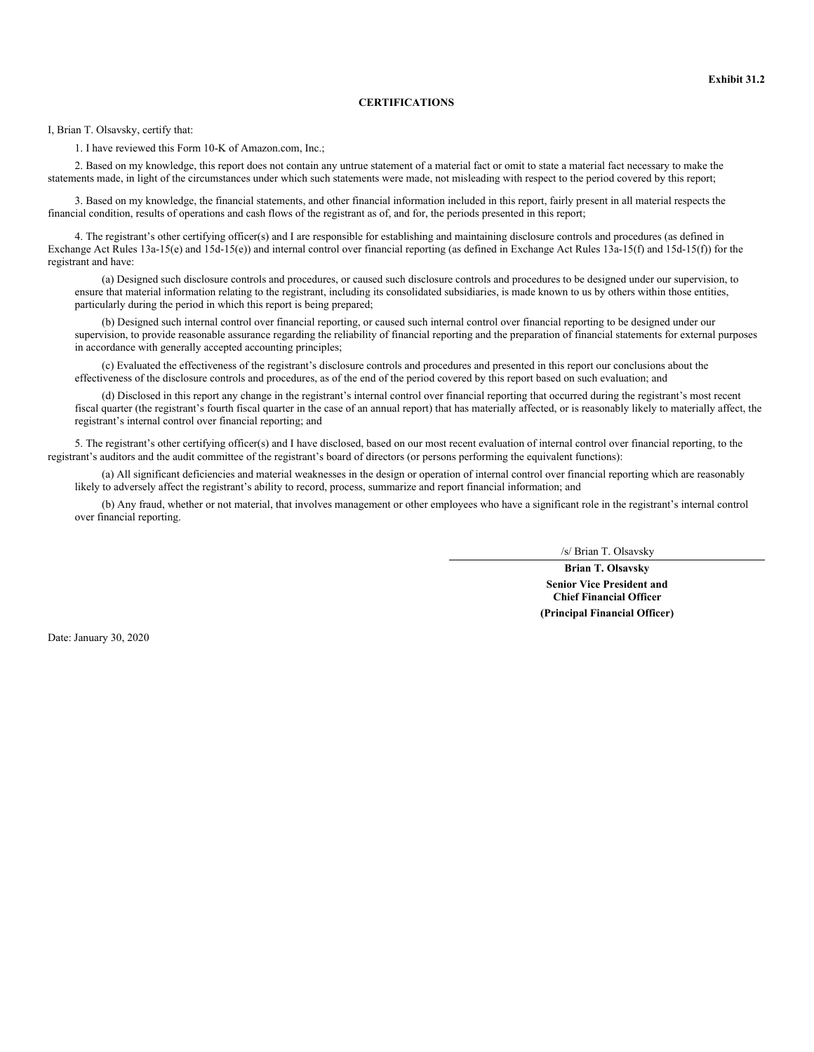# **CERTIFICATIONS**

<span id="page-80-0"></span>I, Brian T. Olsavsky, certify that:

1. I have reviewed this Form 10-K of Amazon.com, Inc.;

2. Based on my knowledge, this report does not contain any untrue statement of a material fact or omit to state a material fact necessary to make the statements made, in light of the circumstances under which such statements were made, not misleading with respect to the period covered by this report;

3. Based on my knowledge, the financial statements, and other financial information included in this report, fairly present in all material respects the financial condition, results of operations and cash flows of the registrant as of, and for, the periods presented in this report;

4. The registrant's other certifying officer(s) and I are responsible for establishing and maintaining disclosure controls and procedures (as defined in Exchange Act Rules 13a-15(e) and 15d-15(e)) and internal control over financial reporting (as defined in Exchange Act Rules 13a-15(f) and 15d-15(f)) for the registrant and have:

(a) Designed such disclosure controls and procedures, or caused such disclosure controls and procedures to be designed under our supervision, to ensure that material information relating to the registrant, including its consolidated subsidiaries, is made known to us by others within those entities, particularly during the period in which this report is being prepared;

(b) Designed such internal control over financial reporting, or caused such internal control over financial reporting to be designed under our supervision, to provide reasonable assurance regarding the reliability of financial reporting and the preparation of financial statements for external purposes in accordance with generally accepted accounting principles;

(c) Evaluated the effectiveness of the registrant's disclosure controls and procedures and presented in this report our conclusions about the effectiveness of the disclosure controls and procedures, as of the end of the period covered by this report based on such evaluation; and

(d) Disclosed in this report any change in the registrant's internal control over financial reporting that occurred during the registrant's most recent fiscal quarter (the registrant's fourth fiscal quarter in the case of an annual report) that has materially affected, or is reasonably likely to materially affect, the registrant's internal control over financial reporting; and

5. The registrant's other certifying officer(s) and I have disclosed, based on our most recent evaluation of internal control over financial reporting, to the registrant's auditors and the audit committee of the registrant's board of directors (or persons performing the equivalent functions):

(a) All significant deficiencies and material weaknesses in the design or operation of internal control over financial reporting which are reasonably likely to adversely affect the registrant's ability to record, process, summarize and report financial information; and

(b) Any fraud, whether or not material, that involves management or other employees who have a significant role in the registrant's internal control over financial reporting.

/s/ Brian T. Olsavsky

**Brian T. Olsavsky Senior Vice President and Chief Financial Officer (Principal Financial Officer)**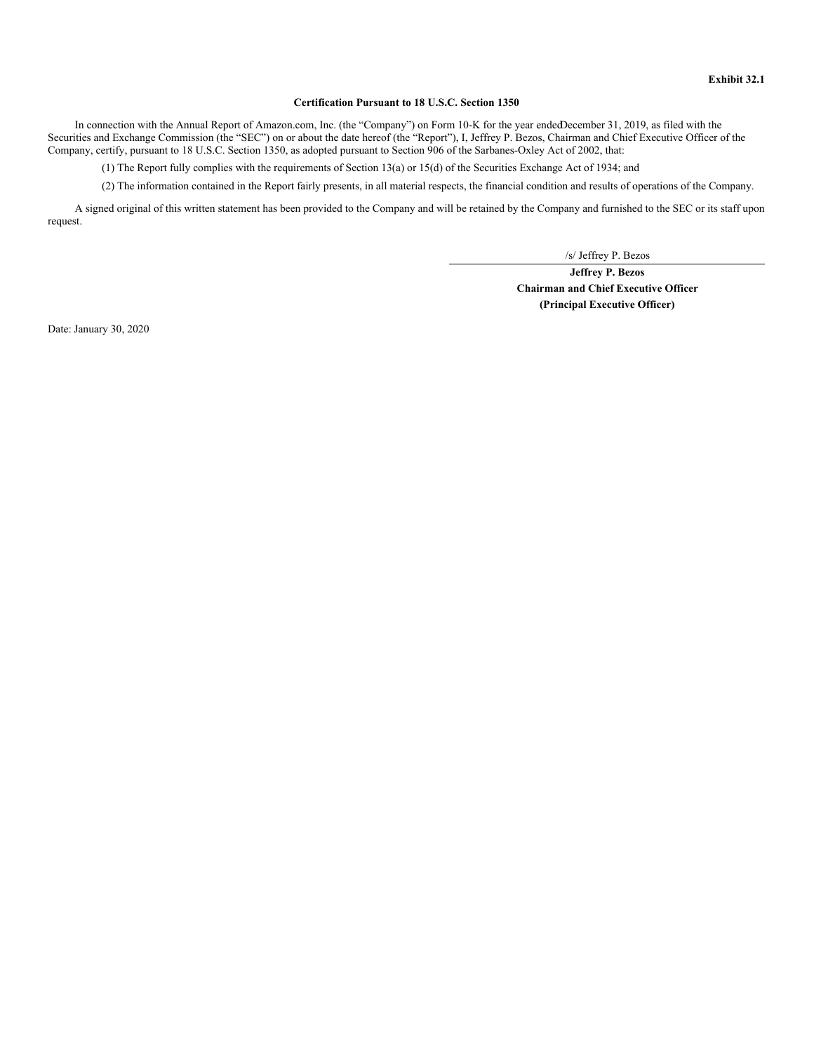# **Certification Pursuant to 18 U.S.C. Section 1350**

<span id="page-81-0"></span>In connection with the Annual Report of Amazon.com, Inc. (the "Company") on Form 10-K for the year endedDecember 31, 2019, as filed with the Securities and Exchange Commission (the "SEC") on or about the date hereof (the "Report"), I, Jeffrey P. Bezos, Chairman and Chief Executive Officer of the Company, certify, pursuant to 18 U.S.C. Section 1350, as adopted pursuant to Section 906 of the Sarbanes-Oxley Act of 2002, that:

(1) The Report fully complies with the requirements of Section 13(a) or 15(d) of the Securities Exchange Act of 1934; and

(2) The information contained in the Report fairly presents, in all material respects, the financial condition and results of operations of the Company.

A signed original of this written statement has been provided to the Company and will be retained by the Company and furnished to the SEC or its staff upon request.

/s/ Jeffrey P. Bezos

**Jeffrey P. Bezos Chairman and Chief Executive Officer (Principal Executive Officer)**